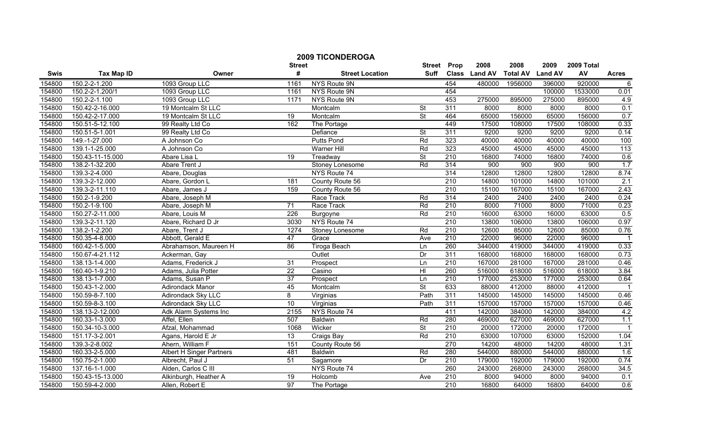|        |                   |                           | <b>Street</b>   | <b>2009 TICONDEROGA</b> | <b>Street</b>            | Prop             | 2008          | 2008            | 2009           | 2009 Total |                          |
|--------|-------------------|---------------------------|-----------------|-------------------------|--------------------------|------------------|---------------|-----------------|----------------|------------|--------------------------|
| Swis   | <b>Tax Map ID</b> | Owner                     | #               | <b>Street Location</b>  | <b>Suff</b>              |                  | Class Land AV | <b>Total AV</b> | <b>Land AV</b> | AV         | <b>Acres</b>             |
| 154800 | 150.2-2-1.200     | 1093 Group LLC            | 1161            | NYS Route 9N            |                          | 454              | 480000        | 1956000         | 396000         | 920000     | $\overline{6}$           |
| 154800 | 150.2-2-1.200/1   | 1093 Group LLC            | 1161            | NYS Route 9N            |                          | 454              |               |                 | 100000         | 1533000    | 0.01                     |
| 154800 | 150.2-2-1.100     | 1093 Group LLC            | 1171            | NYS Route 9N            |                          | 453              | 275000        | 895000          | 275000         | 895000     | 4.9                      |
| 154800 | 150.42-2-16.000   | 19 Montcalm St LLC        |                 | Montcalm                | St                       | 311              | 8000          | 8000            | 8000           | 8000       | 0.1                      |
| 154800 | 150.42-2-17.000   | 19 Montcalm St LLC        | 19              | Montcalm                | $\overline{\mathsf{St}}$ | 464              | 65000         | 156000          | 65000          | 156000     | 0.7                      |
| 154800 | 150.51-5-12.100   | 99 Realty Ltd Co          | 162             | The Portage             |                          | 449              | 17500         | 108000          | 17500          | 108000     | 0.33                     |
| 154800 | 150.51-5-1.001    | 99 Realty Ltd Co          |                 | Defiance                | St                       | 311              | 9200          | 9200            | 9200           | 9200       | 0.14                     |
| 154800 | 149.-1-27.000     | A Johnson Co              |                 | <b>Putts Pond</b>       | Rd                       | 323              | 40000         | 40000           | 40000          | 40000      | 100                      |
| 154800 | 139.1-1-25.000    | A Johnson Co              |                 | Warner Hill             | Rd                       | 323              | 45000         | 45000           | 45000          | 45000      | 113                      |
| 154800 | 150.43-11-15.000  | Abare Lisa L              | $\overline{19}$ | Treadway                | <b>St</b>                | $\overline{210}$ | 16800         | 74000           | 16800          | 74000      | 0.6                      |
| 154800 | 138.2-1-32.200    | Abare Trent J             |                 | Stoney Lonesome         | Rd                       | 314              | 900           | 900             | 900            | 900        | 1.7                      |
| 154800 | 139.3-2-4.000     | Abare, Douglas            |                 | NYS Route 74            |                          | 314              | 12800         | 12800           | 12800          | 12800      | 8.74                     |
| 154800 | 139.3-2-12.000    | Abare, Gordon L           | 181             | County Route 56         |                          | 210              | 14800         | 101000          | 14800          | 101000     | 2.1                      |
| 154800 | 139.3-2-11.110    | Abare, James J            | 159             | County Route 56         |                          | 210              | 15100         | 167000          | 15100          | 167000     | 2.43                     |
| 154800 | 150.2-1-9.200     | Abare, Joseph M           |                 | Race Track              | Rd                       | 314              | 2400          | 2400            | 2400           | 2400       | 0.24                     |
| 154800 | 150.2-1-9.100     | Abare, Joseph M           | 71              | Race Track              | Rd                       | 210              | 8000          | 71000           | 8000           | 71000      | 0.23                     |
| 154800 | 150.27-2-11.000   | Abare, Louis M            | 226             | Burgoyne                | Rd                       | 210              | 16000         | 63000           | 16000          | 63000      | 0.5                      |
| 154800 | 139.3-2-11.120    | Abare, Richard D Jr       | 3030            | NYS Route 74            |                          | 210              | 13800         | 106000          | 13800          | 106000     | 0.97                     |
| 154800 | 138.2-1-2.200     | Abare, Trent J            | 1274            | Stoney Lonesome         | Rd                       | 210              | 12600         | 85000           | 12600          | 85000      | 0.76                     |
| 154800 | 150.35-4-8.000    | Abbott, Gerald E          | 47              | Grace                   | Ave                      | 210              | 22000         | 96000           | 22000          | 96000      | $\overline{\phantom{0}}$ |
| 154800 | 160.42-1-5.000    | Abrahamson, Maureen H     | 86              | <b>Tiroga Beach</b>     | Ln                       | 260              | 344000        | 419000          | 344000         | 419000     | 0.33                     |
| 154800 | 150.67-4-21.112   | Ackerman, Gay             |                 | Outlet                  | Dr                       | 311              | 168000        | 168000          | 168000         | 168000     | 0.73                     |
| 154800 | 138.13-1-4.000    | Adams, Frederick J        | 31              | Prospect                | Ln                       | 210              | 167000        | 281000          | 167000         | 281000     | 0.46                     |
| 154800 | 160.40-1-9.210    | Adams, Julia Potter       | $\overline{22}$ | Casino                  | H <sub>II</sub>          | 260              | 516000        | 618000          | 516000         | 618000     | 3.84                     |
| 154800 | 138.13-1-7.000    | Adams, Susan P            | $\overline{37}$ | Prospect                | Ln                       | 210              | 177000        | 253000          | 177000         | 253000     | 0.64                     |
| 154800 | 150.43-1-2.000    | <b>Adirondack Manor</b>   | 45              | Montcalm                | <b>St</b>                | 633              | 88000         | 412000          | 88000          | 412000     | $\overline{1}$           |
| 154800 | 150.59-8-7.100    | <b>Adirondack Sky LLC</b> | 8               | Virginias               | Path                     | 311              | 145000        | 145000          | 145000         | 145000     | 0.46                     |
| 154800 | 150.59-8-3.100    | Adirondack Sky LLC        | 10              | Virginias               | Path                     | 311              | 157000        | 157000          | 157000         | 157000     | 0.46                     |
| 154800 | 138.13-2-12.000   | Adk Alarm Systems Inc     | 2155            | NYS Route 74            |                          | 411              | 142000        | 384000          | 142000         | 384000     | 4.2                      |
| 154800 | 160.33-1-3.000    | Affel, Ellen              | 507             | <b>Baldwin</b>          | Rd                       | 280              | 469000        | 627000          | 469000         | 627000     | 1.1                      |
| 154800 | 150.34-10-3.000   | Afzal, Mohammad           | 1068            | Wicker                  | $\overline{\mathsf{St}}$ | 210              | 20000         | 172000          | 20000          | 172000     |                          |
| 154800 | 151.17-3-2.001    | Agans, Harold E Jr        | $\overline{13}$ | Craigs Bay              | Rd                       | 210              | 63000         | 107000          | 63000          | 152000     | 1.04                     |
| 154800 | 139.3-2-8.002     | Ahern, William F          | 151             | County Route 56         |                          | 270              | 14200         | 48000           | 14200          | 48000      | 1.31                     |
| 154800 | 160.33-2-5.000    | Albert H Singer Partners  | 481             | <b>Baldwin</b>          | Rd                       | 280              | 544000        | 880000          | 544000         | 880000     | 1.6                      |
| 154800 | 150.75-2-1.000    | Albrecht, Paul J          | 51              | Sagamore                | Dr                       | 210              | 179000        | 192000          | 179000         | 192000     | 0.74                     |
| 154800 | 137.16-1-1.000    | Alden, Carlos C III       |                 | NYS Route 74            |                          | 260              | 243000        | 268000          | 243000         | 268000     | 34.5                     |
| 154800 | 150.43-15-13.000  | Alkinburgh, Heather A     | 19              | Holcomb                 | Ave                      | 210              | 8000          | 94000           | 8000           | 94000      | 0.1                      |
| 154800 | 150.59-4-2.000    | Allen, Robert E           | 97              | The Portage             |                          | 210              | 16800         | 64000           | 16800          | 64000      | 0.6                      |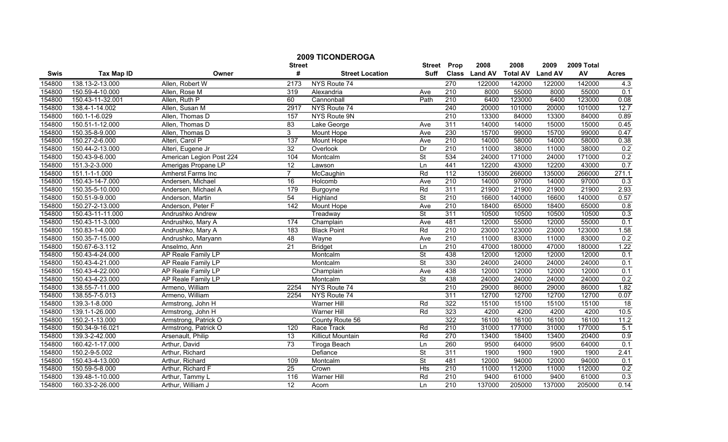|        |                   |                          | <b>2009 TICONDEROGA</b> | <b>Street</b>            | Prop                     | 2008             | 2008          | 2009            | 2009 Total     |        |              |
|--------|-------------------|--------------------------|-------------------------|--------------------------|--------------------------|------------------|---------------|-----------------|----------------|--------|--------------|
| Swis   | <b>Tax Map ID</b> | Owner                    | <b>Street</b><br>#      | <b>Street Location</b>   | <b>Suff</b>              |                  | Class Land AV | <b>Total AV</b> | <b>Land AV</b> | AV     | <b>Acres</b> |
| 154800 | 138.13-2-13.000   | Allen, Robert W          | 2173                    | NYS Route 74             |                          | 270              | 122000        | 142000          | 122000         | 142000 | 4.3          |
| 154800 | 150.59-4-10.000   | Allen, Rose M            | 319                     | Alexandria               | Ave                      | $\overline{210}$ | 8000          | 55000           | 8000           | 55000  | 0.1          |
| 154800 | 150.43-11-32.001  | Allen, Ruth P            | 60                      | Cannonball               | Path                     | 210              | 6400          | 123000          | 6400           | 123000 | 0.08         |
| 154800 | 138.4-1-14.002    | Allen, Susan M           | 2917                    | NYS Route 74             |                          | 240              | 20000         | 101000          | 20000          | 101000 | 12.7         |
| 154800 | 160.1-1-6.029     | Allen, Thomas D          | 157                     | NYS Route 9N             |                          | 210              | 13300         | 84000           | 13300          | 84000  | 0.89         |
| 154800 | 150.51-1-12.000   | Allen, Thomas D          | 83                      | Lake George              | Ave                      | 311              | 14000         | 14000           | 15000          | 15000  | 0.45         |
| 154800 | 150.35-8-9.000    | Allen, Thomas D          | $\overline{3}$          | <b>Mount Hope</b>        | Ave                      | 230              | 15700         | 99000           | 15700          | 99000  | 0.47         |
| 154800 | 150.27-2-6.000    | Alteri, Carol P          | 137                     | <b>Mount Hope</b>        | Ave                      | 210              | 14000         | 58000           | 14000          | 58000  | 0.38         |
| 154800 | 150.44-2-13.000   | Alteri, Eugene Jr        | $\overline{32}$         | Overlook                 | Dr                       | $\overline{210}$ | 11000         | 38000           | 11000          | 38000  | 0.2          |
| 154800 | 150.43-9-6.000    | American Legion Post 224 | 104                     | Montcalm                 | $\overline{\mathsf{St}}$ | 534              | 24000         | 171000          | 24000          | 171000 | 0.2          |
| 154800 | 151.3-2-3.000     | Amerigas Propane LP      | $\overline{12}$         | Lawson                   | Ln                       | 441              | 12200         | 43000           | 12200          | 43000  | 0.7          |
| 154800 | 151.1-1-1.000     | Amherst Farms Inc        | $\overline{7}$          | McCaughin                | Rd                       | 112              | 135000        | 266000          | 135000         | 266000 | 271.1        |
| 154800 | 150.43-14-7.000   | Andersen, Michael        | 16                      | Holcomb                  | Ave                      | 210              | 14000         | 97000           | 14000          | 97000  | 0.3          |
| 154800 | 150.35-5-10.000   | Andersen, Michael A      | 179                     | Burgoyne                 | Rd                       | 311              | 21900         | 21900           | 21900          | 21900  | 2.93         |
| 154800 | 150.51-9-9.000    | Anderson, Martin         | 54                      | Highland                 | St                       | $\overline{210}$ | 16600         | 140000          | 16600          | 140000 | 0.57         |
| 154800 | 150.27-2-13.000   | Anderson, Peter F        | 142                     | Mount Hope               | Ave                      | 210              | 18400         | 65000           | 18400          | 65000  | 0.8          |
| 154800 | 150.43-11-11.000  | Andrushko Andrew         |                         | Treadway                 | $\overline{\mathsf{St}}$ | 311              | 10500         | 10500           | 10500          | 10500  | 0.3          |
| 154800 | 150.43-11-3.000   | Andrushko, Mary A        | 174                     | Champlain                | Ave                      | 481              | 12000         | 55000           | 12000          | 55000  | 0.1          |
| 154800 | 150.83-1-4.000    | Andrushko, Mary A        | 183                     | <b>Black Point</b>       | Rd                       | 210              | 23000         | 123000          | 23000          | 123000 | 1.58         |
| 154800 | 150.35-7-15.000   | Andrushko, Maryann       | 48                      | Wayne                    | Ave                      | 210              | 11000         | 83000           | 11000          | 83000  | 0.2          |
| 154800 | 150.67-6-3.112    | Anselmo, Ann             | 21                      | <b>Bridget</b>           | Ln                       | 210              | 47000         | 180000          | 47000          | 180000 | 1.22         |
| 154800 | 150.43-4-24.000   | AP Reale Family LP       |                         | Montcalm                 | $\overline{\mathsf{St}}$ | 438              | 12000         | 12000           | 12000          | 12000  | 0.1          |
| 154800 | 150.43-4-21.000   | AP Reale Family LP       |                         | Montcalm                 | $\overline{\mathsf{St}}$ | 330              | 24000         | 24000           | 24000          | 24000  | 0.1          |
| 154800 | 150.43-4-22.000   | AP Reale Family LP       |                         | Champlain                | Ave                      | 438              | 12000         | 12000           | 12000          | 12000  | 0.1          |
| 154800 | 150.43-4-23.000   | AP Reale Family LP       |                         | Montcalm                 | St                       | 438              | 24000         | 24000           | 24000          | 24000  | 0.2          |
| 154800 | 138.55-7-11.000   | Armeno. William          | 2254                    | NYS Route 74             |                          | $\overline{210}$ | 29000         | 86000           | 29000          | 86000  | 1.82         |
| 154800 | 138.55-7-5.013    | Armeno, William          | 2254                    | NYS Route 74             |                          | 311              | 12700         | 12700           | 12700          | 12700  | 0.07         |
| 154800 | 139.3-1-8.000     | Armstrong, John H        |                         | Warner Hill              | Rd                       | 322              | 15100         | 15100           | 15100          | 15100  | 18           |
| 154800 | 139.1-1-26.000    | Armstrong, John H        |                         | <b>Warner Hill</b>       | Rd                       | 323              | 4200          | 4200            | 4200           | 4200   | 10.5         |
| 154800 | 150.2-1-13.000    | Armstrong, Patrick O     |                         | County Route 56          |                          | 322              | 16100         | 16100           | 16100          | 16100  | 11.2         |
| 154800 | 150.34-9-16.021   | Armstrong, Patrick O     | 120                     | Race Track               | Rd                       | 210              | 31000         | 177000          | 31000          | 177000 | 5.1          |
| 154800 | 139.3-2-42.000    | Arsenault, Philip        | 13                      | <b>Killicut Mountain</b> | Rd                       | 270              | 13400         | 18400           | 13400          | 20400  | 0.9          |
| 154800 | 160.42-1-17.000   | Arthur, David            | 73                      | <b>Tiroga Beach</b>      | Ln                       | 260              | 9500          | 64000           | 9500           | 64000  | 0.1          |
| 154800 | 150.2-9-5.002     | Arthur, Richard          |                         | Defiance                 | $\overline{\mathsf{St}}$ | 311              | 1900          | 1900            | 1900           | 1900   | 2.41         |
| 154800 | 150.43-4-13.000   | Arthur, Richard          | 109                     | Montcalm                 | St                       | 481              | 12000         | 94000           | 12000          | 94000  | 0.1          |
| 154800 | 150.59-5-8.000    | Arthur, Richard F        | $\overline{25}$         | Crown                    | <b>Hts</b>               | 210              | 11000         | 112000          | 11000          | 112000 | 0.2          |
| 154800 | 139.48-1-10.000   | Arthur, Tammy L          | 116                     | Warner Hill              | Rd                       | 210              | 9400          | 61000           | 9400           | 61000  | 0.3          |
| 154800 | 160.33-2-26.000   | Arthur, William J        | 12                      | Acorn                    | Ln                       | 210              | 137000        | 205000          | 137000         | 205000 | 0.14         |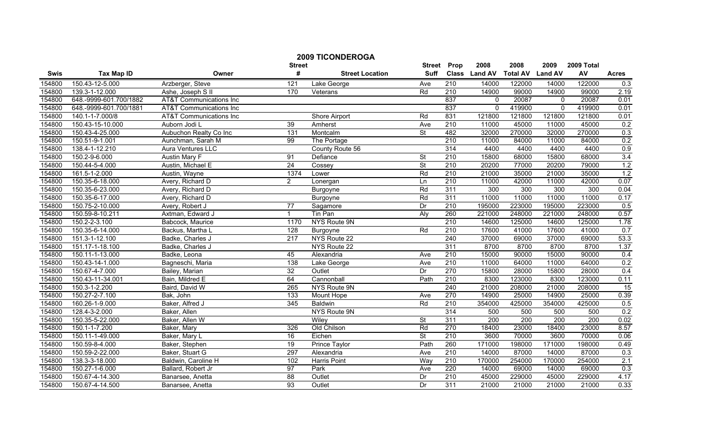|        |                        |                                    | <b>2009 TICONDEROGA</b> | <b>Street</b>          | Prop        | 2008             | 2008          | 2009            | 2009 Total     |        |              |
|--------|------------------------|------------------------------------|-------------------------|------------------------|-------------|------------------|---------------|-----------------|----------------|--------|--------------|
| Swis   | <b>Tax Map ID</b>      | Owner                              | <b>Street</b><br>#      | <b>Street Location</b> | <b>Suff</b> |                  | Class Land AV | <b>Total AV</b> | <b>Land AV</b> | AV     | <b>Acres</b> |
| 154800 | 150.43-12-5.000        | Arzberger, Steve                   | 121                     | Lake George            | Ave         | 210              | 14000         | 122000          | 14000          | 122000 | 0.3          |
| 154800 | 139.3-1-12.000         | Ashe, Joseph S II                  | 170                     | Veterans               | Rd          | $\overline{210}$ | 14900         | 99000           | 14900          | 99000  | 2.19         |
| 154800 | 648.-9999-601.700/1882 | <b>AT&amp;T Communications Inc</b> |                         |                        |             | 837              | $\Omega$      | 20087           | $\Omega$       | 20087  | 0.01         |
| 154800 | 648.-9999-601.700/1881 | <b>AT&amp;T Communications Inc</b> |                         |                        |             | 837              | $\Omega$      | 419900          | $\mathbf{0}$   | 419900 | 0.01         |
| 154800 | 140.1-1-7.000/8        | AT&T Communications Inc            |                         | Shore Airport          | Rd          | 831              | 121800        | 121800          | 121800         | 121800 | 0.01         |
| 154800 | 150.43-15-10.000       | Auborn Jodi L                      | 39                      | Amherst                | Ave         | 210              | 11000         | 45000           | 11000          | 45000  | 0.2          |
| 154800 | 150.43-4-25.000        | Aubuchon Realty Co Inc             | 131                     | Montcalm               | St          | 482              | 32000         | 270000          | 32000          | 270000 | 0.3          |
| 154800 | 150.51-9-1.001         | Aunchman, Sarah M                  | $\overline{99}$         | The Portage            |             | 210              | 11000         | 84000           | 11000          | 84000  | 0.2          |
| 154800 | 138.4-1-12.210         | <b>Aura Ventures LLC</b>           |                         | County Route 56        |             | 314              | 4400          | 4400            | 4400           | 4400   | 0.9          |
| 154800 | 150.2-9-6.000          | Austin Mary F                      | 91                      | Defiance               | St          | 210              | 15800         | 68000           | 15800          | 68000  | 3.4          |
| 154800 | 150.44-5-4.000         | Austin, Michael E                  | $\overline{24}$         | Cossey                 | <b>St</b>   | 210              | 20200         | 77000           | 20200          | 79000  | 1.2          |
| 154800 | 161.5-1-2.000          | Austin, Wayne                      | 1374                    | Lower                  | Rd          | 210              | 21000         | 35000           | 21000          | 35000  | 1.2          |
| 154800 | 150.35-6-18.000        | Avery, Richard D                   | $\overline{2}$          | Lonergan               | Ln          | 210              | 11000         | 42000           | 11000          | 42000  | 0.07         |
| 154800 | 150.35-6-23.000        | Avery, Richard D                   |                         | Burgoyne               | Rd          | 311              | 300           | 300             | 300            | 300    | 0.04         |
| 154800 | 150.35-6-17.000        | Avery, Richard D                   |                         | Burgoyne               | Rd          | 311              | 11000         | 11000           | 11000          | 11000  | 0.17         |
| 154800 | 150.75-2-10.000        | Avery, Robert J                    | 77                      | Sagamore               | Dr          | $\overline{210}$ | 195000        | 223000          | 195000         | 223000 | 0.5          |
| 154800 | 150.59-8-10.211        | Axtman, Edward J                   | $\mathbf{1}$            | Tin Pan                | Aly         | 260              | 221000        | 248000          | 221000         | 248000 | 0.57         |
| 154800 | 150.2-2-3.100          | Babcock, Maurice                   | 1170                    | NYS Route 9N           |             | 210              | 14600         | 125000          | 14600          | 125000 | 1.78         |
| 154800 | 150.35-6-14.000        | Backus, Martha L                   | 128                     | Burgoyne               | Rd          | 210              | 17600         | 41000           | 17600          | 41000  | 0.7          |
| 154800 | 151.3-1-12.100         | Badke, Charles J                   | 217                     | NYS Route 22           |             | 240              | 37000         | 69000           | 37000          | 69000  | 53.3         |
| 154800 | 151.17-1-18.100        | Badke, Charles J                   |                         | NYS Route 22           |             | 311              | 8700          | 8700            | 8700           | 8700   | 1.37         |
| 154800 | 150.11-1-13.000        | Badke, Leona                       | 45                      | Alexandria             | Ave         | 210              | 15000         | 90000           | 15000          | 90000  | 0.4          |
| 154800 | 150.43-14-1.000        | Bagneschi, Maria                   | 138                     | Lake George            | Ave         | 210              | 11000         | 64000           | 11000          | 64000  | 0.2          |
| 154800 | 150.67-4-7.000         | Bailey, Marian                     | $\overline{32}$         | Outlet                 | Dr          | 270              | 15800         | 28000           | 15800          | 28000  | 0.4          |
| 154800 | 150.43-11-34.001       | Bain, Mildred E                    | 64                      | Cannonball             | Path        | 210              | 8300          | 123000          | 8300           | 123000 | 0.11         |
| 154800 | 150.3-1-2.200          | Baird, David W                     | 265                     | <b>NYS Route 9N</b>    |             | 240              | 21000         | 208000          | 21000          | 208000 | 15           |
| 154800 | 150.27-2-7.100         | Bak, John                          | $\overline{133}$        | Mount Hope             | Ave         | 270              | 14900         | 25000           | 14900          | 25000  | 0.39         |
| 154800 | 160.26-1-9.000         | Baker, Alfred J                    | 345                     | <b>Baldwin</b>         | Rd          | 210              | 354000        | 425000          | 354000         | 425000 | 0.5          |
| 154800 | 128.4-3-2.000          | Baker, Allen                       |                         | <b>NYS Route 9N</b>    |             | 314              | 500           | 500             | 500            | 500    | 0.2          |
| 154800 | 150.35-5-22.000        | Baker, Allen W                     |                         | Wiley                  | St          | 311              | 200           | 200             | 200            | 200    | 0.02         |
| 154800 | 150.1-1-7.200          | Baker, Mary                        | 326                     | Old Chilson            | Rd          | 270              | 18400         | 23000           | 18400          | 23000  | 8.57         |
| 154800 | 150.11-1-49.000        | Baker, Mary L                      | 16                      | Eichen                 | St          | 210              | 3600          | 70000           | 3600           | 70000  | 0.06         |
| 154800 | 150.59-8-4.000         | Baker, Stephen                     | 19                      | <b>Prince Taylor</b>   | Path        | 260              | 171000        | 198000          | 171000         | 198000 | 0.49         |
| 154800 | 150.59-2-22.000        | Baker, Stuart G                    | 297                     | Alexandria             | Ave         | 210              | 14000         | 87000           | 14000          | 87000  | 0.3          |
| 154800 | 138.3-3-18.000         | Baldwin, Caroline H                | 102                     | Harris Point           | Way         | 210              | 170000        | 254000          | 170000         | 254000 | 2.1          |
| 154800 | 150.27-1-6.000         | Ballard, Robert Jr                 | 97                      | Park                   | Ave         | 220              | 14000         | 69000           | 14000          | 69000  | 0.3          |
| 154800 | 150.67-4-14.300        | Banarsee, Anetta                   | $\overline{88}$         | Outlet                 | Dr          | 210              | 45000         | 229000          | 45000          | 229000 | 4.17         |
| 154800 | 150.67-4-14.500        | Banarsee, Anetta                   | 93                      | Outlet                 | Dr          | 311              | 21000         | 21000           | 21000          | 21000  | 0.33         |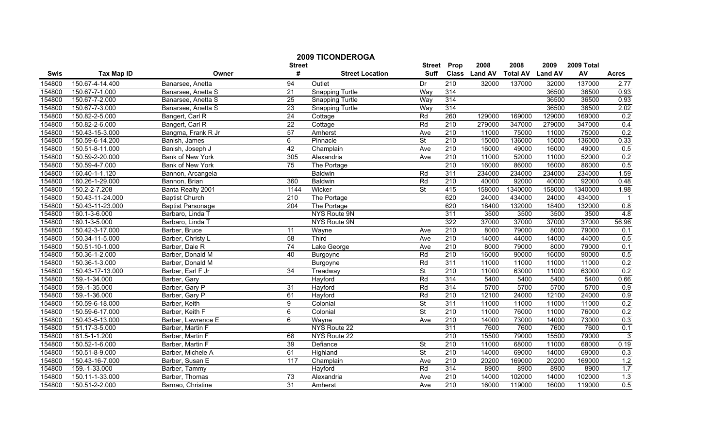|        |                   |                          | <b>2009 TICONDEROGA</b> |                        |                          |                  |               |                 |                |            |                |
|--------|-------------------|--------------------------|-------------------------|------------------------|--------------------------|------------------|---------------|-----------------|----------------|------------|----------------|
|        |                   |                          | <b>Street</b>           |                        | <b>Street</b>            | Prop             | 2008          | 2008            | 2009           | 2009 Total |                |
| Swis   | <b>Tax Map ID</b> | Owner                    | #                       | <b>Street Location</b> | <b>Suff</b>              |                  | Class Land AV | <b>Total AV</b> | <b>Land AV</b> | AV         | <b>Acres</b>   |
| 154800 | 150.67-4-14.400   | Banarsee, Anetta         | 94                      | Outlet                 | Dr                       | $\overline{210}$ | 32000         | 137000          | 32000          | 137000     | 2.77           |
| 154800 | 150.67-7-1.000    | Banarsee, Anetta S       | $\overline{21}$         | <b>Snapping Turtle</b> | Way                      | 314              |               |                 | 36500          | 36500      | 0.93           |
| 154800 | 150.67-7-2.000    | Banarsee, Anetta S       | $\overline{25}$         | <b>Snapping Turtle</b> | Way                      | 314              |               |                 | 36500          | 36500      | 0.93           |
| 154800 | 150.67-7-3.000    | Banarsee, Anetta S       | 23                      | <b>Snapping Turtle</b> | Way                      | 314              |               |                 | 36500          | 36500      | 2.02           |
| 154800 | 150.82-2-5.000    | Bangert, Carl R          | $\overline{24}$         | Cottage                | Rd                       | 260              | 129000        | 169000          | 129000         | 169000     | 0.2            |
| 154800 | 150.82-2-6.000    | Bangert, Carl R          | $\overline{22}$         | Cottage                | Rd                       | 210              | 279000        | 347000          | 279000         | 347000     | 0.4            |
| 154800 | 150.43-15-3.000   | Bangma, Frank R Jr       | 57                      | Amherst                | Ave                      | 210              | 11000         | 75000           | 11000          | 75000      | 0.2            |
| 154800 | 150.59-6-14.200   | Banish, James            | 6                       | Pinnacle               | St                       | 210              | 15000         | 136000          | 15000          | 136000     | 0.33           |
| 154800 | 150.51-8-11.000   | Banish, Joseph J         | 42                      | Champlain              | Ave                      | 210              | 16000         | 49000           | 16000          | 49000      | 0.5            |
| 154800 | 150.59-2-20.000   | Bank of New York         | 305                     | Alexandria             | Ave                      | 210              | 11000         | 52000           | 11000          | 52000      | 0.2            |
| 154800 | 150.59-4-7.000    | Bank of New York         | 75                      | The Portage            |                          | 210              | 16000         | 86000           | 16000          | 86000      | 0.5            |
| 154800 | 160.40-1-1.120    | Bannon, Arcangela        |                         | <b>Baldwin</b>         | Rd                       | 311              | 234000        | 234000          | 234000         | 234000     | 1.59           |
| 154800 | 160.26-1-29.000   | Bannon, Brian            | 360                     | Baldwin                | Rd                       | $\overline{210}$ | 40000         | 92000           | 40000          | 92000      | 0.48           |
| 154800 | 150.2-2-7.208     | Banta Realty 2001        | 1144                    | Wicker                 | $\overline{\mathsf{St}}$ | 415              | 158000        | 1340000         | 158000         | 1340000    | 1.98           |
| 154800 | 150.43-11-24.000  | <b>Baptist Church</b>    | 210                     | The Portage            |                          | 620              | 24000         | 434000          | 24000          | 434000     |                |
| 154800 | 150.43-11-23.000  | <b>Baptist Parsonage</b> | 204                     | The Portage            |                          | 620              | 18400         | 132000          | 18400          | 132000     | 0.8            |
| 154800 | 160.1-3-6.000     | Barbaro, Linda T         |                         | NYS Route 9N           |                          | 311              | 3500          | 3500            | 3500           | 3500       | 4.8            |
| 154800 | 160.1-3-5.000     | Barbaro, Linda T         |                         | <b>NYS Route 9N</b>    |                          | 322              | 37000         | 37000           | 37000          | 37000      | 56.96          |
| 154800 | 150.42-3-17.000   | Barber, Bruce            | $\overline{11}$         | Wayne                  | Ave                      | 210              | 8000          | 79000           | 8000           | 79000      | 0.1            |
| 154800 | 150.34-11-5.000   | Barber, Christy L        | 58                      | Third                  | Ave                      | 210              | 14000         | 44000           | 14000          | 44000      | 0.5            |
| 154800 | 150.51-10-1.000   | Barber, Dale R           | 74                      | Lake George            | Ave                      | 210              | 8000          | 79000           | 8000           | 79000      | 0.1            |
| 154800 | 150.36-1-2.000    | Barber, Donald M         | 40                      | Burgoyne               | Rd                       | 210              | 16000         | 90000           | 16000          | 90000      | 0.5            |
| 154800 | 150.36-1-3.000    | Barber, Donald M         |                         | Burgoyne               | Rd                       | 311              | 11000         | 11000           | 11000          | 11000      | 0.2            |
| 154800 | 150.43-17-13.000  | Barber, Earl F Jr        | 34                      | Treadway               | $\overline{\mathsf{St}}$ | 210              | 11000         | 63000           | 11000          | 63000      | 0.2            |
| 154800 | 159.-1-34.000     | Barber, Gary             |                         | Hayford                | Rd                       | 314              | 5400          | 5400            | 5400           | 5400       | 0.66           |
| 154800 | 159.-1-35.000     | Barber, Gary P           | 31                      | Hayford                | Rd                       | 314              | 5700          | 5700            | 5700           | 5700       | 0.9            |
| 154800 | 159.-1-36.000     | Barber, Gary P           | 61                      | Hayford                | Rd                       | $\overline{210}$ | 12100         | 24000           | 12100          | 24000      | 0.9            |
| 154800 | 150.59-6-18.000   | Barber, Keith            | 9                       | Colonial               | $\overline{\mathsf{St}}$ | 311              | 11000         | 11000           | 11000          | 11000      | 0.2            |
| 154800 | 150.59-6-17.000   | Barber, Keith F          | 6                       | Colonial               | <b>St</b>                | 210              | 11000         | 76000           | 11000          | 76000      | 0.2            |
| 154800 | 150.43-5-13.000   | Barber, Lawrence E       | 6                       | Wayne                  | Ave                      | 210              | 14000         | 73000           | 14000          | 73000      | 0.3            |
| 154800 | 151.17-3-5.000    | Barber, Martin F         |                         | NYS Route 22           |                          | 311              | 7600          | 7600            | 7600           | 7600       | 0.1            |
| 154800 | 161.5-1-1.200     | Barber, Martin F         | 68                      | NYS Route 22           |                          | 210              | 15500         | 79000           | 15500          | 79000      | $\overline{3}$ |
| 154800 | 150.52-1-6.000    | Barber, Martin F         | 39                      | Defiance               | St                       | 210              | 11000         | 68000           | 11000          | 68000      | 0.19           |
| 154800 | 150.51-8-9.000    | Barber, Michele A        | 61                      | Highland               | $\overline{\mathsf{St}}$ | 210              | 14000         | 69000           | 14000          | 69000      | 0.3            |
| 154800 | 150.43-16-7.000   | Barber, Susan E          | $\frac{117}{117}$       | Champlain              | Ave                      | 210              | 20200         | 169000          | 20200          | 169000     | 1.2            |
| 154800 | 159.-1-33.000     | Barber, Tammy            |                         | Hayford                | Rd                       | 314              | 8900          | 8900            | 8900           | 8900       | 1.7            |
| 154800 | 150.11-1-33.000   | Barber, Thomas           | 73                      | Alexandria             | Ave                      | 210              | 14000         | 102000          | 14000          | 102000     | 1.3            |
| 154800 | 150.51-2-2.000    | Barnao, Christine        | $\overline{31}$         | Amherst                | Ave                      | 210              | 16000         | 119000          | 16000          | 119000     | 0.5            |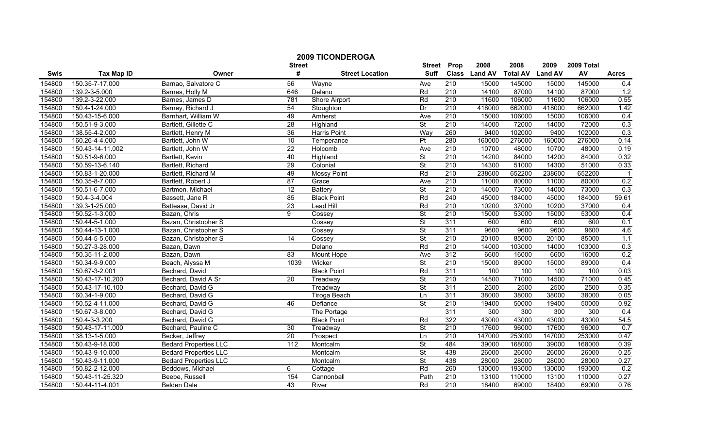| <b>2009 TICONDEROGA</b> |                   |                              |                    |                        |                          |                  |               |                 |                |            |              |
|-------------------------|-------------------|------------------------------|--------------------|------------------------|--------------------------|------------------|---------------|-----------------|----------------|------------|--------------|
|                         |                   |                              | <b>Street</b><br># |                        | <b>Street</b>            | Prop             | 2008          | 2008            | 2009           | 2009 Total |              |
| Swis                    | <b>Tax Map ID</b> | Owner                        |                    | <b>Street Location</b> | <b>Suff</b>              |                  | Class Land AV | <b>Total AV</b> | <b>Land AV</b> | AV         | <b>Acres</b> |
| 154800                  | 150.35-7-17.000   | Barnao, Salvatore C          | 56                 | Wayne                  | Ave                      | 210              | 15000         | 145000          | 15000          | 145000     | 0.4          |
| 154800                  | 139.2-3-5.000     | Barnes, Holly M              | 646                | Delano                 | Rd                       | 210              | 14100         | 87000           | 14100          | 87000      | 1.2          |
| 154800                  | 139.2-3-22.000    | Barnes, James D              | 781                | <b>Shore Airport</b>   | Rd                       | 210              | 11600         | 106000          | 11600          | 106000     | 0.55         |
| 154800                  | 150.4-1-24.000    | Barney, Richard J            | 54                 | Stoughton              | Dr                       | 210              | 418000        | 662000          | 418000         | 662000     | 1.42         |
| 154800                  | 150.43-15-6.000   | Barnhart, William W          | 49                 | Amherst                | Ave                      | 210              | 15000         | 106000          | 15000          | 106000     | 0.4          |
| 154800                  | 150.51-9-3.000    | Bartlett, Gillette C         | 28                 | Highland               | $\overline{\mathsf{St}}$ | 210              | 14000         | 72000           | 14000          | 72000      | 0.3          |
| 154800                  | 138.55-4-2.000    | Bartlett, Henry M            | 36                 | <b>Harris Point</b>    | Way                      | 260              | 9400          | 102000          | 9400           | 102000     | 0.3          |
| 154800                  | 160.26-4-4.000    | Bartlett, John W             | 10                 | Temperance             | $\overline{\mathsf{Pt}}$ | 280              | 160000        | 276000          | 160000         | 276000     | 0.14         |
| 154800                  | 150.43-14-11.002  | Bartlett, John W             | $\overline{22}$    | Holcomb                | Ave                      | 210              | 10700         | 48000           | 10700          | 48000      | 0.19         |
| 154800                  | 150.51-9-6.000    | Bartlett, Kevin              | 40                 | Highland               | <b>St</b>                | $\overline{210}$ | 14200         | 84000           | 14200          | 84000      | 0.32         |
| 154800                  | 150.59-13-6.140   | Bartlett, Richard            | 29                 | Colonial               | <b>St</b>                | 210              | 14300         | 51000           | 14300          | 51000      | 0.33         |
| 154800                  | 150.83-1-20.000   | Bartlett, Richard M          | 49                 | Mossy Point            | Rd                       | 210              | 238600        | 652200          | 238600         | 652200     |              |
| 154800                  | 150.35-8-7.000    | Bartlett, Robert J           | $\overline{87}$    | Grace                  | Ave                      | $\overline{210}$ | 11000         | 80000           | 11000          | 80000      | 0.2          |
| 154800                  | 150.51-6-7.000    | Bartmon, Michael             | 12                 | Battery                | <b>St</b>                | 210              | 14000         | 73000           | 14000          | 73000      | 0.3          |
| 154800                  | 150.4-3-4.004     | Bassett, Jane R              | 85                 | <b>Black Point</b>     | Rd                       | 240              | 45000         | 184000          | 45000          | 184000     | 59.61        |
| 154800                  | 139.3-1-25.000    | Battease, David Jr           | $\overline{23}$    | <b>Lead Hill</b>       | Rd                       | 210              | 10200         | 37000           | 10200          | 37000      | 0.4          |
| 154800                  | 150.52-1-3.000    | Bazan, Chris                 | 9                  | Cossey                 | $\overline{\mathsf{St}}$ | 210              | 15000         | 53000           | 15000          | 53000      | 0.4          |
| 154800                  | 150.44-5-1.000    | Bazan, Christopher S         |                    | Cossey                 | <b>St</b>                | 311              | 600           | 600             | 600            | 600        | 0.1          |
| 154800                  | 150.44-13-1.000   | Bazan, Christopher S         |                    | Cossey                 | St                       | 311              | 9600          | 9600            | 9600           | 9600       | 4.6          |
| 154800                  | 150.44-5-5.000    | Bazan, Christopher S         | 14                 | Cossey                 | $\overline{\mathsf{St}}$ | 210              | 20100         | 85000           | 20100          | 85000      | 1.1          |
| 154800                  | 150.27-3-28.000   | Bazan, Dawn                  |                    | Delano                 | Rd                       | 210              | 14000         | 103000          | 14000          | 103000     | 0.3          |
| 154800                  | 150.35-11-2.000   | Bazan, Dawn                  | 83                 | Mount Hope             | Ave                      | 312              | 6600          | 16000           | 6600           | 16000      | 0.2          |
| 154800                  | 150.34-9-9.000    | Beach, Alyssa M              | 1039               | Wicker                 | $\overline{\mathsf{St}}$ | 210              | 15000         | 89000           | 15000          | 89000      | 0.4          |
| 154800                  | 150.67-3-2.001    | Bechard, David               |                    | <b>Black Point</b>     | Rd                       | 311              | 100           | 100             | 100            | 100        | 0.03         |
| 154800                  | 150.43-17-10.200  | Bechard, David A Sr          | $\overline{20}$    | Treadway               | $\overline{\mathsf{St}}$ | $\overline{210}$ | 14500         | 71000           | 14500          | 71000      | 0.45         |
| 154800                  | 150.43-17-10.100  | Bechard, David G             |                    | Treadway               | St                       | 311              | 2500          | 2500            | 2500           | 2500       | 0.35         |
| 154800                  | 160.34-1-9.000    | Bechard, David G             |                    | Tiroga Beach           | Ln                       | 311              | 38000         | 38000           | 38000          | 38000      | 0.05         |
| 154800                  | 150.52-4-11.000   | Bechard, David G             | 46                 | Defiance               | $\overline{\mathsf{St}}$ | 210              | 19400         | 50000           | 19400          | 50000      | 0.92         |
| 154800                  | 150.67-3-8.000    | Bechard, David G             |                    | The Portage            |                          | 311              | 300           | 300             | 300            | 300        | 0.4          |
| 154800                  | 150.4-3-3.200     | Bechard, David G             |                    | <b>Black Point</b>     | Rd                       | 322              | 43000         | 43000           | 43000          | 43000      | 54.5         |
| 154800                  | 150.43-17-11.000  | Bechard, Pauline C           | 30                 | Treadway               | $\overline{\mathsf{St}}$ | 210              | 17600         | 96000           | 17600          | 96000      | 0.7          |
| 154800                  | 138.13-1-5.000    | Becker, Jeffrey              | 20                 | Prospect               | Ln                       | 210              | 147000        | 253000          | 147000         | 253000     | 0.47         |
| 154800                  | 150.43-9-18.000   | <b>Bedard Properties LLC</b> | 112                | Montcalm               | <b>St</b>                | 484              | 39000         | 168000          | 39000          | 168000     | 0.39         |
| 154800                  | 150.43-9-10.000   | <b>Bedard Properties LLC</b> |                    | Montcalm               | $\overline{\mathsf{St}}$ | 438              | 26000         | 26000           | 26000          | 26000      | 0.25         |
| 154800                  | 150.43-9-11.000   | <b>Bedard Properties LLC</b> |                    | Montcalm               | $\overline{\mathsf{St}}$ | 438              | 28000         | 28000           | 28000          | 28000      | 0.27         |
| 154800                  | 150.82-2-12.000   | Beddows, Michael             | 6                  | Cottage                | Rd                       | 260              | 130000        | 193000          | 130000         | 193000     | 0.2          |
| 154800                  | 150.43-11-25.320  | Beebe, Russell               | 154                | Cannonball             | Path                     | 210              | 13100         | 110000          | 13100          | 110000     | 0.27         |
| 154800                  | 150.44-11-4.001   | <b>Belden Dale</b>           | 43                 | River                  | Rd                       | 210              | 18400         | 69000           | 18400          | 69000      | 0.76         |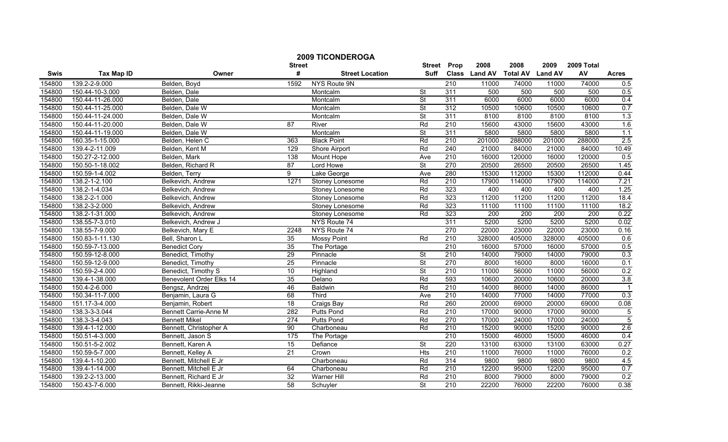| <b>2009 TICONDEROGA</b><br>2008<br>2008<br>Prop<br>2009<br><b>Street</b><br><b>Street</b> |                   |                              |                 |                        |                          |                  |               | 2009 Total      |                |        |                |
|-------------------------------------------------------------------------------------------|-------------------|------------------------------|-----------------|------------------------|--------------------------|------------------|---------------|-----------------|----------------|--------|----------------|
| Swis                                                                                      | <b>Tax Map ID</b> | Owner                        | #               | <b>Street Location</b> | Suff                     |                  | Class Land AV | <b>Total AV</b> | <b>Land AV</b> | AV     | <b>Acres</b>   |
| 154800                                                                                    | 139.2-2-9.000     | Belden, Boyd                 | 1592            | NYS Route 9N           |                          | $\overline{210}$ | 11000         | 74000           | 11000          | 74000  | 0.5            |
| 154800                                                                                    | 150.44-10-3.000   | Belden, Dale                 |                 | Montcalm               | <b>St</b>                | 311              | 500           | 500             | 500            | 500    | 0.5            |
| 154800                                                                                    | 150.44-11-26.000  | Belden, Dale                 |                 | Montcalm               | $\overline{\mathsf{St}}$ | 311              | 6000          | 6000            | 6000           | 6000   | 0.4            |
| 154800                                                                                    | 150.44-11-25.000  | Belden, Dale W               |                 | Montcalm               | $\overline{\mathsf{St}}$ | 312              | 10500         | 10600           | 10500          | 10600  | 0.7            |
| 154800                                                                                    | 150.44-11-24.000  | Belden, Dale W               |                 | Montcalm               | $\overline{\mathsf{St}}$ | 311              | 8100          | 8100            | 8100           | 8100   | 1.3            |
| 154800                                                                                    | 150.44-11-20.000  | Belden, Dale W               | 87              | River                  | Rd                       | 210              | 15600         | 43000           | 15600          | 43000  | 1.6            |
| 154800                                                                                    | 150.44-11-19.000  | Belden, Dale W               |                 | Montcalm               | $\overline{\mathsf{St}}$ | 311              | 5800          | 5800            | 5800           | 5800   | 1.1            |
| 154800                                                                                    | 160.35-1-15.000   | Belden, Helen C              | 363             | <b>Black Point</b>     | Rd                       | 210              | 201000        | 288000          | 201000         | 288000 | 2.5            |
| 154800                                                                                    | 139.4-2-11.009    | Belden, Kent M               | 129             | Shore Airport          | Rd                       | $\overline{240}$ | 21000         | 84000           | 21000          | 84000  | 10.49          |
| 154800                                                                                    | 150.27-2-12.000   | Belden, Mark                 | 138             | Mount Hope             | Ave                      | 210              | 16000         | 120000          | 16000          | 120000 | 0.5            |
| 154800                                                                                    | 150.50-1-18.002   | Belden, Richard R            | 87              | Lord Howe              | $\overline{\mathsf{St}}$ | 270              | 20500         | 26500           | 20500          | 26500  | 1.45           |
| 154800                                                                                    | 150.59-1-4.002    | Belden, Terry                | $\overline{9}$  | Lake George            | Ave                      | 280              | 15300         | 112000          | 15300          | 112000 | 0.44           |
| 154800                                                                                    | 138.2-1-2.100     | Belkevich, Andrew            | 1271            | Stoney Lonesome        | Rd                       | 210              | 17900         | 114000          | 17900          | 114000 | 7.21           |
| 154800                                                                                    | 138.2-1-4.034     | Belkevich, Andrew            |                 | Stoney Lonesome        | Rd                       | 323              | 400           | 400             | 400            | 400    | 1.25           |
| 154800                                                                                    | 138.2-2-1.000     | Belkevich, Andrew            |                 | Stoney Lonesome        | Rd                       | 323              | 11200         | 11200           | 11200          | 11200  | 18.4           |
| 154800                                                                                    | 138.2-3-2.000     | Belkevich, Andrew            |                 | Stoney Lonesome        | Rd                       | 323              | 11100         | 11100           | 11100          | 11100  | 18.2           |
| 154800                                                                                    | 138.2-1-31.000    | Belkevich, Andrew            |                 | <b>Stoney Lonesome</b> | Rd                       | 323              | 200           | 200             | 200            | 200    | 0.22           |
| 154800                                                                                    | 138.55-7-3.010    | Belkevich, Andrew J          |                 | NYS Route 74           |                          | 311              | 5200          | 5200            | 5200           | 5200   | 0.02           |
| 154800                                                                                    | 138.55-7-9.000    | Belkevich, Mary E            | 2248            | NYS Route 74           |                          | 270              | 22000         | 23000           | 22000          | 23000  | 0.16           |
| 154800                                                                                    | 150.83-1-11.130   | Bell, Sharon L               | 35              | <b>Mossy Point</b>     | Rd                       | 210              | 328000        | 405000          | 328000         | 405000 | 0.6            |
| 154800                                                                                    | 150.59-7-13.000   | <b>Benedict Cory</b>         | 35              | The Portage            |                          | $\overline{210}$ | 16000         | 57000           | 16000          | 57000  | 0.5            |
| 154800                                                                                    | 150.59-12-8.000   | Benedict, Timothy            | 29              | Pinnacle               | St                       | 210              | 14000         | 79000           | 14000          | 79000  | 0.3            |
| 154800                                                                                    | 150.59-12-9.000   | Benedict, Timothy            | $\overline{25}$ | Pinnacle               | $\overline{\mathsf{St}}$ | 270              | 8000          | 16000           | 8000           | 16000  | 0.1            |
| 154800                                                                                    | 150.59-2-4.000    | Benedict, Timothy S          | 10              | Highland               | <b>St</b>                | $\overline{210}$ | 11000         | 56000           | 11000          | 56000  | 0.2            |
| 154800                                                                                    | 139.4-1-38.000    | Benevolent Order Elks 14     | 35              | Delano                 | Rd                       | 593              | 10600         | 20000           | 10600          | 20000  | 3.8            |
| 154800                                                                                    | 150.4-2-6.000     | Bengsz, Andrzej              | 46              | <b>Baldwin</b>         | Rd                       | $\overline{210}$ | 14000         | 86000           | 14000          | 86000  | $\overline{1}$ |
| 154800                                                                                    | 150.34-11-7.000   | Benjamin, Laura G            | 68              | Third                  | Ave                      | 210              | 14000         | 77000           | 14000          | 77000  | 0.3            |
| 154800                                                                                    | 151.17-3-4.000    | Benjamin, Robert             | 18              | Craigs Bay             | Rd                       | 260              | 20000         | 69000           | 20000          | 69000  | 0.08           |
| 154800                                                                                    | 138.3-3-3.044     | <b>Bennett Carrie-Anne M</b> | 282             | Putts Pond             | Rd                       | 210              | 17000         | 90000           | 17000          | 90000  | $\overline{5}$ |
| 154800                                                                                    | 138.3-3-4.043     | <b>Bennett Mikel</b>         | 274             | Putts Pond             | Rd                       | 270              | 17000         | 24000           | 17000          | 24000  | $\overline{5}$ |
| 154800                                                                                    | 139.4-1-12.000    | Bennett, Christopher A       | 90              | Charboneau             | Rd                       | 210              | 15200         | 90000           | 15200          | 90000  | 2.6            |
| 154800                                                                                    | 150.51-4-3.000    | Bennett, Jason S             | 175             | The Portage            |                          | 210              | 15000         | 46000           | 15000          | 46000  | 0.4            |
| 154800                                                                                    | 150.51-5-2.002    | Bennett, Karen A             | 15              | Defiance               | $\overline{\mathsf{St}}$ | 220              | 13100         | 63000           | 13100          | 63000  | 0.27           |
| 154800                                                                                    | 150.59-5-7.000    | Bennett, Kelley A            | 21              | Crown                  | <b>Hts</b>               | 210              | 11000         | 76000           | 11000          | 76000  | 0.2            |
| 154800                                                                                    | 139.4-1-10.200    | Bennett, Mitchell E Jr       |                 | Charboneau             | Rd                       | 314              | 9800          | 9800            | 9800           | 9800   | 4.5            |
| 154800                                                                                    | 139.4-1-14.000    | Bennett, Mitchell E Jr       | 64              | Charboneau             | Rd                       | $\overline{210}$ | 12200         | 95000           | 12200          | 95000  | 0.7            |
| 154800                                                                                    | 139.2-2-13.000    | Bennett, Richard E Jr        | $\overline{32}$ | Warner Hill            | Rd                       | 210              | 8000          | 79000           | 8000           | 79000  | 0.2            |
| 154800                                                                                    | 150.43-7-6.000    | Bennett, Rikki-Jeanne        | 58              | Schuyler               | $\overline{\mathsf{St}}$ | 210              | 22200         | 76000           | 22200          | 76000  | 0.38           |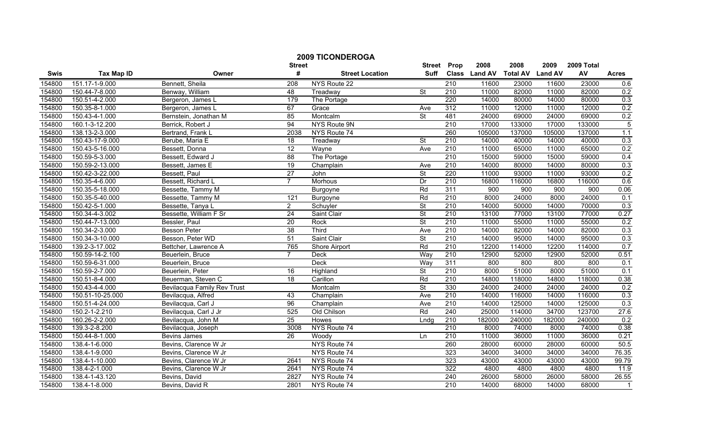|        |                   |                             | <b>Street</b>   | <b>2009 TICONDEROGA</b>      | <b>Street</b>            | Prop             | 2008          | 2008            | 2009           | 2009 Total |                |
|--------|-------------------|-----------------------------|-----------------|------------------------------|--------------------------|------------------|---------------|-----------------|----------------|------------|----------------|
| Swis   | <b>Tax Map ID</b> | Owner                       | #               | <b>Street Location</b>       | <b>Suff</b>              |                  | Class Land AV | <b>Total AV</b> | <b>Land AV</b> | AV         | <b>Acres</b>   |
| 154800 | 151.17-1-9.000    | Bennett, Sheila             | 208             | NYS Route 22                 |                          | 210              | 11600         | 23000           | 11600          | 23000      | 0.6            |
| 154800 | 150.44-7-8.000    | Benway, William             | 48              | Treadway                     | $\overline{\mathsf{St}}$ | $\overline{210}$ | 11000         | 82000           | 11000          | 82000      | 0.2            |
| 154800 | 150.51-4-2.000    | Bergeron, James L           | 179             | The Portage                  |                          | 220              | 14000         | 80000           | 14000          | 80000      | 0.3            |
| 154800 | 150.35-8-1.000    | Bergeron, James L           | 67              | Grace                        | Ave                      | 312              | 11000         | 12000           | 11000          | 12000      | 0.2            |
| 154800 | 150.43-4-1.000    | Bernstein, Jonathan M       | 85              | Montcalm                     | $\overline{\mathsf{St}}$ | 481              | 24000         | 69000           | 24000          | 69000      | 0.2            |
| 154800 | 160.1-3-12.200    | Berrick, Robert J           | 94              | NYS Route 9N                 |                          | 210              | 17000         | 133000          | 17000          | 133000     | $\overline{5}$ |
| 154800 | 138.13-2-3.000    | Bertrand, Frank L           | 2038            | NYS Route 74                 |                          | 260              | 105000        | 137000          | 105000         | 137000     | 1.1            |
| 154800 | 150.43-17-9.000   | Berube, Maria E             | 18              | Treadway                     | St                       | 210              | 14000         | 40000           | 14000          | 40000      | 0.3            |
| 154800 | 150.43-5-16.000   | Bessett, Donna              | 12              | $\overline{\mathsf{W}}$ ayne | Ave                      | $\overline{210}$ | 11000         | 65000           | 11000          | 65000      | 0.2            |
| 154800 | 150.59-5-3.000    | Bessett, Edward J           | 88              | The Portage                  |                          | 210              | 15000         | 59000           | 15000          | 59000      | 0.4            |
| 154800 | 150.59-2-13.000   | Bessett, James E            | $\overline{19}$ | Champlain                    | Ave                      | 210              | 14000         | 80000           | 14000          | 80000      | 0.3            |
| 154800 | 150.42-3-22.000   | Bessett, Paul               | $\overline{27}$ | John                         | $\overline{\mathsf{St}}$ | 220              | 11000         | 93000           | 11000          | 93000      | 0.2            |
| 154800 | 150.35-4-6.000    | Bessett, Richard L          | $\overline{7}$  | Morhous                      | Dr                       | 210              | 16800         | 116000          | 16800          | 116000     | 0.6            |
| 154800 | 150.35-5-18.000   | Bessette, Tammy M           |                 | Burgoyne                     | Rd                       | 311              | 900           | 900             | 900            | 900        | 0.06           |
| 154800 | 150.35-5-40.000   | Bessette, Tammy M           | 121             | Burgoyne                     | Rd                       | 210              | 8000          | 24000           | 8000           | 24000      | 0.1            |
| 154800 | 150.42-5-1.000    | Bessette, Tanya L           | $\overline{2}$  | Schuyler                     | St                       | $\overline{210}$ | 14000         | 50000           | 14000          | 70000      | 0.3            |
| 154800 | 150.34-4-3.002    | Bessette, William F Sr      | 24              | Saint Clair                  | <b>St</b>                | 210              | 13100         | 77000           | 13100          | 77000      | 0.27           |
| 154800 | 150.44-7-13.000   | Bessler, Paul               | 20              | Rock                         | $\overline{\mathsf{St}}$ | 210              | 11000         | 55000           | 11000          | 55000      | 0.2            |
| 154800 | 150.34-2-3.000    | <b>Besson Peter</b>         | $\overline{38}$ | Third                        | Ave                      | 210              | 14000         | 82000           | 14000          | 82000      | 0.3            |
| 154800 | 150.34-3-10.000   | Besson, Peter WD            | 51              | Saint Clair                  | $\overline{\mathsf{St}}$ | 210              | 14000         | 95000           | 14000          | 95000      | 0.3            |
| 154800 | 139.2-3-17.002    | Bettcher, Lawrence A        | 765             | Shore Airport                | Rd                       | $\overline{210}$ | 12200         | 114000          | 12200          | 114000     | 0.7            |
| 154800 | 150.59-14-2.100   | Beuerlein, Bruce            | $\overline{7}$  | Deck                         | Way                      | 210              | 12900         | 52000           | 12900          | 52000      | 0.51           |
| 154800 | 150.59-6-31.000   | Beuerlein, Bruce            |                 | <b>Deck</b>                  | Way                      | 311              | 800           | 800             | 800            | 800        | 0.1            |
| 154800 | 150.59-2-7.000    | Beuerlein, Peter            | 16              | Highland                     | $\overline{\mathsf{St}}$ | $\overline{210}$ | 8000          | 51000           | 8000           | 51000      | 0.1            |
| 154800 | 150.51-8-4.000    | Beuerman, Steven C          | 18              | Carillon                     | Rd                       | $\overline{210}$ | 14800         | 118000          | 14800          | 118000     | 0.38           |
| 154800 | 150.43-4-4.000    | Bevilacqua Family Rev Trust |                 | Montcalm                     | $\overline{\mathsf{St}}$ | 330              | 24000         | 24000           | 24000          | 24000      | 0.2            |
| 154800 | 150.51-10-25.000  | Bevilacqua, Alfred          | 43              | Champlain                    | Ave                      | 210              | 14000         | 116000          | 14000          | 116000     | 0.3            |
| 154800 | 150.51-4-24.000   | Bevilacqua, Carl J          | 96              | Champlain                    | Ave                      | 210              | 14000         | 125000          | 14000          | 125000     | 0.3            |
| 154800 | 150.2-1-2.210     | Bevilacqua, Carl J Jr       | 525             | Old Chilson                  | Rd                       | 240              | 25000         | 114000          | 34700          | 123700     | 27.6           |
| 154800 | 160.26-2-2.000    | Bevilacqua, John M          | 25              | <b>Howes</b>                 | Lndg                     | 210              | 182000        | 240000          | 182000         | 240000     | 0.2            |
| 154800 | 139.3-2-8.200     | Bevilacqua, Joseph          | 3008            | NYS Route 74                 |                          | 210              | 8000          | 74000           | 8000           | 74000      | 0.38           |
| 154800 | 150.44-8-1.000    | Bevins James                | 26              | Woody                        | Ln                       | 210              | 11000         | 36000           | 11000          | 36000      | 0.21           |
| 154800 | 138.4-1-6.000     | Bevins, Clarence W Jr       |                 | NYS Route 74                 |                          | 260              | 28000         | 60000           | 28000          | 60000      | 50.5           |
| 154800 | 138.4-1-9.000     | Bevins, Clarence W Jr       |                 | NYS Route 74                 |                          | 323              | 34000         | 34000           | 34000          | 34000      | 76.35          |
| 154800 | 138.4-1-10.000    | Bevins, Clarence W Jr       | 2641            | NYS Route 74                 |                          | 323              | 43000         | 43000           | 43000          | 43000      | 99.79          |
| 154800 | 138.4-2-1.000     | Bevins, Clarence W Jr       | 2641            | NYS Route 74                 |                          | $\overline{322}$ | 4800          | 4800            | 4800           | 4800       | 11.9           |
| 154800 | 138.4-1-43.120    | Bevins, David               | 2827            | NYS Route 74                 |                          | 240              | 26000         | 58000           | 26000          | 58000      | 26.55          |
| 154800 | 138.4-1-8.000     | Bevins, David R             | 2801            | NYS Route 74                 |                          | 210              | 14000         | 68000           | 14000          | 68000      | $\mathbf{1}$   |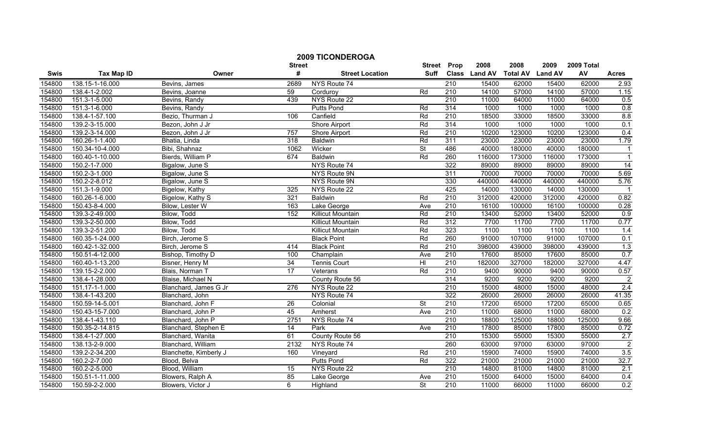|        |                   |                        | <b>2009 TICONDEROGA</b> | <b>Street</b>            | Prop                     | 2008             | 2008          | 2009            | 2009 Total     |        |                  |
|--------|-------------------|------------------------|-------------------------|--------------------------|--------------------------|------------------|---------------|-----------------|----------------|--------|------------------|
| Swis   | <b>Tax Map ID</b> | Owner                  | <b>Street</b><br>#      | <b>Street Location</b>   | <b>Suff</b>              |                  | Class Land AV | <b>Total AV</b> | <b>Land AV</b> | AV     | <b>Acres</b>     |
| 154800 | 138.15-1-16.000   | Bevins, James          | 2689                    | NYS Route 74             |                          | 210              | 15400         | 62000           | 15400          | 62000  | 2.93             |
| 154800 | 138.4-1-2.002     | Bevins, Joanne         | 59                      | Corduroy                 | Rd                       | $\overline{210}$ | 14100         | 57000           | 14100          | 57000  | 1.15             |
| 154800 | 151.3-1-5.000     | Bevins, Randy          | 439                     | NYS Route 22             |                          | 210              | 11000         | 64000           | 11000          | 64000  | 0.5              |
| 154800 | 151.3-1-6.000     | Bevins, Randy          |                         | <b>Putts Pond</b>        | Rd                       | 314              | 1000          | 1000            | 1000           | 1000   | 0.8              |
| 154800 | 138.4-1-57.100    | Bezio, Thurman J       | 106                     | Canfield                 | Rd                       | $\overline{210}$ | 18500         | 33000           | 18500          | 33000  | 8.8              |
| 154800 | 139.2-3-15.000    | Bezon, John J Jr       |                         | Shore Airport            | Rd                       | 314              | 1000          | 1000            | 1000           | 1000   | 0.1              |
| 154800 | 139.2-3-14.000    | Bezon, John J Jr       | 757                     | <b>Shore Airport</b>     | Rd                       | 210              | 10200         | 123000          | 10200          | 123000 | 0.4              |
| 154800 | 160.26-1-1.400    | Bhatia, Linda          | 318                     | Baldwin                  | Rd                       | 311              | 23000         | 23000           | 23000          | 23000  | 1.79             |
| 154800 | 150.34-10-4.000   | Bibi, Shahnaz          | 1062                    | Wicker                   | <b>St</b>                | 486              | 40000         | 180000          | 40000          | 180000 | $\overline{1}$   |
| 154800 | 160.40-1-10.000   | Bierds, William P      | 674                     | Baldwin                  | Rd                       | 260              | 116000        | 173000          | 116000         | 173000 | $\overline{1}$   |
| 154800 | 150.2-1-7.000     | Bigalow, June S        |                         | NYS Route 74             |                          | 322              | 89000         | 89000           | 89000          | 89000  | 14               |
| 154800 | 150.2-3-1.000     | Bigalow, June S        |                         | NYS Route 9N             |                          | 311              | 70000         | 70000           | 70000          | 70000  | 5.69             |
| 154800 | 150.2-2-8.012     | Bigalow, June S        |                         | NYS Route 9N             |                          | 330              | 440000        | 440000          | 440000         | 440000 | 5.76             |
| 154800 | 151.3-1-9.000     | Bigelow, Kathy         | 325                     | NYS Route 22             |                          | 425              | 14000         | 130000          | 14000          | 130000 | $\overline{1}$   |
| 154800 | 160.26-1-6.000    | Bigelow, Kathy S       | 321                     | Baldwin                  | Rd                       | $\overline{210}$ | 312000        | 420000          | 312000         | 420000 | 0.82             |
| 154800 | 150.43-8-4.000    | Bilow, Lester W        | 163                     | Lake George              | Ave                      | 210              | 16100         | 100000          | 16100          | 100000 | 0.28             |
| 154800 | 139.3-2-49.000    | Bilow, Todd            | 152                     | <b>Killicut Mountain</b> | Rd                       | 210              | 13400         | 52000           | 13400          | 52000  | 0.9              |
| 154800 | 139.3-2-50.000    | Bilow, Todd            |                         | <b>Killicut Mountain</b> | Rd                       | 312              | 7700          | 11700           | 7700           | 11700  | 0.77             |
| 154800 | 139.3-2-51.200    | Bilow, Todd            |                         | <b>Killicut Mountain</b> | Rd                       | 323              | 1100          | 1100            | 1100           | 1100   | 1.4              |
| 154800 | 160.35-1-24.000   | Birch, Jerome S        |                         | <b>Black Point</b>       | Rd                       | 260              | 91000         | 107000          | 91000          | 107000 | 0.1              |
| 154800 | 160.42-1-32.000   | Birch, Jerome S        | 414                     | <b>Black Point</b>       | Rd                       | 210              | 398000        | 439000          | 398000         | 439000 | 1.3              |
| 154800 | 150.51-4-12.000   | Bishop, Timothy D      | 100                     | Champlain                | Ave                      | $\overline{210}$ | 17600         | 85000           | 17600          | 85000  | 0.7              |
| 154800 | 160.40-1-13.200   | Bisner, Henry M        | $\overline{34}$         | <b>Tennis Court</b>      | H <sub>l</sub>           | 210              | 182000        | 327000          | 182000         | 327000 | 4.47             |
| 154800 | 139.15-2-2.000    | Blais, Norman T        | $\overline{17}$         | Veterans                 | Rd                       | 210              | 9400          | 90000           | 9400           | 90000  | 0.57             |
| 154800 | 138.4-1-28.000    | Blaise, Michael N      |                         | County Route 56          |                          | 314              | 9200          | 9200            | 9200           | 9200   | $\overline{2}$   |
| 154800 | 151.17-1-1.000    | Blanchard, James G Jr  | 276                     | NYS Route 22             |                          | $\overline{210}$ | 15000         | 48000           | 15000          | 48000  | $\overline{2.4}$ |
| 154800 | 138.4-1-43.200    | Blanchard, John        |                         | NYS Route 74             |                          | 322              | 26000         | 26000           | 26000          | 26000  | 41.35            |
| 154800 | 150.59-14-5.001   | Blanchard, John F      | $\overline{26}$         | Colonial                 | <b>St</b>                | 210              | 17200         | 65000           | 17200          | 65000  | 0.65             |
| 154800 | 150.43-15-7.000   | Blanchard, John P      | 45                      | Amherst                  | Ave                      | 210              | 11000         | 68000           | 11000          | 68000  | 0.2              |
| 154800 | 138.4-1-43.110    | Blanchard, John P      | 2751                    | NYS Route 74             |                          | 210              | 18800         | 125000          | 18800          | 125000 | 9.66             |
| 154800 | 150.35-2-14.815   | Blanchard, Stephen E   | $\overline{14}$         | Park                     | Ave                      | 210              | 17800         | 85000           | 17800          | 85000  | 0.72             |
| 154800 | 138.4-1-27.000    | Blanchard, Wanita      | 61                      | County Route 56          |                          | 210              | 15300         | 55000           | 15300          | 55000  | 2.7              |
| 154800 | 138.13-2-9.000    | Blanchard, William     | 2132                    | NYS Route 74             |                          | 260              | 63000         | 97000           | 63000          | 97000  | $\overline{2}$   |
| 154800 | 139.2-2-34.200    | Blanchette, Kimberly J | 160                     | Vineyard                 | Rd                       | 210              | 15900         | 74000           | 15900          | 74000  | 3.5              |
| 154800 | 160.2-2-7.000     | Blood, Belva           |                         | <b>Putts Pond</b>        | Rd                       | 322              | 21000         | 21000           | 21000          | 21000  | 32.7             |
| 154800 | 160.2-2-5.000     | Blood, William         | 15                      | NYS Route 22             |                          | 210              | 14800         | 81000           | 14800          | 81000  | $\overline{2.1}$ |
| 154800 | 150.51-1-11.000   | Blowers, Ralph A       | 85                      | Lake George              | Ave                      | 210              | 15000         | 64000           | 15000          | 64000  | 0.4              |
| 154800 | 150.59-2-2.000    | Blowers, Victor J      | 6                       | Highland                 | $\overline{\mathsf{St}}$ | 210              | 11000         | 66000           | 11000          | 66000  | 0.2              |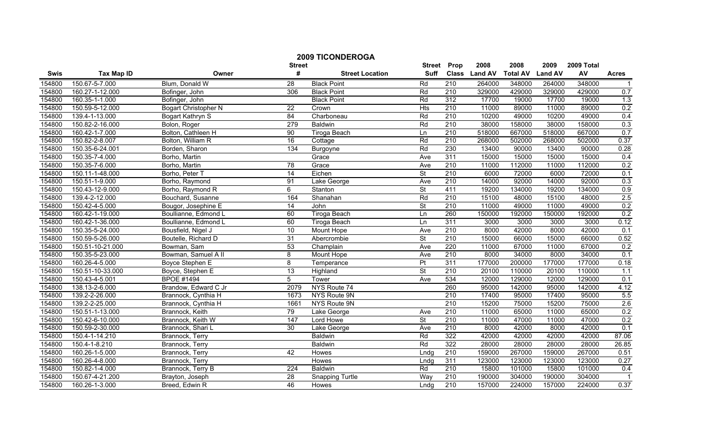|        |                   | <b>2009 TICONDEROGA</b>     |                    |                        |                              |                      |                        |                         |                        |                  |              |
|--------|-------------------|-----------------------------|--------------------|------------------------|------------------------------|----------------------|------------------------|-------------------------|------------------------|------------------|--------------|
| Swis   | <b>Tax Map ID</b> | Owner                       | <b>Street</b><br># | <b>Street Location</b> | <b>Street</b><br><b>Suff</b> | Prop<br><b>Class</b> | 2008<br><b>Land AV</b> | 2008<br><b>Total AV</b> | 2009<br><b>Land AV</b> | 2009 Total<br>AV | <b>Acres</b> |
| 154800 | 150.67-5-7.000    | Blum, Donald W              | 28                 | <b>Black Point</b>     | Rd                           | 210                  | 264000                 | 348000                  | 264000                 | 348000           | -1           |
| 154800 | 160.27-1-12.000   | Bofinger, John              | 306                | <b>Black Point</b>     | Rd                           | 210                  | 329000                 | 429000                  | 329000                 | 429000           | 0.7          |
| 154800 | 160.35-1-1.000    | Bofinger, John              |                    | <b>Black Point</b>     | Rd                           | 312                  | 17700                  | 19000                   | 17700                  | 19000            | 1.3          |
| 154800 | 150.59-5-12.000   | <b>Bogart Christopher N</b> | $\overline{22}$    | Crown                  | <b>Hts</b>                   | 210                  | 11000                  | 89000                   | 11000                  | 89000            | 0.2          |
| 154800 | 139.4-1-13.000    | Bogart Kathryn S            | 84                 | Charboneau             | Rd                           | 210                  | 10200                  | 49000                   | 10200                  | 49000            | 0.4          |
| 154800 | 150.82-2-16.000   | Bolon, Roger                | 279                | <b>Baldwin</b>         | Rd                           | 210                  | 38000                  | 158000                  | 38000                  | 158000           | 0.3          |
| 154800 | 160.42-1-7.000    | Bolton, Cathleen H          | 90                 | <b>Tiroga Beach</b>    | Ln                           | 210                  | 518000                 | 667000                  | 518000                 | 667000           | 0.7          |
| 154800 | 150.82-2-8.007    | Bolton, William R           | 16                 | Cottage                | Rd                           | 210                  | 268000                 | 502000                  | 268000                 | 502000           | 0.37         |
| 154800 | 150.35-6-24.001   | Borden, Sharon              | $\frac{134}{ }$    | Burgoyne               | Rd                           | 230                  | 13400                  | 90000                   | 13400                  | 90000            | 0.28         |
| 154800 | 150.35-7-4.000    | Borho, Martin               |                    | Grace                  | Ave                          | 311                  | 15000                  | 15000                   | 15000                  | 15000            | 0.4          |
| 154800 | 150.35-7-6.000    | Borho, Martin               | $\overline{78}$    | Grace                  | Ave                          | 210                  | 11000                  | 112000                  | 11000                  | 112000           | 0.2          |
| 154800 | 150.11-1-48.000   | Borho, Peter T              | 14                 | Eichen                 | $\overline{\mathsf{St}}$     | 210                  | 6000                   | 72000                   | 6000                   | 72000            | 0.1          |
| 154800 | 150.51-1-9.000    | Borho, Raymond              | 91                 | Lake George            | Ave                          | 210                  | 14000                  | 92000                   | 14000                  | 92000            | 0.3          |
| 154800 | 150.43-12-9.000   | Borho, Raymond R            | $\overline{6}$     | Stanton                | $\overline{\mathsf{St}}$     | 411                  | 19200                  | 134000                  | 19200                  | 134000           | 0.9          |
| 154800 | 139.4-2-12.000    | Bouchard, Susanne           | 164                | Shanahan               | Rd                           | $\overline{210}$     | 15100                  | 48000                   | 15100                  | 48000            | 2.5          |
| 154800 | 150.42-4-5.000    | Bougor, Josephine E         | $\overline{14}$    | John                   | $\overline{\mathsf{St}}$     | 210                  | 11000                  | 49000                   | 11000                  | 49000            | 0.2          |
| 154800 | 160.42-1-19.000   | Boullianne, Edmond L        | 60                 | <b>Tiroga Beach</b>    | Ln                           | 260                  | 150000                 | 192000                  | 150000                 | 192000           | 0.2          |
| 154800 | 160.42-1-36.000   | Boullianne, Edmond L        | 60                 | Tiroga Beach           | Ln                           | 311                  | 3000                   | 3000                    | 3000                   | 3000             | 0.12         |
| 154800 | 150.35-5-24.000   | Bousfield, Nigel J          | 10                 | Mount Hope             | Ave                          | 210                  | 8000                   | 42000                   | 8000                   | 42000            | 0.1          |
| 154800 | 150.59-5-26.000   | Boutelle, Richard D         | 31                 | Abercrombie            | $\overline{\mathsf{St}}$     | 210                  | 15000                  | 66000                   | 15000                  | 66000            | 0.52         |
| 154800 | 150.51-10-21.000  | Bowman, Sam                 | 53                 | Champlain              | Ave                          | 220                  | 11000                  | 67000                   | 11000                  | 67000            | 0.2          |
| 154800 | 150.35-5-23.000   | Bowman, Samuel A II         | 8                  | Mount Hope             | Ave                          | 210                  | 8000                   | 34000                   | 8000                   | 34000            | 0.1          |
| 154800 | 160.26-4-5.000    | Boyce Stephen E             | $\overline{8}$     | Temperance             | $\overline{\mathsf{Pt}}$     | 311                  | 177000                 | 200000                  | 177000                 | 177000           | 0.18         |
| 154800 | 150.51-10-33.000  | Boyce, Stephen E            | $\overline{13}$    | Highland               | <b>St</b>                    | 210                  | 20100                  | 110000                  | 20100                  | 110000           | 1.1          |
| 154800 | 150.43-4-5.001    | <b>BPOE #1494</b>           | $\overline{5}$     | Tower                  | Ave                          | 534                  | 12000                  | 129000                  | 12000                  | 129000           | 0.1          |
| 154800 | 138.13-2-6.000    | Brandow, Edward C Jr        | 2079               | NYS Route 74           |                              | 260                  | 95000                  | 142000                  | 95000                  | 142000           | 4.12         |
| 154800 | 139.2-2-26.000    | Brannock, Cynthia H         | 1673               | NYS Route 9N           |                              | $\overline{210}$     | 17400                  | 95000                   | 17400                  | 95000            | 5.5          |
| 154800 | 139.2-2-25.000    | Brannock, Cynthia H         | 1661               | NYS Route 9N           |                              | 210                  | 15200                  | 75000                   | 15200                  | 75000            | 2.6          |
| 154800 | 150.51-1-13.000   | Brannock, Keith             | 79                 | Lake George            | Ave                          | 210                  | 11000                  | 65000                   | 11000                  | 65000            | 0.2          |
| 154800 | 150.42-6-10.000   | Brannock, Keith W           | 147                | Lord Howe              | $\overline{\mathsf{St}}$     | 210                  | 11000                  | 47000                   | 11000                  | 47000            | 0.2          |
| 154800 | 150.59-2-30.000   | Brannock, Shari L           | 30                 | Lake George            | Ave                          | 210                  | 8000                   | 42000                   | 8000                   | 42000            | 0.1          |
| 154800 | 150.4-1-14.210    | Brannock, Terry             |                    | <b>Baldwin</b>         | Rd                           | 322                  | 42000                  | 42000                   | 42000                  | 42000            | 87.06        |
| 154800 | 150.4-1-8.210     | Brannock, Terry             |                    | <b>Baldwin</b>         | Rd                           | 322                  | 28000                  | 28000                   | 28000                  | 28000            | 26.85        |
| 154800 | 160.26-1-5.000    | Brannock, Terry             | 42                 | Howes                  | Lndg                         | 210                  | 159000                 | 267000                  | 159000                 | 267000           | 0.51         |
| 154800 | 160.26-4-8.000    | Brannock, Terry             |                    | Howes                  | Lndg                         | 311                  | 123000                 | 123000                  | 123000                 | 123000           | 0.27         |
| 154800 | 150.82-1-4.000    | Brannock, Terry B           | 224                | <b>Baldwin</b>         | Rd                           | 210                  | 15800                  | 101000                  | 15800                  | 101000           | 0.4          |
| 154800 | 150.67-4-21.200   | Brayton, Joseph             | $\overline{28}$    | <b>Snapping Turtle</b> | Way                          | 210                  | 190000                 | 304000                  | 190000                 | 304000           |              |
| 154800 | 160.26-1-3.000    | Breed, Edwin R              | 46                 | Howes                  | Lndq                         | 210                  | 157000                 | 224000                  | 157000                 | 224000           | 0.37         |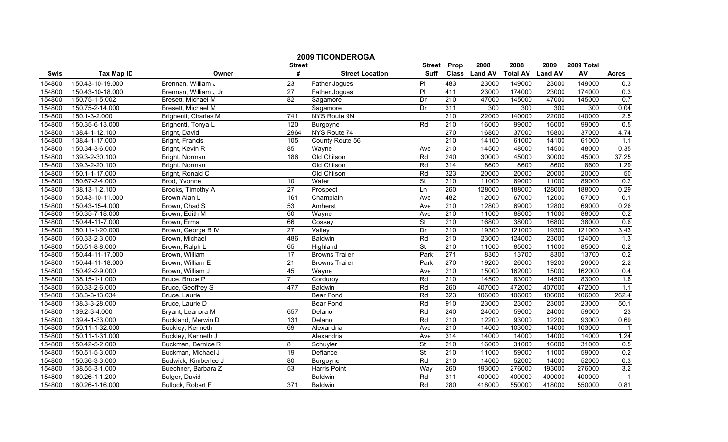|                  |                   |                       |                       | <b>2009 TICONDEROGA</b>  |                              |                  |                       |                         |                        |                  |                  |
|------------------|-------------------|-----------------------|-----------------------|--------------------------|------------------------------|------------------|-----------------------|-------------------------|------------------------|------------------|------------------|
| Swis             | <b>Tax Map ID</b> | Owner                 | <b>Street</b><br>#    | <b>Street Location</b>   | <b>Street</b><br><b>Suff</b> | Prop             | 2008<br>Class Land AV | 2008<br><b>Total AV</b> | 2009<br><b>Land AV</b> | 2009 Total<br>AV | <b>Acres</b>     |
|                  | 150.43-10-19.000  | Brennan, William J    |                       |                          |                              | 483              | 23000                 | 149000                  |                        | 149000           |                  |
| 154800<br>154800 | 150.43-10-18.000  | Brennan, William J Jr | 23<br>$\overline{27}$ | Father Jogues            | PI<br>PI                     | 411              | 23000                 | 174000                  | 23000<br>23000         | 174000           | 0.3              |
| 154800           | 150.75-1-5.002    | Bresett, Michael M    | $\overline{82}$       | Father Jogues            | Dr                           | 210              | 47000                 | 145000                  | 47000                  | 145000           | 0.3<br>0.7       |
| 154800           | 150.75-2-14.000   | Bresett, Michael M    |                       | Sagamore<br>Sagamore     | Dr                           | 311              | 300                   | 300                     | 300                    | 300              | 0.04             |
| 154800           | 150.1-3-2.000     |                       | 741                   | NYS Route 9N             |                              | $\overline{210}$ | 22000                 | 140000                  | 22000                  | 140000           | 2.5              |
| 154800           | 150.35-6-13.000   | Brighenti, Charles M  | 120                   |                          | Rd                           | 210              | 16000                 | 99000                   | 16000                  | 99000            | 0.5              |
| 154800           | 138.4-1-12.100    | Brighenti, Tonya L    | 2964                  | Burgoyne<br>NYS Route 74 |                              | 270              | 16800                 | 37000                   | 16800                  | 37000            | 4.74             |
| 154800           | 138.4-1-17.000    | Bright, David         | 105                   |                          |                              | 210              | 14100                 | 61000                   | 14100                  | 61000            | 1.1              |
|                  |                   | Bright, Francis       |                       | County Route 56          |                              | 210              |                       |                         |                        |                  |                  |
| 154800           | 150.34-3-6.000    | Bright, Kevin R       | 85                    | Wayne                    | Ave                          |                  | 14500                 | 48000                   | 14500                  | 48000            | 0.35             |
| 154800           | 139.3-2-30.100    | Bright, Norman        | 186                   | Old Chilson              | Rd                           | 240              | 30000                 | 45000                   | 30000                  | 45000            | 37.25            |
| 154800           | 139.3-2-20.100    | Bright, Norman        |                       | Old Chilson              | Rd                           | 314              | 8600                  | 8600                    | 8600                   | 8600             | 1.29             |
| 154800           | 150.1-1-17.000    | Bright, Ronald C      |                       | Old Chilson              | Rd                           | 323              | 20000                 | 20000                   | 20000                  | 20000            | 50               |
| 154800           | 150.67-2-4.000    | Brod, Yvonne          | 10                    | Water                    | $\overline{\mathsf{St}}$     | 210              | 11000                 | 89000                   | 11000                  | 89000            | 0.2              |
| 154800           | 138.13-1-2.100    | Brooks, Timothy A     | $\overline{27}$       | Prospect                 | Ln                           | 260              | 128000                | 188000                  | 128000                 | 188000           | 0.29             |
| 154800           | 150.43-10-11.000  | Brown Alan L          | 161                   | Champlain                | Ave                          | 482              | 12000                 | 67000                   | 12000                  | 67000            | 0.1              |
| 154800           | 150.43-15-4.000   | Brown, Chad S         | 53                    | Amherst                  | Ave                          | 210              | 12800                 | 69000                   | 12800                  | 69000            | 0.26             |
| 154800           | 150.35-7-18.000   | Brown, Edith M        | 60                    | Wayne                    | Ave                          | 210              | 11000                 | 88000                   | 11000                  | 88000            | 0.2              |
| 154800           | 150.44-11-7.000   | Brown, Erma           | 66                    | Cossey                   | <b>St</b>                    | 210              | 16800                 | 38000                   | 16800                  | 38000            | 0.6              |
| 154800           | 150.11-1-20.000   | Brown, George B IV    | 27                    | Valley                   | Dr                           | 210              | 19300                 | 121000                  | 19300                  | 121000           | 3.43             |
| 154800           | 160.33-2-3.000    | Brown, Michael        | 486                   | <b>Baldwin</b>           | Rd                           | 210              | 23000                 | 124000                  | 23000                  | 124000           | 1.3              |
| 154800           | 150.51-8-8.000    | Brown, Ralph L        | 65                    | Highland                 | <b>St</b>                    | 210              | 11000                 | 85000                   | 11000                  | 85000            | 0.2              |
| 154800           | 150.44-11-17.000  | Brown, William        | 17                    | <b>Browns Trailer</b>    | Park                         | 271              | 8300                  | 13700                   | 8300                   | 13700            | 0.2              |
| 154800           | 150.44-11-18.000  | Brown, William E      | $\overline{21}$       | <b>Browns Trailer</b>    | Park                         | 270              | 19200                 | 26000                   | 19200                  | 26000            | 2.2              |
| 154800           | 150.42-2-9.000    | Brown, William J      | 45                    | Wayne                    | Ave                          | 210              | 15000                 | 162000                  | 15000                  | 162000           | 0.4              |
| 154800           | 138.15-1-1.000    | Bruce, Bruce P        | $\overline{7}$        | Corduroy                 | Rd                           | $\overline{210}$ | 14500                 | 83000                   | 14500                  | 83000            | 1.6              |
| 154800           | 160.33-2-6.000    | Bruce, Geoffrey S     | 477                   | <b>Baldwin</b>           | Rd                           | 260              | 407000                | 472000                  | 407000                 | 472000           | $\overline{1.1}$ |
| 154800           | 138.3-3-13.034    | Bruce, Laurie         |                       | <b>Bear Pond</b>         | Rd                           | 323              | 106000                | 106000                  | 106000                 | 106000           | 262.4            |
| 154800           | 138.3-3-28.000    | Bruce, Laurie D       |                       | <b>Bear Pond</b>         | Rd                           | 910              | 23000                 | 23000                   | 23000                  | 23000            | 50.1             |
| 154800           | 139.2-3-4.000     | Bryant, Leanora M     | 657                   | Delano                   | Rd                           | 240              | 24000                 | 59000                   | 24000                  | 59000            | 23               |
| 154800           | 139.4-1-33.000    | Buckland, Merwin D    | 131                   | Delano                   | Rd                           | 210              | 12200                 | 93000                   | 12200                  | 93000            | 0.69             |
| 154800           | 150.11-1-32.000   | Buckley, Kenneth      | 69                    | Alexandria               | Ave                          | 210              | 14000                 | 103000                  | 14000                  | 103000           |                  |
| 154800           | 150.11-1-31.000   | Buckley, Kenneth J    |                       | Alexandria               | Ave                          | 314              | 14000                 | 14000                   | 14000                  | 14000            | 1.24             |
| 154800           | 150.42-5-2.000    | Buckman, Bernice R    | 8                     | Schuyler                 | <b>St</b>                    | 210              | 16000                 | 31000                   | 16000                  | 31000            | 0.5              |
| 154800           | 150.51-5-3.000    | Buckman, Michael J    | $\overline{19}$       | Defiance                 | $\overline{\mathsf{St}}$     | 210              | 11000                 | 59000                   | 11000                  | 59000            | 0.2              |
| 154800           | 150.36-3-3.000    | Budwick, Kimberlee J  | 80                    | Burgoyne                 | Rd                           | $\overline{210}$ | 14000                 | 52000                   | 14000                  | 52000            | 0.3              |
| 154800           | 138.55-3-1.000    | Buechner, Barbara Z   | 53                    | Harris Point             | Way                          | 260              | 193000                | 276000                  | 193000                 | 276000           | 3.2              |
| 154800           | 160.26-1-1.200    | Bulger, David         |                       | Baldwin                  | Rd                           | 311              | 400000                | 400000                  | 400000                 | 400000           | $\overline{1}$   |
| 154800           | 160.26-1-16.000   | Bullock, Robert F     | $\overline{371}$      | <b>Baldwin</b>           | Rd                           | 280              | 418000                | 550000                  | 418000                 | 550000           | 0.81             |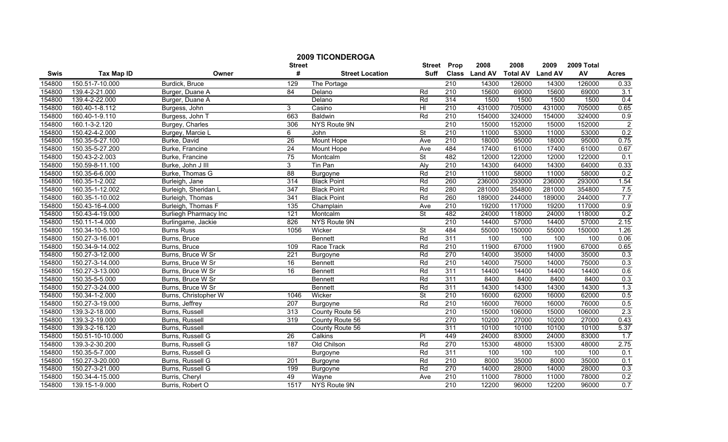|        |                   |                              | <b>Street</b>    | <b>2009 TICONDEROGA</b> | <b>Street</b>            | Prop             | 2008          | 2008            | 2009           | 2009 Total |                |
|--------|-------------------|------------------------------|------------------|-------------------------|--------------------------|------------------|---------------|-----------------|----------------|------------|----------------|
| Swis   | <b>Tax Map ID</b> | Owner                        | #                | <b>Street Location</b>  | <b>Suff</b>              |                  | Class Land AV | <b>Total AV</b> | <b>Land AV</b> | AV         | <b>Acres</b>   |
| 154800 | 150.51-7-10.000   | Burdick, Bruce               | 129              | The Portage             |                          | 210              | 14300         | 126000          | 14300          | 126000     | 0.33           |
| 154800 | 139.4-2-21.000    | Burger, Duane A              | 84               | Delano                  | Rd                       | $\overline{210}$ | 15600         | 69000           | 15600          | 69000      | 3.1            |
| 154800 | 139.4-2-22.000    | Burger, Duane A              |                  | Delano                  | Rd                       | 314              | 1500          | 1500            | 1500           | 1500       | 0.4            |
| 154800 | 160.40-1-8.112    | Burgess, John                | 3                | Casino                  | $\overline{H}$           | 210              | 431000        | 705000          | 431000         | 705000     | 0.65           |
| 154800 | 160.40-1-9.110    | Burgess, John T              | 663              | <b>Baldwin</b>          | Rd                       | 210              | 154000        | 324000          | 154000         | 324000     | 0.9            |
| 154800 | 160.1-3-2.120     | Burgey, Charles              | 306              | NYS Route 9N            |                          | 210              | 15000         | 152000          | 15000          | 152000     | $\overline{2}$ |
| 154800 | 150.42-4-2.000    | Burgey, Marcie L             | 6                | John                    | $\overline{\mathsf{St}}$ | 210              | 11000         | 53000           | 11000          | 53000      | 0.2            |
| 154800 | 150.35-5-27.100   | Burke, David                 | 26               | Mount Hope              | Ave                      | 210              | 18000         | 95000           | 18000          | 95000      | 0.75           |
| 154800 | 150.35-5-27.200   | Burke, Francine              | $\overline{24}$  | Mount Hope              | Ave                      | 484              | 17400         | 61000           | 17400          | 61000      | 0.67           |
| 154800 | 150.43-2-2.003    | Burke, Francine              | 75               | Montcalm                | <b>St</b>                | 482              | 12000         | 122000          | 12000          | 122000     | 0.1            |
| 154800 | 150.59-8-11.100   | Burke, John J III            | 3                | Tin Pan                 | Aly                      | 210              | 14300         | 64000           | 14300          | 64000      | 0.33           |
| 154800 | 150.35-6-6.000    | Burke, Thomas G              | 88               | Burgoyne                | Rd                       | 210              | 11000         | 58000           | 11000          | 58000      | 0.2            |
| 154800 | 160.35-1-2.002    | Burleigh, Jane               | 314              | <b>Black Point</b>      | Rd                       | 260              | 236000        | 293000          | 236000         | 293000     | 1.54           |
| 154800 | 160.35-1-12.002   | Burleigh, Sheridan L         | $\overline{347}$ | <b>Black Point</b>      | Rd                       | 280              | 281000        | 354800          | 281000         | 354800     | 7.5            |
| 154800 | 160.35-1-10.002   | Burleigh, Thomas             | 341              | <b>Black Point</b>      | Rd                       | 260              | 189000        | 244000          | 189000         | 244000     | 7.7            |
| 154800 | 150.43-16-4.000   | Burleigh, Thomas F           | 135              | Champlain               | Ave                      | $\overline{210}$ | 19200         | 117000          | 19200          | 117000     | 0.9            |
| 154800 | 150.43-4-19.000   | <b>Burliegh Pharmacy Inc</b> | 121              | Montcalm                | <b>St</b>                | 482              | 24000         | 118000          | 24000          | 118000     | 0.2            |
| 154800 | 150.11-1-4.000    | Burlingame, Jackie           | 826              | NYS Route 9N            |                          | 210              | 14400         | 57000           | 14400          | 57000      | 2.15           |
| 154800 | 150.34-10-5.100   | <b>Burns Russ</b>            | 1056             | Wicker                  | $\overline{\mathsf{St}}$ | 484              | 55000         | 150000          | 55000          | 150000     | 1.26           |
| 154800 | 150.27-3-16.001   | Burns, Bruce                 |                  | <b>Bennett</b>          | Rd                       | 311              | 100           | 100             | 100            | 100        | 0.06           |
| 154800 | 150.34-9-14.002   | Burns, Bruce                 | 109              | Race Track              | Rd                       | 210              | 11900         | 67000           | 11900          | 67000      | 0.65           |
| 154800 | 150.27-3-12.000   | Burns, Bruce W Sr            | $\overline{221}$ | Burgoyne                | Rd                       | 270              | 14000         | 35000           | 14000          | 35000      | 0.3            |
| 154800 | 150.27-3-14.000   | Burns, Bruce W Sr            | 16               | <b>Bennett</b>          | Rd                       | 210              | 14000         | 75000           | 14000          | 75000      | 0.3            |
| 154800 | 150.27-3-13.000   | Burns, Bruce W Sr            | 16               | <b>Bennett</b>          | Rd                       | 311              | 14400         | 14400           | 14400          | 14400      | 0.6            |
| 154800 | 150.35-5-5.000    | Burns, Bruce W Sr            |                  | <b>Bennett</b>          | Rd                       | 311              | 8400          | 8400            | 8400           | 8400       | 0.3            |
| 154800 | 150.27-3-24.000   | Burns, Bruce W Sr            |                  | <b>Bennett</b>          | Rd                       | 311              | 14300         | 14300           | 14300          | 14300      | 1.3            |
| 154800 | 150.34-1-2.000    | Burns, Christopher W         | 1046             | Wicker                  | $\overline{\mathsf{St}}$ | 210              | 16000         | 62000           | 16000          | 62000      | 0.5            |
| 154800 | 150.27-3-19.000   | Burns, Jeffrey               | 207              | Burgoyne                | Rd                       | 210              | 16000         | 76000           | 16000          | 76000      | 0.5            |
| 154800 | 139.3-2-18.000    | Burns, Russell               | 313              | County Route 56         |                          | 210              | 15000         | 106000          | 15000          | 106000     | 2.3            |
| 154800 | 139.3-2-19.000    | Burns, Russell               | 319              | County Route 56         |                          | 270              | 10200         | 27000           | 10200          | 27000      | 0.43           |
| 154800 | 139.3-2-16.120    | Burns, Russell               |                  | County Route 56         |                          | 311              | 10100         | 10100           | 10100          | 10100      | 5.37           |
| 154800 | 150.51-10-10.000  | Burns, Russell G             | 26               | Calkins                 | $\overline{P}$           | 449              | 24000         | 83000           | 24000          | 83000      | 1.7            |
| 154800 | 139.3-2-30.200    | Burns, Russell G             | 187              | Old Chilson             | Rd                       | 270              | 15300         | 48000           | 15300          | 48000      | 2.75           |
| 154800 | 150.35-5-7.000    | Burns, Russell G             |                  | Burgoyne                | Rd                       | 311              | 100           | 100             | 100            | 100        | 0.1            |
| 154800 | 150.27-3-20.000   | Burns, Russell G             | 201              | Burgoyne                | Rd                       | $\overline{210}$ | 8000          | 35000           | 8000           | 35000      | 0.1            |
| 154800 | 150.27-3-21.000   | Burns, Russell G             | 199              | Burgoyne                | Rd                       | 270              | 14000         | 28000           | 14000          | 28000      | 0.3            |
| 154800 | 150.34-4-15.000   | Burris, Cheryl               | 49               | Wayne                   | Ave                      | 210              | 11000         | 78000           | 11000          | 78000      | 0.2            |
| 154800 | 139.15-1-9.000    | Burris, Robert O             | 1517             | NYS Route 9N            |                          | 210              | 12200         | 96000           | 12200          | 96000      | 0.7            |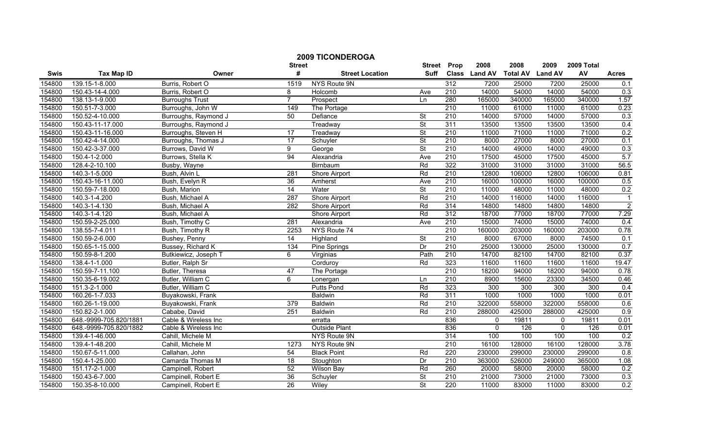| <b>2009 TICONDEROGA</b><br><b>Street</b><br>Prop<br><b>Street</b> |                        |                        |                 |                        |                          |                  | 2008          | 2008            | 2009           | 2009 Total |                |
|-------------------------------------------------------------------|------------------------|------------------------|-----------------|------------------------|--------------------------|------------------|---------------|-----------------|----------------|------------|----------------|
| Swis                                                              | <b>Tax Map ID</b>      | Owner                  | #               | <b>Street Location</b> | <b>Suff</b>              |                  | Class Land AV | <b>Total AV</b> | <b>Land AV</b> | AV         | <b>Acres</b>   |
| 154800                                                            | 139.15-1-8.000         | Burris, Robert O       | 1519            | NYS Route 9N           |                          | 312              | 7200          | 25000           | 7200           | 25000      | 0.1            |
| 154800                                                            | 150.43-14-4.000        | Burris, Robert O       | 8               | Holcomb                | Ave                      | $\overline{210}$ | 14000         | 54000           | 14000          | 54000      | 0.3            |
| 154800                                                            | 138.13-1-9.000         | <b>Burroughs Trust</b> | $\overline{7}$  | Prospect               | Ln                       | 280              | 165000        | 340000          | 165000         | 340000     | 1.57           |
| 154800                                                            | 150.51-7-3.000         | Burroughs, John W      | 149             | The Portage            |                          | 210              | 11000         | 61000           | 11000          | 61000      | 0.23           |
| 154800                                                            | 150.52-4-10.000        | Burroughs, Raymond J   | 50              | Defiance               | St                       | 210              | 14000         | 57000           | 14000          | 57000      | 0.3            |
| 154800                                                            | 150.43-11-17.000       | Burroughs, Raymond J   |                 | Treadway               | $\overline{\mathsf{St}}$ | 311              | 13500         | 13500           | 13500          | 13500      | 0.4            |
| 154800                                                            | 150.43-11-16.000       | Burroughs, Steven H    | 17              | Treadway               | <b>St</b>                | 210              | 11000         | 71000           | 11000          | 71000      | 0.2            |
| 154800                                                            | 150.42-4-14.000        | Burroughs, Thomas J    | 17              | Schuyler               | <b>St</b>                | 210              | 8000          | 27000           | 8000           | 27000      | 0.1            |
| 154800                                                            | 150.42-3-37.000        | Burrows, David W       | 9               | George                 | $\overline{\mathsf{St}}$ | 210              | 14000         | 49000           | 14000          | 49000      | 0.3            |
| 154800                                                            | 150.4-1-2.000          | Burrows, Stella K      | $\overline{94}$ | Alexandria             | Ave                      | 210              | 17500         | 45000           | 17500          | 45000      | 5.7            |
| 154800                                                            | 128.4-2-10.100         | Busby, Wayne           |                 | Birnbaum               | Rd                       | 322              | 31000         | 31000           | 31000          | 31000      | 56.5           |
| 154800                                                            | 140.3-1-5.000          | Bush, Alvin L          | 281             | Shore Airport          | Rd                       | 210              | 12800         | 106000          | 12800          | 106000     | 0.81           |
| 154800                                                            | 150.43-16-11.000       | Bush, Evelyn R         | $\overline{36}$ | Amherst                | Ave                      | 210              | 16000         | 100000          | 16000          | 100000     | 0.5            |
| 154800                                                            | 150.59-7-18.000        | Bush, Marion           | $\overline{14}$ | Water                  | $\overline{\mathsf{St}}$ | 210              | 11000         | 48000           | 11000          | 48000      | 0.2            |
| 154800                                                            | 140.3-1-4.200          | Bush, Michael A        | 287             | Shore Airport          | Rd                       | $\overline{210}$ | 14000         | 116000          | 14000          | 116000     | $\overline{1}$ |
| 154800                                                            | 140.3-1-4.130          | Bush, Michael A        | 282             | Shore Airport          | Rd                       | 314              | 14800         | 14800           | 14800          | 14800      | $\overline{2}$ |
| 154800                                                            | 140.3-1-4.120          | Bush, Michael A        |                 | Shore Airport          | Rd                       | 312              | 18700         | 77000           | 18700          | 77000      | 7.29           |
| 154800                                                            | 150.59-2-25.000        | Bush, Timothy C        | 281             | Alexandria             | Ave                      | 210              | 15000         | 74000           | 15000          | 74000      | 0.4            |
| 154800                                                            | 138.55-7-4.011         | Bush, Timothy R        | 2253            | NYS Route 74           |                          | 210              | 160000        | 203000          | 160000         | 203000     | 0.78           |
| 154800                                                            | 150.59-2-6.000         | Bushey, Penny          | $\overline{14}$ | Highland               | <b>St</b>                | 210              | 8000          | 67000           | 8000           | 74500      | 0.1            |
| 154800                                                            | 150.65-1-15.000        | Bussey, Richard K      | 134             | Pine Springs           | Dr                       | $\overline{210}$ | 25000         | 130000          | 25000          | 130000     | 0.7            |
| 154800                                                            | 150.59-8-1.200         | Butkiewicz, Joseph T   | 6               | Virginias              | Path                     | 210              | 14700         | 82100           | 14700          | 82100      | 0.37           |
| 154800                                                            | 138.4-1-1.000          | Butler, Ralph Sr       |                 | Corduroy               | Rd                       | 323              | 11600         | 11600           | 11600          | 11600      | 19.47          |
| 154800                                                            | 150.59-7-11.100        | Butler, Theresa        | 47              | The Portage            |                          | 210              | 18200         | 94000           | 18200          | 94000      | 0.78           |
| 154800                                                            | 150.35-6-19.002        | Butler, William C      | 6               | Lonergan               | Ln                       | $\overline{210}$ | 8900          | 15600           | 23300          | 34500      | 0.46           |
| 154800                                                            | 151.3-2-1.000          | Butler, William C      |                 | <b>Putts Pond</b>      | Rd                       | 323              | 300           | 300             | 300            | 300        | 0.4            |
| 154800                                                            | 160.26-1-7.033         | Buyakowski, Frank      |                 | Baldwin                | Rd                       | 311              | 1000          | 1000            | 1000           | 1000       | 0.01           |
| 154800                                                            | 160.26-1-19.000        | Buyakowski, Frank      | 379             | Baldwin                | Rd                       | $\overline{210}$ | 322000        | 558000          | 322000         | 558000     | 0.6            |
| 154800                                                            | 150.82-2-1.000         | Cababe, David          | 251             | <b>Baldwin</b>         | Rd                       | 210              | 288000        | 425000          | 288000         | 425000     | 0.9            |
| 154800                                                            | 648.-9999-705.820/1881 | Cable & Wireless Inc   |                 | erratta                |                          | 836              | $\mathbf{0}$  | 19811           | 0              | 19811      | 0.01           |
| 154800                                                            | 648.-9999-705.820/1882 | Cable & Wireless Inc   |                 | <b>Outside Plant</b>   |                          | 836              | $\mathbf{0}$  | 126             | $\mathbf{0}$   | 126        | 0.01           |
| 154800                                                            | 139.4-1-46.000         | Cahill, Michele M      |                 | NYS Route 9N           |                          | 314              | 100           | 100             | 100            | 100        | 0.2            |
| 154800                                                            | 139.4-1-48.200         | Cahill, Michele M      | 1273            | NYS Route 9N           |                          | 210              | 16100         | 128000          | 16100          | 128000     | 3.78           |
| 154800                                                            | 150.67-5-11.000        | Callahan, John         | 54              | <b>Black Point</b>     | Rd                       | 220              | 230000        | 299000          | 230000         | 299000     | 0.8            |
| 154800                                                            | 150.4-1-25.000         | Camarda Thomas M       | 18              | Stoughton              | Dr                       | $\overline{210}$ | 363000        | 526000          | 249000         | 365000     | 1.08           |
| 154800                                                            | 151.17-2-1.000         | Campinell, Robert      | 52              | Wilson Bay             | Rd                       | 260              | 20000         | 58000           | 20000          | 58000      | 0.2            |
| 154800                                                            | 150.43-6-7.000         | Campinell, Robert E    | 36              | Schuyler               | $\overline{\mathsf{St}}$ | 210              | 21000         | 73000           | 21000          | 73000      | 0.3            |
| 154800                                                            | 150.35-8-10.000        | Campinell, Robert E    | $\overline{26}$ | Wiley                  | $\overline{\mathsf{St}}$ | 220              | 11000         | 83000           | 11000          | 83000      | 0.2            |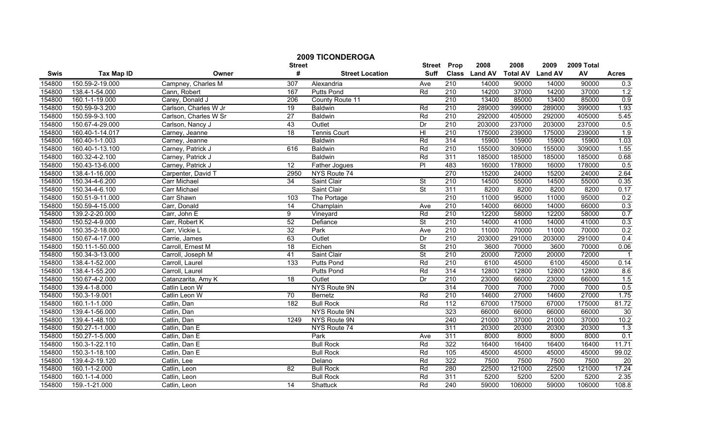|        |                   |                       | <b>Street</b>    | <b>2009 TICONDEROGA</b> | <b>Street</b>            | Prop             | 2008          | 2008            | 2009           | 2009 Total |                 |
|--------|-------------------|-----------------------|------------------|-------------------------|--------------------------|------------------|---------------|-----------------|----------------|------------|-----------------|
| Swis   | <b>Tax Map ID</b> | Owner                 | #                | <b>Street Location</b>  | <b>Suff</b>              |                  | Class Land AV | <b>Total AV</b> | <b>Land AV</b> | AV         | <b>Acres</b>    |
| 154800 | 150.59-2-19.000   | Campney, Charles M    | 307              | Alexandria              | Ave                      | 210              | 14000         | 90000           | 14000          | 90000      | 0.3             |
| 154800 | 138.4-1-54.000    | Cann, Robert          | 167              | <b>Putts Pond</b>       | Rd                       | 210              | 14200         | 37000           | 14200          | 37000      | 1.2             |
| 154800 | 160.1-1-19.000    | Carey, Donald J       | 206              | County Route 11         |                          | 210              | 13400         | 85000           | 13400          | 85000      | 0.9             |
| 154800 | 150.59-9-3.200    | Carlson, Charles W Jr | 19               | <b>Baldwin</b>          | Rd                       | 210              | 289000        | 399000          | 289000         | 399000     | 1.93            |
| 154800 | 150.59-9-3.100    | Carlson, Charles W Sr | 27               | <b>Baldwin</b>          | Rd                       | 210              | 292000        | 405000          | 292000         | 405000     | 5.45            |
| 154800 | 150.67-4-29.000   | Carlson, Nancy J      | 43               | Outlet                  | Dr                       | 210              | 203000        | 237000          | 203000         | 237000     | 0.5             |
| 154800 | 160.40-1-14.017   | Carney, Jeanne        | $\overline{18}$  | <b>Tennis Court</b>     | $\overline{H}$           | 210              | 175000        | 239000          | 175000         | 239000     | 1.9             |
| 154800 | 160.40-1-1.003    | Carney, Jeanne        |                  | <b>Baldwin</b>          | Rd                       | 314              | 15900         | 15900           | 15900          | 15900      | 1.03            |
| 154800 | 160.40-1-13.100   | Carney, Patrick J     | 616              | Baldwin                 | Rd                       | $\overline{210}$ | 155000        | 309000          | 155000         | 309000     | 1.55            |
| 154800 | 160.32-4-2.100    | Carney, Patrick J     |                  | Baldwin                 | Rd                       | 311              | 185000        | 185000          | 185000         | 185000     | 0.68            |
| 154800 | 150.43-13-6.000   | Carney, Patrick J     | 12               | Father Jogues           | $\overline{P}$           | 483              | 16000         | 178000          | 16000          | 178000     | 0.5             |
| 154800 | 138.4-1-16.000    | Carpenter, David T    | 2950             | NYS Route 74            |                          | 270              | 15200         | 24000           | 15200          | 24000      | 2.64            |
| 154800 | 150.34-4-6.200    | Carr Michael          | 34               | Saint Clair             | $\overline{\mathsf{St}}$ | $\overline{210}$ | 14500         | 55000           | 14500          | 55000      | 0.35            |
| 154800 | 150.34-4-6.100    | Carr Michael          |                  | Saint Clair             | $\overline{\mathsf{St}}$ | 311              | 8200          | 8200            | 8200           | 8200       | 0.17            |
| 154800 | 150.51-9-11.000   | Carr Shawn            | 103              | The Portage             |                          | $\overline{210}$ | 11000         | 95000           | 11000          | 95000      | 0.2             |
| 154800 | 150.59-4-15.000   | Carr, Donald          | $\overline{14}$  | Champlain               | Ave                      | 210              | 14000         | 66000           | 14000          | 66000      | 0.3             |
| 154800 | 139.2-2-20.000    | Carr, John E          | 9                | Vineyard                | Rd                       | 210              | 12200         | 58000           | 12200          | 58000      | 0.7             |
| 154800 | 150.52-4-9.000    | Carr, Robert K        | 52               | Defiance                | <b>St</b>                | 210              | 14000         | 41000           | 14000          | 41000      | 0.3             |
| 154800 | 150.35-2-18.000   | Carr, Vickie L        | 32               | Park                    | Ave                      | 210              | 11000         | 70000           | 11000          | 70000      | 0.2             |
| 154800 | 150.67-4-17.000   | Carrie, James         | 63               | Outlet                  | Dr                       | 210              | 203000        | 291000          | 203000         | 291000     | 0.4             |
| 154800 | 150.11-1-50.000   | Carroll, Ernest M     | 18               | Eichen                  | <b>St</b>                | 210              | 3600          | 70000           | 3600           | 70000      | 0.06            |
| 154800 | 150.34-3-13.000   | Carroll, Joseph M     | 41               | Saint Clair             | $\overline{\mathsf{St}}$ | 210              | 20000         | 72000           | 20000          | 72000      |                 |
| 154800 | 138.4-1-52.000    | Carroll, Laurel       | $\overline{133}$ | <b>Putts Pond</b>       | Rd                       | 210              | 6100          | 45000           | 6100           | 45000      | 0.14            |
| 154800 | 138.4-1-55.200    | Carroll, Laurel       |                  | <b>Putts Pond</b>       | Rd                       | 314              | 12800         | 12800           | 12800          | 12800      | 8.6             |
| 154800 | 150.67-4-2.000    | Catanzarita, Amy K    | $\overline{18}$  | Outlet                  | Dr                       | $\overline{210}$ | 23000         | 66000           | 23000          | 66000      | 1.5             |
| 154800 | 139.4-1-8.000     | Catlin Leon W         |                  | NYS Route 9N            |                          | 314              | 7000          | 7000            | 7000           | 7000       | 0.5             |
| 154800 | 150.3-1-9.001     | Catlin Leon W         | 70               | Bernetz                 | Rd                       | 210              | 14600         | 27000           | 14600          | 27000      | 1.75            |
| 154800 | 160.1-1-1.000     | Catlin, Dan           | 182              | <b>Bull Rock</b>        | Rd                       | 112              | 67000         | 175000          | 67000          | 175000     | 81.72           |
| 154800 | 139.4-1-56.000    | Catlin, Dan           |                  | NYS Route 9N            |                          | 323              | 66000         | 66000           | 66000          | 66000      | 30              |
| 154800 | 139.4-1-48.100    | Catlin, Dan           | 1249             | NYS Route 9N            |                          | $\overline{240}$ | 21000         | 37000           | 21000          | 37000      | 10.2            |
| 154800 | 150.27-1-1.000    | Catlin, Dan E         |                  | NYS Route 74            |                          | 311              | 20300         | 20300           | 20300          | 20300      | 1.3             |
| 154800 | 150.27-1-5.000    | Catlin, Dan E         |                  | Park                    | Ave                      | 311              | 8000          | 8000            | 8000           | 8000       | 0.1             |
| 154800 | 150.3-1-22.110    | Catlin, Dan E         |                  | <b>Bull Rock</b>        | Rd                       | 322              | 16400         | 16400           | 16400          | 16400      | 11.71           |
| 154800 | 150.3-1-18.100    | Catlin, Dan E         |                  | <b>Bull Rock</b>        | Rd                       | 105              | 45000         | 45000           | 45000          | 45000      | 99.02           |
| 154800 | 139.4-2-19.120    | Catlin, Lee           |                  | Delano                  | Rd                       | 322              | 7500          | 7500            | 7500           | 7500       | $\overline{20}$ |
| 154800 | 160.1-1-2.000     | Catlin, Leon          | 82               | <b>Bull Rock</b>        | Rd                       | 280              | 22500         | 121000          | 22500          | 121000     | 17.24           |
| 154800 | 160.1-1-4.000     | Catlin, Leon          |                  | <b>Bull Rock</b>        | Rd                       | 311              | 5200          | 5200            | 5200           | 5200       | 2.35            |
| 154800 | 159.-1-21.000     | Catlin, Leon          | $\overline{14}$  | Shattuck                | Rd                       | 240              | 59000         | 106000          | 59000          | 106000     | 108.8           |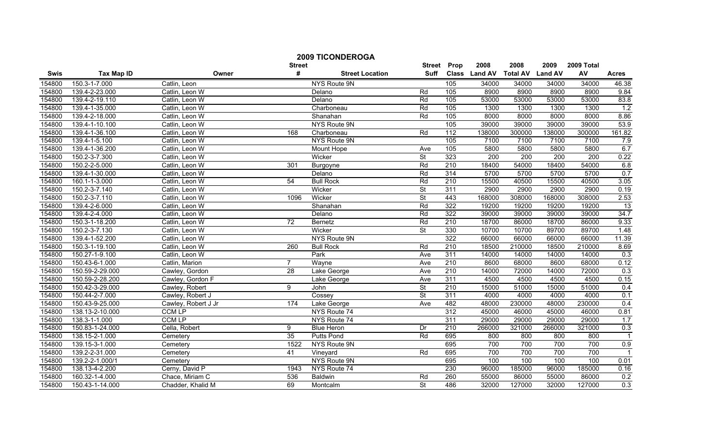|        | <b>2009 TICONDEROGA</b> |                     |                 |                        |                          |                  |               |                 |                  |                  |                |  |
|--------|-------------------------|---------------------|-----------------|------------------------|--------------------------|------------------|---------------|-----------------|------------------|------------------|----------------|--|
|        |                         |                     | <b>Street</b>   |                        | <b>Street</b>            | Prop             | 2008          | 2008            | 2009             | 2009 Total       |                |  |
| Swis   | <b>Tax Map ID</b>       | Owner               | #               | <b>Street Location</b> | <b>Suff</b>              |                  | Class Land AV | <b>Total AV</b> | <b>Land AV</b>   | AV               | <b>Acres</b>   |  |
| 154800 | 150.3-1-7.000           | Catlin, Leon        |                 | NYS Route 9N           |                          | 105              | 34000         | 34000           | 34000            | 34000            | 46.38          |  |
| 154800 | 139.4-2-23.000          | Catlin, Leon W      |                 | Delano                 | Rd                       | 105              | 8900          | 8900            | 8900             | 8900             | 9.84           |  |
| 154800 | 139.4-2-19.110          | Catlin, Leon W      |                 | Delano                 | Rd                       | 105              | 53000         | 53000           | 53000            | 53000            | 83.8           |  |
| 154800 | 139.4-1-35.000          | Catlin, Leon W      |                 | Charboneau             | Rd                       | 105              | 1300          | 1300            | 1300             | 1300             | 1.2            |  |
| 154800 | 139.4-2-18.000          | Catlin, Leon W      |                 | Shanahan               | Rd                       | 105              | 8000          | 8000            | 8000             | 8000             | 8.86           |  |
| 154800 | 139.4-1-10.100          | Catlin, Leon W      |                 | NYS Route 9N           |                          | 105              | 39000         | 39000           | 39000            | 39000            | 53.9           |  |
| 154800 | 139.4-1-36.100          | Catlin, Leon W      | 168             | Charboneau             | Rd                       | 112              | 138000        | 300000          | 138000           | 300000           | 161.82         |  |
| 154800 | 139.4-1-5.100           | Catlin, Leon W      |                 | NYS Route 9N           |                          | 105              | 7100          | 7100            | 7100             | 7100             | 7.9            |  |
| 154800 | 139.4-1-36.200          | Catlin, Leon W      |                 | Mount Hope             | Ave                      | 105              | 5800          | 5800            | 5800             | 5800             | 6.7            |  |
| 154800 | 150.2-3-7.300           | Catlin, Leon W      |                 | Wicker                 | $\overline{\mathsf{St}}$ | 323              | 200           | 200             | $\overline{200}$ | $\overline{200}$ | 0.22           |  |
| 154800 | 150.2-2-5.000           | Catlin, Leon W      | 301             | Burgoyne               | Rd                       | 210              | 18400         | 54000           | 18400            | 54000            | 6.8            |  |
| 154800 | 139.4-1-30.000          | Catlin, Leon W      |                 | Delano                 | Rd                       | 314              | 5700          | 5700            | 5700             | 5700             | 0.7            |  |
| 154800 | 160.1-1-3.000           | Catlin, Leon W      | 54              | <b>Bull Rock</b>       | Rd                       | $\overline{210}$ | 15500         | 40500           | 15500            | 40500            | 3.05           |  |
| 154800 | 150.2-3-7.140           | Catlin, Leon W      |                 | Wicker                 | <b>St</b>                | 311              | 2900          | 2900            | 2900             | 2900             | 0.19           |  |
| 154800 | 150.2-3-7.110           | Catlin, Leon W      | 1096            | Wicker                 | $\overline{\mathsf{St}}$ | 443              | 168000        | 308000          | 168000           | 308000           | 2.53           |  |
| 154800 | 139.4-2-6.000           | Catlin, Leon W      |                 | Shanahan               | Rd                       | 322              | 19200         | 19200           | 19200            | 19200            | 13             |  |
| 154800 | 139.4-2-4.000           | Catlin, Leon W      |                 | Delano                 | Rd                       | 322              | 39000         | 39000           | 39000            | 39000            | 34.7           |  |
| 154800 | 150.3-1-18.200          | Catlin, Leon W      | 72              | Bernetz                | Rd                       | 210              | 18700         | 86000           | 18700            | 86000            | 9.33           |  |
| 154800 | 150.2-3-7.130           | Catlin, Leon W      |                 | Wicker                 | $\overline{\mathsf{St}}$ | 330              | 10700         | 10700           | 89700            | 89700            | 1.48           |  |
| 154800 | 139.4-1-52.200          | Catlin, Leon W      |                 | NYS Route 9N           |                          | 322              | 66000         | 66000           | 66000            | 66000            | 11.39          |  |
| 154800 | 150.3-1-19.100          | Catlin, Leon W      | 260             | <b>Bull Rock</b>       | Rd                       | 210              | 18500         | 210000          | 18500            | 210000           | 8.69           |  |
| 154800 | 150.27-1-9.100          | Catlin, Leon W      |                 | Park                   | Ave                      | 311              | 14000         | 14000           | 14000            | 14000            | 0.3            |  |
| 154800 | 150.43-6-1.000          | Catlin, Marion      | $\overline{7}$  | Wayne                  | Ave                      | 210              | 8600          | 68000           | 8600             | 68000            | 0.12           |  |
| 154800 | 150.59-2-29.000         | Cawley, Gordon      | $\overline{28}$ | Lake George            | Ave                      | 210              | 14000         | 72000           | 14000            | 72000            | 0.3            |  |
| 154800 | 150.59-2-28.200         | Cawley, Gordon F    |                 | Lake George            | Ave                      | 311              | 4500          | 4500            | 4500             | 4500             | 0.15           |  |
| 154800 | 150.42-3-29.000         | Cawley, Robert      | 9               | John                   | $\overline{\mathsf{St}}$ | 210              | 15000         | 51000           | 15000            | 51000            | 0.4            |  |
| 154800 | 150.44-2-7.000          | Cawley, Robert J    |                 | Cossey                 | $\overline{\mathsf{St}}$ | 311              | 4000          | 4000            | 4000             | 4000             | 0.1            |  |
| 154800 | 150.43-9-25.000         | Cawley, Robert J Jr | 174             | Lake George            | Ave                      | 482              | 48000         | 230000          | 48000            | 230000           | 0.4            |  |
| 154800 | 138.13-2-10.000         | <b>CCM LP</b>       |                 | NYS Route 74           |                          | 312              | 45000         | 46000           | 45000            | 46000            | 0.81           |  |
| 154800 | 138.3-1-1.000           | <b>CCM LP</b>       |                 | NYS Route 74           |                          | 311              | 29000         | 29000           | 29000            | 29000            | 1.7            |  |
| 154800 | 150.83-1-24.000         | Cella, Robert       | 9               | <b>Blue Heron</b>      | Dr                       | 210              | 266000        | 321000          | 266000           | 321000           | 0.3            |  |
| 154800 | 138.15-2-1.000          | Cemetery            | 35              | <b>Putts Pond</b>      | Rd                       | 695              | 800           | 800             | 800              | 800              |                |  |
| 154800 | 139.15-3-1.000          | Cemetery            | 1522            | NYS Route 9N           |                          | 695              | 700           | 700             | 700              | 700              | 0.9            |  |
| 154800 | 139.2-2-31.000          | Cemetery            | 41              | Vineyard               | Rd                       | 695              | 700           | 700             | 700              | 700              | $\overline{1}$ |  |
| 154800 | 139.2-2-1.000/1         | Cemetery            |                 | NYS Route 9N           |                          | 695              | 100           | 100             | 100              | 100              | 0.01           |  |
| 154800 | 138.13-4-2.200          | Cerny, David P      | 1943            | NYS Route 74           |                          | 230              | 96000         | 185000          | 96000            | 185000           | 0.16           |  |
| 154800 | 160.32-1-4.000          | Chace, Miriam C     | 536             | Baldwin                | Rd                       | 260              | 55000         | 86000           | 55000            | 86000            | 0.2            |  |
| 154800 | 150.43-1-14.000         | Chadder, Khalid M   | 69              | Montcalm               | $\overline{\mathsf{St}}$ | 486              | 32000         | 127000          | 32000            | 127000           | 0.3            |  |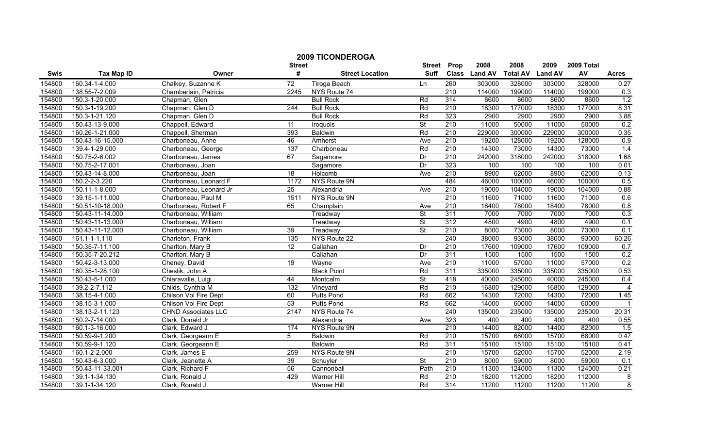|        |                   |                            |                    | <b>2009 TICONDEROGA</b> |                              |                  |                       |                         |                        |                  |                |
|--------|-------------------|----------------------------|--------------------|-------------------------|------------------------------|------------------|-----------------------|-------------------------|------------------------|------------------|----------------|
| Swis   | <b>Tax Map ID</b> | Owner                      | <b>Street</b><br># | <b>Street Location</b>  | <b>Street</b><br><b>Suff</b> | Prop             | 2008<br>Class Land AV | 2008<br><b>Total AV</b> | 2009<br><b>Land AV</b> | 2009 Total<br>AV | <b>Acres</b>   |
| 154800 | 160.34-1-4.000    | Chalkey, Suzanne K         | $\overline{72}$    | Tiroga Beach            | Ln                           | 260              | 303000                | 328000                  | 303000                 | 328000           | 0.27           |
| 154800 | 138.55-7-2.009    | Chamberlain, Patricia      | 2245               | NYS Route 74            |                              | 210              | 114000                | 199000                  | 114000                 | 199000           | 0.3            |
| 154800 | 150.3-1-20.000    | Chapman, Glen              |                    | <b>Bull Rock</b>        | Rd                           | 314              | 8600                  | 8600                    | 8600                   | 8600             | 1.2            |
| 154800 | 150.3-1-19.200    | Chapman, Glen D            | 244                | <b>Bull Rock</b>        | Rd                           | 210              | 18300                 | 177000                  | 18300                  | 177000           | 8.31           |
| 154800 | 150.3-1-21.120    | Chapman, Glen D            |                    | <b>Bull Rock</b>        | Rd                           | 323              | 2900                  | 2900                    | 2900                   | 2900             | 3.88           |
| 154800 | 150.43-13-9.000   | Chappell, Edward           | 11                 | Iroquois                | $\overline{\mathsf{St}}$     | 210              | 11000                 | 50000                   | 11000                  | 50000            | 0.2            |
| 154800 | 160.26-1-21.000   | Chappell, Sherman          | 393                | <b>Baldwin</b>          | Rd                           | 210              | 229000                | 300000                  | 229000                 | 300000           | 0.35           |
| 154800 | 150.43-16-15.000  | Charboneau, Anne           | 46                 | Amherst                 | Ave                          | 210              | 19200                 | 128000                  | 19200                  | 128000           | 0.9            |
| 154800 | 139.4-1-29.000    | Charboneau, George         | $\overline{137}$   | Charboneau              | Rd                           | $\overline{210}$ | 14300                 | 73000                   | 14300                  | 73000            | 1.4            |
| 154800 | 150.75-2-6.002    | Charboneau, James          | 67                 | Sagamore                | Dr                           | $\overline{210}$ | 242000                | 318000                  | 242000                 | 318000           | 1.68           |
| 154800 | 150.75-2-17.001   | Charboneau, Joan           |                    | Sagamore                | Dr                           | 323              | 100                   | 100                     | 100                    | 100              | 0.01           |
| 154800 | 150.43-14-8.000   | Charboneau, Joan           | 18                 | Holcomb                 | Ave                          | 210              | 8900                  | 62000                   | 8900                   | 62000            | 0.13           |
| 154800 | 150.2-2-3.220     | Charboneau, Leonard F      | 1172               | NYS Route 9N            |                              | 484              | 46000                 | 100000                  | 46000                  | 100000           | 0.5            |
| 154800 | 150.11-1-8.000    | Charboneau, Leonard Jr     | 25                 | Alexandria              | Ave                          | 210              | 19000                 | 104000                  | 19000                  | 104000           | 0.88           |
| 154800 | 139.15-1-11.000   | Charboneau, Paul M         | 1511               | NYS Route 9N            |                              | 210              | 11600                 | 71000                   | 11600                  | 71000            | 0.6            |
| 154800 | 150.51-10-18.000  | Charboneau, Robert F       | 65                 | Champlain               | Ave                          | 210              | 18400                 | 78000                   | 18400                  | 78000            | 0.8            |
| 154800 | 150.43-11-14.000  | Charboneau, William        |                    | Treadway                | $\overline{\mathsf{St}}$     | 311              | 7000                  | 7000                    | 7000                   | 7000             | 0.3            |
| 154800 | 150.43-11-13.000  | Charboneau, William        |                    | Treadway                | <b>St</b>                    | 312              | 4800                  | 4900                    | 4800                   | 4900             | 0.1            |
| 154800 | 150.43-11-12.000  | Charboneau, William        | 39                 | Treadway                | $\overline{\mathsf{St}}$     | 210              | 8000                  | 73000                   | 8000                   | 73000            | 0.1            |
| 154800 | 161.1-1-1.110     | Charleton, Frank           | 135                | NYS Route 22            |                              | 240              | 38000                 | 93000                   | 38000                  | 93000            | 60.26          |
| 154800 | 150.35-7-11.100   | Charlton, Mary B           | 12                 | Callahan                | Dr                           | 210              | 17600                 | 109000                  | 17600                  | 109000           | 0.7            |
| 154800 | 150.35-7-20.212   | Charlton, Mary B           |                    | Callahan                | Dr                           | 311              | 1500                  | 1500                    | 1500                   | 1500             | 0.2            |
| 154800 | 150.42-3-13.000   | Cheney, David              | $\overline{19}$    | Wayne                   | Ave                          | 210              | 11000                 | 57000                   | 11000                  | 57000            | 0.2            |
| 154800 | 160.35-1-28.100   | Cheslik, John A            |                    | <b>Black Point</b>      | Rd                           | 311              | 335000                | 335000                  | 335000                 | 335000           | 0.53           |
| 154800 | 150.43-5-1.000    | Chiaravalle, Luigi         | 44                 | Montcalm                | $\overline{\mathsf{St}}$     | 418              | 40000                 | 245000                  | 40000                  | 245000           | 0.4            |
| 154800 | 139.2-2-7.112     | Childs, Cynthia M          | 132                | Vineyard                | Rd                           | $\overline{210}$ | 16800                 | 129000                  | 16800                  | 129000           | 4              |
| 154800 | 138.15-4-1.000    | Chilson Vol Fire Dept      | 60                 | Putts Pond              | Rd                           | 662              | 14300                 | 72000                   | 14300                  | 72000            | 1.45           |
| 154800 | 138.15-3-1.000    | Chilson Vol Fire Dept      | 53                 | <b>Putts Pond</b>       | Rd                           | 662              | 14000                 | 60000                   | 14000                  | 60000            |                |
| 154800 | 138.13-2-11.123   | <b>CHND Associates LLC</b> | 2147               | NYS Route 74            |                              | 240              | 135000                | 235000                  | 135000                 | 235000           | 20.31          |
| 154800 | 150.2-7-14.000    | Clark, Donald Jr           |                    | Alexandria              | Ave                          | 323              | 400                   | 400                     | 400                    | 400              | 0.55           |
| 154800 | 160.1-3-16.000    | Clark, Edward J            | 174                | <b>NYS Route 9N</b>     |                              | 210              | 14400                 | 82000                   | 14400                  | 82000            | 1.5            |
| 154800 | 150.59-9-1.200    | Clark, Georgeann E         | 5                  | <b>Baldwin</b>          | Rd                           | 210              | 15700                 | 68000                   | 15700                  | 68000            | 0.47           |
| 154800 | 150.59-9-1.120    | Clark, Georgeann E         |                    | <b>Baldwin</b>          | Rd                           | 311              | 15100                 | 15100                   | 15100                  | 15100            | 0.41           |
| 154800 | 160.1-2-2.000     | Clark, James E             | 259                | NYS Route 9N            |                              | 210              | 15700                 | 52000                   | 15700                  | 52000            | 2.19           |
| 154800 | 150.43-6-3.000    | Clark, Jeanette A          | 39                 | Schuyler                | <b>St</b>                    | 210              | 8000                  | 59000                   | 8000                   | 59000            | 0.1            |
| 154800 | 150.43-11-33.001  | Clark, Richard F           | 56                 | Cannonball              | Path                         | 210              | 11300                 | 124000                  | 11300                  | 124000           | 0.21           |
| 154800 | 139.1-1-34.130    | Clark, Ronald J            | 429                | Warner Hill             | Rd                           | 210              | 18200                 | 112000                  | 18200                  | 112000           | 8              |
| 154800 | 139.1-1-34.120    | Clark, Ronald J            |                    | Warner Hill             | Rd                           | 314              | 11200                 | 11200                   | 11200                  | 11200            | $\overline{8}$ |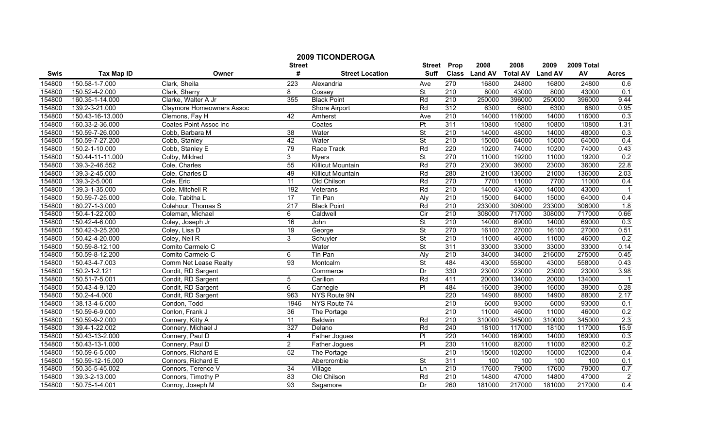|        |                   |                                  | <b>Street</b>    | <b>2009 TICONDEROGA</b>  | <b>Street</b>            | Prop             | 2008          | 2008            | 2009           | 2009 Total |                |
|--------|-------------------|----------------------------------|------------------|--------------------------|--------------------------|------------------|---------------|-----------------|----------------|------------|----------------|
| Swis   | <b>Tax Map ID</b> | Owner                            | #                | <b>Street Location</b>   | <b>Suff</b>              |                  | Class Land AV | <b>Total AV</b> | <b>Land AV</b> | AV         | <b>Acres</b>   |
| 154800 | 150.58-1-7.000    | Clark, Sheila                    | $\overline{223}$ | Alexandria               | Ave                      | 270              | 16800         | 24800           | 16800          | 24800      | 0.6            |
| 154800 | 150.52-4-2.000    | Clark, Sherry                    | 8                | Cossey                   | St                       | 210              | 8000          | 43000           | 8000           | 43000      | 0.1            |
| 154800 | 160.35-1-14.000   | Clarke, Walter A Jr              | 355              | <b>Black Point</b>       | Rd                       | 210              | 250000        | 396000          | 250000         | 396000     | 9.44           |
| 154800 | 139.2-3-21.000    | <b>Claymore Homeowners Assoc</b> |                  | <b>Shore Airport</b>     | Rd                       | 312              | 6300          | 6800            | 6300           | 6800       | 0.95           |
| 154800 | 150.43-16-13.000  | Clemons, Fay H                   | 42               | Amherst                  | Ave                      | 210              | 14000         | 116000          | 14000          | 116000     | 0.3            |
| 154800 | 160.33-2-36.000   | <b>Coates Point Assoc Inc</b>    |                  | Coates                   | $\overline{P}$           | 311              | 10800         | 10800           | 10800          | 10800      | 1.31           |
| 154800 | 150.59-7-26.000   | Cobb, Barbara M                  | 38               | Water                    | St                       | 210              | 14000         | 48000           | 14000          | 48000      | 0.3            |
| 154800 | 150.59-7-27.200   | Cobb, Stanley                    | 42               | Water                    | $\overline{\mathsf{St}}$ | 210              | 15000         | 64000           | 15000          | 64000      | 0.4            |
| 154800 | 150.2-1-10.000    | Cobb, Stanley E                  | 79               | Race Track               | Rd                       | 220              | 10200         | 74000           | 10200          | 74000      | 0.43           |
| 154800 | 150.44-11-11.000  | Colby, Mildred                   | 3                | <b>M</b> vers            | $\overline{\mathsf{St}}$ | 270              | 11000         | 19200           | 11000          | 19200      | 0.2            |
| 154800 | 139.3-2-46.552    | Cole, Charles                    | 55               | <b>Killicut Mountain</b> | Rd                       | 270              | 23000         | 36000           | 23000          | 36000      | 22.8           |
| 154800 | 139.3-2-45.000    | Cole, Charles D                  | 49               | Killicut Mountain        | Rd                       | 280              | 21000         | 136000          | 21000          | 136000     | 2.03           |
| 154800 | 139.3-2-5.000     | Cole, Eric                       | $\overline{11}$  | Old Chilson              | Rd                       | 270              | 7700          | 11000           | 7700           | 11000      | 0.4            |
| 154800 | 139.3-1-35.000    | Cole, Mitchell R                 | 192              | Veterans                 | Rd                       | 210              | 14000         | 43000           | 14000          | 43000      | $\overline{1}$ |
| 154800 | 150.59-7-25.000   | Cole, Tabitha L                  | $\overline{17}$  | Tin Pan                  | Aly                      | $\overline{210}$ | 15000         | 64000           | 15000          | 64000      | 0.4            |
| 154800 | 160.27-1-3.000    | Colehour, Thomas S               | $\overline{217}$ | <b>Black Point</b>       | Rd                       | 210              | 233000        | 306000          | 233000         | 306000     | 1.8            |
| 154800 | 150.4-1-22.000    | Coleman, Michael                 | 6                | Caldwell                 | Cir                      | 210              | 308000        | 717000          | 308000         | 717000     | 0.66           |
| 154800 | 150.42-4-6.000    | Coley, Joseph Jr                 | 16               | John                     | <b>St</b>                | 210              | 14000         | 69000           | 14000          | 69000      | 0.3            |
| 154800 | 150.42-3-25.200   | Coley, Lisa D                    | 19               | George                   | St                       | 270              | 16100         | 27000           | 16100          | 27000      | 0.51           |
| 154800 | 150.42-4-20.000   | Coley, Neil R                    | 3                | Schuyler                 | <b>St</b>                | 210              | 11000         | 46000           | 11000          | 46000      | 0.2            |
| 154800 | 150.59-8-12.100   | Comito Carmelo C                 |                  | Water                    | <b>St</b>                | 311              | 33000         | 33000           | 33000          | 33000      | 0.14           |
| 154800 | 150.59-8-12.200   | Comito Carmelo C                 | 6                | Tin Pan                  | Aly                      | 210              | 34000         | 34000           | 216000         | 275000     | 0.45           |
| 154800 | 150.43-4-7.003    | Comm Net Lease Realty            | $\overline{93}$  | Montcalm                 | St                       | 484              | 43000         | 558000          | 43000          | 558000     | 0.43           |
| 154800 | 150.2-1-2.121     | Condit, RD Sargent               |                  | Commerce                 | Dr                       | 330              | 23000         | 23000           | 23000          | 23000      | 3.98           |
| 154800 | 150.51-7-5.001    | Condit, RD Sargent               | 5                | Carillon                 | Rd                       | 411              | 20000         | 134000          | 20000          | 134000     |                |
| 154800 | 150.43-4-9.120    | Condit, RD Sargent               | 6                | Carnegie                 | $\overline{P}$           | 484              | 16000         | 39000           | 16000          | 39000      | 0.28           |
| 154800 | 150.2-4-4.000     | Condit, RD Sargent               | 963              | <b>NYS Route 9N</b>      |                          | 220              | 14900         | 88000           | 14900          | 88000      | 2.17           |
| 154800 | 138.13-4-6.000    | Condon, Todd                     | 1946             | NYS Route 74             |                          | $\overline{210}$ | 6000          | 93000           | 6000           | 93000      | 0.1            |
| 154800 | 150.59-6-9.000    | Conlon, Frank J                  | 36               | The Portage              |                          | 210              | 11000         | 46000           | 11000          | 46000      | 0.2            |
| 154800 | 150.59-9-2.000    | Connery, Kitty A                 | 11               | <b>Baldwin</b>           | Rd                       | 210              | 310000        | 345000          | 310000         | 345000     | 2.3            |
| 154800 | 139.4-1-22.002    | Connery, Michael J               | 327              | Delano                   | Rd                       | 240              | 18100         | 117000          | 18100          | 117000     | 15.9           |
| 154800 | 150.43-13-2.000   | Connery, Paul D                  | 4                | Father Jogues            | $\overline{P}$           | 220              | 14000         | 169000          | 14000          | 169000     | 0.3            |
| 154800 | 150.43-13-1.000   | Connery, Paul D                  | $\overline{2}$   | <b>Father Jogues</b>     | $\overline{PI}$          | 230              | 11000         | 82000           | 11000          | 82000      | 0.2            |
| 154800 | 150.59-6-5.000    | Connors, Richard E               | 52               | The Portage              |                          | 210              | 15000         | 102000          | 15000          | 102000     | 0.4            |
| 154800 | 150.59-12-15.000  | Connors, Richard E               |                  | Abercrombie              | <b>St</b>                | 311              | 100           | 100             | 100            | 100        | 0.1            |
| 154800 | 150.35-5-45.002   | Connors, Terence V               | 34               | Village                  | Ln                       | 210              | 17600         | 79000           | 17600          | 79000      | 0.7            |
| 154800 | 139.3-2-13.000    | Connors, Timothy P               | 83               | Old Chilson              | Rd                       | 210              | 14800         | 47000           | 14800          | 47000      | $\overline{c}$ |
| 154800 | 150.75-1-4.001    | Conroy, Joseph M                 | 93               | Sagamore                 | Dr                       | 260              | 181000        | 217000          | 181000         | 217000     | 0.4            |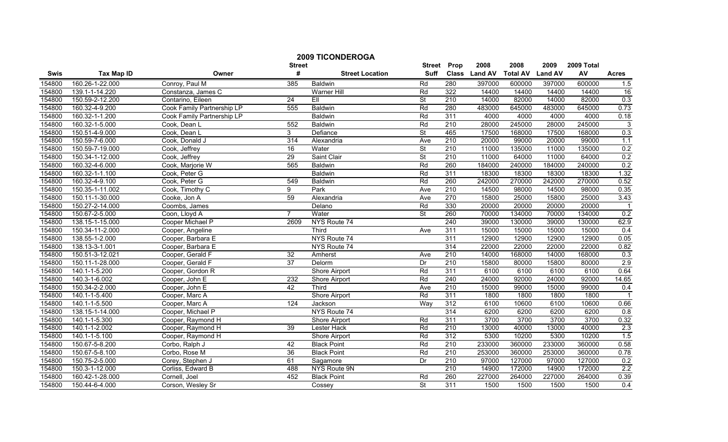|        | <b>2009 TICONDEROGA</b><br>2008<br>2008<br>2009 Total<br><b>Street</b><br><b>Street</b><br>Prop<br>2009 |                            |                 |                        |                          |                  |               |                 |                |        |                |
|--------|---------------------------------------------------------------------------------------------------------|----------------------------|-----------------|------------------------|--------------------------|------------------|---------------|-----------------|----------------|--------|----------------|
| Swis   | <b>Tax Map ID</b>                                                                                       | Owner                      | #               | <b>Street Location</b> | <b>Suff</b>              |                  | Class Land AV | <b>Total AV</b> | <b>Land AV</b> | AV     | <b>Acres</b>   |
| 154800 | 160.26-1-22.000                                                                                         | Conroy, Paul M             | 385             | <b>Baldwin</b>         | Rd                       | 280              | 397000        | 600000          | 397000         | 600000 | 1.5            |
| 154800 | 139.1-1-14.220                                                                                          | Constanza, James C         |                 | Warner Hill            | Rd                       | 322              | 14400         | 14400           | 14400          | 14400  | 16             |
| 154800 | 150.59-2-12.200                                                                                         | Contarino, Eileen          | $\overline{24}$ | EII                    | St                       | $\overline{210}$ | 14000         | 82000           | 14000          | 82000  | 0.3            |
| 154800 | 160.32-4-9.200                                                                                          | Cook Family Partnership LP | 555             | <b>Baldwin</b>         | Rd                       | 280              | 483000        | 645000          | 483000         | 645000 | 0.73           |
| 154800 | 160.32-1-1.200                                                                                          | Cook Family Partnership LP |                 | <b>Baldwin</b>         | Rd                       | 311              | 4000          | 4000            | 4000           | 4000   | 0.18           |
| 154800 | 160.32-1-5.000                                                                                          | Cook, Dean L               | 552             | <b>Baldwin</b>         | Rd                       | 210              | 28000         | 245000          | 28000          | 245000 | $\overline{3}$ |
| 154800 | 150.51-4-9.000                                                                                          | Cook, Dean L               | 3               | Defiance               | St                       | 465              | 17500         | 168000          | 17500          | 168000 | 0.3            |
| 154800 | 150.59-7-6.000                                                                                          | Cook, Donald J             | 314             | Alexandria             | Ave                      | 210              | 20000         | 99000           | 20000          | 99000  | 1.1            |
| 154800 | 150.59-7-19.000                                                                                         | Cook, Jeffrey              | 16              | Water                  | <b>St</b>                | 210              | 11000         | 135000          | 11000          | 135000 | 0.2            |
| 154800 | 150.34-1-12.000                                                                                         | Cook, Jeffrey              | 29              | Saint Clair            | $\overline{\mathsf{St}}$ | 210              | 11000         | 64000           | 11000          | 64000  | 0.2            |
| 154800 | 160.32-4-6.000                                                                                          | Cook, Marjorie W           | 565             | <b>Baldwin</b>         | Rd                       | 260              | 184000        | 240000          | 184000         | 240000 | 0.2            |
| 154800 | 160.32-1-1.100                                                                                          | Cook, Peter G              |                 | <b>Baldwin</b>         | Rd                       | 311              | 18300         | 18300           | 18300          | 18300  | 1.32           |
| 154800 | 160.32-4-9.100                                                                                          | Cook, Peter G              | 549             | <b>Baldwin</b>         | Rd                       | 260              | 242000        | 270000          | 242000         | 270000 | 0.52           |
| 154800 | 150.35-1-11.002                                                                                         | Cook, Timothy C            | 9               | Park                   | Ave                      | 210              | 14500         | 98000           | 14500          | 98000  | 0.35           |
| 154800 | 150.11-1-30.000                                                                                         | Cooke, Jon A               | 59              | Alexandria             | Ave                      | 270              | 15800         | 25000           | 15800          | 25000  | 3.43           |
| 154800 | 150.27-2-14.000                                                                                         | Coombs, James              |                 | Delano                 | Rd                       | 330              | 20000         | 20000           | 20000          | 20000  |                |
| 154800 | 150.67-2-5.000                                                                                          | Coon, Lloyd A              | $\overline{7}$  | Water                  | $\overline{\mathsf{St}}$ | 260              | 70000         | 134000          | 70000          | 134000 | 0.2            |
| 154800 | 138.15-1-15.000                                                                                         | Cooper Michael P           | 2609            | NYS Route 74           |                          | 240              | 39000         | 130000          | 39000          | 130000 | 62.9           |
| 154800 | 150.34-11-2.000                                                                                         | Cooper, Angeline           |                 | Third                  | Ave                      | 311              | 15000         | 15000           | 15000          | 15000  | 0.4            |
| 154800 | 138.55-1-2.000                                                                                          | Cooper, Barbara E          |                 | NYS Route 74           |                          | 311              | 12900         | 12900           | 12900          | 12900  | 0.05           |
| 154800 | 138.13-3-1.001                                                                                          | Cooper, Barbara E          |                 | NYS Route 74           |                          | 314              | 22000         | 22000           | 22000          | 22000  | 0.82           |
| 154800 | 150.51-3-12.021                                                                                         | Cooper, Gerald F           | $\overline{32}$ | Amherst                | Ave                      | 210              | 14000         | 168000          | 14000          | 168000 | 0.3            |
| 154800 | 150.11-1-28.000                                                                                         | Cooper, Gerald F           | $\overline{37}$ | Delorm                 | Dr                       | $\overline{210}$ | 15800         | 80000           | 15800          | 80000  | 2.9            |
| 154800 | 140.1-1-5.200                                                                                           | Cooper, Gordon R           |                 | Shore Airport          | Rd                       | 311              | 6100          | 6100            | 6100           | 6100   | 0.64           |
| 154800 | 140.3-1-6.002                                                                                           | Cooper, John E             | 232             | Shore Airport          | Rd                       | $\overline{240}$ | 24000         | 92000           | 24000          | 92000  | 14.65          |
| 154800 | 150.34-2-2.000                                                                                          | Cooper, John E             | 42              | Third                  | Ave                      | 210              | 15000         | 99000           | 15000          | 99000  | 0.4            |
| 154800 | 140.1-1-5.400                                                                                           | Cooper, Marc A             |                 | Shore Airport          | Rd                       | 311              | 1800          | 1800            | 1800           | 1800   |                |
| 154800 | 140.1-1-5.500                                                                                           | Cooper, Marc A             | 124             | Jackson                | Way                      | 312              | 6100          | 10600           | 6100           | 10600  | 0.66           |
| 154800 | 138.15-1-14.000                                                                                         | Cooper, Michael P          |                 | NYS Route 74           |                          | 314              | 6200          | 6200            | 6200           | 6200   | 0.8            |
| 154800 | 140.1-1-5.300                                                                                           | Cooper, Raymond H          |                 | <b>Shore Airport</b>   | Rd                       | 311              | 3700          | 3700            | 3700           | 3700   | 0.32           |
| 154800 | 140.1-1-2.002                                                                                           | Cooper, Raymond H          | 39              | Lester Hack            | Rd                       | 210              | 13000         | 40000           | 13000          | 40000  | 2.3            |
| 154800 | 140.1-1-5.100                                                                                           | Cooper, Raymond H          |                 | Shore Airport          | Rd                       | 312              | 5300          | 10200           | 5300           | 10200  | 1.5            |
| 154800 | 150.67-5-8.200                                                                                          | Corbo, Ralph J             | 42              | <b>Black Point</b>     | Rd                       | 210              | 233000        | 360000          | 233000         | 360000 | 0.58           |
| 154800 | 150.67-5-8.100                                                                                          | Corbo, Rose M              | $\overline{36}$ | <b>Black Point</b>     | Rd                       | 210              | 253000        | 360000          | 253000         | 360000 | 0.78           |
| 154800 | 150.75-2-5.000                                                                                          | Corey, Stephen J           | 61              | Sagamore               | Dr                       | 210              | 97000         | 127000          | 97000          | 127000 | 0.2            |
| 154800 | 150.3-1-12.000                                                                                          | Corliss, Edward B          | 488             | NYS Route 9N           |                          | $\overline{210}$ | 14900         | 172000          | 14900          | 172000 | 2.2            |
| 154800 | 160.42-1-28.000                                                                                         | Cornell, Joel              | 452             | <b>Black Point</b>     | Rd                       | 260              | 227000        | 264000          | 227000         | 264000 | 0.39           |
| 154800 | 150.44-6-4.000                                                                                          | Corson, Wesley Sr          |                 | Cossey                 | $\overline{\mathsf{St}}$ | 311              | 1500          | 1500            | 1500           | 1500   | 0.4            |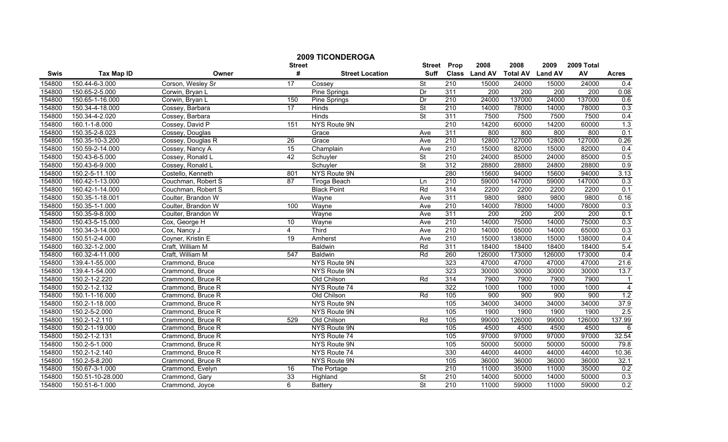|        |                                    |                    |                    | <b>2009 TICONDEROGA</b> |                              |                  |                           |                           |                           |                           |                |
|--------|------------------------------------|--------------------|--------------------|-------------------------|------------------------------|------------------|---------------------------|---------------------------|---------------------------|---------------------------|----------------|
| Swis   | <b>Tax Map ID</b>                  | Owner              | <b>Street</b><br># | <b>Street Location</b>  | <b>Street</b><br><b>Suff</b> | Prop             | 2008<br>Class Land AV     | 2008<br><b>Total AV</b>   | 2009<br><b>Land AV</b>    | 2009 Total<br>AV          | <b>Acres</b>   |
|        |                                    |                    |                    |                         |                              |                  |                           |                           |                           |                           |                |
| 154800 | 150.44-6-3.000                     | Corson, Wesley Sr  | 17                 | Cossey                  | St<br>Dr                     | 210<br>311       | 15000<br>$\overline{200}$ | 24000<br>$\overline{200}$ | 15000<br>$\overline{200}$ | 24000<br>$\overline{200}$ | 0.4            |
| 154800 | 150.65-2-5.000                     | Corwin, Bryan L    | 150                | Pine Springs            | Dr                           | 210              |                           | 137000                    | 24000                     | 137000                    | 0.08           |
| 154800 | 150.65-1-16.000<br>150.34-4-18.000 | Corwin, Bryan L    | 17                 | Pine Springs            |                              | 210              | 24000<br>14000            | 78000                     | 14000                     | 78000                     | 0.6            |
| 154800 |                                    | Cossey, Barbara    |                    | <b>Hinds</b>            | $\overline{\mathsf{St}}$     |                  |                           |                           |                           |                           | 0.3            |
| 154800 | 150.34-4-2.020                     | Cossey, Barbara    |                    | <b>Hinds</b>            | St                           | 311              | 7500                      | 7500                      | 7500                      | 7500                      | 0.4            |
| 154800 | 160.1-1-8.000                      | Cossey, David P    | 151                | <b>NYS Route 9N</b>     |                              | 210              | 14200                     | 60000                     | 14200                     | 60000                     | 1.3            |
| 154800 | 150.35-2-8.023                     | Cossey, Douglas    |                    | Grace                   | Ave                          | 311              | 800                       | 800                       | 800                       | 800                       | 0.1            |
| 154800 | 150.35-10-3.200                    | Cossey, Douglas R  | 26                 | Grace                   | Ave                          | 210              | 12800                     | 127000                    | 12800                     | 127000                    | 0.26           |
| 154800 | 150.59-2-14.000                    | Cossey, Nancy A    | 15                 | Champlain               | Ave                          | $\overline{210}$ | 15000                     | 82000                     | 15000                     | 82000                     | 0.4            |
| 154800 | 150.43-6-5.000                     | Cossey, Ronald L   | 42                 | Schuyler                | $\overline{\mathsf{St}}$     | $\overline{210}$ | 24000                     | 85000                     | 24000                     | 85000                     | 0.5            |
| 154800 | 150.43-6-9.000                     | Cossey, Ronald L   |                    | Schuyler                | <b>St</b>                    | 312              | 28800                     | 28800                     | 24800                     | 28800                     | 0.9            |
| 154800 | 150.2-5-11.100                     | Costello, Kenneth  | 801                | <b>NYS Route 9N</b>     |                              | 280              | 15600                     | 94000                     | 15600                     | 94000                     | 3.13           |
| 154800 | 160.42-1-13.000                    | Couchman, Robert S | 87                 | Tiroga Beach            | Ln                           | $\overline{210}$ | 59000                     | 147000                    | 59000                     | 147000                    | 0.3            |
| 154800 | 160.42-1-14.000                    | Couchman, Robert S |                    | <b>Black Point</b>      | Rd                           | 314              | 2200                      | 2200                      | 2200                      | 2200                      | 0.1            |
| 154800 | 150.35-1-18.001                    | Coulter, Brandon W |                    | Wayne                   | Ave                          | 311              | 9800                      | 9800                      | 9800                      | 9800                      | 0.16           |
| 154800 | 150.35-1-1.000                     | Coulter, Brandon W | 100                | Wayne                   | Ave                          | 210              | 14000                     | 78000                     | 14000                     | 78000                     | 0.3            |
| 154800 | 150.35-9-8.000                     | Coulter, Brandon W |                    | Wayne                   | Ave                          | 311              | 200                       | 200                       | 200                       | 200                       | 0.1            |
| 154800 | 150.43-5-15.000                    | Cox, George H      | 10                 | Wayne                   | Ave                          | 210              | 14000                     | 75000                     | 14000                     | 75000                     | 0.3            |
| 154800 | 150.34-3-14.000                    | Cox, Nancy J       | $\overline{4}$     | Third                   | Ave                          | 210              | 14000                     | 65000                     | 14000                     | 65000                     | 0.3            |
| 154800 | 150.51-2-4.000                     | Coyner, Kristin E  | 19                 | Amherst                 | Ave                          | 210              | 15000                     | 138000                    | 15000                     | 138000                    | 0.4            |
| 154800 | 160.32-1-2.000                     | Craft, William M   |                    | <b>Baldwin</b>          | Rd                           | 311              | 18400                     | 18400                     | 18400                     | 18400                     | 5.4            |
| 154800 | 160.32-4-11.000                    | Craft, William M   | 547                | <b>Baldwin</b>          | Rd                           | 260              | 126000                    | 173000                    | 126000                    | 173000                    | 0.4            |
| 154800 | 139.4-1-55.000                     | Crammond, Bruce    |                    | <b>NYS Route 9N</b>     |                              | 323              | 47000                     | 47000                     | 47000                     | 47000                     | 21.6           |
| 154800 | 139.4-1-54.000                     | Crammond, Bruce    |                    | NYS Route 9N            |                              | 323              | 30000                     | 30000                     | 30000                     | 30000                     | 13.7           |
| 154800 | 150.2-1-2.220                      | Crammond, Bruce R  |                    | Old Chilson             | Rd                           | 314              | 7900                      | 7900                      | 7900                      | 7900                      | $\mathbf 1$    |
| 154800 | 150.2-1-2.132                      | Crammond, Bruce R  |                    | NYS Route 74            |                              | 322              | 1000                      | 1000                      | 1000                      | 1000                      | $\overline{4}$ |
| 154800 | 150.1-1-16.000                     | Crammond, Bruce R  |                    | Old Chilson             | Rd                           | 105              | 900                       | 900                       | 900                       | 900                       | 1.2            |
| 154800 | 150.2-1-18.000                     | Crammond, Bruce R  |                    | <b>NYS Route 9N</b>     |                              | 105              | 34000                     | 34000                     | 34000                     | 34000                     | 37.9           |
| 154800 | 150.2-5-2.000                      | Crammond, Bruce R  |                    | <b>NYS Route 9N</b>     |                              | 105              | 1900                      | 1900                      | 1900                      | 1900                      | 2.5            |
| 154800 | 150.2-1-2.110                      | Crammond, Bruce R  | 529                | Old Chilson             | Rd                           | 105              | 99000                     | 126000                    | 99000                     | 126000                    | 137.99         |
| 154800 | 150.2-1-19.000                     | Crammond, Bruce R  |                    | NYS Route 9N            |                              | 105              | 4500                      | 4500                      | 4500                      | 4500                      | 6              |
| 154800 | 150.2-1-2.131                      | Crammond, Bruce R  |                    | NYS Route 74            |                              | 105              | 97000                     | 97000                     | 97000                     | 97000                     | 32.54          |
| 154800 | 150.2-5-1.000                      | Crammond, Bruce R  |                    | <b>NYS Route 9N</b>     |                              | 105              | 50000                     | 50000                     | 50000                     | 50000                     | 79.8           |
| 154800 | 150.2-1-2.140                      | Crammond, Bruce R  |                    | NYS Route 74            |                              | 330              | 44000                     | 44000                     | 44000                     | 44000                     | 10.36          |
| 154800 | 150.2-5-8.200                      | Crammond, Bruce R  |                    | NYS Route 9N            |                              | 105              | 36000                     | 36000                     | 36000                     | 36000                     | 32.1           |
| 154800 | 150.67-3-1.000                     | Crammond, Evelyn   | 16                 | The Portage             |                              | 210              | 11000                     | 35000                     | 11000                     | 35000                     | 0.2            |
| 154800 | 150.51-10-28.000                   | Crammond, Gary     | 33                 | Highland                | St                           | 210              | 14000                     | 50000                     | 14000                     | 50000                     | 0.3            |
| 154800 | 150.51-6-1.000                     | Crammond, Joyce    | 6                  | Battery                 | $\overline{\mathsf{St}}$     | 210              | 11000                     | 59000                     | 11000                     | 59000                     | 0.2            |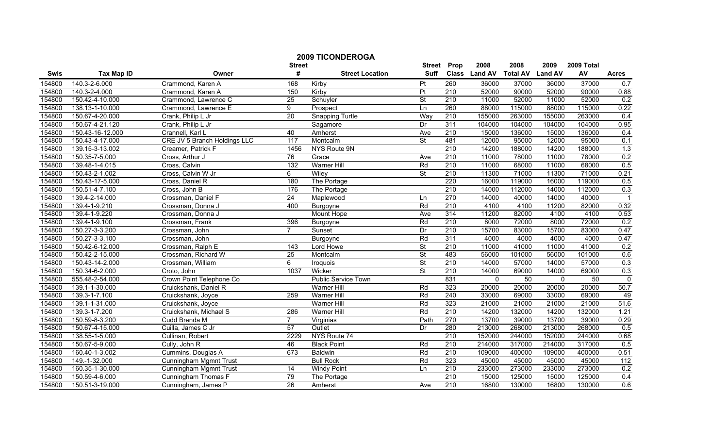|        | <b>2009 TICONDEROGA</b><br>2008<br>2008<br>2009 Total<br><b>Street</b><br>Prop<br>2009<br><b>Street</b> |                               |                  |                            |                          |                  |               |                 |                |        |                  |
|--------|---------------------------------------------------------------------------------------------------------|-------------------------------|------------------|----------------------------|--------------------------|------------------|---------------|-----------------|----------------|--------|------------------|
| Swis   | <b>Tax Map ID</b>                                                                                       | Owner                         | #                | <b>Street Location</b>     | <b>Suff</b>              |                  | Class Land AV | <b>Total AV</b> | <b>Land AV</b> | AV     | <b>Acres</b>     |
| 154800 | 140.3-2-6.000                                                                                           | Crammond, Karen A             | 168              | Kirby                      | Pt                       | 260              | 36000         | 37000           | 36000          | 37000  | 0.7              |
| 154800 | 140.3-2-4.000                                                                                           | Crammond, Karen A             | 150              | Kirby                      | Pt                       | 210              | 52000         | 90000           | 52000          | 90000  | 0.88             |
| 154800 | 150.42-4-10.000                                                                                         | Crammond, Lawrence C          | 25               | Schuyler                   | $\overline{\mathsf{St}}$ | 210              | 11000         | 52000           | 11000          | 52000  | 0.2              |
| 154800 | 138.13-1-10.000                                                                                         | Crammond, Lawrence E          | $\overline{9}$   | Prospect                   | Ln                       | 260              | 88000         | 115000          | 88000          | 115000 | 0.22             |
| 154800 | 150.67-4-20.000                                                                                         | Crank, Philip L Jr            | 20               | <b>Snapping Turtle</b>     | Way                      | 210              | 155000        | 263000          | 155000         | 263000 | 0.4              |
| 154800 | 150.67-4-21.120                                                                                         | Crank, Philip L Jr            |                  | Sagamore                   | Dr                       | 311              | 104000        | 104000          | 104000         | 104000 | 0.95             |
| 154800 | 150.43-16-12.000                                                                                        | Crannell, Karl L              | 40               | Amherst                    | Ave                      | 210              | 15000         | 136000          | 15000          | 136000 | 0.4              |
| 154800 | 150.43-4-17.000                                                                                         | CRE JV 5 Branch Holdings LLC  | 117              | Montcalm                   | <b>St</b>                | 481              | 12000         | 95000           | 12000          | 95000  | 0.1              |
| 154800 | 139.15-3-13.002                                                                                         | Creamer, Patrick F            | 1456             | NYS Route 9N               |                          | 210              | 14200         | 188000          | 14200          | 188000 | 1.3              |
| 154800 | 150.35-7-5.000                                                                                          | Cross, Arthur J               | 76               | Grace                      | Ave                      | $\overline{210}$ | 11000         | 78000           | 11000          | 78000  | 0.2              |
| 154800 | 139.48-1-4.015                                                                                          | Cross, Calvin                 | $\overline{132}$ | <b>Warner Hill</b>         | Rd                       | 210              | 11000         | 68000           | 11000          | 68000  | 0.5              |
| 154800 | 150.43-2-1.002                                                                                          | Cross, Calvin W Jr            | 6                | Wiley                      | $\overline{\mathsf{St}}$ | 210              | 11300         | 71000           | 11300          | 71000  | 0.21             |
| 154800 | 150.43-17-5.000                                                                                         | Cross, Daniel R               | 180              | The Portage                |                          | 220              | 16000         | 119000          | 16000          | 119000 | 0.5              |
| 154800 | 150.51-4-7.100                                                                                          | Cross, John B                 | 176              | The Portage                |                          | 210              | 14000         | 112000          | 14000          | 112000 | 0.3              |
| 154800 | 139.4-2-14.000                                                                                          | Crossman, Daniel F            | $\overline{24}$  | Maplewood                  | Ln                       | 270              | 14000         | 40000           | 14000          | 40000  |                  |
| 154800 | 139.4-1-9.210                                                                                           | Crossman, Donna J             | 400              | Burgoyne                   | Rd                       | 210              | 4100          | 4100            | 11200          | 82000  | 0.32             |
| 154800 | 139.4-1-9.220                                                                                           | Crossman, Donna J             |                  | Mount Hope                 | Ave                      | 314              | 11200         | 82000           | 4100           | 4100   | 0.53             |
| 154800 | 139.4-1-9.100                                                                                           | Crossman, Frank               | 396              | Burgoyne                   | Rd                       | 210              | 8000          | 72000           | 8000           | 72000  | 0.2              |
| 154800 | 150.27-3-3.200                                                                                          | Crossman, John                | $\overline{7}$   | Sunset                     | Dr                       | 210              | 15700         | 83000           | 15700          | 83000  | 0.47             |
| 154800 | 150.27-3-3.100                                                                                          | Crossman, John                |                  | <b>Burgoyne</b>            | Rd                       | 311              | 4000          | 4000            | 4000           | 4000   | 0.47             |
| 154800 | 150.42-6-12.000                                                                                         | Crossman, Ralph E             | 143              | Lord Howe                  | St                       | 210              | 11000         | 41000           | 11000          | 41000  | 0.2              |
| 154800 | 150.42-2-15.000                                                                                         | Crossman, Richard W           | $\overline{25}$  | Montcalm                   | $\overline{\mathsf{St}}$ | 483              | 56000         | 101000          | 56000          | 101000 | 0.6              |
| 154800 | 150.43-14-2.000                                                                                         | Crossman, William             | $\overline{6}$   | Iroquois                   | $\overline{\mathsf{St}}$ | 210              | 14000         | 57000           | 14000          | 57000  | 0.3              |
| 154800 | 150.34-6-2.000                                                                                          | Croto, John                   | 1037             | Wicker                     | <b>St</b>                | 210              | 14000         | 69000           | 14000          | 69000  | 0.3              |
| 154800 | 555.48-2-54.000                                                                                         | Crown Point Telephone Co      |                  | <b>Public Service Town</b> |                          | 831              | $\Omega$      | $\overline{50}$ | $\mathbf{0}$   | 50     | $\mathbf 0$      |
| 154800 | 139.1-1-30.000                                                                                          | Cruickshank, Daniel R         |                  | <b>Warner Hill</b>         | Rd                       | 323              | 20000         | 20000           | 20000          | 20000  | 50.7             |
| 154800 | 139.3-1-7.100                                                                                           | Cruickshank, Joyce            | 259              | Warner Hill                | Rd                       | 240              | 33000         | 69000           | 33000          | 69000  | 49               |
| 154800 | 139.1-1-31.000                                                                                          | Cruickshank, Joyce            |                  | Warner Hill                | Rd                       | 323              | 21000         | 21000           | 21000          | 21000  | 51.6             |
| 154800 | 139.3-1-7.200                                                                                           | Cruickshank, Michael S        | 286              | <b>Warner Hill</b>         | Rd                       | 210              | 14200         | 132000          | 14200          | 132000 | 1.21             |
| 154800 | 150.59-8-3.200                                                                                          | Cudd Brenda M                 | $\overline{7}$   | Virginias                  | Path                     | 270              | 13700         | 39000           | 13700          | 39000  | 0.29             |
| 154800 | 150.67-4-15.000                                                                                         | Cuilla, James C Jr            | 57               | Outlet                     | Dr                       | 280              | 213000        | 268000          | 213000         | 268000 | 0.5              |
| 154800 | 138.55-1-5.000                                                                                          | Cullinan, Robert              | 2229             | NYS Route 74               |                          | 210              | 152000        | 244000          | 152000         | 244000 | 0.68             |
| 154800 | 150.67-5-9.000                                                                                          | Cully, John R                 | 46               | <b>Black Point</b>         | Rd                       | 210              | 214000        | 317000          | 214000         | 317000 | 0.5              |
| 154800 | 160.40-1-3.002                                                                                          | Cummins, Douglas A            | 673              | <b>Baldwin</b>             | Rd                       | 210              | 109000        | 400000          | 109000         | 400000 | 0.51             |
| 154800 | 149.-1-32.000                                                                                           | <b>Cunningham Mgmnt Trust</b> |                  | <b>Bull Rock</b>           | Rd                       | 323              | 45000         | 45000           | 45000          | 45000  | $\overline{112}$ |
| 154800 | 160.35-1-30.000                                                                                         | <b>Cunningham Mgmnt Trust</b> | 14               | <b>Windy Point</b>         | Ln                       | 210              | 233000        | 273000          | 233000         | 273000 | 0.2              |
| 154800 | 150.59-4-6.000                                                                                          | Cunningham Thomas F           | 79               | The Portage                |                          | 210              | 15000         | 125000          | 15000          | 125000 | 0.4              |
| 154800 | 150.51-3-19.000                                                                                         | Cunningham, James P           | $\overline{26}$  | Amherst                    | Ave                      | 210              | 16800         | 130000          | 16800          | 130000 | 0.6              |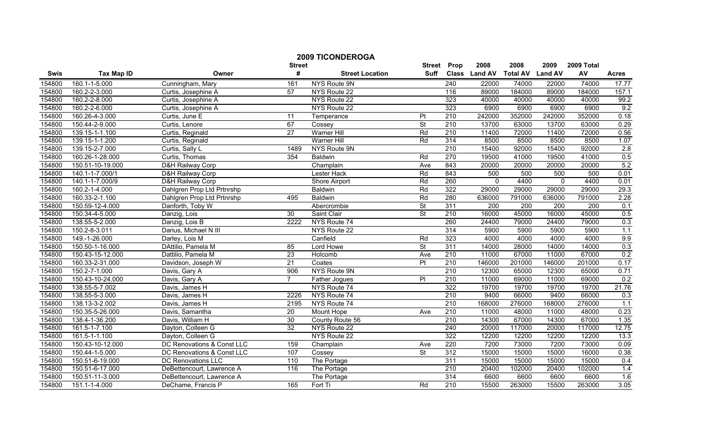|        |                   |                             | <b>Street</b>   | <b>2009 TICONDEROGA</b> | <b>Street</b>            | Prop             | 2008          | 2008                    | 2009         | 2009 Total       |              |
|--------|-------------------|-----------------------------|-----------------|-------------------------|--------------------------|------------------|---------------|-------------------------|--------------|------------------|--------------|
| Swis   | <b>Tax Map ID</b> | Owner                       | #               | <b>Street Location</b>  | Suff                     |                  | Class Land AV | <b>Total AV Land AV</b> |              | AV               | <b>Acres</b> |
| 154800 | 160.1-1-5.000     | Cunningham, Mary            | 161             | NYS Route 9N            |                          | 240              | 22000         | 74000                   | 22000        | 74000            | 17.77        |
| 154800 | 160.2-2-3.000     | Curtis, Josephine A         | 57              | NYS Route 22            |                          | 116              | 89000         | 184000                  | 89000        | 184000           | 157.1        |
| 154800 | 160.2-2-8.000     | Curtis, Josephine A         |                 | NYS Route 22            |                          | 323              | 40000         | 40000                   | 40000        | 40000            | 99.2         |
| 154800 | 160.2-2-6.000     | Curtis, Josephine A         |                 | NYS Route 22            |                          | 323              | 6900          | 6900                    | 6900         | 6900             | 9.2          |
| 154800 | 160.26-4-3.000    | Curtis, June E              | 11              | Temperance              | Pt                       | 210              | 242000        | 352000                  | 242000       | 352000           | 0.18         |
| 154800 | 150.44-2-9.000    | Curtis, Lenore              | 67              | Cossey                  | $\overline{\mathsf{St}}$ | 210              | 13700         | 63000                   | 13700        | 63000            | 0.29         |
| 154800 | 139.15-1-1.100    | Curtis, Reginald            | $\overline{27}$ | <b>Warner Hill</b>      | Rd                       | 210              | 11400         | 72000                   | 11400        | 72000            | 0.56         |
| 154800 | 139.15-1-1.200    | Curtis, Reginald            |                 | <b>Warner Hill</b>      | Rd                       | 314              | 8500          | 8500                    | 8500         | 8500             | 1.07         |
| 154800 | 139.15-2-7.000    | Curtis, Sally L             | 1489            | NYS Route 9N            |                          | 210              | 15400         | 92000                   | 15400        | 92000            | 2.8          |
| 154800 | 160.26-1-28.000   | Curtis, Thomas              | 354             | Baldwin                 | Rd                       | 270              | 19500         | 41000                   | 19500        | 41000            | 0.5          |
| 154800 | 150.51-10-19.000  | D&H Railway Corp            |                 | Champlain               | Ave                      | 843              | 20000         | 20000                   | 20000        | 20000            | 5.2          |
| 154800 | 140.1-1-7.000/1   | D&H Railway Corp            |                 | Lester Hack             | Rd                       | 843              | 500           | 500                     | 500          | 500              | 0.01         |
| 154800 | 140.1-1-7.000/9   | <b>D&amp;H Railway Corp</b> |                 | Shore Airport           | Rd                       | 260              | $\Omega$      | 4400                    | $\mathbf{0}$ | 4400             | 0.01         |
| 154800 | 160.2-1-4.000     | Dahlgren Prop Ltd Prtnrshp  |                 | <b>Baldwin</b>          | Rd                       | 322              | 29000         | 29000                   | 29000        | 29000            | 29.3         |
| 154800 | 160.33-2-1.100    | Dahlgren Prop Ltd Prtnrshp  | 495             | Baldwin                 | Rd                       | 280              | 636000        | 791000                  | 636000       | 791000           | 2.28         |
| 154800 | 150.59-12-4.000   | Danforth, Toby W            |                 | Abercrombie             | St                       | 311              | 200           | 200                     | 200          | $\overline{200}$ | 0.1          |
| 154800 | 150.34-4-5.000    | Danzig, Lois                | 30              | Saint Clair             | <b>St</b>                | 210              | 16000         | 45000                   | 16000        | 45000            | 0.5          |
| 154800 | 138.55-5-2.000    | Danzig, Lois B              | 2222            | NYS Route 74            |                          | 260              | 24400         | 79000                   | 24400        | 79000            | 0.3          |
| 154800 | 150.2-8-3.011     | Darius, Michael N III       |                 | NYS Route 22            |                          | 314              | 5900          | 5900                    | 5900         | 5900             | 1.1          |
| 154800 | 149.-1-26.000     | Darley, Lois M              |                 | Canfield                | Rd                       | 323              | 4000          | 4000                    | 4000         | 4000             | 9.9          |
| 154800 | 150.50-1-16.000   | DAttilio, Pamela M          | 85              | Lord Howe               | $\overline{\mathsf{St}}$ | 311              | 14000         | 28000                   | 14000        | 14000            | 0.3          |
| 154800 | 150.43-15-12.000  | Dattilio, Pamela M          | 23              | Holcomb                 | Ave                      | 210              | 11000         | 67000                   | 11000        | 67000            | 0.2          |
| 154800 | 160.33-2-31.000   | Davidson, Joseph W          | $\overline{21}$ | Coates                  | $\overline{\mathsf{Pt}}$ | 210              | 146000        | 201000                  | 146000       | 201000           | 0.17         |
| 154800 | 150.2-7-1.000     | Davis, Gary A               | 906             | NYS Route 9N            |                          | $\overline{210}$ | 12300         | 65000                   | 12300        | 65000            | 0.71         |
| 154800 | 150.43-10-24.000  | Davis, Gary A               | $\overline{7}$  | Father Jogues           | PI                       | $\overline{210}$ | 11000         | 69000                   | 11000        | 69000            | 0.2          |
| 154800 | 138.55-5-7.002    | Davis, James H              |                 | NYS Route 74            |                          | 322              | 19700         | 19700                   | 19700        | 19700            | 21.76        |
| 154800 | 138.55-5-3.000    | Davis, James H              | 2226            | NYS Route 74            |                          | $\overline{210}$ | 9400          | 66000                   | 9400         | 66000            | 0.3          |
| 154800 | 138.13-3-2.002    | Davis, James H              | 2195            | NYS Route 74            |                          | 210              | 168000        | 276000                  | 168000       | 276000           | 1.1          |
| 154800 | 150.35-5-26.000   | Davis, Samantha             | 20              | Mount Hope              | Ave                      | 210              | 11000         | 48000                   | 11000        | 48000            | 0.23         |
| 154800 | 138.4-1-36.200    | Davis, William H            | 30              | County Route 56         |                          | $\overline{210}$ | 14300         | 67000                   | 14300        | 67000            | 1.35         |
| 154800 | 161.5-1-7.100     | Dayton, Colleen G           | 32              | NYS Route 22            |                          | 240              | 20000         | 117000                  | 20000        | 117000           | 12.75        |
| 154800 | 161.5-1-1.100     | Dayton, Colleen G           |                 | NYS Route 22            |                          | 322              | 12200         | 12200                   | 12200        | 12200            | 13.3         |
| 154800 | 150.43-10-12.000  | DC Renovations & Const LLC  | 159             | Champlain               | Ave                      | 220              | 7200          | 73000                   | 7200         | 73000            | 0.09         |
| 154800 | 150.44-1-5.000    | DC Renovations & Const LLC  | 107             | Cossey                  | <b>St</b>                | $\overline{312}$ | 15000         | 15000                   | 15000        | 16000            | 0.38         |
| 154800 | 150.51-6-19.000   | DC Renovations LLC          | 110             | The Portage             |                          | 311              | 15000         | 15000                   | 15000        | 15000            | 0.4          |
| 154800 | 150.51-6-17.000   | DeBettencourt, Lawrence A   | 116             | The Portage             |                          | 210              | 20400         | 102000                  | 20400        | 102000           | 1.4          |
| 154800 | 150.51-11-3.000   | DeBettencourt, Lawrence A   |                 | The Portage             |                          | 314              | 6600          | 6600                    | 6600         | 6600             | 1.6          |
| 154800 | 151.1-1-4.000     | DeChame, Francis P          | 165             | Fort Ti                 | Rd                       | $\overline{210}$ | 15500         | 263000                  | 15500        | 263000           | 3.05         |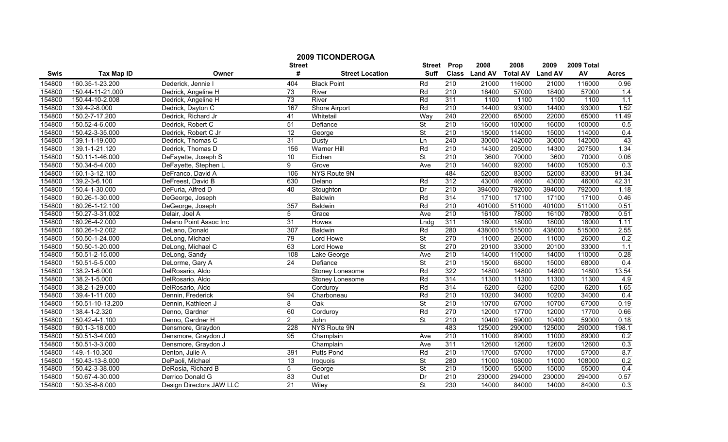|        |                   |                          | <b>Street</b>   | <b>2009 TICONDEROGA</b> | <b>Street</b>            | Prop             | 2008          | 2008                    | 2009   | 2009 Total |                  |
|--------|-------------------|--------------------------|-----------------|-------------------------|--------------------------|------------------|---------------|-------------------------|--------|------------|------------------|
| Swis   | <b>Tax Map ID</b> | Owner                    | #               | <b>Street Location</b>  | <b>Suff</b>              |                  | Class Land AV | <b>Total AV Land AV</b> |        | AV         | <b>Acres</b>     |
| 154800 | 160.35-1-23.200   | Dederick, Jennie         | 404             | <b>Black Point</b>      | Rd                       | $\overline{210}$ | 21000         | 116000                  | 21000  | 116000     | 0.96             |
| 154800 | 150.44-11-21.000  | Dedrick, Angeline H      | 73              | River                   | Rd                       | $\overline{210}$ | 18400         | 57000                   | 18400  | 57000      | 1.4              |
| 154800 | 150.44-10-2.008   | Dedrick, Angeline H      | 73              | River                   | Rd                       | 311              | 1100          | 1100                    | 1100   | 1100       | 1.1              |
| 154800 | 139.4-2-8.000     | Dedrick, Dayton C        | 167             | <b>Shore Airport</b>    | Rd                       | 210              | 14400         | 93000                   | 14400  | 93000      | 1.52             |
| 154800 | 150.2-7-17.200    | Dedrick, Richard Jr      | 41              | Whitetail               | Way                      | 240              | 22000         | 65000                   | 22000  | 65000      | 11.49            |
| 154800 | 150.52-4-6.000    | Dedrick, Robert C        | $\overline{51}$ | Defiance                | $\overline{\mathsf{St}}$ | 210              | 16000         | 100000                  | 16000  | 100000     | 0.5              |
| 154800 | 150.42-3-35.000   | Dedrick, Robert C Jr     | $\overline{12}$ | George                  | <b>St</b>                | 210              | 15000         | 114000                  | 15000  | 114000     | 0.4              |
| 154800 | 139.1-1-19.000    | Dedrick, Thomas C        | 31              | <b>Dusty</b>            | Ln                       | 240              | 30000         | 142000                  | 30000  | 142000     | 43               |
| 154800 | 139.1-1-21.120    | Dedrick, Thomas D        | 156             | <b>Warner Hill</b>      | Rd                       | $\overline{210}$ | 14300         | 205000                  | 14300  | 207500     | 1.34             |
| 154800 | 150.11-1-46.000   | DeFayette, Joseph S      | 10              | Eichen                  | $\overline{\mathsf{St}}$ | 210              | 3600          | 70000                   | 3600   | 70000      | 0.06             |
| 154800 | 150.34-5-4.000    | DeFayette, Stephen L     | 9               | Grove                   | Ave                      | $\overline{210}$ | 14000         | 92000                   | 14000  | 105000     | 0.3              |
| 154800 | 160.1-3-12.100    | DeFranco, David A        | 106             | NYS Route 9N            |                          | 484              | 52000         | 83000                   | 52000  | 83000      | 91.34            |
| 154800 | 139.2-3-6.100     | DeFreest, David B        | 630             | Delano                  | Rd                       | 312              | 43000         | 46000                   | 43000  | 46000      | 42.31            |
| 154800 | 150.4-1-30.000    | DeFuria, Alfred D        | 40              | Stoughton               | Dr                       | $\overline{210}$ | 394000        | 792000                  | 394000 | 792000     | 1.18             |
| 154800 | 160.26-1-30.000   | DeGeorge, Joseph         |                 | <b>Baldwin</b>          | Rd                       | 314              | 17100         | 17100                   | 17100  | 17100      | 0.46             |
| 154800 | 160.26-1-12.100   | DeGeorge, Joseph         | 357             | <b>Baldwin</b>          | Rd                       | $\overline{210}$ | 401000        | 511000                  | 401000 | 511000     | 0.51             |
| 154800 | 150.27-3-31.002   | Delair, Joel A           | 5               | Grace                   | Ave                      | 210              | 16100         | 78000                   | 16100  | 78000      | 0.51             |
| 154800 | 160.26-4-2.000    | Delano Point Assoc Inc   | 31              | Howes                   | Lndg                     | 311              | 18000         | 18000                   | 18000  | 18000      | 1.11             |
| 154800 | 160.26-1-2.002    | DeLano, Donald           | 307             | <b>Baldwin</b>          | Rd                       | 280              | 438000        | 515000                  | 438000 | 515000     | 2.55             |
| 154800 | 150.50-1-24.000   | DeLong, Michael          | 79              | Lord Howe               | $\overline{\mathsf{St}}$ | 270              | 11000         | 26000                   | 11000  | 26000      | 0.2              |
| 154800 | 150.50-1-20.000   | DeLong, Michael C        | 63              | Lord Howe               | St                       | 270              | 20100         | 33000                   | 20100  | 33000      | 1.1              |
| 154800 | 150.51-2-15.000   | DeLong, Sandy            | 108             | Lake George             | Ave                      | 210              | 14000         | 110000                  | 14000  | 110000     | 0.28             |
| 154800 | 150.51-5-5.000    | DeLorme, Gary A          | $\overline{24}$ | Defiance                | $\overline{\mathsf{St}}$ | 210              | 15000         | 68000                   | 15000  | 68000      | $\overline{0.4}$ |
| 154800 | 138.2-1-6.000     | DelRosario, Aldo         |                 | <b>Stoney Lonesome</b>  | Rd                       | 322              | 14800         | 14800                   | 14800  | 14800      | 13.54            |
| 154800 | 138.2-1-5.000     | DelRosario, Aldo         |                 | Stoney Lonesome         | Rd                       | 314              | 11300         | 11300                   | 11300  | 11300      | 4.9              |
| 154800 | 138.2-1-29.000    | DelRosario, Aldo         |                 | Corduroy                | Rd                       | 314              | 6200          | 6200                    | 6200   | 6200       | 1.65             |
| 154800 | 139.4-1-11.000    | Dennin, Frederick        | 94              | Charboneau              | Rd                       | 210              | 10200         | 34000                   | 10200  | 34000      | 0.4              |
| 154800 | 150.51-10-13.200  | Dennin, Kathleen J       | 8               | $\overline{Oak}$        | $\overline{\mathsf{St}}$ | 210              | 10700         | 67000                   | 10700  | 67000      | 0.19             |
| 154800 | 138.4-1-2.320     | Denno, Gardner           | 60              | Corduroy                | Rd                       | 270              | 12000         | 17700                   | 12000  | 17700      | 0.66             |
| 154800 | 150.42-4-1.100    | Denno, Gardner H         | $\mathbf{2}$    | John                    | <b>St</b>                | 210              | 10400         | 59000                   | 10400  | 59000      | 0.18             |
| 154800 | 160.1-3-18.000    | Densmore, Graydon        | 228             | NYS Route 9N            |                          | 483              | 125000        | 290000                  | 125000 | 290000     | 198.1            |
| 154800 | 150.51-3-4.000    | Densmore, Graydon J      | 95              | Champlain               | Ave                      | 210              | 11000         | 89000                   | 11000  | 89000      | 0.2              |
| 154800 | 150.51-3-3.000    | Densmore, Graydon J      |                 | Champlain               | Ave                      | 311              | 12600         | 12600                   | 12600  | 12600      | 0.3              |
| 154800 | 149.-1-10.300     | Denton, Julie A          | 391             | Putts Pond              | Rd                       | $\overline{210}$ | 17000         | 57000                   | 17000  | 57000      | 8.7              |
| 154800 | 150.43-13-8.000   | DePaoli, Michael         | 13              | Iroquois                | St                       | 280              | 11000         | 108000                  | 11000  | 108000     | 0.2              |
| 154800 | 150.42-3-38.000   | DeRosia, Richard B       | 5               | George                  | St                       | $\overline{210}$ | 15000         | 55000                   | 15000  | 55000      | 0.4              |
| 154800 | 150.67-4-30.000   | Derrico Donald G         | 83              | Outlet                  | Dr                       | 210              | 230000        | 294000                  | 230000 | 294000     | 0.57             |
| 154800 | 150.35-8-8.000    | Design Directors JAW LLC | 21              | Wiley                   | $\overline{\mathsf{St}}$ | 230              | 14000         | 84000                   | 14000  | 84000      | $\overline{0.3}$ |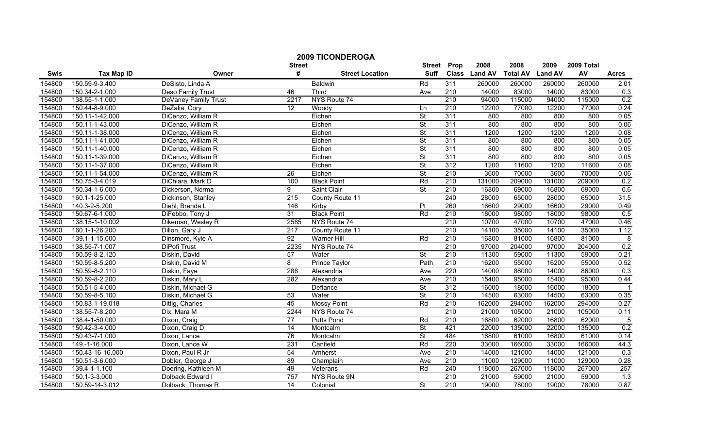|        |                   |                      |                         | <b>2009 TICONDEROGA</b> |                              |                  |                       |                         |                        |                  |                |
|--------|-------------------|----------------------|-------------------------|-------------------------|------------------------------|------------------|-----------------------|-------------------------|------------------------|------------------|----------------|
| Swis   | <b>Tax Map ID</b> | Owner                | <b>Street</b><br>#      | <b>Street Location</b>  | <b>Street</b><br><b>Suff</b> | Prop             | 2008<br>Class Land AV | 2008<br><b>Total AV</b> | 2009<br><b>Land AV</b> | 2009 Total<br>AV | <b>Acres</b>   |
| 154800 | 150.59-9-3.400    | DeSisto, Linda A     |                         | <b>Baldwin</b>          | Rd                           | 311              | 260000                | 260000                  | 260000                 | 260000           | 2.01           |
| 154800 | 150.34-2-1.000    | Deso Family Trust    | 46                      | Third                   | Ave                          | $\overline{210}$ | 14000                 | 83000                   | 14000                  | 83000            | 0.3            |
| 154800 | 138.55-1-1.000    | DeVaney Family Trust | 2217                    | NYS Route 74            |                              | 210              | 94000                 | 115000                  | 94000                  | 115000           | 0.2            |
| 154800 | 150.44-8-9.000    | DeZalia, Cory        | 12                      | Woody                   | Ln                           | 210              | 12200                 | 77000                   | 12200                  | 77000            | 0.24           |
| 154800 | 150.11-1-42.000   | DiCenzo, William R   |                         | Eichen                  | $\overline{\mathsf{St}}$     | 311              | 800                   | 800                     | 800                    | 800              | 0.05           |
| 154800 | 150.11-1-43.000   | DiCenzo, William R   |                         | Eichen                  | $\overline{\mathsf{St}}$     | 311              | 800                   | 800                     | 800                    | 800              | 0.06           |
| 154800 | 150.11-1-38.000   | DiCenzo, William R   |                         | Eichen                  | <b>St</b>                    | 311              | 1200                  | 1200                    | 1200                   | 1200             | 0.08           |
| 154800 | 150.11-1-41.000   | DiCenzo, William R   |                         | Eichen                  | $\overline{\mathsf{St}}$     | 311              | 800                   | 800                     | 800                    | 800              | 0.05           |
| 154800 | 150.11-1-40.000   | DiCenzo, William R   |                         | Eichen                  | $\overline{\mathsf{St}}$     | 311              | 800                   | 800                     | 800                    | 800              | 0.05           |
| 154800 | 150.11-1-39.000   | DiCenzo, William R   |                         | Eichen                  | St                           | 311              | 800                   | 800                     | 800                    | 800              | 0.05           |
| 154800 | 150.11-1-37.000   | DiCenzo, William R   |                         | Eichen                  | <b>St</b>                    | 312              | 1200                  | 11600                   | 1200                   | 11600            | 0.08           |
| 154800 | 150.11-1-54.000   | DiCenzo, William R   | $\overline{26}$         | Eichen                  | St                           | 210              | 3600                  | 70000                   | 3600                   | 70000            | 0.06           |
| 154800 | 150.75-3-4.019    | DiChiara, Mark D     | 100                     | <b>Black Point</b>      | Rd                           | $\overline{210}$ | 131000                | 209000                  | 131000                 | 209000           | 0.2            |
| 154800 | 150.34-1-6.000    | Dickerson, Norma     | 9                       | Saint Clair             | <b>St</b>                    | 210              | 16800                 | 69000                   | 16800                  | 69000            | 0.6            |
| 154800 | 160.1-1-25.000    | Dickinson, Stanley   | $\overline{215}$        | County Route 11         |                              | 240              | 28000                 | 65000                   | 28000                  | 65000            | 31.5           |
| 154800 | 140.3-2-5.200     | Diehl, Brenda L      | 146                     | Kirby                   | $\overline{P}$               | 260              | 16600                 | 29000                   | 16600                  | 29000            | 0.49           |
| 154800 | 150.67-6-1.000    | DiFebbo, Tony J      | 31                      | <b>Black Point</b>      | Rd                           | 210              | 18000                 | 98000                   | 18000                  | 98000            | 0.5            |
| 154800 | 138.15-1-10.002   | Dikeman, Wesley R    | 2585                    | NYS Route 74            |                              | 210              | 10700                 | 47000                   | 10700                  | 47000            | 0.46           |
| 154800 | 160.1-1-26.200    | Dillon, Gary J       | 217                     | County Route 11         |                              | 210              | 14100                 | 35000                   | 14100                  | 35000            | 1.12           |
| 154800 | 139.1-1-15.000    | Dinsmore, Kyle A     | 92                      | <b>Warner Hill</b>      | Rd                           | 210              | 16800                 | 81000                   | 16800                  | 81000            | 8              |
| 154800 | 138.55-7-1.007    | DiPofi Trust         | 2235                    | NYS Route 74            |                              | 210              | 97000                 | 204000                  | 97000                  | 204000           | 0.2            |
| 154800 | 150.59-8-2.120    | Diskin, David        | 57                      | Water                   | $\overline{\mathsf{St}}$     | 210              | 11300                 | 59000                   | 11300                  | 59000            | 0.21           |
| 154800 | 150.59-8-5.200    | Diskin, David M      | $\overline{\mathbf{8}}$ | <b>Prince Taylor</b>    | Path                         | 210              | 16200                 | 55000                   | 16200                  | 55000            | 0.52           |
| 154800 | 150.59-8-2.110    | Diskin, Faye         | 288                     | Alexandria              | Ave                          | 220              | 14000                 | 86000                   | 14000                  | 86000            | 0.3            |
| 154800 | 150.59-8-2.200    | Diskin, Mary L       | 282                     | Alexandria              | Ave                          | 210              | 15400                 | 95000                   | 15400                  | 95000            | 0.44           |
| 154800 | 150.51-5-4.000    | Diskin, Michael G    |                         | Defiance                | St                           | $\overline{312}$ | 16000                 | 18000                   | 16000                  | 18000            | $\overline{1}$ |
| 154800 | 150.59-8-5.100    | Diskin, Michael G    | 53                      | Water                   | $\overline{\mathsf{St}}$     | $\overline{210}$ | 14500                 | 63000                   | 14500                  | 63000            | 0.35           |
| 154800 | 150.83-1-19.018   | Dittig, Charles      | 45                      | <b>Mossy Point</b>      | Rd                           | 210              | 162000                | 294000                  | 162000                 | 294000           | 0.27           |
| 154800 | 138.55-7-8.200    | Dix, Mara M          | 2244                    | NYS Route 74            |                              | 210              | 21000                 | 105000                  | 21000                  | 105000           | 0.11           |
| 154800 | 138.4-1-50.000    | Dixon, Craig         | 77                      | <b>Putts Pond</b>       | Rd                           | 210              | 16800                 | 62000                   | 16800                  | 62000            | 5              |
| 154800 | 150.42-3-4.000    | Dixon, Craig D       | 14                      | Montcalm                | St                           | 421              | 22000                 | 135000                  | 22000                  | 135000           | 0.2            |
| 154800 | 150.43-7-1.000    | Dixon, Lance         | 76                      | Montcalm                | St                           | 484              | 16800                 | 61000                   | 16800                  | 61000            | 0.14           |
| 154800 | 149.-1-16.000     | Dixon, Lance W       | 231                     | Canfield                | Rd                           | 220              | 33000                 | 166000                  | 33000                  | 166000           | 44.3           |
| 154800 | 150.43-16-16.000  | Dixon, Paul R Jr     | 54                      | Amherst                 | Ave                          | 210              | 14000                 | 121000                  | 14000                  | 121000           | 0.3            |
| 154800 | 150.51-3-6.000    | Dobler, George J     | 89                      | Champlain               | Ave                          | 210              | 11000                 | 129000                  | 11000                  | 129000           | 0.28           |
| 154800 | 139.4-1-1.100     | Doering, Kathleen M  | 49                      | Veterans                | Rd                           | 240              | 118000                | 267000                  | 118000                 | 267000           | 257            |
| 154800 | 150.1-3-3.000     | Dolback Edward I     | 757                     | NYS Route 9N            |                              | 210              | 21000                 | 59000                   | 21000                  | 59000            | 1.3            |
| 154800 | 150.59-14-3.012   | Dolback, Thomas R    | 14                      | Colonial                | St                           | 210              | 19000                 | 78000                   | 19000                  | 78000            | 0.87           |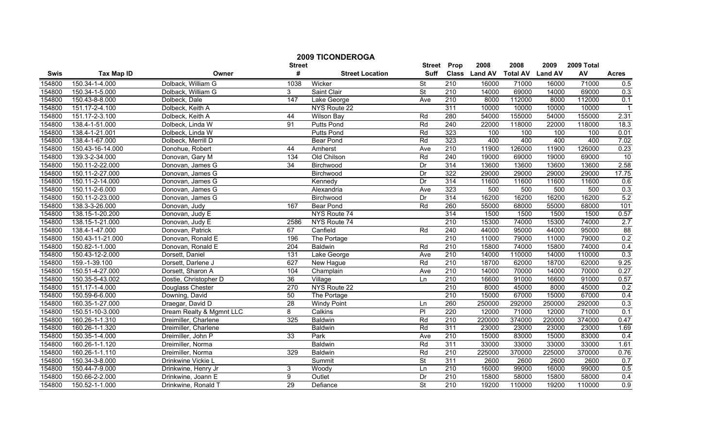|        | <b>2009 TICONDEROGA</b><br>2008<br>2008<br>2009 Total<br>Prop<br>2009<br><b>Street</b><br><b>Street</b> |                          |                 |                        |                          |                  |               |                 |                |        |              |
|--------|---------------------------------------------------------------------------------------------------------|--------------------------|-----------------|------------------------|--------------------------|------------------|---------------|-----------------|----------------|--------|--------------|
| Swis   | <b>Tax Map ID</b>                                                                                       | Owner                    | #               | <b>Street Location</b> | <b>Suff</b>              |                  | Class Land AV | <b>Total AV</b> | <b>Land AV</b> | AV     | <b>Acres</b> |
| 154800 | 150.34-1-4.000                                                                                          | Dolback, William G       | 1038            | Wicker                 | St                       | 210              | 16000         | 71000           | 16000          | 71000  | 0.5          |
| 154800 | 150.34-1-5.000                                                                                          | Dolback, William G       | 3               | Saint Clair            | $\overline{\mathsf{St}}$ | $\overline{210}$ | 14000         | 69000           | 14000          | 69000  | 0.3          |
| 154800 | 150.43-8-8.000                                                                                          | Dolbeck, Dale            | 147             | Lake George            | Ave                      | 210              | 8000          | 112000          | 8000           | 112000 | 0.1          |
| 154800 | 151.17-2-4.100                                                                                          | Dolbeck, Keith A         |                 | NYS Route 22           |                          | 311              | 10000         | 10000           | 10000          | 10000  |              |
| 154800 | 151.17-2-3.100                                                                                          | Dolbeck, Keith A         | 44              | <b>Wilson Bay</b>      | Rd                       | 280              | 54000         | 155000          | 54000          | 155000 | 2.31         |
| 154800 | 138.4-1-51.000                                                                                          | Dolbeck, Linda W         | 91              | <b>Putts Pond</b>      | Rd                       | 240              | 22000         | 118000          | 22000          | 118000 | 18.3         |
| 154800 | 138.4-1-21.001                                                                                          | Dolbeck, Linda W         |                 | <b>Putts Pond</b>      | Rd                       | 323              | 100           | 100             | 100            | 100    | 0.01         |
| 154800 | 138.4-1-67.000                                                                                          | Dolbeck, Merrill D       |                 | <b>Bear Pond</b>       | Rd                       | 323              | 400           | 400             | 400            | 400    | 7.02         |
| 154800 | 150.43-16-14.000                                                                                        | Donohue, Robert          | 44              | Amherst                | Ave                      | $\overline{210}$ | 11900         | 126000          | 11900          | 126000 | 0.23         |
| 154800 | 139.3-2-34.000                                                                                          | Donovan, Gary M          | 134             | Old Chilson            | Rd                       | 240              | 19000         | 69000           | 19000          | 69000  | 10           |
| 154800 | 150.11-2-22.000                                                                                         | Donovan, James G         | $\overline{34}$ | Birchwood              | Dr                       | 314              | 13600         | 13600           | 13600          | 13600  | 2.58         |
| 154800 | 150.11-2-27.000                                                                                         | Donovan, James G         |                 | Birchwood              | Dr                       | 322              | 29000         | 29000           | 29000          | 29000  | 17.75        |
| 154800 | 150.11-2-14.000                                                                                         | Donovan, James G         |                 | Kennedy                | Dr                       | 314              | 11600         | 11600           | 11600          | 11600  | 0.6          |
| 154800 | 150.11-2-6.000                                                                                          | Donovan, James G         |                 | Alexandria             | Ave                      | 323              | 500           | 500             | 500            | 500    | 0.3          |
| 154800 | 150.11-2-23.000                                                                                         | Donovan, James G         |                 | Birchwood              | Dr                       | 314              | 16200         | 16200           | 16200          | 16200  | 5.2          |
| 154800 | 138.3-3-26.000                                                                                          | Donovan, Judy            | 167             | <b>Bear Pond</b>       | Rd                       | 260              | 55000         | 68000           | 55000          | 68000  | 101          |
| 154800 | 138.15-1-20.200                                                                                         | Donovan, Judy E          |                 | NYS Route 74           |                          | 314              | 1500          | 1500            | 1500           | 1500   | 0.57         |
| 154800 | 138.15-1-21.000                                                                                         | Donovan, Judy E          | 2586            | NYS Route 74           |                          | 210              | 15300         | 74000           | 15300          | 74000  | 2.7          |
| 154800 | 138.4-1-47.000                                                                                          | Donovan, Patrick         | 67              | Canfield               | Rd                       | 240              | 44000         | 95000           | 44000          | 95000  | 88           |
| 154800 | 150.43-11-21.000                                                                                        | Donovan, Ronald E        | 196             | The Portage            |                          | 210              | 11000         | 79000           | 11000          | 79000  | 0.2          |
| 154800 | 150.82-1-1.000                                                                                          | Donovan, Ronald E        | 204             | <b>Baldwin</b>         | Rd                       | $\overline{210}$ | 15800         | 74000           | 15800          | 74000  | 0.4          |
| 154800 | 150.43-12-2.000                                                                                         | Dorsett, Daniel          | 131             | Lake George            | Ave                      | 210              | 14000         | 110000          | 14000          | 110000 | 0.3          |
| 154800 | 159.-1-39.100                                                                                           | Dorsett, Darlene J       | 627             | New Hague              | Rd                       | 210              | 18700         | 62000           | 18700          | 62000  | 9.25         |
| 154800 | 150.51-4-27.000                                                                                         | Dorsett, Sharon A        | 104             | Champlain              | Ave                      | $\overline{210}$ | 14000         | 70000           | 14000          | 70000  | 0.27         |
| 154800 | 150.35-5-43.002                                                                                         | Dostie, Christopher D    | 36              | Village                | Ln                       | 210              | 16600         | 91000           | 16600          | 91000  | 0.57         |
| 154800 | 151.17-1-4.000                                                                                          | Douglass Chester         | 270             | NYS Route 22           |                          | 210              | 8000          | 45000           | 8000           | 45000  | 0.2          |
| 154800 | 150.59-6-6.000                                                                                          | Downing, David           | 50              | The Portage            |                          | 210              | 15000         | 67000           | 15000          | 67000  | 0.4          |
| 154800 | 160.35-1-27.000                                                                                         | Draegar, David D         | 28              | <b>Windy Point</b>     | Ln                       | 260              | 250000        | 292000          | 250000         | 292000 | 0.3          |
| 154800 | 150.51-10-3.000                                                                                         | Dream Realty & Mgmnt LLC | 8               | Calkins                | PI                       | 220              | 12000         | 71000           | 12000          | 71000  | 0.1          |
| 154800 | 160.26-1-1.310                                                                                          | Dreimiller, Charlene     | 325             | <b>Baldwin</b>         | Rd                       | 210              | 220000        | 374000          | 220000         | 374000 | 0.47         |
| 154800 | 160.26-1-1.320                                                                                          | Dreimiller, Charlene     |                 | <b>Baldwin</b>         | Rd                       | 311              | 23000         | 23000           | 23000          | 23000  | 1.69         |
| 154800 | 150.35-1-4.000                                                                                          | Dreimiller, John P       | 33              | Park                   | Ave                      | 210              | 15000         | 83000           | 15000          | 83000  | 0.4          |
| 154800 | 160.26-1-1.120                                                                                          | Dreimiller, Norma        |                 | <b>Baldwin</b>         | Rd                       | 311              | 33000         | 33000           | 33000          | 33000  | 1.61         |
| 154800 | 160.26-1-1.110                                                                                          | Dreimiller, Norma        | 329             | Baldwin                | Rd                       | $\overline{210}$ | 225000        | 370000          | 225000         | 370000 | 0.76         |
| 154800 | 150.34-3-8.000                                                                                          | Drinkwine Vickie L       |                 | Summit                 | <b>St</b>                | 311              | 2600          | 2600            | 2600           | 2600   | 0.7          |
| 154800 | 150.44-7-9.000                                                                                          | Drinkwine, Henry Jr      | 3               | Woody                  | Ln                       | 210              | 16000         | 99000           | 16000          | 99000  | 0.5          |
| 154800 | 150.66-2-2.000                                                                                          | Drinkwine, Joann E       | 9               | Outlet                 | Dr                       | 210              | 15800         | 58000           | 15800          | 58000  | 0.4          |
| 154800 | 150.52-1-1.000                                                                                          | Drinkwine, Ronald T      | $\overline{29}$ | Defiance               | $\overline{\mathsf{St}}$ | 210              | 19200         | 110000          | 19200          | 110000 | 0.9          |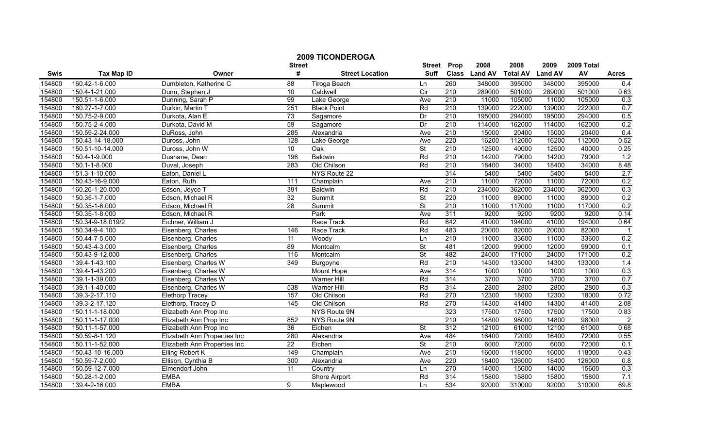|        |                                  |                              |                    | <b>2009 TICONDEROGA</b>           |                              |                  |                       |                         |                        |                  |                |
|--------|----------------------------------|------------------------------|--------------------|-----------------------------------|------------------------------|------------------|-----------------------|-------------------------|------------------------|------------------|----------------|
| Swis   | <b>Tax Map ID</b>                | Owner                        | <b>Street</b><br># | <b>Street Location</b>            | <b>Street</b><br><b>Suff</b> | Prop             | 2008<br>Class Land AV | 2008<br><b>Total AV</b> | 2009<br><b>Land AV</b> | 2009 Total<br>AV | <b>Acres</b>   |
|        |                                  |                              |                    |                                   |                              |                  |                       |                         |                        |                  |                |
| 154800 | 160.42-1-6.000                   | Dumbleton, Katherine C       | 88<br>10           | Tiroga Beach                      | Ln<br>$\overline{C}$         | 260<br>210       | 348000                | 395000                  | 348000                 | 395000<br>501000 | 0.4            |
| 154800 | 150.4-1-21.000<br>150.51-1-6.000 | Dunn, Stephen J              | 99                 | Caldwell                          |                              | 210              | 289000<br>11000       | 501000                  | 289000<br>11000        | 105000           | 0.63           |
| 154800 | 160.27-1-7.000                   | Dunning, Sarah P             | 251                | Lake George<br><b>Black Point</b> | Ave<br>Rd                    | 210              | 139000                | 105000<br>222000        | 139000                 | 222000           | 0.3<br>0.7     |
| 154800 |                                  | Durkin, Martin T             |                    |                                   |                              |                  |                       |                         |                        |                  |                |
| 154800 | 150.75-2-9.000                   | Durkota, Alan E              | 73                 | Sagamore                          | Dr                           | 210              | 195000                | 294000                  | 195000                 | 294000           | 0.5            |
| 154800 | 150.75-2-4.000                   | Durkota, David M             | 59                 | Sagamore                          | $\overline{Dr}$              | 210              | 114000                | 162000                  | 114000                 | 162000           | 0.2            |
| 154800 | 150.59-2-24.000                  | DuRoss, John                 | 285                | Alexandria                        | Ave                          | 210              | 15000                 | 20400                   | 15000                  | 20400            | 0.4            |
| 154800 | 150.43-14-18.000                 | Duross, John                 | 128                | Lake George                       | Ave                          | 220              | 16200                 | 112000                  | 16200                  | 112000           | 0.52           |
| 154800 | 150.51-10-14.000                 | Duross, John W               | 10                 | $\overline{Oak}$                  | St                           | 210              | 12500                 | 40000                   | 12500                  | 40000            | 0.25           |
| 154800 | 150.4-1-9.000                    | Dushane, Dean                | 196                | Baldwin                           | Rd                           | $\overline{210}$ | 14200                 | 79000                   | 14200                  | 79000            | 1.2            |
| 154800 | 150.1-1-8.000                    | Duval, Joseph                | 283                | Old Chilson                       | Rd                           | 210              | 18400                 | 34000                   | 18400                  | 34000            | 8.48           |
| 154800 | 151.3-1-10.000                   | Eaton, Daniel L              |                    | NYS Route 22                      |                              | 314              | 5400                  | 5400                    | 5400                   | 5400             | 2.7            |
| 154800 | 150.43-16-9.000                  | Eaton, Ruth                  | 111                | Champlain                         | Ave                          | 210              | 11000                 | 72000                   | 11000                  | 72000            | 0.2            |
| 154800 | 160.26-1-20.000                  | Edson, Joyce T               | 391                | Baldwin                           | Rd                           | 210              | 234000                | 362000                  | 234000                 | 362000           | 0.3            |
| 154800 | 150.35-1-7.000                   | Edson, Michael R             | $\overline{32}$    | Summit                            | St                           | 220              | 11000                 | 89000                   | 11000                  | 89000            | 0.2            |
| 154800 | 150.35-1-6.000                   | Edson, Michael R             | $\overline{28}$    | Summit                            | $\overline{\mathsf{St}}$     | 210              | 11000                 | 117000                  | 11000                  | 117000           | 0.2            |
| 154800 | 150.35-1-8.000                   | Edson, Michael R             |                    | Park                              | Ave                          | 311              | 9200                  | 9200                    | 9200                   | 9200             | 0.14           |
| 154800 | 150.34-9-18.019/2                | Eichner, William J           |                    | Race Track                        | Rd                           | 642              | 41000                 | 194000                  | 41000                  | 194000           | 0.64           |
| 154800 | 150.34-9-4.100                   | Eisenberg, Charles           | 146                | Race Track                        | Rd                           | 483              | 20000                 | 82000                   | 20000                  | 82000            | $\mathbf{1}$   |
| 154800 | 150.44-7-5.000                   | Eisenberg, Charles           | $\overline{11}$    | Woody                             | Ln                           | 210              | 11000                 | 33600                   | 11000                  | 33600            | 0.2            |
| 154800 | 150.43-4-3.000                   | Eisenberg, Charles           | 89                 | Montcalm                          | $\overline{\mathsf{St}}$     | 481              | 12000                 | 99000                   | 12000                  | 99000            | 0.1            |
| 154800 | 150.43-9-12.000                  | Eisenberg, Charles           | 116                | Montcalm                          | $\overline{\mathsf{St}}$     | 482              | 24000                 | 171000                  | 24000                  | 171000           | 0.2            |
| 154800 | 139.4-1-43.100                   | Eisenberg, Charles W         | 349                | Burgoyne                          | Rd                           | 210              | 14300                 | 133000                  | 14300                  | 133000           | 1.4            |
| 154800 | 139.4-1-43.200                   | Eisenberg, Charles W         |                    | Mount Hope                        | Ave                          | 314              | 1000                  | 1000                    | 1000                   | 1000             | 0.3            |
| 154800 | 139.1-1-39.000                   | Eisenberg, Charles W         |                    | <b>Warner Hill</b>                | Rd                           | 314              | 3700                  | 3700                    | 3700                   | 3700             | 0.7            |
| 154800 | 139.1-1-40.000                   | Eisenberg, Charles W         | 538                | <b>Warner Hill</b>                | Rd                           | 314              | 2800                  | 2800                    | 2800                   | 2800             | 0.3            |
| 154800 | 139.3-2-17.110                   | <b>Elethorp Tracey</b>       | 157                | Old Chilson                       | Rd                           | 270              | 12300                 | 18000                   | 12300                  | 18000            | 0.72           |
| 154800 | 139.3-2-17.120                   | Elethorp, Tracey D           | 145                | Old Chilson                       | Rd                           | 270              | 14300                 | 41400                   | 14300                  | 41400            | 2.08           |
| 154800 | 150.11-1-18.000                  | Elizabeth Ann Prop Inc       |                    | NYS Route 9N                      |                              | 323              | 17500                 | 17500                   | 17500                  | 17500            | 0.83           |
| 154800 | 150.11-1-17.000                  | Elizabeth Ann Prop Inc       | 852                | NYS Route 9N                      |                              | 210              | 14800                 | 98000                   | 14800                  | 98000            | $\overline{2}$ |
| 154800 | 150.11-1-57.000                  | Elizabeth Ann Prop Inc       | 36                 | Eichen                            | $\overline{\mathsf{St}}$     | 312              | 12100                 | 61000                   | 12100                  | 61000            | 0.68           |
| 154800 | 150.59-8-1.120                   | Elizabeth Ann Properties Inc | 280                | Alexandria                        | Ave                          | 484              | 16400                 | 72000                   | 16400                  | 72000            | 0.55           |
| 154800 | 150.11-1-52.000                  | Elizabeth Ann Properties Inc | 22                 | Eichen                            | <b>St</b>                    | 210              | 6000                  | 72000                   | 6000                   | 72000            | 0.1            |
| 154800 | 150.43-10-16.000                 | <b>Elling Robert K</b>       | 149                | Champlain                         | Ave                          | 210              | 16000                 | 118000                  | 16000                  | 118000           | 0.43           |
| 154800 | 150.59-7-2.000                   | Ellison, Cynthia B           | 300                | Alexandria                        | Ave                          | 220              | 18400                 | 126000                  | 18400                  | 126000           | 0.8            |
| 154800 | 150.59-12-7.000                  | Elmendorf John               | 11                 | Country                           | Ln                           | 270              | 14000                 | 15600                   | 14000                  | 15600            | 0.3            |
| 154800 | 150.28-1-2.000                   | <b>EMBA</b>                  |                    | Shore Airport                     | Rd                           | 314              | 15800                 | 15800                   | 15800                  | 15800            | 7.1            |
| 154800 | 139.4-2-16.000                   | <b>EMBA</b>                  | 9                  | Maplewood                         | Ln                           | 534              | 92000                 | 310000                  | 92000                  | 310000           | 69.8           |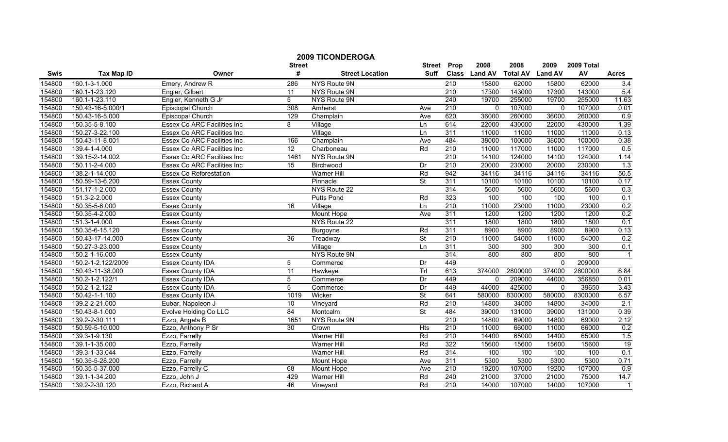|        |                    |                                    | <b>Street</b>   | <b>2009 TICONDEROGA</b>      | <b>Street</b>            | Prop             | 2008          | 2008                    | 2009     | 2009 Total |                  |
|--------|--------------------|------------------------------------|-----------------|------------------------------|--------------------------|------------------|---------------|-------------------------|----------|------------|------------------|
| Swis   | <b>Tax Map ID</b>  | Owner                              | #               | <b>Street Location</b>       | Suff                     |                  | Class Land AV | <b>Total AV Land AV</b> |          | AV         | <b>Acres</b>     |
| 154800 | 160.1-3-1.000      | Emery, Andrew R                    | 286             | NYS Route 9N                 |                          | $\overline{210}$ | 15800         | 62000                   | 15800    | 62000      | 3.4              |
| 154800 | 160.1-1-23.120     | Engler, Gilbert                    | $\overline{11}$ | NYS Route 9N                 |                          | $\overline{210}$ | 17300         | 143000                  | 17300    | 143000     | 5.4              |
| 154800 | 160.1-1-23.110     | Engler, Kenneth G Jr               | $\overline{5}$  | NYS Route 9N                 |                          | 240              | 19700         | 255000                  | 19700    | 255000     | 11.63            |
| 154800 | 150.43-16-5.000/1  | Episcopal Church                   | 308             | Amherst                      | Ave                      | 210              | $\Omega$      | 107000                  | $\Omega$ | 107000     | 0.01             |
| 154800 | 150.43-16-5.000    | Episcopal Church                   | 129             | Champlain                    | Ave                      | 620              | 36000         | 260000                  | 36000    | 260000     | 0.9              |
| 154800 | 150.35-5-8.100     | <b>Essex Co ARC Facilities Inc</b> | 8               | Village                      | Ln                       | 614              | 22000         | 430000                  | 22000    | 430000     | 1.39             |
| 154800 | 150.27-3-22.100    | <b>Essex Co ARC Facilities Inc</b> |                 | $\overline{\text{Village}}$  | Ln                       | 311              | 11000         | 11000                   | 11000    | 11000      | 0.13             |
| 154800 | 150.43-11-8.001    | <b>Essex Co ARC Facilities Inc</b> | 166             | Champlain                    | Ave                      | 484              | 38000         | 100000                  | 38000    | 100000     | 0.38             |
| 154800 | 139.4-1-4.000      | Essex Co ARC Facilities Inc        | $\overline{12}$ | Charboneau                   | Rd                       | $\overline{210}$ | 11000         | 117000                  | 11000    | 117000     | 0.5              |
| 154800 | 139.15-2-14.002    | Essex Co ARC Facilities Inc        | 1461            | NYS Route 9N                 |                          | $\overline{210}$ | 14100         | 124000                  | 14100    | 124000     | 1.14             |
| 154800 | 150.11-2-4.000     | Essex Co ARC Facilities Inc        | 15              | Birchwood                    | Dr                       | $\overline{210}$ | 20000         | 230000                  | 20000    | 230000     | 1.3              |
| 154800 | 138.2-1-14.000     | Essex Co Reforestation             |                 | Warner Hill                  | Rd                       | 942              | 34116         | 34116                   | 34116    | 34116      | 50.5             |
| 154800 | 150.59-13-6.200    | <b>Essex County</b>                |                 | Pinnacle                     | $\overline{\mathsf{St}}$ | 311              | 10100         | 10100                   | 10100    | 10100      | 0.17             |
| 154800 | 151.17-1-2.000     | <b>Essex County</b>                |                 | NYS Route 22                 |                          | 314              | 5600          | 5600                    | 5600     | 5600       | 0.3              |
| 154800 | 151.3-2-2.000      | <b>Essex County</b>                |                 | <b>Putts Pond</b>            | Rd                       | 323              | 100           | 100                     | 100      | 100        | 0.1              |
| 154800 | 150.35-5-6.000     | <b>Essex County</b>                | 16              | Village                      | Ln                       | 210              | 11000         | 23000                   | 11000    | 23000      | 0.2              |
| 154800 | 150.35-4-2.000     | <b>Essex County</b>                |                 | Mount Hope                   | Ave                      | 311              | 1200          | 1200                    | 1200     | 1200       | 0.2              |
| 154800 | 151.3-1-4.000      | <b>Essex County</b>                |                 | NYS Route 22                 |                          | 311              | 1800          | 1800                    | 1800     | 1800       | 0.1              |
| 154800 | 150.35-6-15.120    | <b>Essex County</b>                |                 | Burgoyne                     | Rd                       | 311              | 8900          | 8900                    | 8900     | 8900       | 0.13             |
| 154800 | 150.43-17-14.000   | <b>Essex County</b>                | 36              | Treadway                     | $\overline{\mathsf{St}}$ | 210              | 11000         | 54000                   | 11000    | 54000      | 0.2              |
| 154800 | 150.27-3-23.000    | <b>Essex County</b>                |                 | $\overline{\text{V}}$ illage | Ln                       | 311              | 300           | 300                     | 300      | 300        | 0.1              |
| 154800 | 150.2-1-16.000     | <b>Essex County</b>                |                 | NYS Route 9N                 |                          | 314              | 800           | 800                     | 800      | 800        | $\mathbf{1}$     |
| 154800 | 150.2-1-2.122/2009 | Essex County IDA                   | 5               | Commerce                     | Dr                       | 449              |               |                         | $\Omega$ | 209000     |                  |
| 154800 | 150.43-11-38.000   | <b>Essex County IDA</b>            | 11              | Hawkeye                      | Trl                      | 613              | 374000        | 2800000                 | 374000   | 2800000    | 6.84             |
| 154800 | 150.2-1-2.122/1    | <b>Essex County IDA</b>            | 5               | Commerce                     | Dr                       | 449              | $\Omega$      | 209000                  | 44000    | 356850     | 0.01             |
| 154800 | 150.2-1-2.122      | Essex County IDA                   | 5               | Commerce                     | Dr                       | 449              | 44000         | 425000                  | $\Omega$ | 39650      | 3.43             |
| 154800 | 150.42-1-1.100     | Essex County IDA                   | 1019            | Wicker                       | St                       | 641              | 580000        | 8300000                 | 580000   | 8300000    | 6.57             |
| 154800 | 139.2-2-21.000     | Eubar, Napoleon J                  | 10              | Vineyard                     | Rd                       | 210              | 14800         | 34000                   | 14800    | 34000      | 2.1              |
| 154800 | 150.43-8-1.000     | <b>Evolve Holding Co LLC</b>       | 84              | Montcalm                     | <b>St</b>                | 484              | 39000         | 131000                  | 39000    | 131000     | 0.39             |
| 154800 | 139.2-2-30.111     | Ezzo, Angela B                     | 1651            | NYS Route 9N                 |                          | 210              | 14800         | 69000                   | 14800    | 69000      | 2.12             |
| 154800 | 150.59-5-10.000    | Ezzo, Anthony P Sr                 | 30              | Crown                        | Hts                      | 210              | 11000         | 66000                   | 11000    | 66000      | 0.2              |
| 154800 | 139.3-1-9.130      | Ezzo, Farrelly                     |                 | <b>Warner Hill</b>           | Rd                       | 210              | 14400         | 65000                   | 14400    | 65000      | 1.5              |
| 154800 | 139.1-1-35.000     | Ezzo, Farrelly                     |                 | <b>Warner Hill</b>           | Rd                       | 322              | 15600         | 15600                   | 15600    | 15600      | 19               |
| 154800 | 139.3-1-33.044     | Ezzo, Farrelly                     |                 | <b>Warner Hill</b>           | Rd                       | 314              | 100           | 100                     | 100      | 100        | 0.1              |
| 154800 | 150.35-5-28.200    | Ezzo, Farrelly                     |                 | Mount Hope                   | Ave                      | 311              | 5300          | 5300                    | 5300     | 5300       | 0.71             |
| 154800 | 150.35-5-37.000    | Ezzo, Farrelly C                   | 68              | Mount Hope                   | Ave                      | 210              | 19200         | 107000                  | 19200    | 107000     | $\overline{0.9}$ |
| 154800 | 139.1-1-34.200     | Ezzo, John J                       | 429             | Warner Hill                  | Rd                       | 240              | 21000         | 37000                   | 21000    | 75000      | 14.7             |
| 154800 | 139.2-2-30.120     | Ezzo, Richard A                    | 46              | Vineyard                     | Rd                       | 210              | 14000         | 107000                  | 14000    | 107000     | $\mathbf 1$      |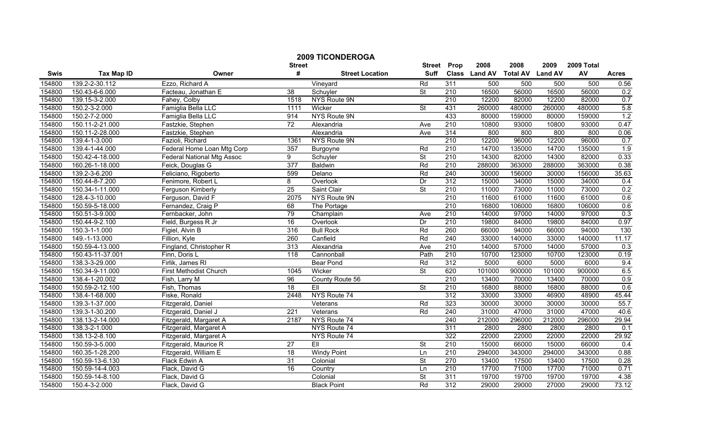|        |                   |                            | <b>Street</b>   | <b>2009 TICONDEROGA</b> | <b>Street</b>            | Prop             | 2008          | 2008            | 2009           | 2009 Total |              |
|--------|-------------------|----------------------------|-----------------|-------------------------|--------------------------|------------------|---------------|-----------------|----------------|------------|--------------|
| Swis   | <b>Tax Map ID</b> | Owner                      | #               | <b>Street Location</b>  | <b>Suff</b>              |                  | Class Land AV | <b>Total AV</b> | <b>Land AV</b> | AV         | <b>Acres</b> |
| 154800 | 139.2-2-30.112    | Ezzo, Richard A            |                 | Vineyard                | Rd                       | 311              | 500           | 500             | 500            | 500        | 0.56         |
| 154800 | 150.43-6-6.000    | Facteau, Jonathan E        | $\overline{38}$ | Schuyler                | $\overline{\mathsf{St}}$ | 210              | 16500         | 56000           | 16500          | 56000      | 0.2          |
| 154800 | 139.15-3-2.000    | Fahey, Colby               | 1518            | NYS Route 9N            |                          | 210              | 12200         | 82000           | 12200          | 82000      | 0.7          |
| 154800 | 150.2-3-2.000     | Famiglia Bella LLC         | 1111            | Wicker                  | $\overline{\mathsf{St}}$ | 431              | 260000        | 480000          | 260000         | 480000     | 5.8          |
| 154800 | 150.2-7-2.000     | Famiglia Bella LLC         | 914             | NYS Route 9N            |                          | 433              | 80000         | 159000          | 80000          | 159000     | 1.2          |
| 154800 | 150.11-2-21.000   | Fastzkie, Stephen          | 72              | Alexandria              | Ave                      | 210              | 10800         | 93000           | 10800          | 93000      | 0.47         |
| 154800 | 150.11-2-28.000   | Fastzkie, Stephen          |                 | Alexandria              | Ave                      | 314              | 800           | 800             | 800            | 800        | 0.06         |
| 154800 | 139.4-1-3.000     | Fazioli, Richard           | 1361            | NYS Route 9N            |                          | 210              | 12200         | 96000           | 12200          | 96000      | 0.7          |
| 154800 | 139.4-1-44.000    | Federal Home Loan Mtg Corp | 357             | Burgoyne                | Rd                       | $\overline{210}$ | 14700         | 135000          | 14700          | 135000     | 1.9          |
| 154800 | 150.42-4-18.000   | Federal National Mtg Assoc | 9               | Schuyler                | $\overline{\mathsf{St}}$ | $\overline{210}$ | 14300         | 82000           | 14300          | 82000      | 0.33         |
| 154800 | 160.26-1-18.000   | Feick, Douglas G           | 377             | <b>Baldwin</b>          | Rd                       | 210              | 288000        | 363000          | 288000         | 363000     | 0.38         |
| 154800 | 139.2-3-6.200     | Feliciano, Rigoberto       | 599             | Delano                  | Rd                       | 240              | 30000         | 156000          | 30000          | 156000     | 35.63        |
| 154800 | 150.44-8-7.200    | Fenimore, Robert L         | 8               | Overlook                | Dr                       | 312              | 15000         | 34000           | 15000          | 34000      | 0.4          |
| 154800 | 150.34-1-11.000   | Ferguson Kimberly          | 25              | Saint Clair             | <b>St</b>                | 210              | 11000         | 73000           | 11000          | 73000      | 0.2          |
| 154800 | 128.4-3-10.000    | Ferguson, David F          | 2075            | NYS Route 9N            |                          | 210              | 11600         | 61000           | 11600          | 61000      | 0.6          |
| 154800 | 150.59-5-18.000   | Fernandez, Craig P         | 68              | The Portage             |                          | 210              | 16800         | 106000          | 16800          | 106000     | 0.6          |
| 154800 | 150.51-3-9.000    | Fernbacker, John           | 79              | Champlain               | Ave                      | 210              | 14000         | 97000           | 14000          | 97000      | 0.3          |
| 154800 | 150.44-9-2.100    | Field, Burgess R Jr        | 16              | Overlook                | Dr                       | 210              | 19800         | 84000           | 19800          | 84000      | 0.97         |
| 154800 | 150.3-1-1.000     | Figiel, Alvin B            | 316             | <b>Bull Rock</b>        | Rd                       | 260              | 66000         | 94000           | 66000          | 94000      | 130          |
| 154800 | 149.-1-13.000     | Fillion, Kyle              | 260             | Canfield                | Rd                       | 240              | 33000         | 140000          | 33000          | 140000     | 11.17        |
| 154800 | 150.59-4-13.000   | Fingland, Christopher R    | 313             | Alexandria              | Ave                      | 210              | 14000         | 57000           | 14000          | 57000      | 0.3          |
| 154800 | 150.43-11-37.001  | Finn, Doris L              | 118             | Cannonball              | Path                     | 210              | 10700         | 123000          | 10700          | 123000     | 0.19         |
| 154800 | 138.3-3-29.000    | Firlik, James RI           |                 | <b>Bear Pond</b>        | Rd                       | 312              | 5000          | 6000            | 5000           | 6000       | 9.4          |
| 154800 | 150.34-9-11.000   | First Methodist Church     | 1045            | Wicker                  | <b>St</b>                | 620              | 101000        | 900000          | 101000         | 900000     | 6.5          |
| 154800 | 138.4-1-20.002    | Fish, Larry M              | 96              | County Route 56         |                          | 210              | 13400         | 70000           | 13400          | 70000      | 0.9          |
| 154800 | 150.59-2-12.100   | Fish, Thomas               | 18              | EII                     | $\overline{\mathsf{St}}$ | $\overline{210}$ | 16800         | 88000           | 16800          | 88000      | 0.6          |
| 154800 | 138.4-1-68.000    | Fiske, Ronald              | 2448            | NYS Route 74            |                          | 312              | 33000         | 33000           | 46900          | 48900      | 45.44        |
| 154800 | 139.3-1-37.000    | Fitzgerald, Daniel         |                 | Veterans                | Rd                       | 323              | 30000         | 30000           | 30000          | 30000      | 55.7         |
| 154800 | 139.3-1-30.200    | Fitzgerald, Daniel J       | 221             | Veterans                | Rd                       | 240              | 31000         | 47000           | 31000          | 47000      | 40.6         |
| 154800 | 138.13-2-14.000   | Fitzgerald, Margaret A     | 2187            | NYS Route 74            |                          | 240              | 212000        | 296000          | 212000         | 296000     | 29.94        |
| 154800 | 138.3-2-1.000     | Fitzgerald, Margaret A     |                 | NYS Route 74            |                          | 311              | 2800          | 2800            | 2800           | 2800       | 0.1          |
| 154800 | 138.13-2-8.100    | Fitzgerald, Margaret A     |                 | NYS Route 74            |                          | 322              | 22000         | 22000           | 22000          | 22000      | 29.92        |
| 154800 | 150.59-3-5.000    | Fitzgerald, Maurice R      | 27              | EII                     | St                       | 210              | 15000         | 66000           | 15000          | 66000      | 0.4          |
| 154800 | 160.35-1-28.200   | Fitzgerald, William E      | $\overline{18}$ | <b>Windy Point</b>      | Ln                       | 210              | 294000        | 343000          | 294000         | 343000     | 0.88         |
| 154800 | 150.59-13-6.130   | Flack Edwin A              | 31              | Colonial                | St                       | 270              | 13400         | 17500           | 13400          | 17500      | 0.28         |
| 154800 | 150.59-14-4.003   | Flack, David G             | 16              | Country                 | Ln                       | 210              | 17700         | 71000           | 17700          | 71000      | 0.71         |
| 154800 | 150.59-14-8.100   | Flack, David G             |                 | Colonial                | $\overline{\mathsf{St}}$ | 311              | 19700         | 19700           | 19700          | 19700      | 4.38         |
| 154800 | 150.4-3-2.000     | Flack, David G             |                 | <b>Black Point</b>      | Rd                       | 312              | 29000         | 29000           | 27000          | 29000      | 73.12        |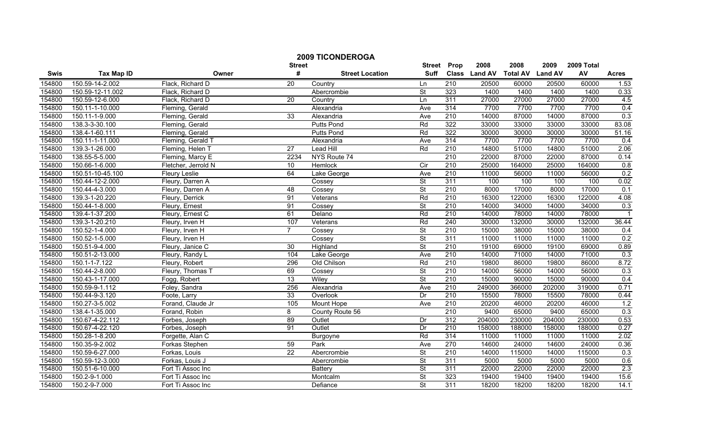|        |                   |                     |                    | <b>2009 TICONDEROGA</b> |                              |                  |                       |                         |                        |                  |              |
|--------|-------------------|---------------------|--------------------|-------------------------|------------------------------|------------------|-----------------------|-------------------------|------------------------|------------------|--------------|
| Swis   | <b>Tax Map ID</b> | Owner               | <b>Street</b><br># | <b>Street Location</b>  | <b>Street</b><br><b>Suff</b> | Prop             | 2008<br>Class Land AV | 2008<br><b>Total AV</b> | 2009<br><b>Land AV</b> | 2009 Total<br>AV | <b>Acres</b> |
| 154800 | 150.59-14-2.002   | Flack, Richard D    | $\overline{20}$    | Country                 | Ln                           | 210              | 20500                 | 60000                   | 20500                  | 60000            | 1.53         |
| 154800 | 150.59-12-11.002  | Flack, Richard D    |                    | Abercrombie             | $\overline{\mathsf{St}}$     | 323              | 1400                  | 1400                    | 1400                   | 1400             | 0.33         |
| 154800 | 150.59-12-6.000   | Flack, Richard D    | 20                 | Country                 | Ln                           | 311              | 27000                 | 27000                   | 27000                  | 27000            | 4.5          |
| 154800 | 150.11-1-10.000   | Fleming, Gerald     |                    | Alexandria              | Ave                          | 314              | 7700                  | 7700                    | 7700                   | 7700             | 0.4          |
| 154800 | 150.11-1-9.000    | Fleming, Gerald     | 33                 | Alexandria              | Ave                          | 210              | 14000                 | 87000                   | 14000                  | 87000            | 0.3          |
| 154800 | 138.3-3-30.100    | Fleming, Gerald     |                    | <b>Putts Pond</b>       | Rd                           | 322              | 33000                 | 33000                   | 33000                  | 33000            | 83.08        |
| 154800 | 138.4-1-60.111    | Fleming, Gerald     |                    | <b>Putts Pond</b>       | Rd                           | 322              | 30000                 | 30000                   | 30000                  | 30000            | 51.16        |
| 154800 | 150.11-1-11.000   | Fleming, Gerald T   |                    | Alexandria              | Ave                          | 314              | 7700                  | 7700                    | 7700                   | 7700             | 0.4          |
| 154800 | 139.3-1-26.000    | Fleming, Helen T    | $\overline{27}$    | <b>Lead Hill</b>        | Rd                           | $\overline{210}$ | 14800                 | 51000                   | 14800                  | 51000            | 2.06         |
| 154800 | 138.55-5-5.000    | Fleming, Marcy E    | 2234               | NYS Route 74            |                              | 210              | 22000                 | 87000                   | 22000                  | 87000            | 0.14         |
| 154800 | 150.66-1-6.000    | Fletcher, Jerrold N | 10                 | Hemlock                 | $\overline{C}$               | 210              | 25000                 | 164000                  | 25000                  | 164000           | 0.8          |
| 154800 | 150.51-10-45.100  | Fleury Leslie       | 64                 | Lake George             | Ave                          | 210              | 11000                 | 56000                   | 11000                  | 56000            | 0.2          |
| 154800 | 150.44-12-2.000   | Fleury, Darren A    |                    | Cossey                  | $\overline{\mathsf{St}}$     | 311              | 100                   | 100                     | 100                    | 100              | 0.02         |
| 154800 | 150.44-4-3.000    | Fleury, Darren A    | 48                 | Cossey                  | $\overline{\mathsf{St}}$     | 210              | 8000                  | 17000                   | 8000                   | 17000            | 0.1          |
| 154800 | 139.3-1-20.220    | Fleury, Derrick     | 91                 | Veterans                | Rd                           | 210              | 16300                 | 122000                  | 16300                  | 122000           | 4.08         |
| 154800 | 150.44-1-8.000    | Fleury, Ernest      | 91                 | Cossey                  | <b>St</b>                    | 210              | 14000                 | 34000                   | 14000                  | 34000            | 0.3          |
| 154800 | 139.4-1-37.200    | Fleury, Ernest C    | 61                 | Delano                  | Rd                           | 210              | 14000                 | 78000                   | 14000                  | 78000            |              |
| 154800 | 139.3-1-20.210    | Fleury, Irven H     | 107                | Veterans                | Rd                           | 240              | 30000                 | 132000                  | 30000                  | 132000           | 36.44        |
| 154800 | 150.52-1-4.000    | Fleury, Irven H     | $\overline{7}$     | Cossey                  | St                           | 210              | 15000                 | 38000                   | 15000                  | 38000            | 0.4          |
| 154800 | 150.52-1-5.000    | Fleury, Irven H     |                    | Cossey                  | $\overline{\mathsf{St}}$     | 311              | 11000                 | 11000                   | 11000                  | 11000            | 0.2          |
| 154800 | 150.51-9-4.000    | Fleury, Janice C    | 30                 | Highland                | $\overline{\mathsf{St}}$     | $\overline{210}$ | 19100                 | 69000                   | 19100                  | 69000            | 0.89         |
| 154800 | 150.51-2-13.000   | Fleury, Randy L     | 104                | Lake George             | Ave                          | 210              | 14000                 | 71000                   | 14000                  | 71000            | 0.3          |
| 154800 | 150.1-1-7.122     | Fleury, Robert      | 296                | Old Chilson             | Rd                           | 210              | 19800                 | 86000                   | 19800                  | 86000            | 8.72         |
| 154800 | 150.44-2-8.000    | Fleury, Thomas T    | 69                 | Cossey                  | <b>St</b>                    | 210              | 14000                 | 56000                   | 14000                  | 56000            | 0.3          |
| 154800 | 150.43-1-17.000   | Fogg, Robert        | $\overline{13}$    | Wiley                   | St                           | 210              | 15000                 | 90000                   | 15000                  | 90000            | 0.4          |
| 154800 | 150.59-9-1.112    | Foley, Sandra       | 256                | Alexandria              | Ave                          | 210              | 249000                | 366000                  | 202000                 | 319000           | 0.71         |
| 154800 | 150.44-9-3.120    | Foote, Larry        | 33                 | Overlook                | Dr                           | 210              | 15500                 | 78000                   | 15500                  | 78000            | 0.44         |
| 154800 | 150.27-3-5.002    | Forand, Claude Jr   | 105                | Mount Hope              | Ave                          | 210              | 20200                 | 46000                   | 20200                  | 46000            | 1.2          |
| 154800 | 138.4-1-35.000    | Forand, Robin       | 8                  | County Route 56         |                              | 210              | 9400                  | 65000                   | 9400                   | 65000            | 0.3          |
| 154800 | 150.67-4-22.112   | Forbes, Joseph      | 89                 | Outlet                  | Dr                           | 312              | 204000                | 230000                  | 204000                 | 230000           | 0.53         |
| 154800 | 150.67-4-22.120   | Forbes, Joseph      | 91                 | Outlet                  | Dr                           | 210              | 158000                | 188000                  | 158000                 | 188000           | 0.27         |
| 154800 | 150.28-1-8.200    | Forgette, Alan C    |                    | Burgoyne                | Rd                           | 314              | 11000                 | 11000                   | 11000                  | 11000            | 2.02         |
| 154800 | 150.35-9-2.002    | Forkas Stephen      | 59                 | Park                    | Ave                          | 270              | 14600                 | 24000                   | 14600                  | 24000            | 0.36         |
| 154800 | 150.59-6-27.000   | Forkas, Louis       | 22                 | Abercrombie             | $\overline{\mathsf{St}}$     | $\overline{210}$ | 14000                 | 115000                  | 14000                  | 115000           | 0.3          |
| 154800 | 150.59-12-3.000   | Forkas, Louis J     |                    | Abercrombie             | $\overline{\mathsf{St}}$     | 311              | 5000                  | 5000                    | 5000                   | 5000             | 0.6          |
| 154800 | 150.51-6-10.000   | Fort Ti Assoc Inc   |                    | <b>Battery</b>          | St                           | 311              | 22000                 | 22000                   | 22000                  | 22000            | 2.3          |
| 154800 | 150.2-9-1.000     | Fort Ti Assoc Inc   |                    | Montcalm                | $\overline{\mathsf{St}}$     | 323              | 19400                 | 19400                   | 19400                  | 19400            | 15.6         |
| 154800 | 150.2-9-7.000     | Fort Ti Assoc Inc   |                    | Defiance                | $\overline{\mathsf{St}}$     | 311              | 18200                 | 18200                   | 18200                  | 18200            | 14.1         |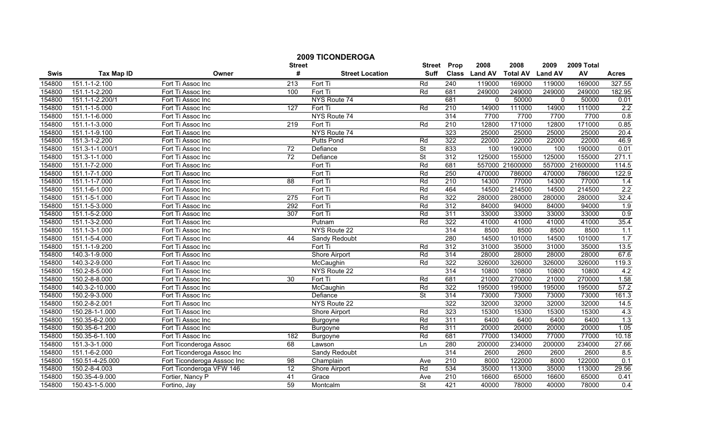|        |                   |                             | <b>2009 TICONDEROGA</b><br><b>Street</b> | <b>Street</b>          | Prop                     | 2008             | 2008          | 2009            | 2009 Total     |          |              |
|--------|-------------------|-----------------------------|------------------------------------------|------------------------|--------------------------|------------------|---------------|-----------------|----------------|----------|--------------|
| Swis   | <b>Tax Map ID</b> | Owner                       | #                                        | <b>Street Location</b> | <b>Suff</b>              |                  | Class Land AV | <b>Total AV</b> | <b>Land AV</b> | AV       | <b>Acres</b> |
| 154800 | 151.1-1-2.100     | Fort Ti Assoc Inc           | 213                                      | Fort Ti                | Rd                       | 240              | 119000        | 169000          | 119000         | 169000   | 327.55       |
| 154800 | 151.1-1-2.200     | Fort Ti Assoc Inc           | 100                                      | Fort Ti                | Rd                       | 681              | 249000        | 249000          | 249000         | 249000   | 182.95       |
| 154800 | 151.1-1-2.200/1   | Fort Ti Assoc Inc           |                                          | NYS Route 74           |                          | 681              | $\Omega$      | 50000           | $\Omega$       | 50000    | 0.01         |
| 154800 | 151.1-1-5.000     | Fort Ti Assoc Inc           | 127                                      | Fort Ti                | Rd                       | 210              | 14900         | 111000          | 14900          | 111000   | 2.2          |
| 154800 | 151.1-1-6.000     | Fort Ti Assoc Inc           |                                          | NYS Route 74           |                          | 314              | 7700          | 7700            | 7700           | 7700     | 0.8          |
| 154800 | 151.1-1-3.000     | Fort Ti Assoc Inc           | 219                                      | Fort Ti                | Rd                       | 210              | 12800         | 171000          | 12800          | 171000   | 0.85         |
| 154800 | 151.1-1-9.100     | Fort Ti Assoc Inc           |                                          | NYS Route 74           |                          | 323              | 25000         | 25000           | 25000          | 25000    | 20.4         |
| 154800 | 151.3-1-2.200     | Fort Ti Assoc Inc           |                                          | <b>Putts Pond</b>      | Rd                       | 322              | 22000         | 22000           | 22000          | 22000    | 46.9         |
| 154800 | 151.3-1-1.000/1   | Fort Ti Assoc Inc           | $\overline{72}$                          | Defiance               | $\overline{\mathsf{St}}$ | 833              | 100           | 190000          | 100            | 190000   | 0.01         |
| 154800 | 151.3-1-1.000     | Fort Ti Assoc Inc           | 72                                       | Defiance               | <b>St</b>                | 312              | 125000        | 155000          | 125000         | 155000   | 271.1        |
| 154800 | 151.1-7-2.000     | Fort Ti Assoc Inc           |                                          | Fort Ti                | Rd                       | 681              |               | 557000 21600000 | 557000         | 21600000 | 114.5        |
| 154800 | 151.1-7-1.000     | Fort Ti Assoc Inc           |                                          | Fort Ti                | Rd                       | 250              | 470000        | 786000          | 470000         | 786000   | 122.9        |
| 154800 | 151.1-1-7.000     | Fort Ti Assoc Inc           | 88                                       | Fort Ti                | Rd                       | $\overline{210}$ | 14300         | 77000           | 14300          | 77000    | 1.4          |
| 154800 | 151.1-6-1.000     | Fort Ti Assoc Inc           |                                          | Fort Ti                | Rd                       | 464              | 14500         | 214500          | 14500          | 214500   | 2.2          |
| 154800 | 151.1-5-1.000     | Fort Ti Assoc Inc           | 275                                      | Fort Ti                | Rd                       | 322              | 280000        | 280000          | 280000         | 280000   | 32.4         |
| 154800 | 151.1-5-3.000     | Fort Ti Assoc Inc           | 292                                      | Fort Ti                | Rd                       | 312              | 84000         | 94000           | 84000          | 94000    | 1.9          |
| 154800 | 151.1-5-2.000     | Fort Ti Assoc Inc           | 307                                      | Fort Ti                | Rd                       | 311              | 33000         | 33000           | 33000          | 33000    | 0.9          |
| 154800 | 151.1-3-2.000     | Fort Ti Assoc Inc           |                                          | Putnam                 | Rd                       | 322              | 41000         | 41000           | 41000          | 41000    | 35.4         |
| 154800 | 151.1-3-1.000     | Fort Ti Assoc Inc           |                                          | NYS Route 22           |                          | 314              | 8500          | 8500            | 8500           | 8500     | 1.1          |
| 154800 | 151.1-5-4.000     | Fort Ti Assoc Inc           | 44                                       | <b>Sandy Redoubt</b>   |                          | 280              | 14500         | 101000          | 14500          | 101000   | 1.7          |
| 154800 | 151.1-1-9.200     | Fort Ti Assoc Inc           |                                          | Fort Ti                | Rd                       | 312              | 31000         | 35000           | 31000          | 35000    | 13.5         |
| 154800 | 140.3-1-9.000     | Fort Ti Assoc Inc           |                                          | Shore Airport          | Rd                       | 314              | 28000         | 28000           | 28000          | 28000    | 67.6         |
| 154800 | 140.3-2-9.000     | Fort Ti Assoc Inc           |                                          | McCaughin              | Rd                       | 322              | 326000        | 326000          | 326000         | 326000   | 119.3        |
| 154800 | 150.2-8-5.000     | Fort Ti Assoc Inc           |                                          | NYS Route 22           |                          | 314              | 10800         | 10800           | 10800          | 10800    | 4.2          |
| 154800 | 150.2-8-8.000     | Fort Ti Assoc Inc           | $\overline{30}$                          | Fort Ti                | Rd                       | 681              | 21000         | 270000          | 21000          | 270000   | 1.58         |
| 154800 | 140.3-2-10.000    | Fort Ti Assoc Inc           |                                          | McCaughin              | Rd                       | 322              | 195000        | 195000          | 195000         | 195000   | 57.2         |
| 154800 | 150.2-9-3.000     | Fort Ti Assoc Inc           |                                          | Defiance               | $\overline{\mathsf{St}}$ | 314              | 73000         | 73000           | 73000          | 73000    | 161.3        |
| 154800 | 150.2-8-2.001     | Fort Ti Assoc Inc           |                                          | NYS Route 22           |                          | 322              | 32000         | 32000           | 32000          | 32000    | 14.5         |
| 154800 | 150.28-1-1.000    | Fort Ti Assoc Inc           |                                          | <b>Shore Airport</b>   | Rd                       | 323              | 15300         | 15300           | 15300          | 15300    | 4.3          |
| 154800 | 150.35-6-2.000    | Fort Ti Assoc Inc           |                                          | Burgoyne               | Rd                       | 311              | 6400          | 6400            | 6400           | 6400     | 1.3          |
| 154800 | 150.35-6-1.200    | Fort Ti Assoc Inc           |                                          | Burgoyne               | Rd                       | 311              | 20000         | 20000           | 20000          | 20000    | 1.05         |
| 154800 | 150.35-6-1.100    | Fort Ti Assoc Inc           | 182                                      | Burgoyne               | Rd                       | 681              | 77000         | 134000          | 77000          | 77000    | 10.18        |
| 154800 | 151.3-3-1.000     | Fort Ticonderoga Assoc      | 68                                       | Lawson                 | Ln                       | 280              | 200000        | 234000          | 200000         | 234000   | 27.66        |
| 154800 | 151.1-6-2.000     | Fort Ticonderoga Assoc Inc  |                                          | Sandy Redoubt          |                          | 314              | 2600          | 2600            | 2600           | 2600     | 8.5          |
| 154800 | 150.51-4-25.000   | Fort Ticonderoga Asssoc Inc | 98                                       | Champlain              | Ave                      | $\overline{210}$ | 8000          | 122000          | 8000           | 122000   | 0.1          |
| 154800 | 150.2-8-4.003     | Fort Ticonderoga VFW 146    | 12                                       | Shore Airport          | Rd                       | 534              | 35000         | 113000          | 35000          | 113000   | 29.56        |
| 154800 | 150.35-4-9.000    | Fortier, Nancy P            | 41                                       | Grace                  | Ave                      | 210              | 16600         | 65000           | 16600          | 65000    | 0.41         |
| 154800 | 150.43-1-5.000    | Fortino, Jay                | 59                                       | Montcalm               | $\overline{\mathsf{St}}$ | 421              | 40000         | 78000           | 40000          | 78000    | 0.4          |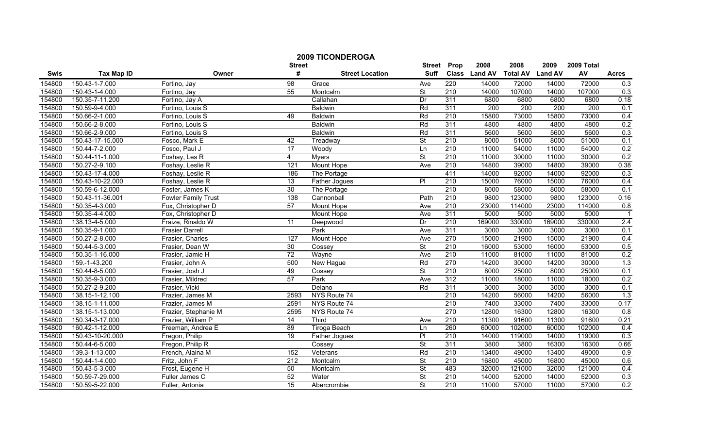|        |                   |                            | <b>2009 TICONDEROGA</b> |                        |                              |                  |                       |                         |                        |                  |                |
|--------|-------------------|----------------------------|-------------------------|------------------------|------------------------------|------------------|-----------------------|-------------------------|------------------------|------------------|----------------|
| Swis   | <b>Tax Map ID</b> | Owner                      | <b>Street</b><br>#      | <b>Street Location</b> | <b>Street</b><br><b>Suff</b> | Prop             | 2008<br>Class Land AV | 2008<br><b>Total AV</b> | 2009<br><b>Land AV</b> | 2009 Total<br>AV | <b>Acres</b>   |
| 154800 | 150.43-1-7.000    | Fortino, Jay               | 98                      | Grace                  | Ave                          | 220              | 14000                 | 72000                   | 14000                  | 72000            | 0.3            |
| 154800 | 150.43-1-4.000    | Fortino, Jay               | 55                      | Montcalm               | St                           | 210              | 14000                 | 107000                  | 14000                  | 107000           | 0.3            |
| 154800 | 150.35-7-11.200   | Fortino, Jay A             |                         | Callahan               | Dr                           | 311              | 6800                  | 6800                    | 6800                   | 6800             | 0.18           |
| 154800 | 150.59-9-4.000    | Fortino, Louis S           |                         | <b>Baldwin</b>         | Rd                           | 311              | 200                   | 200                     | 200                    | 200              | 0.1            |
| 154800 | 150.66-2-1.000    | Fortino, Louis S           | 49                      | <b>Baldwin</b>         | Rd                           | 210              | 15800                 | 73000                   | 15800                  | 73000            | 0.4            |
| 154800 | 150.66-2-8.000    | Fortino, Louis S           |                         | <b>Baldwin</b>         | Rd                           | 311              | 4800                  | 4800                    | 4800                   | 4800             | 0.2            |
| 154800 | 150.66-2-9.000    | Fortino, Louis S           |                         | <b>Baldwin</b>         | Rd                           | 311              | 5600                  | 5600                    | 5600                   | 5600             | 0.3            |
| 154800 | 150.43-17-15.000  | Fosco, Mark E              | 42                      | Treadway               | <b>St</b>                    | 210              | 8000                  | 51000                   | 8000                   | 51000            | 0.1            |
| 154800 | 150.44-7-2.000    | Fosco, Paul J              | $\overline{17}$         | Woody                  | Ln                           | 210              | 11000                 | 54000                   | 11000                  | 54000            | 0.2            |
| 154800 | 150.44-11-1.000   | Foshay, Les R              | 4                       | <b>Myers</b>           | <b>St</b>                    | 210              | 11000                 | 30000                   | 11000                  | 30000            | 0.2            |
| 154800 | 150.27-2-9.100    | Foshay, Leslie R           | 121                     | Mount Hope             | Ave                          | $\overline{210}$ | 14800                 | 39000                   | 14800                  | 39000            | 0.38           |
| 154800 | 150.43-17-4.000   | Foshay, Leslie R           | 186                     | The Portage            |                              | 411              | 14000                 | 92000                   | 14000                  | 92000            | 0.3            |
| 154800 | 150.43-10-22.000  | Foshay, Leslie R           | $\overline{13}$         | Father Jogues          | $\overline{PI}$              | 210              | 15000                 | 76000                   | 15000                  | 76000            | 0.4            |
| 154800 | 150.59-6-12.000   | Foster, James K            | 30                      | The Portage            |                              | 210              | 8000                  | 58000                   | 8000                   | 58000            | 0.1            |
| 154800 | 150.43-11-36.001  | <b>Fowler Family Trust</b> | 138                     | Cannonball             | Path                         | 210              | 9800                  | 123000                  | 9800                   | 123000           | 0.16           |
| 154800 | 150.35-4-3.000    | Fox, Christopher D         | 57                      | Mount Hope             | Ave                          | 210              | 23000                 | 114000                  | 23000                  | 114000           | 0.8            |
| 154800 | 150.35-4-4.000    | Fox, Christopher D         |                         | Mount Hope             | Ave                          | 311              | 5000                  | 5000                    | 5000                   | 5000             | $\overline{1}$ |
| 154800 | 138.13-4-5.000    | Fraize, Rinaldo W          | 11                      | Deepwood               | Dr                           | 210              | 169000                | 330000                  | 169000                 | 330000           | 2.4            |
| 154800 | 150.35-9-1.000    | <b>Frasier Darrell</b>     |                         | Park                   | Ave                          | 311              | 3000                  | 3000                    | 3000                   | 3000             | 0.1            |
| 154800 | 150.27-2-8.000    | Frasier, Charles           | 127                     | <b>Mount Hope</b>      | Ave                          | 270              | 15000                 | 21900                   | 15000                  | 21900            | 0.4            |
| 154800 | 150.44-5-3.000    | Frasier, Dean W            | 30                      | Cossey                 | $\overline{\mathsf{St}}$     | $\overline{210}$ | 16000                 | 53000                   | 16000                  | 53000            | 0.5            |
| 154800 | 150.35-1-16.000   | Frasier, Jamie H           | 72                      | Wayne                  | Ave                          | 210              | 11000                 | 81000                   | 11000                  | 81000            | 0.2            |
| 154800 | 159.-1-43.200     | Frasier, John A            | 500                     | New Hague              | Rd                           | 270              | 14200                 | 30000                   | 14200                  | 30000            | 1.3            |
| 154800 | 150.44-8-5.000    | Frasier, Josh J            | 49                      | Cossey                 | $\overline{\mathsf{St}}$     | 210              | 8000                  | 25000                   | 8000                   | 25000            | 0.1            |
| 154800 | 150.35-9-3.000    | Frasier, Mildred           | $\overline{57}$         | Park                   | Ave                          | 312              | 11000                 | 18000                   | 11000                  | 18000            | 0.2            |
| 154800 | 150.27-2-9.200    | Frasier, Vicki             |                         | Delano                 | Rd                           | 311              | 3000                  | 3000                    | 3000                   | 3000             | 0.1            |
| 154800 | 138.15-1-12.100   | Frazier, James M           | 2593                    | NYS Route 74           |                              | 210              | 14200                 | 56000                   | 14200                  | 56000            | 1.3            |
| 154800 | 138.15-1-11.000   | Frazier, James M           | 2591                    | NYS Route 74           |                              | 210              | 7400                  | 33000                   | 7400                   | 33000            | 0.17           |
| 154800 | 138.15-1-13.000   | Frazier, Stephanie M       | 2595                    | NYS Route 74           |                              | 270              | 12800                 | 16300                   | 12800                  | 16300            | 0.8            |
| 154800 | 150.34-3-17.000   | Frazier, William P         | $\overline{14}$         | <b>Third</b>           | Ave                          | 210              | 11300                 | 91600                   | 11300                  | 91600            | 0.21           |
| 154800 | 160.42-1-12.000   | Freeman, Andrea E          | 89                      | <b>Tiroga Beach</b>    | Ln                           | 260              | 60000                 | 102000                  | 60000                  | 102000           | 0.4            |
| 154800 | 150.43-10-20.000  | Fregon, Philip             | 19                      | <b>Father Jogues</b>   | $\overline{P}$               | 210              | 14000                 | 119000                  | 14000                  | 119000           | 0.3            |
| 154800 | 150.44-6-5.000    | Fregon, Philip R           |                         | Cossey                 | <b>St</b>                    | 311              | 3800                  | 3800                    | 16300                  | 16300            | 0.66           |
| 154800 | 139.3-1-13.000    | French, Alaina M           | 152                     | Veterans               | Rd                           | $\overline{210}$ | 13400                 | 49000                   | 13400                  | 49000            | 0.9            |
| 154800 | 150.44-1-4.000    | Fritz, John F              | 212                     | Montcalm               | $\overline{\mathsf{St}}$     | 210              | 16800                 | 45000                   | 16800                  | 45000            | 0.6            |
| 154800 | 150.43-5-3.000    | Frost, Eugene H            | 50                      | Montcalm               | St                           | 483              | 32000                 | 121000                  | 32000                  | 121000           | 0.4            |
| 154800 | 150.59-7-29.000   | Fuller James C             | 52                      | Water                  | $\overline{\mathsf{St}}$     | 210              | 14000                 | 52000                   | 14000                  | 52000            | 0.3            |
| 154800 | 150.59-5-22.000   | Fuller, Antonia            | 15                      | Abercrombie            | $\overline{\mathsf{St}}$     | 210              | 11000                 | 57000                   | 11000                  | 57000            | 0.2            |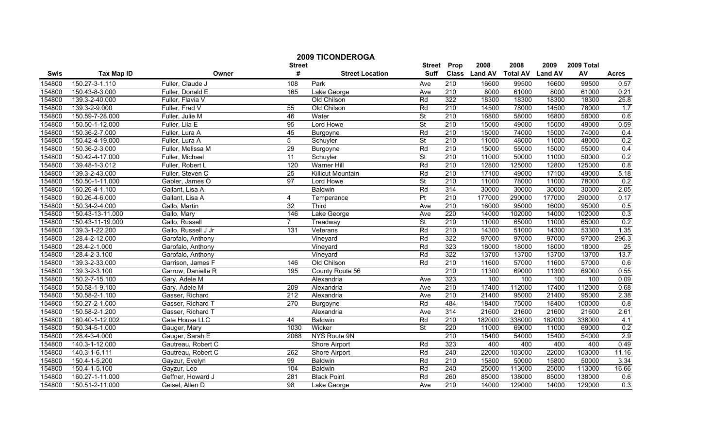|        |                   |                     | <b>2009 TICONDEROGA</b> | <b>Street</b>            | Prop                     | 2008             | 2008          | 2009            | 2009 Total     |        |              |
|--------|-------------------|---------------------|-------------------------|--------------------------|--------------------------|------------------|---------------|-----------------|----------------|--------|--------------|
| Swis   | <b>Tax Map ID</b> | Owner               | <b>Street</b><br>#      | <b>Street Location</b>   | <b>Suff</b>              |                  | Class Land AV | <b>Total AV</b> | <b>Land AV</b> | AV     | <b>Acres</b> |
| 154800 | 150.27-3-1.110    | Fuller, Claude J    | 108                     | Park                     | Ave                      | 210              | 16600         | 99500           | 16600          | 99500  | 0.57         |
| 154800 | 150.43-8-3.000    | Fuller, Donald E    | 165                     | Lake George              | Ave                      | 210              | 8000          | 61000           | 8000           | 61000  | 0.21         |
| 154800 | 139.3-2-40.000    | Fuller, Flavia V    |                         | Old Chilson              | Rd                       | 322              | 18300         | 18300           | 18300          | 18300  | 25.8         |
| 154800 | 139.3-2-9.000     | Fuller, Fred V      | 55                      | Old Chilson              | Rd                       | 210              | 14500         | 78000           | 14500          | 78000  | 1.7          |
| 154800 | 150.59-7-28.000   | Fuller, Julie M     | 46                      | Water                    | $\overline{\mathsf{St}}$ | $\overline{210}$ | 16800         | 58000           | 16800          | 58000  | 0.6          |
| 154800 | 150.50-1-12.000   | Fuller, Lila E      | 95                      | <b>Lord Howe</b>         | $\overline{\mathsf{St}}$ | 210              | 15000         | 49000           | 15000          | 49000  | 0.59         |
| 154800 | 150.36-2-7.000    | Fuller, Lura A      | 45                      | <b>Burgoyne</b>          | Rd                       | 210              | 15000         | 74000           | 15000          | 74000  | 0.4          |
| 154800 | 150.42-4-19.000   | Fuller, Lura A      | 5                       | Schuyler                 | $\overline{\mathsf{St}}$ | 210              | 11000         | 48000           | 11000          | 48000  | 0.2          |
| 154800 | 150.36-2-3.000    | Fuller, Melissa M   | 29                      | Burgoyne                 | Rd                       | 210              | 15000         | 55000           | 15000          | 55000  | 0.4          |
| 154800 | 150.42-4-17.000   | Fuller, Michael     | $\overline{11}$         | Schuyler                 | $\overline{\mathsf{St}}$ | $\overline{210}$ | 11000         | 50000           | 11000          | 50000  | 0.2          |
| 154800 | 139.48-1-3.012    | Fuller, Robert L    | 120                     | <b>Warner Hill</b>       | Rd                       | 210              | 12800         | 125000          | 12800          | 125000 | 0.8          |
| 154800 | 139.3-2-43.000    | Fuller, Steven C    | 25                      | <b>Killicut Mountain</b> | Rd                       | 210              | 17100         | 49000           | 17100          | 49000  | 5.18         |
| 154800 | 150.50-1-11.000   | Gabler, James O     | $\overline{97}$         | Lord Howe                | $\overline{\mathsf{St}}$ | $\overline{210}$ | 11000         | 78000           | 11000          | 78000  | 0.2          |
| 154800 | 160.26-4-1.100    | Gallant, Lisa A     |                         | Baldwin                  | Rd                       | 314              | 30000         | 30000           | 30000          | 30000  | 2.05         |
| 154800 | 160.26-4-6.000    | Gallant, Lisa A     | 4                       | Temperance               | Pt                       | $\overline{210}$ | 177000        | 290000          | 177000         | 290000 | 0.17         |
| 154800 | 150.34-2-4.000    | Gallo, Martin       | 32                      | Third                    | Ave                      | 210              | 16000         | 95000           | 16000          | 95000  | 0.5          |
| 154800 | 150.43-13-11.000  | Gallo, Mary         | 146                     | Lake George              | Ave                      | 220              | 14000         | 102000          | 14000          | 102000 | 0.3          |
| 154800 | 150.43-11-19.000  | Gallo, Russell      | $\overline{7}$          | Treadway                 | <b>St</b>                | 210              | 11000         | 65000           | 11000          | 65000  | 0.2          |
| 154800 | 139.3-1-22.200    | Gallo, Russell J Jr | 131                     | Veterans                 | Rd                       | 210              | 14300         | 51000           | 14300          | 53300  | 1.35         |
| 154800 | 128.4-2-12.000    | Garofalo, Anthony   |                         | Vineyard                 | Rd                       | 322              | 97000         | 97000           | 97000          | 97000  | 296.3        |
| 154800 | 128.4-2-1.000     | Garofalo, Anthony   |                         | Vineyard                 | Rd                       | 323              | 18000         | 18000           | 18000          | 18000  | 25           |
| 154800 | 128.4-2-3.100     | Garofalo, Anthony   |                         | Vineyard                 | Rd                       | 322              | 13700         | 13700           | 13700          | 13700  | 13.7         |
| 154800 | 139.3-2-33.000    | Garrison, James F   | 146                     | Old Chilson              | Rd                       | 210              | 11600         | 57000           | 11600          | 57000  | 0.6          |
| 154800 | 139.3-2-3.100     | Garrow, Danielle R  | 195                     | County Route 56          |                          | 210              | 11300         | 69000           | 11300          | 69000  | 0.55         |
| 154800 | 150.2-7-15.100    | Gary, Adele M       |                         | Alexandria               | Ave                      | 323              | 100           | 100             | 100            | 100    | 0.09         |
| 154800 | 150.58-1-9.100    | Gary, Adele M       | 209                     | Alexandria               | Ave                      | $\overline{210}$ | 17400         | 112000          | 17400          | 112000 | 0.68         |
| 154800 | 150.58-2-1.100    | Gasser, Richard     | 212                     | Alexandria               | Ave                      | $\overline{210}$ | 21400         | 95000           | 21400          | 95000  | 2.38         |
| 154800 | 150.27-2-1.000    | Gasser, Richard T   | 270                     | Burgoyne                 | Rd                       | 484              | 18400         | 75000           | 18400          | 100000 | 0.8          |
| 154800 | 150.58-2-1.200    | Gasser, Richard T   |                         | Alexandria               | Ave                      | 314              | 21600         | 21600           | 21600          | 21600  | 2.61         |
| 154800 | 160.40-1-12.002   | Gate House LLC      | 44                      | <b>Baldwin</b>           | Rd                       | $\overline{210}$ | 182000        | 338000          | 182000         | 338000 | 4.1          |
| 154800 | 150.34-5-1.000    | Gauger, Mary        | 1030                    | Wicker                   | St                       | 220              | 11000         | 69000           | 11000          | 69000  | 0.2          |
| 154800 | 128.4-3-4.000     | Gauger, Sarah E     | 2068                    | NYS Route 9N             |                          | 210              | 15400         | 54000           | 15400          | 54000  | 2.9          |
| 154800 | 140.3-1-12.000    | Gautreau, Robert C  |                         | <b>Shore Airport</b>     | Rd                       | 323              | 400           | 400             | 400            | 400    | 0.49         |
| 154800 | 140.3-1-6.111     | Gautreau, Robert C  | 262                     | Shore Airport            | Rd                       | 240              | 22000         | 103000          | 22000          | 103000 | 11.16        |
| 154800 | 150.4-1-5.200     | Gayzur, Evelyn      | 99                      | Baldwin                  | Rd                       | $\overline{210}$ | 15800         | 50000           | 15800          | 50000  | 3.34         |
| 154800 | 150.4-1-5.100     | Gayzur, Leo         | 104                     | Baldwin                  | Rd                       | 240              | 25000         | 113000          | 25000          | 113000 | 16.66        |
| 154800 | 160.27-1-11.000   | Geffner, Howard J   | 281                     | <b>Black Point</b>       | Rd                       | 260              | 85000         | 138000          | 85000          | 138000 | 0.6          |
| 154800 | 150.51-2-11.000   | Geisel, Allen D     | 98                      | Lake George              | Ave                      | 210              | 14000         | 129000          | 14000          | 129000 | 0.3          |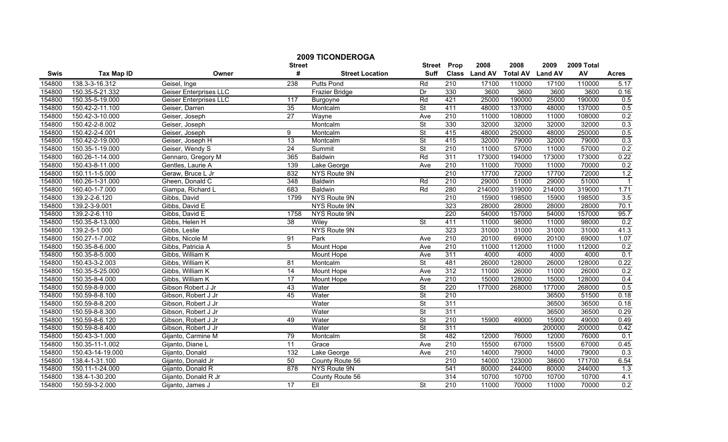|        |                   |                               |                    | <b>2009 TICONDEROGA</b> |                              |                  |                       |                         |                        |                  |                |
|--------|-------------------|-------------------------------|--------------------|-------------------------|------------------------------|------------------|-----------------------|-------------------------|------------------------|------------------|----------------|
| Swis   | <b>Tax Map ID</b> | Owner                         | <b>Street</b><br># | <b>Street Location</b>  | <b>Street</b><br><b>Suff</b> | Prop             | 2008<br>Class Land AV | 2008<br><b>Total AV</b> | 2009<br><b>Land AV</b> | 2009 Total<br>AV | <b>Acres</b>   |
| 154800 | 138.3-3-16.312    | Geisel, Inge                  | 238                | Putts Pond              | Rd                           | 210              | 17100                 | 110000                  | 17100                  | 110000           | 5.17           |
| 154800 | 150.35-5-21.332   | <b>Geiser Enterprises LLC</b> |                    | Frazier Bridge          | Dr                           | 330              | 3600                  | 3600                    | 3600                   | 3600             | 0.16           |
| 154800 | 150.35-5-19.000   | <b>Geiser Enterprises LLC</b> | $\overline{117}$   | Burgoyne                | Rd                           | 421              | 25000                 | 190000                  | 25000                  | 190000           | 0.5            |
| 154800 | 150.42-2-11.100   | Geiser, Darren                | 35                 | Montcalm                | $\overline{\mathsf{St}}$     | 411              | 48000                 | 137000                  | 48000                  | 137000           | 0.5            |
| 154800 | 150.42-3-10.000   | Geiser, Joseph                | 27                 | Wayne                   | Ave                          | 210              | 11000                 | 108000                  | 11000                  | 108000           | 0.2            |
| 154800 | 150.42-2-8.002    | Geiser, Joseph                |                    | Montcalm                | $\overline{\mathsf{St}}$     | 330              | 32000                 | 32000                   | 32000                  | 32000            | 0.3            |
| 154800 | 150.42-2-4.001    | Geiser, Joseph                | 9                  | Montcalm                | <b>St</b>                    | 415              | 48000                 | 250000                  | 48000                  | 250000           | 0.5            |
| 154800 | 150.42-2-19.000   | Geiser, Joseph H              | 13                 | Montcalm                | $\overline{\mathsf{St}}$     | 415              | 32000                 | 79000                   | 32000                  | 79000            | 0.3            |
| 154800 | 150.35-1-19.000   | Geiser, Wendy S               | $\overline{24}$    | Summit                  | $\overline{\mathsf{St}}$     | 210              | 11000                 | 57000                   | 11000                  | 57000            | 0.2            |
| 154800 | 160.26-1-14.000   | Gennaro, Gregory M            | 365                | Baldwin                 | Rd                           | 311              | 173000                | 194000                  | 173000                 | 173000           | 0.22           |
| 154800 | 150.43-8-11.000   | Gentles, Laurie A             | 139                | Lake George             | Ave                          | 210              | 11000                 | 70000                   | 11000                  | 70000            | 0.2            |
| 154800 | 150.11-1-5.000    | Geraw, Bruce L Jr             | 832                | <b>NYS Route 9N</b>     |                              | 210              | 17700                 | 72000                   | 17700                  | 72000            | 1.2            |
| 154800 | 160.26-1-31.000   | Gheen, Donald C               | 348                | <b>Baldwin</b>          | Rd                           | $\overline{210}$ | 29000                 | 51000                   | 29000                  | 51000            | $\overline{1}$ |
| 154800 | 160.40-1-7.000    | Giampa, Richard L             | 683                | <b>Baldwin</b>          | Rd                           | 280              | 214000                | 319000                  | 214000                 | 319000           | 1.71           |
| 154800 | 139.2-2-6.120     | Gibbs, David                  | 1799               | NYS Route 9N            |                              | $\overline{210}$ | 15900                 | 198500                  | 15900                  | 198500           | 3.5            |
| 154800 | 139.2-3-9.001     | Gibbs, David E                |                    | NYS Route 9N            |                              | 323              | 28000                 | 28000                   | 28000                  | 28000            | 70.1           |
| 154800 | 139.2-2-6.110     | Gibbs, David E                | 1758               | NYS Route 9N            |                              | 220              | 54000                 | 157000                  | 54000                  | 157000           | 95.7           |
| 154800 | 150.35-8-13.000   | Gibbs, Helen H                | 38                 | Wiley                   | $\overline{\mathsf{St}}$     | 411              | 11000                 | 98000                   | 11000                  | 98000            | 0.2            |
| 154800 | 139.2-5-1.000     | Gibbs, Leslie                 |                    | NYS Route 9N            |                              | 323              | 31000                 | 31000                   | 31000                  | 31000            | 41.3           |
| 154800 | 150.27-1-7.002    | Gibbs, Nicole M               | 91                 | Park                    | Ave                          | 210              | 20100                 | 69000                   | 20100                  | 69000            | 1.07           |
| 154800 | 150.35-8-6.000    | Gibbs, Patricia A             | 5                  | Mount Hope              | Ave                          | 210              | 11000                 | 112000                  | 11000                  | 112000           | 0.2            |
| 154800 | 150.35-8-5.000    | Gibbs, William K              |                    | Mount Hope              | Ave                          | 311              | 4000                  | 4000                    | 4000                   | 4000             | 0.1            |
| 154800 | 150.43-3-2.003    | Gibbs, William K              | 81                 | Montcalm                | $\overline{\mathsf{St}}$     | 481              | 26000                 | 128000                  | 26000                  | 128000           | 0.22           |
| 154800 | 150.35-5-25.000   | Gibbs, William K              | 14                 | Mount Hope              | Ave                          | 312              | 11000                 | 26000                   | 11000                  | 26000            | 0.2            |
| 154800 | 150.35-8-4.000    | Gibbs, William K              | $\overline{17}$    | Mount Hope              | Ave                          | 210              | 15000                 | 128000                  | 15000                  | 128000           | 0.4            |
| 154800 | 150.59-8-9.000    | Gibson Robert J Jr            | 43                 | Water                   | St                           | $\overline{220}$ | 177000                | 268000                  | 177000                 | 268000           | 0.5            |
| 154800 | 150.59-8-8.100    | Gibson, Robert J Jr           | 45                 | Water                   | $\overline{\mathsf{St}}$     | $\overline{210}$ |                       |                         | 36500                  | 51500            | 0.18           |
| 154800 | 150.59-8-8.200    | Gibson, Robert J Jr           |                    | Water                   | $\overline{\mathsf{St}}$     | 311              |                       |                         | 36500                  | 36500            | 0.18           |
| 154800 | 150.59-8-8.300    | Gibson, Robert J Jr           |                    | Water                   | <b>St</b>                    | 311              |                       |                         | 36500                  | 36500            | 0.29           |
| 154800 | 150.59-8-6.120    | Gibson, Robert J Jr           | 49                 | Water                   | $\overline{\mathsf{St}}$     | 210              | 15900                 | 49000                   | 15900                  | 49000            | 0.49           |
| 154800 | 150.59-8-8.400    | Gibson, Robert J Jr           |                    | Water                   | $\overline{\mathsf{St}}$     | 311              |                       |                         | 200000                 | 200000           | 0.42           |
| 154800 | 150.43-3-1.000    | Gijanto, Carmine M            | 79                 | Montcalm                | <b>St</b>                    | 482              | 12000                 | 76000                   | 12000                  | 76000            | 0.1            |
| 154800 | 150.35-11-1.002   | Gijanto, Diane L              | 11                 | Grace                   | Ave                          | 210              | 15500                 | 67000                   | 15500                  | 67000            | 0.45           |
| 154800 | 150.43-14-19.000  | Gijanto, Donald               | 132                | Lake George             | Ave                          | 210              | 14000                 | 79000                   | 14000                  | 79000            | 0.3            |
| 154800 | 138.4-1-31.100    | Gijanto, Donald Jr            | 50                 | County Route 56         |                              | $\overline{210}$ | 14000                 | 123000                  | 38600                  | 171700           | 6.54           |
| 154800 | 150.11-1-24.000   | Gijanto, Donald R             | 878                | NYS Route 9N            |                              | 541              | 80000                 | 244000                  | 80000                  | 244000           | 1.3            |
| 154800 | 138.4-1-30.200    | Gijanto, Donald R Jr          |                    | County Route 56         |                              | 314              | 10700                 | 10700                   | 10700                  | 10700            | 4.1            |
| 154800 | 150.59-3-2.000    | Gijanto, James J              | 17                 | EII                     | St                           | 210              | 11000                 | 70000                   | 11000                  | 70000            | 0.2            |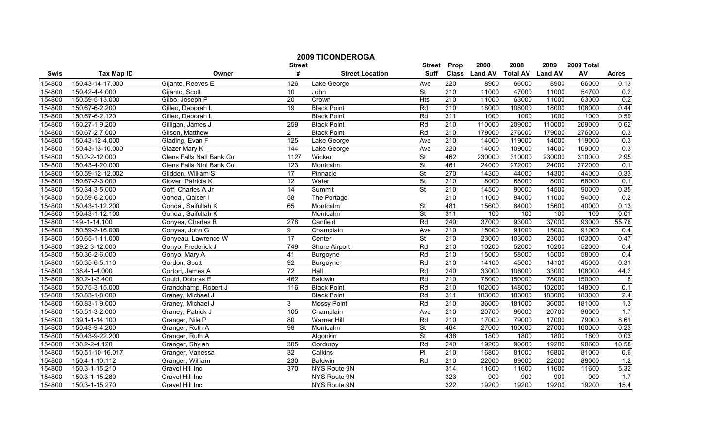|        |                   |                          | <b>Street</b>   | <b>2009 TICONDEROGA</b> | <b>Street</b>            | Prop             | 2008          | 2008            | 2009           | 2009 Total |                |
|--------|-------------------|--------------------------|-----------------|-------------------------|--------------------------|------------------|---------------|-----------------|----------------|------------|----------------|
| Swis   | <b>Tax Map ID</b> | Owner                    | #               | <b>Street Location</b>  | <b>Suff</b>              |                  | Class Land AV | <b>Total AV</b> | <b>Land AV</b> | AV         | <b>Acres</b>   |
| 154800 | 150.43-14-17.000  | Gijanto, Reeves E        | 126             | Lake George             | Ave                      | 220              | 8900          | 66000           | 8900           | 66000      | 0.13           |
| 154800 | 150.42-4-4.000    | Gijanto, Scott           | 10              | John                    | St                       | 210              | 11000         | 47000           | 11000          | 54700      | 0.2            |
| 154800 | 150.59-5-13.000   | Gilbo, Joseph P          | 20              | Crown                   | <b>Hts</b>               | 210              | 11000         | 63000           | 11000          | 63000      | 0.2            |
| 154800 | 150.67-6-2.200    | Gilleo, Deborah L        | 19              | <b>Black Point</b>      | Rd                       | 210              | 18000         | 108000          | 18000          | 108000     | 0.44           |
| 154800 | 150.67-6-2.120    | Gilleo, Deborah L        |                 | <b>Black Point</b>      | Rd                       | 311              | 1000          | 1000            | 1000           | 1000       | 0.59           |
| 154800 | 160.27-1-9.200    | Gilligan, James J        | 259             | <b>Black Point</b>      | Rd                       | 210              | 110000        | 209000          | 110000         | 209000     | 0.62           |
| 154800 | 150.67-2-7.000    | Gilson, Matthew          | $\overline{2}$  | <b>Black Point</b>      | Rd                       | 210              | 179000        | 276000          | 179000         | 276000     | 0.3            |
| 154800 | 150.43-12-4.000   | Glading, Evan F          | 125             | Lake George             | Ave                      | 210              | 14000         | 119000          | 14000          | 119000     | 0.3            |
| 154800 | 150.43-13-10.000  | Glazer Mary K            | 144             | Lake George             | Ave                      | 220              | 14000         | 109000          | 14000          | 109000     | 0.3            |
| 154800 | 150.2-2-12.000    | Glens Falls Natl Bank Co | 1127            | Wicker                  | <b>St</b>                | 462              | 230000        | 310000          | 230000         | 310000     | 2.95           |
| 154800 | 150.43-4-20.000   | Glens Falls Ntnl Bank Co | 123             | Montcalm                | <b>St</b>                | 461              | 24000         | 272000          | 24000          | 272000     | 0.1            |
| 154800 | 150.59-12-12.002  | Glidden, William S       | 17              | Pinnacle                | $\overline{\mathsf{St}}$ | 270              | 14300         | 44000           | 14300          | 44000      | 0.33           |
| 154800 | 150.67-2-3.000    | Glover, Patricia K       | 12              | Water                   | <b>St</b>                | 210              | 8000          | 68000           | 8000           | 68000      | 0.1            |
| 154800 | 150.34-3-5.000    | Goff, Charles A Jr       | 14              | Summit                  | $\overline{\mathsf{St}}$ | 210              | 14500         | 90000           | 14500          | 90000      | 0.35           |
| 154800 | 150.59-6-2.000    | Gondal, Qaiser I         | 58              | The Portage             |                          | $\overline{210}$ | 11000         | 94000           | 11000          | 94000      | 0.2            |
| 154800 | 150.43-1-12.200   | Gondal, Saifullah K      | 65              | Montcalm                | $\overline{\mathsf{St}}$ | 481              | 15600         | 84000           | 15600          | 40000      | 0.13           |
| 154800 | 150.43-1-12.100   | Gondal, Saifullah K      |                 | Montcalm                | $\overline{\mathsf{St}}$ | 311              | 100           | 100             | 100            | 100        | 0.01           |
| 154800 | 149.-1-14.100     | Gonyea, Charles R        | 278             | Canfield                | Rd                       | 240              | 37000         | 93000           | 37000          | 93000      | 55.76          |
| 154800 | 150.59-2-16.000   | Gonyea, John G           | $\overline{9}$  | Champlain               | Ave                      | 210              | 15000         | 91000           | 15000          | 91000      | 0.4            |
| 154800 | 150.65-1-11.000   | Gonyeau, Lawrence W      | 17              | Center                  | $\overline{\mathsf{St}}$ | 210              | 23000         | 103000          | 23000          | 103000     | 0.47           |
| 154800 | 139.2-3-12.000    | Gonyo, Frederick J       | 749             | Shore Airport           | Rd                       | 210              | 10200         | 52000           | 10200          | 52000      | 0.4            |
| 154800 | 150.36-2-6.000    | Gonyo, Mary A            | 41              | Burgoyne                | Rd                       | 210              | 15000         | 58000           | 15000          | 58000      | 0.4            |
| 154800 | 150.35-6-5.110    | Gordon, Scott            | 92              | Burgoyne                | Rd                       | 210              | 14100         | 45000           | 14100          | 45000      | 0.31           |
| 154800 | 138.4-1-4.000     | Gorton, James A          | $\overline{72}$ | Hall                    | Rd                       | 240              | 33000         | 108000          | 33000          | 108000     | 44.2           |
| 154800 | 160.2-1-3.400     | Gould, Dolores E         | 462             | <b>Baldwin</b>          | Rd                       | 210              | 78000         | 150000          | 78000          | 150000     | $\overline{8}$ |
| 154800 | 150.75-3-15.000   | Grandchamp, Robert J     | 116             | <b>Black Point</b>      | Rd                       | $\overline{210}$ | 102000        | 148000          | 102000         | 148000     | 0.1            |
| 154800 | 150.83-1-8.000    | Graney, Michael J        |                 | <b>Black Point</b>      | Rd                       | 311              | 183000        | 183000          | 183000         | 183000     | 2.4            |
| 154800 | 150.83-1-9.000    | Graney, Michael J        | 3               | <b>Mossy Point</b>      | Rd                       | 210              | 36000         | 181000          | 36000          | 181000     | 1.3            |
| 154800 | 150.51-3-2.000    | Graney, Patrick J        | 105             | Champlain               | Ave                      | 210              | 20700         | 96000           | 20700          | 96000      | 1.7            |
| 154800 | 139.1-1-14.100    | Granger, Nile P          | 80              | Warner Hill             | Rd                       | 210              | 17000         | 79000           | 17000          | 79000      | 8.61           |
| 154800 | 150.43-9-4.200    | Granger, Ruth A          | 98              | Montcalm                | $\overline{\mathsf{St}}$ | 464              | 27000         | 160000          | 27000          | 160000     | 0.23           |
| 154800 | 150.43-9-22.200   | Granger, Ruth A          |                 | Algonkin                | St                       | 438              | 1800          | 1800            | 1800           | 1800       | 0.03           |
| 154800 | 138.2-2-4.120     | Granger, Shylah          | 305             | Corduroy                | Rd                       | 240              | 19200         | 90600           | 19200          | 90600      | 10.58          |
| 154800 | 150.51-10-16.017  | Granger, Vanessa         | 32              | Calkins                 | $\overline{P}$           | 210              | 16800         | 81000           | 16800          | 81000      | 0.6            |
| 154800 | 150.4-1-10.112    | Granger, William         | 230             | <b>Baldwin</b>          | Rd                       | 210              | 22000         | 89000           | 22000          | 89000      | 1.2            |
| 154800 | 150.3-1-15.210    | Gravel Hill Inc          | 370             | NYS Route 9N            |                          | 314              | 11600         | 11600           | 11600          | 11600      | 5.32           |
| 154800 | 150.3-1-15.280    | Gravel Hill Inc          |                 | NYS Route 9N            |                          | 323              | 900           | 900             | 900            | 900        | 1.7            |
| 154800 | 150.3-1-15.270    | Gravel Hill Inc          |                 | NYS Route 9N            |                          | 322              | 19200         | 19200           | 19200          | 19200      | 15.4           |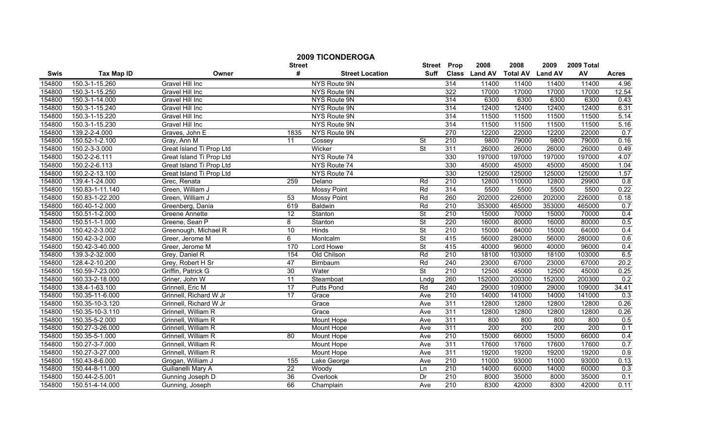|        |                   |                          | <b>Street</b>   | <b>2009 TICONDEROGA</b> |                          | <b>Street Prop</b> | 2008          | 2008                    | 2009   | 2009 Total |              |
|--------|-------------------|--------------------------|-----------------|-------------------------|--------------------------|--------------------|---------------|-------------------------|--------|------------|--------------|
| Swis   | <b>Tax Map ID</b> | Owner                    | #               | <b>Street Location</b>  | Suff                     |                    | Class Land AV | <b>Total AV Land AV</b> |        | AV         | <b>Acres</b> |
| 154800 | 150.3-1-15.260    | Gravel Hill Inc          |                 | NYS Route 9N            |                          | 314                | 11400         | 11400                   | 11400  | 11400      | 4.96         |
| 154800 | 150.3-1-15.250    | Gravel Hill Inc          |                 | NYS Route 9N            |                          | 322                | 17000         | 17000                   | 17000  | 17000      | 12.54        |
| 154800 | 150.3-1-14.000    | <b>Gravel Hill Inc</b>   |                 | NYS Route 9N            |                          | 314                | 6300          | 6300                    | 6300   | 6300       | 0.43         |
| 154800 | 150.3-1-15.240    | <b>Gravel Hill Inc</b>   |                 | NYS Route 9N            |                          | 314                | 12400         | 12400                   | 12400  | 12400      | 6.31         |
| 154800 | 150.3-1-15.220    | Gravel Hill Inc          |                 | NYS Route 9N            |                          | 314                | 11500         | 11500                   | 11500  | 11500      | 5.14         |
| 154800 | 150.3-1-15.230    | Gravel Hill Inc          |                 | NYS Route 9N            |                          | 314                | 11500         | 11500                   | 11500  | 11500      | 5.16         |
| 154800 | 139.2-2-4.000     | Graves, John E           | 1835            | NYS Route 9N            |                          | 270                | 12200         | 22000                   | 12200  | 22000      | 0.7          |
| 154800 | 150.52-1-2.100    | Gray, Ann M              | $\overline{11}$ | Cossey                  | $\overline{\mathsf{St}}$ | 210                | 9800          | 79000                   | 9800   | 79000      | 0.16         |
| 154800 | 150.2-3-3.000     | Great Island Ti Prop Ltd |                 | Wicker                  | <b>St</b>                | 311                | 26000         | 26000                   | 26000  | 26000      | 0.49         |
| 154800 | 150.2-2-6.111     | Great Island Ti Prop Ltd |                 | NYS Route 74            |                          | 330                | 197000        | 197000                  | 197000 | 197000     | 4.07         |
| 154800 | 150.2-2-6.113     | Great Island Ti Prop Ltd |                 | NYS Route 74            |                          | 330                | 45000         | 45000                   | 45000  | 45000      | 1.04         |
| 154800 | 150.2-2-13.100    | Great Island Ti Prop Ltd |                 | NYS Route 74            |                          | 330                | 125000        | 125000                  | 125000 | 125000     | 1.57         |
| 154800 | 139.4-1-24.000    | Grec, Renata             | 259             | Delano                  | Rd                       | 210                | 12800         | 110000                  | 12800  | 29900      | 0.8          |
| 154800 | 150.83-1-11.140   | Green, William J         |                 | <b>Mossy Point</b>      | Rd                       | 314                | 5500          | 5500                    | 5500   | 5500       | 0.22         |
| 154800 | 150.83-1-22.200   | Green, William J         | 53              | <b>Mossy Point</b>      | Rd                       | 260                | 202000        | 226000                  | 202000 | 226000     | 0.18         |
| 154800 | 160.40-1-2.000    | Greenberg, Dania         | 619             | Baldwin                 | Rd                       | $\overline{210}$   | 353000        | 465000                  | 353000 | 465000     | 0.7          |
| 154800 | 150.51-1-2.000    | Greene Annette           | 12              | Stanton                 | $\overline{\mathsf{St}}$ | 210                | 15000         | 70000                   | 15000  | 70000      | 0.4          |
| 154800 | 150.51-1-1.000    | Greene, Sean P           | $\overline{8}$  | Stanton                 | <b>St</b>                | 220                | 16000         | 80000                   | 16000  | 80000      | 0.5          |
| 154800 | 150.42-2-3.002    | Greenough, Michael R     | 10              | Hinds                   | $\overline{\mathsf{St}}$ | 210                | 15000         | 64000                   | 15000  | 64000      | 0.4          |
| 154800 | 150.42-3-2.000    | Greer, Jerome M          | 6               | Montcalm                | $\overline{\mathsf{St}}$ | 415                | 56000         | 280000                  | 56000  | 280000     | 0.6          |
| 154800 | 150.42-3-40.000   | Greer, Jerome M          | 170             | Lord Howe               | $\overline{\mathsf{St}}$ | 415                | 40000         | 96000                   | 40000  | 96000      | 0.4          |
| 154800 | 139.3-2-32.000    | Grey, Daniel R           | 154             | Old Chilson             | Rd                       | 210                | 18100         | 103000                  | 18100  | 103000     | 6.5          |
| 154800 | 128.4-2-10.200    | Grey, Robert H Sr        | 47              | Birnbaum                | Rd                       | 240                | 23000         | 67000                   | 23000  | 67000      | 20.2         |
| 154800 | 150.59-7-23.000   | Griffin, Patrick G       | 30              | Water                   | <b>St</b>                | $\overline{210}$   | 12500         | 45000                   | 12500  | 45000      | 0.25         |
| 154800 | 160.33-2-18.000   | Griner, John W           | 11              | Steamboat               | Lndg                     | 260                | 152000        | 200300                  | 152000 | 200300     | 0.2          |
| 154800 | 138.4-1-63.100    | Grinnell, Eric M         | 17              | Putts Pond              | Rd                       | 240                | 29000         | 109000                  | 29000  | 109000     | 34.41        |
| 154800 | 150.35-11-6.000   | Grinnell, Richard W Jr   | 17              | Grace                   | Ave                      | 210                | 14000         | 141000                  | 14000  | 141000     | 0.3          |
| 154800 | 150.35-10-3.120   | Grinnell, Richard W Jr   |                 | Grace                   | Ave                      | 311                | 12800         | 12800                   | 12800  | 12800      | 0.26         |
| 154800 | 150.35-10-3.110   | Grinnell, William R      |                 | Grace                   | Ave                      | 311                | 12800         | 12800                   | 12800  | 12800      | 0.26         |
| 154800 | 150.35-5-2.000    | Grinnell, William R      |                 | Mount Hope              | Ave                      | 311                | 800           | 800                     | 800    | 800        | 0.5          |
| 154800 | 150.27-3-26.000   | Grinnell, William R      |                 | <b>Mount Hope</b>       | Ave                      | 311                | 200           | 200                     | 200    | 200        | 0.1          |
| 154800 | 150.35-5-1.000    | Grinnell, William R      | $\overline{80}$ | <b>Mount Hope</b>       | Ave                      | 210                | 15000         | 66000                   | 15000  | 66000      | 0.4          |
| 154800 | 150.27-3-7.000    | Grinnell, William R      |                 | <b>Mount Hope</b>       | Ave                      | 311                | 17600         | 17600                   | 17600  | 17600      | 0.7          |
| 154800 | 150.27-3-27.000   | Grinnell, William R      |                 | Mount Hope              | Ave                      | 311                | 19200         | 19200                   | 19200  | 19200      | 0.9          |
| 154800 | 150.43-8-6.000    | Grogan, William J        | 155             | Lake George             | Ave                      | 210                | 11000         | 93000                   | 11000  | 93000      | 0.13         |
| 154800 | 150.44-8-11.000   | Guilianelli Mary A       | $\overline{22}$ | Woody                   | Ln                       | $\overline{210}$   | 14000         | 60000                   | 14000  | 60000      | 0.3          |
| 154800 | 150.44-2-5.001    | Gunning Joseph D         | 36              | Overlook                | Dr                       | 210                | 8000          | 35000                   | 8000   | 35000      | 0.1          |
| 154800 | 150.51-4-14.000   | Gunning, Joseph          | 66              | Champlain               | Ave                      | 210                | 8300          | 42000                   | 8300   | 42000      | 0.11         |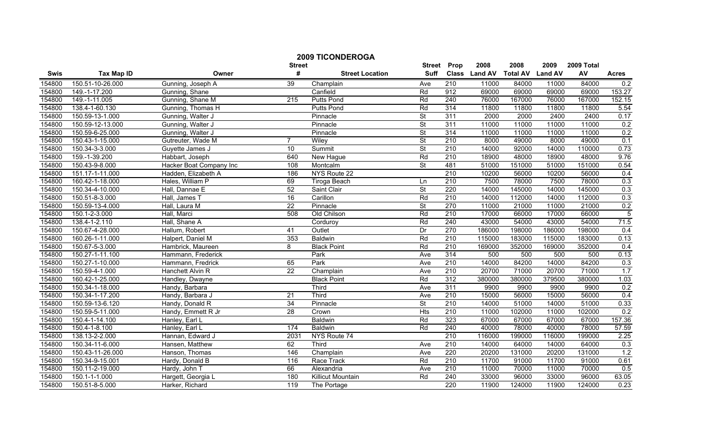|        |                      |                         | <b>Street</b>   | <b>2009 TICONDEROGA</b> | <b>Street</b>            | Prop             | 2008          | 2008            | 2009           | 2009 Total |                |
|--------|----------------------|-------------------------|-----------------|-------------------------|--------------------------|------------------|---------------|-----------------|----------------|------------|----------------|
| Swis   | <b>Tax Map ID</b>    | Owner                   | #               | <b>Street Location</b>  | <b>Suff</b>              |                  | Class Land AV | <b>Total AV</b> | <b>Land AV</b> | AV         | <b>Acres</b>   |
| 154800 | 150.51-10-26.000     | Gunning, Joseph A       | 39              | Champlain               | Ave                      | 210              | 11000         | 84000           | 11000          | 84000      | 0.2            |
| 154800 | 149.-1-17.200        | Gunning, Shane          |                 | Canfield                | Rd                       | 912              | 69000         | 69000           | 69000          | 69000      | 153.27         |
| 154800 | 149.-1-11.005        | Gunning, Shane M        | 215             | <b>Putts Pond</b>       | Rd                       | $\overline{240}$ | 76000         | 167000          | 76000          | 167000     | 152.15         |
| 154800 | 138.4-1-60.130       | Gunning, Thomas H       |                 | <b>Putts Pond</b>       | Rd                       | 314              | 11800         | 11800           | 11800          | 11800      | 5.54           |
| 154800 | 150.59-13-1.000      | Gunning, Walter J       |                 | Pinnacle                | $\overline{\mathsf{St}}$ | 311              | 2000          | 2000            | 2400           | 2400       | 0.17           |
| 154800 | 150.59-12-13.000     | Gunning, Walter J       |                 | Pinnacle                | $\overline{\mathsf{St}}$ | 311              | 11000         | 11000           | 11000          | 11000      | 0.2            |
| 154800 | 150.59-6-25.000      | Gunning, Walter J       |                 | Pinnacle                | St                       | 314              | 11000         | 11000           | 11000          | 11000      | 0.2            |
| 154800 | 150.43-1-15.000      | Gutreuter, Wade M       | $\overline{7}$  | Wiley                   | $\overline{\mathsf{St}}$ | 210              | 8000          | 49000           | 8000           | 49000      | 0.1            |
| 154800 | $150.34 - 3 - 3.000$ | Guyette James J         | 10              | Summit                  | $\overline{\mathsf{St}}$ | 210              | 14000         | 92000           | 14000          | 110000     | 0.73           |
| 154800 | 159.-1-39.200        | Habbart, Joseph         | 640             | New Hague               | Rd                       | $\overline{210}$ | 18900         | 48000           | 18900          | 48000      | 9.76           |
| 154800 | 150.43-9-8.000       | Hacker Boat Company Inc | 108             | Montcalm                | $\overline{\mathsf{St}}$ | 481              | 51000         | 151000          | 51000          | 151000     | 0.54           |
| 154800 | 151.17-1-11.000      | Hadden, Elizabeth A     | 186             | NYS Route 22            |                          | 210              | 10200         | 56000           | 10200          | 56000      | 0.4            |
| 154800 | 160.42-1-18.000      | Hales, William P        | 69              | Tiroga Beach            | Ln                       | 210              | 7500          | 78000           | 7500           | 78000      | 0.3            |
| 154800 | 150.34-4-10.000      | Hall, Dannae E          | 52              | Saint Clair             | <b>St</b>                | 220              | 14000         | 145000          | 14000          | 145000     | 0.3            |
| 154800 | 150.51-8-3.000       | Hall, James T           | 16              | Carillon                | Rd                       | $\overline{210}$ | 14000         | 112000          | 14000          | 112000     | 0.3            |
| 154800 | 150.59-13-4.000      | Hall, Laura M           | $\overline{22}$ | Pinnacle                | St                       | 270              | 11000         | 21000           | 11000          | 21000      | 0.2            |
| 154800 | 150.1-2-3.000        | Hall, Marci             | 508             | Old Chilson             | Rd                       | 210              | 17000         | 66000           | 17000          | 66000      | $\overline{5}$ |
| 154800 | 138.4-1-2.110        | Hall, Shane A           |                 | Corduroy                | Rd                       | 240              | 43000         | 54000           | 43000          | 54000      | 71.5           |
| 154800 | 150.67-4-28.000      | Hallum, Robert          | 41              | Outlet                  | Dr                       | 270              | 186000        | 198000          | 186000         | 198000     | 0.4            |
| 154800 | 160.26-1-11.000      | Halpert, Daniel M       | 353             | <b>Baldwin</b>          | Rd                       | 210              | 115000        | 183000          | 115000         | 183000     | 0.13           |
| 154800 | 150.67-5-3.000       | Hambrick, Maureen       | 8               | <b>Black Point</b>      | Rd                       | 210              | 169000        | 352000          | 169000         | 352000     | 0.4            |
| 154800 | 150.27-1-11.100      | Hammann, Frederick      |                 | Park                    | Ave                      | 314              | 500           | 500             | 500            | 500        | 0.13           |
| 154800 | 150.27-1-10.000      | Hammann, Fredrick       | 65              | Park                    | Ave                      | $\overline{210}$ | 14000         | 84200           | 14000          | 84200      | 0.3            |
| 154800 | 150.59-4-1.000       | Hanchett Alvin R        | 22              | Champlain               | Ave                      | 210              | 20700         | 71000           | 20700          | 71000      | 1.7            |
| 154800 | 160.42-1-25.000      | Handley, Dwayne         |                 | <b>Black Point</b>      | Rd                       | 312              | 380000        | 380000          | 379500         | 380000     | 1.03           |
| 154800 | 150.34-1-18.000      | Handy, Barbara          |                 | Third                   | Ave                      | 311              | 9900          | 9900            | 9900           | 9900       | 0.2            |
| 154800 | 150.34-1-17.200      | Handy, Barbara J        | 21              | Third                   | Ave                      | $\overline{210}$ | 15000         | 56000           | 15000          | 56000      | 0.4            |
| 154800 | 150.59-13-6.120      | Handy, Donald R         | 34              | Pinnacle                | $\overline{\mathsf{St}}$ | $\overline{210}$ | 14000         | 51000           | 14000          | 51000      | 0.33           |
| 154800 | 150.59-5-11.000      | Handy, Emmett R Jr      | 28              | Crown                   | <b>Hts</b>               | 210              | 11000         | 102000          | 11000          | 102000     | 0.2            |
| 154800 | 150.4-1-14.100       | Hanley, Earl L          |                 | <b>Baldwin</b>          | Rd                       | 323              | 67000         | 67000           | 67000          | 67000      | 157.36         |
| 154800 | 150.4-1-8.100        | Hanley, Earl L          | 174             | <b>Baldwin</b>          | Rd                       | 240              | 40000         | 78000           | 40000          | 78000      | 57.59          |
| 154800 | 138.13-2-2.000       | Hannan, Edward J        | 2031            | NYS Route 74            |                          | 210              | 116000        | 199000          | 116000         | 199000     | 2.25           |
| 154800 | 150.34-11-6.000      | Hansen, Matthew         | 62              | Third                   | Ave                      | 210              | 14000         | 64000           | 14000          | 64000      | 0.3            |
| 154800 | 150.43-11-26.000     | Hanson, Thomas          | 146             | Champlain               | Ave                      | 220              | 20200         | 131000          | 20200          | 131000     | 1.2            |
| 154800 | 150.34-9-15.001      | Hardy, Donald B         | 116             | Race Track              | Rd                       | 210              | 11700         | 91000           | 11700          | 91000      | 0.61           |
| 154800 | 150.11-2-19.000      | Hardy, John T           | 66              | Alexandria              | Ave                      | 210              | 11000         | 70000           | 11000          | 70000      | 0.5            |
| 154800 | 150.1-1-1.000        | Hargett, Georgia L      | 180             | Killicut Mountain       | Rd                       | 240              | 33000         | 96000           | 33000          | 96000      | 63.05          |
| 154800 | 150.51-8-5.000       | Harker, Richard         | 119             | The Portage             |                          | 220              | 11900         | 124000          | 11900          | 124000     | 0.23           |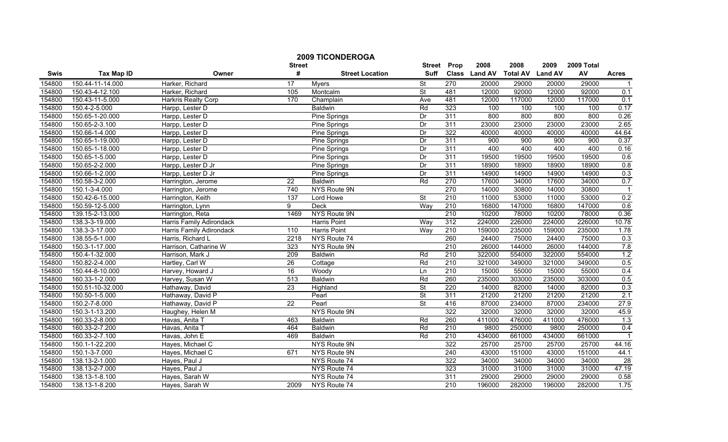|        |                   |                                 | <b>Street</b>    | <b>2009 TICONDEROGA</b> | <b>Street</b>            | Prop             | 2008          | 2008            | 2009           | 2009 Total |              |
|--------|-------------------|---------------------------------|------------------|-------------------------|--------------------------|------------------|---------------|-----------------|----------------|------------|--------------|
| Swis   | <b>Tax Map ID</b> | Owner                           | #                | <b>Street Location</b>  | <b>Suff</b>              |                  | Class Land AV | <b>Total AV</b> | <b>Land AV</b> | AV         | <b>Acres</b> |
| 154800 | 150.44-11-14.000  | Harker, Richard                 | 17               | <b>Myers</b>            | St                       | 270              | 20000         | 29000           | 20000          | 29000      |              |
| 154800 | 150.43-4-12.100   | Harker, Richard                 | 105              | Montcalm                | <b>St</b>                | 481              | 12000         | 92000           | 12000          | 92000      | 0.1          |
| 154800 | 150.43-11-5.000   | Harkris Realty Corp             | 170              | Champlain               | Ave                      | 481              | 12000         | 117000          | 12000          | 117000     | 0.1          |
| 154800 | 150.4-2-5.000     | Harpp, Lester D                 |                  | Baldwin                 | Rd                       | 323              | 100           | 100             | 100            | 100        | 0.17         |
| 154800 | 150.65-1-20.000   | Harpp, Lester D                 |                  | Pine Springs            | Dr                       | 311              | 800           | 800             | 800            | 800        | 0.26         |
| 154800 | 150.65-2-3.100    | Harpp, Lester D                 |                  | <b>Pine Springs</b>     | Dr                       | 311              | 23000         | 23000           | 23000          | 23000      | 2.65         |
| 154800 | 150.66-1-4.000    | Harpp, Lester D                 |                  | <b>Pine Springs</b>     | $\overline{Dr}$          | 322              | 40000         | 40000           | 40000          | 40000      | 44.64        |
| 154800 | 150.65-1-19.000   | Harpp, Lester D                 |                  | <b>Pine Springs</b>     | Dr                       | 311              | 900           | 900             | 900            | 900        | 0.37         |
| 154800 | 150.65-1-18.000   | Harpp, Lester D                 |                  | Pine Springs            | Dr                       | 311              | 400           | 400             | 400            | 400        | 0.16         |
| 154800 | 150.65-1-5.000    | Harpp, Lester D                 |                  | Pine Springs            | Dr                       | 311              | 19500         | 19500           | 19500          | 19500      | 0.6          |
| 154800 | 150.65-2-2.000    | Harpp, Lester D Jr              |                  | Pine Springs            | Dr                       | 311              | 18900         | 18900           | 18900          | 18900      | 0.8          |
| 154800 | 150.66-1-2.000    | Harpp, Lester D Jr              |                  | Pine Springs            | Dr                       | 311              | 14900         | 14900           | 14900          | 14900      | 0.3          |
| 154800 | 150.58-3-2.000    | Harrington, Jerome              | 22               | <b>Baldwin</b>          | Rd                       | 270              | 17600         | 34000           | 17600          | 34000      | 0.7          |
| 154800 | 150.1-3-4.000     | Harrington, Jerome              | 740              | NYS Route 9N            |                          | 270              | 14000         | 30800           | 14000          | 30800      |              |
| 154800 | 150.42-6-15.000   | Harrington, Keith               | 137              | Lord Howe               | $\overline{\mathsf{St}}$ | $\overline{210}$ | 11000         | 53000           | 11000          | 53000      | 0.2          |
| 154800 | 150.59-12-5.000   | Harrington, Lynn                | 9                | Deck                    | Way                      | 210              | 16800         | 147000          | 16800          | 147000     | 0.6          |
| 154800 | 139.15-2-13.000   | Harrington, Reta                | 1469             | NYS Route 9N            |                          | 210              | 10200         | 78000           | 10200          | 78000      | 0.36         |
| 154800 | 138.3-3-19.000    | <b>Harris Family Adirondack</b> |                  | <b>Harris Point</b>     | Way                      | 312              | 224000        | 226000          | 224000         | 226000     | 10.78        |
| 154800 | 138.3-3-17.000    | Harris Family Adirondack        | 110              | <b>Harris Point</b>     | Way                      | 210              | 159000        | 235000          | 159000         | 235000     | 1.78         |
| 154800 | 138.55-5-1.000    | Harris, Richard L               | 2218             | NYS Route 74            |                          | 260              | 24400         | 75000           | 24400          | 75000      | 0.3          |
| 154800 | 150.3-1-17.000    | Harrison, Catharine W           | 323              | NYS Route 9N            |                          | 210              | 26000         | 144000          | 26000          | 144000     | 7.8          |
| 154800 | 150.4-1-32.000    | Harrison, Mark J                | 209              | Baldwin                 | Rd                       | 210              | 322000        | 554000          | 322000         | 554000     | 1.2          |
| 154800 | 150.82-2-4.000    | Hartley, Carl W                 | 26               | Cottage                 | Rd                       | 210              | 321000        | 349000          | 321000         | 349000     | 0.5          |
| 154800 | 150.44-8-10.000   | Harvey, Howard J                | 16               | Woody                   | Ln                       | $\overline{210}$ | 15000         | 55000           | 15000          | 55000      | 0.4          |
| 154800 | 160.33-1-2.000    | Harvey, Susan W                 | $\overline{513}$ | Baldwin                 | Rd                       | 260              | 235000        | 303000          | 235000         | 303000     | 0.5          |
| 154800 | 150.51-10-32.000  | Hathaway, David                 | 23               | Highland                | $\overline{\mathsf{St}}$ | 220              | 14000         | 82000           | 14000          | 82000      | 0.3          |
| 154800 | 150.50-1-5.000    | Hathaway, David P               |                  | Pearl                   | $\overline{\mathsf{St}}$ | 311              | 21200         | 21200           | 21200          | 21200      | 2.1          |
| 154800 | 150.2-7-8.000     | Hathaway, David P               | $\overline{22}$  | Pearl                   | $\overline{\mathsf{St}}$ | 416              | 87000         | 234000          | 87000          | 234000     | 27.9         |
| 154800 | 150.3-1-13.200    | Haughey, Helen M                |                  | NYS Route 9N            |                          | 322              | 32000         | 32000           | 32000          | 32000      | 45.9         |
| 154800 | 160.33-2-8.000    | Havas, Anita T                  | 463              | <b>Baldwin</b>          | Rd                       | 260              | 411000        | 476000          | 411000         | 476000     | 1.3          |
| 154800 | 160.33-2-7.200    | Havas, Anita T                  | 464              | <b>Baldwin</b>          | Rd                       | 210              | 9800          | 250000          | 9800           | 250000     | 0.4          |
| 154800 | 160.33-2-7.100    | Havas, John E                   | 469              | Baldwin                 | Rd                       | 210              | 434000        | 661000          | 434000         | 661000     |              |
| 154800 | 150.1-1-22.200    | Hayes, Michael C                |                  | NYS Route 9N            |                          | 322              | 25700         | 25700           | 25700          | 25700      | 44.16        |
| 154800 | 150.1-3-7.000     | Hayes, Michael C                | 671              | NYS Route 9N            |                          | 240              | 43000         | 151000          | 43000          | 151000     | 44.1         |
| 154800 | 138.13-2-1.000    | Hayes, Paul J                   |                  | NYS Route 74            |                          | 322              | 34000         | 34000           | 34000          | 34000      | 28           |
| 154800 | 138.13-2-7.000    | Hayes, Paul J                   |                  | NYS Route 74            |                          | 323              | 31000         | 31000           | 31000          | 31000      | 47.19        |
| 154800 | 138.13-1-8.100    | Hayes, Sarah W                  |                  | NYS Route 74            |                          | 311              | 29000         | 29000           | 29000          | 29000      | 0.58         |
| 154800 | 138.13-1-8.200    | Hayes, Sarah W                  | 2009             | NYS Route 74            |                          | 210              | 196000        | 282000          | 196000         | 282000     | 1.75         |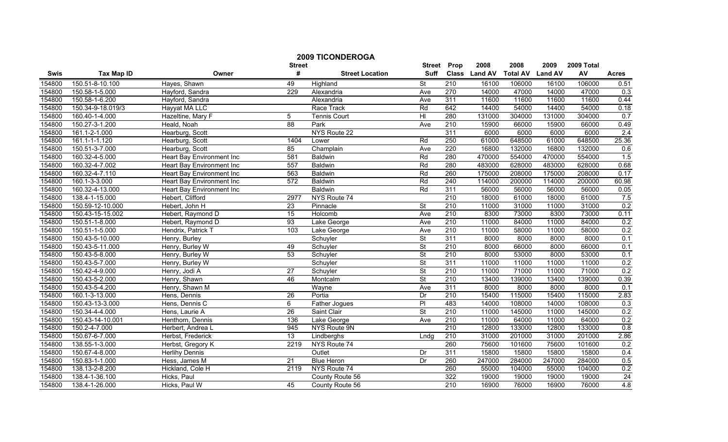| <b>2009 TICONDEROGA</b> |                   |                           |                    |                        |                              |                  |               |                 |                |                  |              |
|-------------------------|-------------------|---------------------------|--------------------|------------------------|------------------------------|------------------|---------------|-----------------|----------------|------------------|--------------|
|                         |                   |                           | <b>Street</b><br># |                        | <b>Street</b><br><b>Suff</b> | Prop             | 2008          | 2008            | 2009           | 2009 Total<br>AV |              |
| Swis                    | <b>Tax Map ID</b> | Owner                     |                    | <b>Street Location</b> |                              |                  | Class Land AV | <b>Total AV</b> | <b>Land AV</b> |                  | <b>Acres</b> |
| 154800                  | 150.51-8-10.100   | Hayes, Shawn              | 49                 | Highland               | St                           | 210              | 16100         | 106000          | 16100          | 106000           | 0.51         |
| 154800                  | 150.58-1-5.000    | Hayford, Sandra           | 229                | Alexandria             | Ave                          | 270              | 14000         | 47000           | 14000          | 47000            | 0.3          |
| 154800                  | 150.58-1-6.200    | Hayford, Sandra           |                    | Alexandria             | Ave                          | 311              | 11600         | 11600           | 11600          | 11600            | 0.44         |
| 154800                  | 150.34-9-18.019/3 | Hayyat MA LLC             |                    | Race Track             | Rd                           | 642              | 14400         | 54000           | 14400          | 54000            | 0.18         |
| 154800                  | 160.40-1-4.000    | Hazeltine, Mary F         | 5                  | <b>Tennis Court</b>    | HI                           | 280              | 131000        | 304000          | 131000         | 304000           | 0.7          |
| 154800                  | 150.27-3-1.200    | Heald, Noah               | 88                 | Park                   | Ave                          | 210              | 15900         | 66000           | 15900          | 66000            | 0.49         |
| 154800                  | 161.1-2-1.000     | Hearburg, Scott           |                    | NYS Route 22           |                              | 311              | 6000          | 6000            | 6000           | 6000             | 2.4          |
| 154800                  | 161.1-1-1.120     | Hearburg, Scott           | 1404               | Lower                  | Rd                           | 250              | 61000         | 648500          | 61000          | 648500           | 25.36        |
| 154800                  | 150.51-3-7.000    | Hearburg, Scott           | 85                 | Champlain              | Ave                          | 220              | 16800         | 132000          | 16800          | 132000           | 0.6          |
| 154800                  | 160.32-4-5.000    | Heart Bay Environment Inc | 581                | <b>Baldwin</b>         | Rd                           | 280              | 470000        | 554000          | 470000         | 554000           | 1.5          |
| 154800                  | 160.32-4-7.002    | Heart Bay Environment Inc | 557                | <b>Baldwin</b>         | Rd                           | 280              | 483000        | 628000          | 483000         | 628000           | 0.68         |
| 154800                  | 160.32-4-7.110    | Heart Bay Environment Inc | 563                | <b>Baldwin</b>         | Rd                           | 260              | 175000        | 208000          | 175000         | 208000           | 0.17         |
| 154800                  | 160.1-3-3.000     | Heart Bay Environment Inc | 572                | Baldwin                | Rd                           | $\overline{240}$ | 114000        | 200000          | 114000         | 200000           | 60.98        |
| 154800                  | 160.32-4-13.000   | Heart Bay Environment Inc |                    | <b>Baldwin</b>         | Rd                           | 311              | 56000         | 56000           | 56000          | 56000            | 0.05         |
| 154800                  | 138.4-1-15.000    | Hebert, Clifford          | 2977               | NYS Route 74           |                              | $\overline{210}$ | 18000         | 61000           | 18000          | 61000            | 7.5          |
| 154800                  | 150.59-12-10.000  | Hebert, John H            | $\overline{23}$    | Pinnacle               | <b>St</b>                    | 210              | 11000         | 31000           | 11000          | 31000            | 0.2          |
| 154800                  | 150.43-15-15.002  | Hebert, Raymond D         | 15                 | Holcomb                | Ave                          | 210              | 8300          | 73000           | 8300           | 73000            | 0.11         |
| 154800                  | 150.51-1-8.000    | Hebert, Raymond D         | 93                 | Lake George            | Ave                          | 210              | 11000         | 84000           | 11000          | 84000            | 0.2          |
| 154800                  | 150.51-1-5.000    | Hendrix, Patrick T        | 103                | Lake George            | Ave                          | 210              | 11000         | 58000           | 11000          | 58000            | 0.2          |
| 154800                  | 150.43-5-10.000   | Henry, Burley             |                    | Schuyler               | $\overline{\mathsf{St}}$     | 311              | 8000          | 8000            | 8000           | 8000             | 0.1          |
| 154800                  | 150.43-5-11.000   | Henry, Burley W           | 49                 | Schuyler               | St                           | 210              | 8000          | 66000           | 8000           | 66000            | 0.1          |
| 154800                  | 150.43-5-8.000    | Henry, Burley W           | 53                 | Schuyler               | $\overline{\mathsf{St}}$     | 210              | 8000          | 53000           | 8000           | 53000            | 0.1          |
| 154800                  | 150.43-5-7.000    | Henry, Burley W           |                    | Schuyler               | $\overline{\mathsf{St}}$     | 311              | 11000         | 11000           | 11000          | 11000            | 0.2          |
| 154800                  | 150.42-4-9.000    | Henry, Jodi A             | $\overline{27}$    | Schuyler               | $\overline{\mathsf{St}}$     | 210              | 11000         | 71000           | 11000          | 71000            | 0.2          |
| 154800                  | 150.43-5-2.000    | Henry, Shawn              | 46                 | Montcalm               | $\overline{\mathsf{St}}$     | 210              | 13400         | 139000          | 13400          | 139000           | 0.39         |
| 154800                  | 150.43-5-4.200    | Henry, Shawn M            |                    | Wayne                  | Ave                          | 311              | 8000          | 8000            | 8000           | 8000             | 0.1          |
| 154800                  | 160.1-3-13.000    | Hens, Dennis              | 26                 | Portia                 | Dr                           | 210              | 15400         | 115000          | 15400          | 115000           | 2.83         |
| 154800                  | 150.43-13-3.000   | Hens, Dennis C            | $\overline{6}$     | Father Jogues          | $\overline{PI}$              | 483              | 14000         | 108000          | 14000          | 108000           | 0.3          |
| 154800                  | 150.34-4-4.000    | Hens, Laurie A            | 26                 | Saint Clair            | <b>St</b>                    | 210              | 11000         | 145000          | 11000          | 145000           | 0.2          |
| 154800                  | 150.43-14-10.001  | Henthorn, Dennis          | 136                | Lake George            | Ave                          | 210              | 11000         | 64000           | 11000          | 64000            | 0.2          |
| 154800                  | 150.2-4-7.000     | Herbert, Andrea L         | 945                | NYS Route 9N           |                              | 210              | 12800         | 133000          | 12800          | 133000           | 0.8          |
| 154800                  | 150.67-6-7.000    | Herbst, Frederick         | 13                 | Lindberghs             | Lndg                         | 210              | 31000         | 201000          | 31000          | 201000           | 2.86         |
| 154800                  | 138.55-1-3.000    | Herbst, Gregory K         | 2219               | NYS Route 74           |                              | 260              | 75600         | 101600          | 75600          | 101600           | 0.2          |
| 154800                  | 150.67-4-8.000    | <b>Herlihy Dennis</b>     |                    | Outlet                 | Dr                           | 311              | 15800         | 15800           | 15800          | 15800            | 0.4          |
| 154800                  | 150.83-1-1.000    | Hess, James M             | 21                 | <b>Blue Heron</b>      | Dr                           | 260              | 247000        | 284000          | 247000         | 284000           | 0.5          |
| 154800                  | 138.13-2-8.200    | Hickland, Cole H          | 2119               | NYS Route 74           |                              | 260              | 55000         | 104000          | 55000          | 104000           | 0.2          |
| 154800                  | 138.4-1-36.100    | Hicks, Paul               |                    | County Route 56        |                              | 322              | 19000         | 19000           | 19000          | 19000            | 24           |
| 154800                  | 138.4-1-26.000    | Hicks, Paul W             | 45                 | County Route 56        |                              | 210              | 16900         | 76000           | 16900          | 76000            | 4.8          |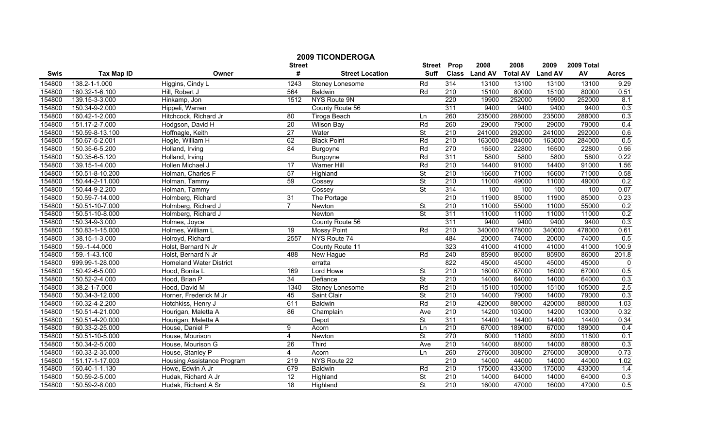| <b>2009 TICONDEROGA</b><br>2008<br><b>Street</b><br><b>Street</b><br>Prop |                   |                                |                  |                        |                          |                  |               | 2008                    | 2009   | 2009 Total |              |
|---------------------------------------------------------------------------|-------------------|--------------------------------|------------------|------------------------|--------------------------|------------------|---------------|-------------------------|--------|------------|--------------|
| Swis                                                                      | <b>Tax Map ID</b> | Owner                          | #                | <b>Street Location</b> | <b>Suff</b>              |                  | Class Land AV | <b>Total AV Land AV</b> |        | AV         | <b>Acres</b> |
| 154800                                                                    | 138.2-1-1.000     | Higgins, Cindy L               | 1243             | Stoney Lonesome        | Rd                       | 314              | 13100         | 13100                   | 13100  | 13100      | 9.29         |
| 154800                                                                    | 160.32-1-6.100    | Hill, Robert J                 | 564              | <b>Baldwin</b>         | Rd                       | $\overline{210}$ | 15100         | 80000                   | 15100  | 80000      | 0.51         |
| 154800                                                                    | 139.15-3-3.000    | Hinkamp, Jon                   | 1512             | NYS Route 9N           |                          | 220              | 19900         | 252000                  | 19900  | 252000     | 8.1          |
| 154800                                                                    | 150.34-9-2.000    | Hippeli, Warren                |                  | County Route 56        |                          | 311              | 9400          | 9400                    | 9400   | 9400       | 0.3          |
| 154800                                                                    | 160.42-1-2.000    | Hitchcock, Richard Jr          | 80               | Tiroga Beach           | Ln                       | 260              | 235000        | 288000                  | 235000 | 288000     | 0.3          |
| 154800                                                                    | 151.17-2-7.000    | Hodgson, David H               | 20               | <b>Wilson Bay</b>      | Rd                       | 260              | 29000         | 79000                   | 29000  | 79000      | 0.4          |
| 154800                                                                    | 150.59-8-13.100   | Hoffnagle, Keith               | 27               | Water                  | <b>St</b>                | 210              | 241000        | 292000                  | 241000 | 292000     | 0.6          |
| 154800                                                                    | 150.67-5-2.001    | Hogle, William H               | 62               | <b>Black Point</b>     | Rd                       | 210              | 163000        | 284000                  | 163000 | 284000     | 0.5          |
| 154800                                                                    | 150.35-6-5.200    | Holland, Irving                | $\overline{84}$  | Burgoyne               | Rd                       | 270              | 16500         | 22800                   | 16500  | 22800      | 0.56         |
| 154800                                                                    | 150.35-6-5.120    | Holland, Irving                |                  | Burgoyne               | Rd                       | 311              | 5800          | 5800                    | 5800   | 5800       | 0.22         |
| 154800                                                                    | 139.15-1-4.000    | Hollen Michael J               | $\overline{17}$  | <b>Warner Hill</b>     | Rd                       | 210              | 14400         | 91000                   | 14400  | 91000      | 1.56         |
| 154800                                                                    | 150.51-8-10.200   | Holman, Charles F              | 57               | Highland               | $\overline{\mathsf{St}}$ | 210              | 16600         | 71000                   | 16600  | 71000      | 0.58         |
| 154800                                                                    | 150.44-2-11.000   | Holman, Tammy                  | 59               | Cossey                 | St                       | $\overline{210}$ | 11000         | 49000                   | 11000  | 49000      | 0.2          |
| 154800                                                                    | 150.44-9-2.200    | Holman, Tammy                  |                  | Cossey                 | $\overline{\mathsf{St}}$ | 314              | 100           | 100                     | 100    | 100        | 0.07         |
| 154800                                                                    | 150.59-7-14.000   | Holmberg, Richard              | 31               | The Portage            |                          | $\overline{210}$ | 11900         | 85000                   | 11900  | 85000      | 0.23         |
| 154800                                                                    | 150.51-10-7.000   | Holmberg, Richard J            | $\overline{7}$   | Newton                 | $\overline{\mathsf{St}}$ | 210              | 11000         | 55000                   | 11000  | 55000      | 0.2          |
| 154800                                                                    | 150.51-10-8.000   | Holmberg, Richard J            |                  | Newton                 | $\overline{\mathsf{St}}$ | 311              | 11000         | 11000                   | 11000  | 11000      | 0.2          |
| 154800                                                                    | 150.34-9-3.000    | Holmes, Joyce                  |                  | County Route 56        |                          | 311              | 9400          | 9400                    | 9400   | 9400       | 0.3          |
| 154800                                                                    | 150.83-1-15.000   | Holmes, William L              | 19               | <b>Mossy Point</b>     | Rd                       | 210              | 340000        | 478000                  | 340000 | 478000     | 0.61         |
| 154800                                                                    | 138.15-1-3.000    | Holroyd, Richard               | 2557             | NYS Route 74           |                          | 484              | 20000         | 74000                   | 20000  | 74000      | 0.5          |
| 154800                                                                    | 159.-1-44.000     | Holst, Bernard N Jr            |                  | County Route 11        |                          | 323              | 41000         | 41000                   | 41000  | 41000      | 100.9        |
| 154800                                                                    | 159.-1-43.100     | Holst, Bernard N Jr            | 488              | New Hague              | Rd                       | 240              | 85900         | 86000                   | 85900  | 86000      | 201.8        |
| 154800                                                                    | 999.99-1-28.000   | <b>Homeland Water District</b> |                  | erratta                |                          | 822              | 45000         | 45000                   | 45000  | 45000      | $\Omega$     |
| 154800                                                                    | 150.42-6-5.000    | Hood, Bonita L                 | 169              | Lord Howe              | $\overline{\mathsf{St}}$ | 210              | 16000         | 67000                   | 16000  | 67000      | 0.5          |
| 154800                                                                    | 150.52-2-4.000    | Hood, Brian P                  | 34               | Defiance               | $\overline{\mathsf{St}}$ | 210              | 14000         | 64000                   | 14000  | 64000      | 0.3          |
| 154800                                                                    | 138.2-1-7.000     | Hood. David M                  | 1340             | Stoney Lonesome        | Rd                       | $\overline{210}$ | 15100         | 105000                  | 15100  | 105000     | 2.5          |
| 154800                                                                    | 150.34-3-12.000   | Horner, Frederick M Jr         | 45               | Saint Clair            | St                       | $\overline{210}$ | 14000         | 79000                   | 14000  | 79000      | 0.3          |
| 154800                                                                    | 160.32-4-2.200    | Hotchkiss, Henry J             | 611              | <b>Baldwin</b>         | Rd                       | 210              | 420000        | 880000                  | 420000 | 880000     | 1.03         |
| 154800                                                                    | 150.51-4-21.000   | Hourigan, Maletta A            | 86               | Champlain              | Ave                      | 210              | 14200         | 103000                  | 14200  | 103000     | 0.32         |
| 154800                                                                    | 150.51-4-20.000   | Hourigan, Maletta A            |                  | Depot                  | $\overline{\mathsf{St}}$ | 311              | 14400         | 14400                   | 14400  | 14400      | 0.34         |
| 154800                                                                    | 160.33-2-25.000   | House, Daniel P                | 9                | Acorn                  | Ln                       | 210              | 67000         | 189000                  | 67000  | 189000     | 0.4          |
| 154800                                                                    | 150.51-10-5.000   | House, Mourison                | $\overline{4}$   | Newton                 | St                       | 270              | 8000          | 11800                   | 8000   | 11800      | 0.1          |
| 154800                                                                    | 150.34-2-5.000    | House, Mourison G              | 26               | Third                  | Ave                      | 210              | 14000         | 88000                   | 14000  | 88000      | 0.3          |
| 154800                                                                    | 160.33-2-35.000   | House, Stanley P               | $\overline{4}$   | Acorn                  | Ln                       | 260              | 276000        | 308000                  | 276000 | 308000     | 0.73         |
| 154800                                                                    | 151.17-1-17.003   | Housing Assistance Program     | $\overline{219}$ | NYS Route 22           |                          | $\overline{210}$ | 14000         | 44000                   | 14000  | 44000      | 1.02         |
| 154800                                                                    | 160.40-1-1.130    | Howe, Edwin A Jr               | 679              | Baldwin                | Rd                       | 210              | 175000        | 433000                  | 175000 | 433000     | 1.4          |
| 154800                                                                    | 150.59-2-5.000    | Hudak, Richard A Jr            | $\overline{12}$  | Highland               | St                       | 210              | 14000         | 64000                   | 14000  | 64000      | 0.3          |
| 154800                                                                    | 150.59-2-8.000    | Hudak, Richard A Sr            | 18               | Highland               | $\overline{\mathsf{St}}$ | 210              | 16000         | 47000                   | 16000  | 47000      | 0.5          |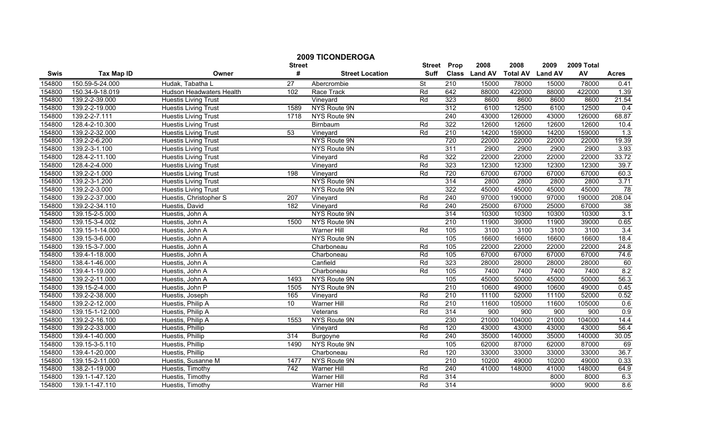|        |                   |                             | <b>Street</b>    | <b>2009 TICONDEROGA</b> | <b>Street</b> | Prop             | 2008          | 2008            | 2009           | 2009 Total |                 |
|--------|-------------------|-----------------------------|------------------|-------------------------|---------------|------------------|---------------|-----------------|----------------|------------|-----------------|
| Swis   | <b>Tax Map ID</b> | Owner                       | #                | <b>Street Location</b>  | <b>Suff</b>   |                  | Class Land AV | <b>Total AV</b> | <b>Land AV</b> | AV         | <b>Acres</b>    |
| 154800 | 150.59-5-24.000   | Hudak, Tabatha L            | 27               | Abercrombie             | St            | 210              | 15000         | 78000           | 15000          | 78000      | 0.41            |
| 154800 | 150.34-9-18.019   | Hudson Headwaters Health    | 102              | Race Track              | Rd            | 642              | 88000         | 422000          | 88000          | 422000     | 1.39            |
| 154800 | 139.2-2-39.000    | <b>Huestis Living Trust</b> |                  | Vineyard                | Rd            | 323              | 8600          | 8600            | 8600           | 8600       | 21.54           |
| 154800 | 139.2-2-19.000    | <b>Huestis Living Trust</b> | 1589             | NYS Route 9N            |               | 312              | 6100          | 12500           | 6100           | 12500      | 0.4             |
| 154800 | 139.2-2-7.111     | <b>Huestis Living Trust</b> | 1718             | NYS Route 9N            |               | 240              | 43000         | 126000          | 43000          | 126000     | 68.87           |
| 154800 | 128.4-2-10.300    | <b>Huestis Living Trust</b> |                  | Birnbaum                | Rd            | 322              | 12600         | 12600           | 12600          | 12600      | 10.4            |
| 154800 | 139.2-2-32.000    | <b>Huestis Living Trust</b> | 53               | Vineyard                | Rd            | 210              | 14200         | 159000          | 14200          | 159000     | 1.3             |
| 154800 | 139.2-2-6.200     | <b>Huestis Living Trust</b> |                  | NYS Route 9N            |               | 720              | 22000         | 22000           | 22000          | 22000      | 19.39           |
| 154800 | 139.2-3-1.100     | <b>Huestis Living Trust</b> |                  | NYS Route 9N            |               | 311              | 2900          | 2900            | 2900           | 2900       | 3.93            |
| 154800 | 128.4-2-11.100    | <b>Huestis Living Trust</b> |                  | Vineyard                | Rd            | 322              | 22000         | 22000           | 22000          | 22000      | 33.72           |
| 154800 | 128.4-2-4.000     | <b>Huestis Living Trust</b> |                  | Vineyard                | Rd            | 323              | 12300         | 12300           | 12300          | 12300      | 39.7            |
| 154800 | 139.2-2-1.000     | <b>Huestis Living Trust</b> | 198              | Vineyard                | Rd            | 720              | 67000         | 67000           | 67000          | 67000      | 60.3            |
| 154800 | 139.2-3-1.200     | <b>Huestis Living Trust</b> |                  | NYS Route 9N            |               | 314              | 2800          | 2800            | 2800           | 2800       | 3.71            |
| 154800 | 139.2-2-3.000     | <b>Huestis Living Trust</b> |                  | NYS Route 9N            |               | 322              | 45000         | 45000           | 45000          | 45000      | 78              |
| 154800 | 139.2-2-37.000    | Huestis, Christopher S      | $\overline{207}$ | Vineyard                | Rd            | $\overline{240}$ | 97000         | 190000          | 97000          | 190000     | 208.04          |
| 154800 | 139.2-2-34.110    | Huestis, David              | 182              | Vineyard                | Rd            | 240              | 25000         | 67000           | 25000          | 67000      | $\overline{38}$ |
| 154800 | 139.15-2-5.000    | Huestis, John A             |                  | NYS Route 9N            |               | 314              | 10300         | 10300           | 10300          | 10300      | 3.1             |
| 154800 | 139.15-3-4.002    | Huestis, John A             | 1500             | NYS Route 9N            |               | 210              | 11900         | 39000           | 11900          | 39000      | 0.65            |
| 154800 | 139.15-1-14.000   | Huestis, John A             |                  | <b>Warner Hill</b>      | Rd            | 105              | 3100          | 3100            | 3100           | 3100       | 3.4             |
| 154800 | 139.15-3-6.000    | Huestis, John A             |                  | <b>NYS Route 9N</b>     |               | 105              | 16600         | 16600           | 16600          | 16600      | 18.4            |
| 154800 | 139.15-3-7.000    | Huestis, John A             |                  | Charboneau              | Rd            | 105              | 22000         | 22000           | 22000          | 22000      | 24.8            |
| 154800 | 139.4-1-18.000    | Huestis, John A             |                  | Charboneau              | Rd            | 105              | 67000         | 67000           | 67000          | 67000      | 74.6            |
| 154800 | 138.4-1-46.000    | Huestis, John A             |                  | Canfield                | Rd            | 323              | 28000         | 28000           | 28000          | 28000      | 60              |
| 154800 | 139.4-1-19.000    | Huestis, John A             |                  | Charboneau              | Rd            | 105              | 7400          | 7400            | 7400           | 7400       | 8.2             |
| 154800 | 139.2-2-11.000    | Huestis, John A             | 1493             | NYS Route 9N            |               | 105              | 45000         | 50000           | 45000          | 50000      | 56.3            |
| 154800 | 139.15-2-4.000    | Huestis, John P             | 1505             | NYS Route 9N            |               | $\overline{210}$ | 10600         | 49000           | 10600          | 49000      | 0.45            |
| 154800 | 139.2-2-38.000    | Huestis, Joseph             | 165              | Vineyard                | Rd            | 210              | 11100         | 52000           | 11100          | 52000      | 0.52            |
| 154800 | 139.2-2-12.000    | Huestis, Philip A           | 10               | <b>Warner Hill</b>      | Rd            | 210              | 11600         | 105000          | 11600          | 105000     | 0.6             |
| 154800 | 139.15-1-12.000   | Huestis, Philip A           |                  | Veterans                | Rd            | 314              | 900           | 900             | 900            | 900        | 0.9             |
| 154800 | 139.2-2-16.100    | Huestis, Philip A           | 1553             | <b>NYS Route 9N</b>     |               | 230              | 21000         | 104000          | 21000          | 104000     | 14.4            |
| 154800 | 139.2-2-33.000    | Huestis, Phillip            |                  | Vineyard                | Rd            | 120              | 43000         | 43000           | 43000          | 43000      | 56.4            |
| 154800 | 139.4-1-40.000    | Huestis, Phillip            | 314              | Burgoyne                | Rd            | 240              | 35000         | 140000          | 35000          | 140000     | 30.05           |
| 154800 | 139.15-3-5.110    | Huestis, Phillip            | 1490             | NYS Route 9N            |               | 105              | 62000         | 87000           | 62000          | 87000      | 69              |
| 154800 | 139.4-1-20.000    | Huestis, Phillip            |                  | Charboneau              | Rd            | 120              | 33000         | 33000           | 33000          | 33000      | 36.7            |
| 154800 | 139.15-2-11.000   | Huestis, Susanne M          | 1477             | <b>NYS Route 9N</b>     |               | $\overline{210}$ | 10200         | 49000           | 10200          | 49000      | 0.33            |
| 154800 | 138.2-1-19.000    | Huestis, Timothy            | 742              | Warner Hill             | Rd            | 240              | 41000         | 148000          | 41000          | 148000     | 64.9            |
| 154800 | 139.1-1-47.120    | Huestis, Timothy            |                  | Warner Hill             | Rd            | 314              |               |                 | 8000           | 8000       | 6.3             |
| 154800 | 139.1-1-47.110    | Huestis, Timothy            |                  | Warner Hill             | Rd            | 314              |               |                 | 9000           | 9000       | 8.6             |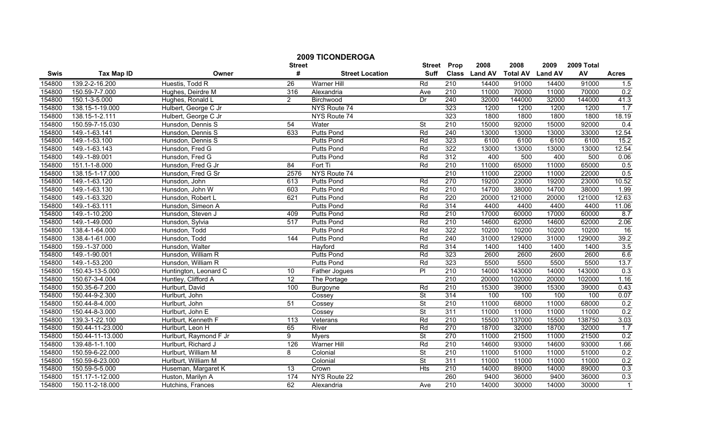|        |                   |                        | <b>Street</b>   | <b>2009 TICONDEROGA</b> | <b>Street</b>            | Prop             | 2008          | 2008            | 2009           | 2009 Total |              |
|--------|-------------------|------------------------|-----------------|-------------------------|--------------------------|------------------|---------------|-----------------|----------------|------------|--------------|
| Swis   | <b>Tax Map ID</b> | Owner                  | #               | <b>Street Location</b>  | <b>Suff</b>              |                  | Class Land AV | <b>Total AV</b> | <b>Land AV</b> | AV         | <b>Acres</b> |
| 154800 | 139.2-2-16.200    | Huestis, Todd R        | 26              | Warner Hill             | Rd                       | 210              | 14400         | 91000           | 14400          | 91000      | 1.5          |
| 154800 | 150.59-7-7.000    | Hughes, Deirdre M      | 316             | Alexandria              | Ave                      | 210              | 11000         | 70000           | 11000          | 70000      | 0.2          |
| 154800 | 150.1-3-5.000     | Hughes, Ronald L       | $\overline{2}$  | Birchwood               | Dr                       | 240              | 32000         | 144000          | 32000          | 144000     | 41.3         |
| 154800 | 138.15-1-19.000   | Hulbert, George C Jr   |                 | NYS Route 74            |                          | 323              | 1200          | 1200            | 1200           | 1200       | 1.7          |
| 154800 | 138.15-1-2.111    | Hulbert, George C Jr   |                 | NYS Route 74            |                          | 323              | 1800          | 1800            | 1800           | 1800       | 18.19        |
| 154800 | 150.59-7-15.030   | Hunsdon, Dennis S      | 54              | Water                   | <b>St</b>                | 210              | 15000         | 92000           | 15000          | 92000      | 0.4          |
| 154800 | 149.-1-63.141     | Hunsdon, Dennis S      | 633             | <b>Putts Pond</b>       | Rd                       | 240              | 13000         | 13000           | 13000          | 33000      | 12.54        |
| 154800 | 149.-1-53.100     | Hunsdon, Dennis S      |                 | <b>Putts Pond</b>       | Rd                       | 323              | 6100          | 6100            | 6100           | 6100       | 15.2         |
| 154800 | 149.-1-63.143     | Hunsdon, Fred G        |                 | <b>Putts Pond</b>       | Rd                       | 322              | 13000         | 13000           | 13000          | 13000      | 12.54        |
| 154800 | 149.-1-89.001     | Hunsdon, Fred G        |                 | <b>Putts Pond</b>       | Rd                       | 312              | 400           | 500             | 400            | 500        | 0.06         |
| 154800 | 151.1-1-8.000     | Hunsdon, Fred G Jr     | 84              | Fort Ti                 | Rd                       | 210              | 11000         | 65000           | 11000          | 65000      | 0.5          |
| 154800 | 138.15-1-17.000   | Hunsdon, Fred G Sr     | 2576            | NYS Route 74            |                          | 210              | 11000         | 22000           | 11000          | 22000      | 0.5          |
| 154800 | 149.-1-63.120     | Hunsdon, John          | 613             | Putts Pond              | Rd                       | 270              | 19200         | 23000           | 19200          | 23000      | 10.52        |
| 154800 | 149.-1-63.130     | Hunsdon, John W        | 603             | <b>Putts Pond</b>       | Rd                       | 210              | 14700         | 38000           | 14700          | 38000      | 1.99         |
| 154800 | 149.-1-63.320     | Hunsdon, Robert L      | 621             | <b>Putts Pond</b>       | Rd                       | 220              | 20000         | 121000          | 20000          | 121000     | 12.63        |
| 154800 | 149.-1-63.111     | Hunsdon, Simeon A      |                 | <b>Putts Pond</b>       | Rd                       | 314              | 4400          | 4400            | 4400           | 4400       | 11.06        |
| 154800 | 149.-1-10.200     | Hunsdon, Steven J      | 409             | <b>Putts Pond</b>       | Rd                       | 210              | 17000         | 60000           | 17000          | 60000      | 8.7          |
| 154800 | 149.-1-49.000     | Hunsdon, Sylvia        | 517             | <b>Putts Pond</b>       | Rd                       | 210              | 14600         | 62000           | 14600          | 62000      | 2.06         |
| 154800 | 138.4-1-64.000    | Hunsdon, Todd          |                 | <b>Putts Pond</b>       | Rd                       | 322              | 10200         | 10200           | 10200          | 10200      | 16           |
| 154800 | 138.4-1-61.000    | Hunsdon, Todd          | 144             | <b>Putts Pond</b>       | Rd                       | 240              | 31000         | 129000          | 31000          | 129000     | 39.2         |
| 154800 | 159.-1-37.000     | Hunsdon, Walter        |                 | Havford                 | Rd                       | 314              | 1400          | 1400            | 1400           | 1400       | 3.5          |
| 154800 | 149.-1-90.001     | Hunsdon, William R     |                 | <b>Putts Pond</b>       | Rd                       | 323              | 2600          | 2600            | 2600           | 2600       | 6.6          |
| 154800 | 149.-1-53.200     | Hunsdon, William R     |                 | <b>Putts Pond</b>       | Rd                       | 323              | 5500          | 5500            | 5500           | 5500       | 13.7         |
| 154800 | 150.43-13-5.000   | Huntington, Leonard C  | 10              | Father Jogues           | $\overline{P}$           | 210              | 14000         | 143000          | 14000          | 143000     | 0.3          |
| 154800 | 150.67-3-4.004    | Huntley, Clifford A    | $\overline{12}$ | The Portage             |                          | 210              | 20000         | 102000          | 20000          | 102000     | 1.16         |
| 154800 | 150.35-6-7.200    | Hurlburt, David        | 100             | Burgoyne                | Rd                       | $\overline{210}$ | 15300         | 39000           | 15300          | 39000      | 0.43         |
| 154800 | 150.44-9-2.300    | Hurlburt, John         |                 | Cossey                  | <b>St</b>                | 314              | 100           | 100             | 100            | 100        | 0.07         |
| 154800 | 150.44-8-4.000    | Hurlburt, John         | 51              | Cossey                  | $\overline{\mathsf{St}}$ | 210              | 11000         | 68000           | 11000          | 68000      | 0.2          |
| 154800 | 150.44-8-3.000    | Hurlburt, John E       |                 | Cossey                  | <b>St</b>                | 311              | 11000         | 11000           | 11000          | 11000      | 0.2          |
| 154800 | 139.3-1-22.100    | Hurlburt, Kenneth F    | 113             | Veterans                | Rd                       | $\overline{210}$ | 15500         | 137000          | 15500          | 138750     | 3.03         |
| 154800 | 150.44-11-23.000  | Hurlburt, Leon H       | 65              | River                   | Rd                       | 270              | 18700         | 32000           | 18700          | 32000      | 1.7          |
| 154800 | 150.44-11-13.000  | Hurlburt, Raymond F Jr | $\overline{9}$  | <b>Myers</b>            | St                       | 270              | 11000         | 21500           | 11000          | 21500      | 0.2          |
| 154800 | 139.48-1-1.100    | Hurlburt, Richard J    | 126             | <b>Warner Hill</b>      | Rd                       | 210              | 14600         | 93000           | 14600          | 93000      | 1.66         |
| 154800 | 150.59-6-22.000   | Hurlburt, William M    | 8               | Colonial                | $\overline{\mathsf{St}}$ | 210              | 11000         | 51000           | 11000          | 51000      | 0.2          |
| 154800 | 150.59-6-23.000   | Hurlburt, William M    |                 | Colonial                | $\overline{\mathsf{St}}$ | 311              | 11000         | 11000           | 11000          | 11000      | 0.2          |
| 154800 | 150.59-5-5.000    | Huseman, Margaret K    | 13              | Crown                   | <b>Hts</b>               | 210              | 14000         | 89000           | 14000          | 89000      | 0.3          |
| 154800 | 151.17-1-12.000   | Huston, Marilyn A      | 174             | NYS Route 22            |                          | 260              | 9400          | 36000           | 9400           | 36000      | 0.3          |
| 154800 | 150.11-2-18.000   | Hutchins, Frances      | 62              | Alexandria              | Ave                      | 210              | 14000         | 30000           | 14000          | 30000      | $\mathbf{1}$ |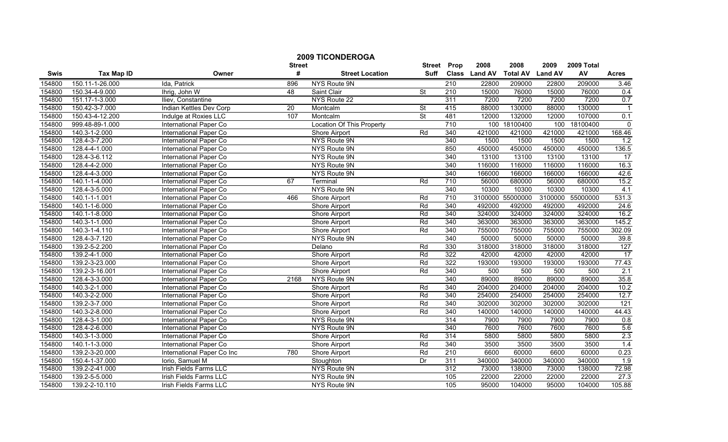|        |                   |                               | <b>Street</b>   | <b>2009 TICONDEROGA</b>          | Street                   | Prop             | 2008          | 2008            | 2009           | 2009 Total |                         |
|--------|-------------------|-------------------------------|-----------------|----------------------------------|--------------------------|------------------|---------------|-----------------|----------------|------------|-------------------------|
| Swis   | <b>Tax Map ID</b> | Owner                         | #               | <b>Street Location</b>           | Suff                     |                  | Class Land AV | <b>Total AV</b> | <b>Land AV</b> | AV         | <b>Acres</b>            |
| 154800 | 150.11-1-26.000   | Ida, Patrick                  | 896             | NYS Route 9N                     |                          | $\overline{210}$ | 22800         | 209000          | 22800          | 209000     | 3.46                    |
| 154800 | 150.34-4-9.000    | Ihrig, John W                 | 48              | Saint Clair                      | $\overline{\mathsf{St}}$ | $\overline{210}$ | 15000         | 76000           | 15000          | 76000      | 0.4                     |
| 154800 | 151.17-1-3.000    | Iliev, Constantine            |                 | NYS Route 22                     |                          | 311              | 7200          | 7200            | 7200           | 7200       | 0.7                     |
| 154800 | 150.42-3-7.000    | Indian Kettles Dev Corp       | $\overline{20}$ | Montcalm                         | St                       | 415              | 88000         | 130000          | 88000          | 130000     | $\overline{\mathbf{1}}$ |
| 154800 | 150.43-4-12.200   | Indulge at Roxies LLC         | 107             | Montcalm                         | $\overline{\mathsf{St}}$ | 481              | 12000         | 132000          | 12000          | 107000     | 0.1                     |
| 154800 | 999.48-89-1.000   | International Paper Co        |                 | <b>Location Of This Property</b> |                          | 710              | 100           | 18100400        | 100            | 18100400   | $\mathbf 0$             |
| 154800 | 140.3-1-2.000     | International Paper Co        |                 | <b>Shore Airport</b>             | Rd                       | 340              | 421000        | 421000          | 421000         | 421000     | 168.46                  |
| 154800 | 128.4-3-7.200     | International Paper Co        |                 | NYS Route 9N                     |                          | 340              | 1500          | 1500            | 1500           | 1500       | 1.2                     |
| 154800 | 128.4-4-1.000     | International Paper Co        |                 | NYS Route 9N                     |                          | 850              | 450000        | 450000          | 450000         | 450000     | 136.5                   |
| 154800 | 128.4-3-6.112     | International Paper Co        |                 | NYS Route 9N                     |                          | 340              | 13100         | 13100           | 13100          | 13100      | 17                      |
| 154800 | 128.4-4-2.000     | International Paper Co        |                 | NYS Route 9N                     |                          | 340              | 116000        | 116000          | 116000         | 116000     | 16.3                    |
| 154800 | 128.4-4-3.000     | International Paper Co        |                 | NYS Route 9N                     |                          | 340              | 166000        | 166000          | 166000         | 166000     | 42.6                    |
| 154800 | 140.1-1-4.000     | International Paper Co        | 67              | Terminal                         | Rd                       | 710              | 56000         | 680000          | 56000          | 680000     | 15.2                    |
| 154800 | 128.4-3-5.000     | International Paper Co        |                 | NYS Route 9N                     |                          | 340              | 10300         | 10300           | 10300          | 10300      | 4.1                     |
| 154800 | 140.1-1-1.001     | International Paper Co        | 466             | Shore Airport                    | Rd                       | $\overline{710}$ | 3100000       | 55000000        | 3100000        | 55000000   | 531.3                   |
| 154800 | 140.1-1-6.000     | International Paper Co        |                 | Shore Airport                    | Rd                       | 340              | 492000        | 492000          | 492000         | 492000     | 24.6                    |
| 154800 | 140.1-1-8.000     | International Paper Co        |                 | Shore Airport                    | Rd                       | 340              | 324000        | 324000          | 324000         | 324000     | 16.2                    |
| 154800 | 140.3-1-1.000     | <b>International Paper Co</b> |                 | <b>Shore Airport</b>             | Rd                       | 340              | 363000        | 363000          | 363000         | 363000     | 145.2                   |
| 154800 | 140.3-1-4.110     | <b>International Paper Co</b> |                 | <b>Shore Airport</b>             | Rd                       | 340              | 755000        | 755000          | 755000         | 755000     | 302.09                  |
| 154800 | 128.4-3-7.120     | International Paper Co        |                 | NYS Route 9N                     |                          | 340              | 50000         | 50000           | 50000          | 50000      | 39.8                    |
| 154800 | 139.2-5-2.200     | International Paper Co        |                 | Delano                           | Rd                       | 330              | 318000        | 318000          | 318000         | 318000     | 127                     |
| 154800 | 139.2-4-1.000     | International Paper Co        |                 | Shore Airport                    | Rd                       | 322              | 42000         | 42000           | 42000          | 42000      | 17                      |
| 154800 | 139.2-3-23.000    | International Paper Co        |                 | Shore Airport                    | Rd                       | 322              | 193000        | 193000          | 193000         | 193000     | 77.43                   |
| 154800 | 139.2-3-16.001    | <b>International Paper Co</b> |                 | Shore Airport                    | Rd                       | 340              | 500           | 500             | 500            | 500        | 2.1                     |
| 154800 | 128.4-3-3.000     | <b>International Paper Co</b> | 2168            | NYS Route 9N                     |                          | 340              | 89000         | 89000           | 89000          | 89000      | 35.8                    |
| 154800 | 140.3-2-1.000     | International Paper Co        |                 | Shore Airport                    | Rd                       | 340              | 204000        | 204000          | 204000         | 204000     | 10.2                    |
| 154800 | 140.3-2-2.000     | International Paper Co        |                 | Shore Airport                    | Rd                       | 340              | 254000        | 254000          | 254000         | 254000     | 12.7                    |
| 154800 | 139.2-3-7.000     | International Paper Co        |                 | Shore Airport                    | Rd                       | 340              | 302000        | 302000          | 302000         | 302000     | 121                     |
| 154800 | 140.3-2-8.000     | International Paper Co        |                 | <b>Shore Airport</b>             | Rd                       | 340              | 140000        | 140000          | 140000         | 140000     | 44.43                   |
| 154800 | 128.4-3-1.000     | International Paper Co        |                 | NYS Route 9N                     |                          | 314              | 7900          | 7900            | 7900           | 7900       | 0.8                     |
| 154800 | 128.4-2-6.000     | International Paper Co        |                 | NYS Route 9N                     |                          | 340              | 7600          | 7600            | 7600           | 7600       | 5.6                     |
| 154800 | 140.3-1-3.000     | International Paper Co        |                 | Shore Airport                    | Rd                       | 314              | 5800          | 5800            | 5800           | 5800       | 2.3                     |
| 154800 | 140.1-1-3.000     | <b>International Paper Co</b> |                 | <b>Shore Airport</b>             | Rd                       | 340              | 3500          | 3500            | 3500           | 3500       | 1.4                     |
| 154800 | 139.2-3-20.000    | International Paper Co Inc    | 780             | <b>Shore Airport</b>             | Rd                       | 210              | 6600          | 60000           | 6600           | 60000      | 0.23                    |
| 154800 | 150.4-1-37.000    | Iorio, Samuel M               |                 | Stoughton                        | Dr                       | 311              | 340000        | 340000          | 340000         | 340000     | 1.9                     |
| 154800 | 139.2-2-41.000    | Irish Fields Farms LLC        |                 | NYS Route 9N                     |                          | 312              | 73000         | 138000          | 73000          | 138000     | 72.98                   |
| 154800 | 139.2-5-5.000     | Irish Fields Farms LLC        |                 | NYS Route 9N                     |                          | 105              | 22000         | 22000           | 22000          | 22000      | 27.3                    |
| 154800 | 139.2-2-10.110    | Irish Fields Farms LLC        |                 | NYS Route 9N                     |                          | 105              | 95000         | 104000          | 95000          | 104000     | 105.88                  |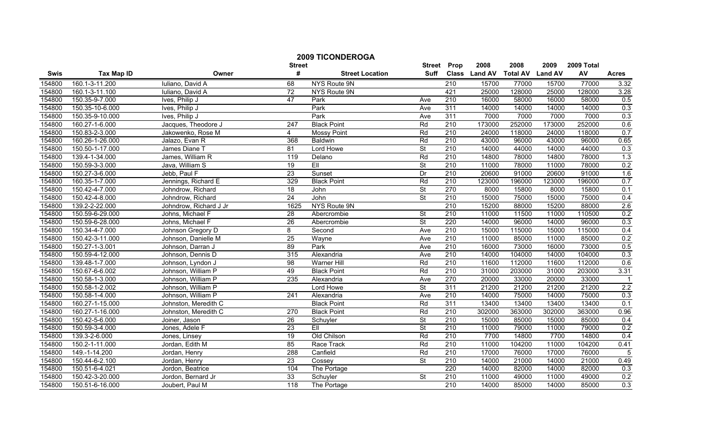|        |                      |                        | <b>Street</b>    | <b>2009 TICONDEROGA</b> | <b>Street</b>            | Prop             | 2008          | 2008            | 2009           | 2009 Total |                  |
|--------|----------------------|------------------------|------------------|-------------------------|--------------------------|------------------|---------------|-----------------|----------------|------------|------------------|
| Swis   | <b>Tax Map ID</b>    | Owner                  | #                | <b>Street Location</b>  | <b>Suff</b>              |                  | Class Land AV | <b>Total AV</b> | <b>Land AV</b> | AV         | <b>Acres</b>     |
| 154800 | 160.1-3-11.200       | Iuliano, David A       | 68               | NYS Route 9N            |                          | 210              | 15700         | 77000           | 15700          | 77000      | 3.32             |
| 154800 | 160.1-3-11.100       | Iuliano, David A       | $\overline{72}$  | NYS Route 9N            |                          | 421              | 25000         | 128000          | 25000          | 128000     | 3.28             |
| 154800 | 150.35-9-7.000       | Ives, Philip J         | 47               | Park                    | Ave                      | 210              | 16000         | 58000           | 16000          | 58000      | 0.5              |
| 154800 | 150.35-10-6.000      | Ives, Philip J         |                  | Park                    | Ave                      | 311              | 14000         | 14000           | 14000          | 14000      | 0.3              |
| 154800 | 150.35-9-10.000      | Ives, Philip J         |                  | Park                    | Ave                      | 311              | 7000          | 7000            | 7000           | 7000       | 0.3              |
| 154800 | 160.27-1-6.000       | Jacques, Theodore J    | 247              | <b>Black Point</b>      | Rd                       | 210              | 173000        | 252000          | 173000         | 252000     | 0.6              |
| 154800 | 150.83-2-3.000       | Jakowenko, Rose M      | $\overline{4}$   | <b>Mossy Point</b>      | Rd                       | 210              | 24000         | 118000          | 24000          | 118000     | 0.7              |
| 154800 | 160.26-1-26.000      | Jalazo, Evan R         | 368              | Baldwin                 | Rd                       | 210              | 43000         | 96000           | 43000          | 96000      | 0.65             |
| 154800 | 150.50-1-17.000      | James Diane T          | 81               | Lord Howe               | <b>St</b>                | 210              | 14000         | 44000           | 14000          | 44000      | 0.3              |
| 154800 | 139.4-1-34.000       | James, William R       | 119              | Delano                  | Rd                       | $\overline{210}$ | 14800         | 78000           | 14800          | 78000      | 1.3              |
| 154800 | 150.59-3-3.000       | Java, William S        | $\overline{19}$  | EII                     | $\overline{\mathsf{St}}$ | 210              | 11000         | 78000           | 11000          | 78000      | 0.2              |
| 154800 | 150.27-3-6.000       | Jebb, Paul F           | 23               | Sunset                  | Dr                       | 210              | 20600         | 91000           | 20600          | 91000      | 1.6              |
| 154800 | 160.35-1-7.000       | Jennings, Richard E    | 329              | <b>Black Point</b>      | Rd                       | $\overline{210}$ | 123000        | 196000          | 123000         | 196000     | 0.7              |
| 154800 | 150.42-4-7.000       | Johndrow, Richard      | $\overline{18}$  | John                    | $\overline{\mathsf{St}}$ | 270              | 8000          | 15800           | 8000           | 15800      | 0.1              |
| 154800 | $150.42 - 4 - 8.000$ | Johndrow, Richard      | 24               | John                    | $\overline{\mathsf{St}}$ | $\overline{210}$ | 15000         | 75000           | 15000          | 75000      | 0.4              |
| 154800 | 139.2-2-22.000       | Johndrow, Richard J Jr | 1625             | NYS Route 9N            |                          | 210              | 15200         | 88000           | 15200          | 88000      | 2.6              |
| 154800 | 150.59-6-29.000      | Johns, Michael F       | $\overline{28}$  | Abercrombie             | $\overline{\mathsf{St}}$ | 210              | 11000         | 11500           | 11000          | 110500     | 0.2              |
| 154800 | 150.59-6-28.000      | Johns, Michael F       | 26               | Abercrombie             | <b>St</b>                | 220              | 14000         | 96000           | 14000          | 96000      | 0.3              |
| 154800 | 150.34-4-7.000       | Johnson Gregory D      | 8                | Second                  | Ave                      | 210              | 15000         | 115000          | 15000          | 115000     | 0.4              |
| 154800 | 150.42-3-11.000      | Johnson, Danielle M    | 25               | Wayne                   | Ave                      | 210              | 11000         | 85000           | 11000          | 85000      | 0.2              |
| 154800 | 150.27-1-3.001       | Johnson, Darran J      | 89               | Park                    | Ave                      | 210              | 16000         | 73000           | 16000          | 73000      | 0.5              |
| 154800 | 150.59-4-12.000      | Johnson, Dennis D      | 315              | Alexandria              | Ave                      | 210              | 14000         | 104000          | 14000          | 104000     | 0.3              |
| 154800 | 139.48-1-7.000       | Johnson, Lyndon J      | $\overline{98}$  | <b>Warner Hill</b>      | Rd                       | 210              | 11600         | 112000          | 11600          | 112000     | 0.6              |
| 154800 | 150.67-6-6.002       | Johnson, William P     | 49               | <b>Black Point</b>      | Rd                       | 210              | 31000         | 203000          | 31000          | 203000     | 3.31             |
| 154800 | 150.58-1-3.000       | Johnson, William P     | 235              | Alexandria              | Ave                      | 270              | 20000         | 33000           | 20000          | 33000      | $\overline{1}$   |
| 154800 | 150.58-1-2.002       | Johnson, William P     |                  | Lord Howe               | $\overline{\mathsf{St}}$ | 311              | 21200         | 21200           | 21200          | 21200      | $\overline{2.2}$ |
| 154800 | 150.58-1-4.000       | Johnson, William P     | $\overline{241}$ | Alexandria              | Ave                      | $\overline{210}$ | 14000         | 75000           | 14000          | 75000      | 0.3              |
| 154800 | 160.27-1-15.000      | Johnston, Meredith C   |                  | <b>Black Point</b>      | Rd                       | 311              | 13400         | 13400           | 13400          | 13400      | 0.1              |
| 154800 | 160.27-1-16.000      | Johnston, Meredith C   | 270              | <b>Black Point</b>      | Rd                       | 210              | 302000        | 363000          | 302000         | 363000     | 0.96             |
| 154800 | 150.42-5-6.000       | Joiner, Jason          | $\overline{26}$  | Schuyler                | $\overline{\mathsf{St}}$ | $\overline{210}$ | 15000         | 85000           | 15000          | 85000      | 0.4              |
| 154800 | 150.59-3-4.000       | Jones, Adele F         | 23               | EII                     | <b>St</b>                | 210              | 11000         | 79000           | 11000          | 79000      | 0.2              |
| 154800 | 139.3-2-6.000        | Jones, Linsey          | 19               | Old Chilson             | Rd                       | 210              | 7700          | 14800           | 7700           | 14800      | 0.4              |
| 154800 | 150.2-1-11.000       | Jordan, Edith M        | 85               | Race Track              | Rd                       | 210              | 11000         | 104200          | 11000          | 104200     | 0.41             |
| 154800 | 149.-1-14.200        | Jordan, Henry          | 288              | Canfield                | Rd                       | 210              | 17000         | 76000           | 17000          | 76000      | $\overline{5}$   |
| 154800 | 150.44-6-2.100       | Jordan, Henry          | 23               | Cossey                  | <b>St</b>                | $\overline{210}$ | 14000         | 21000           | 14000          | 21000      | 0.49             |
| 154800 | 150.51-6-4.021       | Jordon, Beatrice       | 104              | The Portage             |                          | 220              | 14000         | 82000           | 14000          | 82000      | 0.3              |
| 154800 | 150.42-3-20.000      | Jordon, Bernard Jr     | 33               | Schuyler                | St                       | 210              | 11000         | 49000           | 11000          | 49000      | 0.2              |
| 154800 | 150.51-6-16.000      | Joubert, Paul M        | 118              | The Portage             |                          | 210              | 14000         | 85000           | 14000          | 85000      | 0.3              |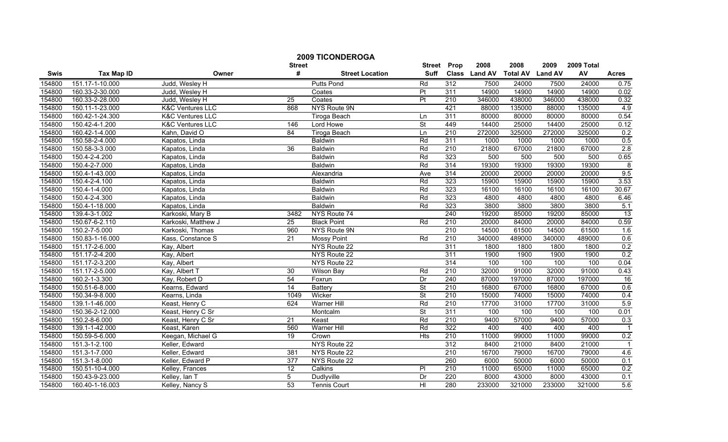|        | <b>2009 TICONDEROGA</b> |                             |                  |                        |                          |                  |               |                 |                |            |                   |
|--------|-------------------------|-----------------------------|------------------|------------------------|--------------------------|------------------|---------------|-----------------|----------------|------------|-------------------|
|        |                         |                             | <b>Street</b>    |                        | <b>Street</b>            | Prop             | 2008          | 2008            | 2009           | 2009 Total |                   |
| Swis   | <b>Tax Map ID</b>       | Owner                       | #                | <b>Street Location</b> | <b>Suff</b>              |                  | Class Land AV | <b>Total AV</b> | <b>Land AV</b> | AV         | <b>Acres</b>      |
| 154800 | 151.17-1-10.000         | Judd, Wesley H              |                  | Putts Pond             | Rd                       | 312              | 7500          | 24000           | 7500           | 24000      | 0.75              |
| 154800 | 160.33-2-30.000         | Judd, Wesley H              |                  | Coates                 | Pt                       | 311              | 14900         | 14900           | 14900          | 14900      | $\overline{0.02}$ |
| 154800 | 160.33-2-28.000         | Judd, Wesley H              | $\overline{25}$  | Coates                 | $\overline{\mathsf{Pt}}$ | 210              | 346000        | 438000          | 346000         | 438000     | 0.32              |
| 154800 | 150.11-1-23.000         | <b>K&amp;C Ventures LLC</b> | 868              | NYS Route 9N           |                          | 421              | 88000         | 135000          | 88000          | 135000     | 4.9               |
| 154800 | 160.42-1-24.300         | <b>K&amp;C Ventures LLC</b> |                  | <b>Tiroga Beach</b>    | Ln                       | 311              | 80000         | 80000           | 80000          | 80000      | 0.54              |
| 154800 | 150.42-4-1.200          | <b>K&amp;C Ventures LLC</b> | 146              | Lord Howe              | $\overline{\mathsf{St}}$ | 449              | 14400         | 25000           | 14400          | 25000      | 0.12              |
| 154800 | 160.42-1-4.000          | Kahn, David O               | 84               | <b>Tiroga Beach</b>    | Ln                       | 210              | 272000        | 325000          | 272000         | 325000     | 0.2               |
| 154800 | 150.58-2-4.000          | Kapatos, Linda              |                  | <b>Baldwin</b>         | Rd                       | 311              | 1000          | 1000            | 1000           | 1000       | 0.5               |
| 154800 | 150.58-3-3.000          | Kapatos, Linda              | 36               | Baldwin                | Rd                       | $\overline{210}$ | 21800         | 67000           | 21800          | 67000      | 2.8               |
| 154800 | 150.4-2-4.200           | Kapatos, Linda              |                  | Baldwin                | Rd                       | 323              | 500           | 500             | 500            | 500        | 0.65              |
| 154800 | 150.4-2-7.000           | Kapatos, Linda              |                  | <b>Baldwin</b>         | Rd                       | 314              | 19300         | 19300           | 19300          | 19300      | $\overline{8}$    |
| 154800 | 150.4-1-43.000          | Kapatos, Linda              |                  | Alexandria             | Ave                      | 314              | 20000         | 20000           | 20000          | 20000      | 9.5               |
| 154800 | 150.4-2-4.100           | Kapatos, Linda              |                  | <b>Baldwin</b>         | Rd                       | 323              | 15900         | 15900           | 15900          | 15900      | 3.53              |
| 154800 | 150.4-1-4.000           | Kapatos, Linda              |                  | Baldwin                | Rd                       | 323              | 16100         | 16100           | 16100          | 16100      | 30.67             |
| 154800 | 150.4-2-4.300           | Kapatos, Linda              |                  | <b>Baldwin</b>         | Rd                       | 323              | 4800          | 4800            | 4800           | 4800       | 6.46              |
| 154800 | 150.4-1-18.000          | Kapatos, Linda              |                  | Baldwin                | Rd                       | 323              | 3800          | 3800            | 3800           | 3800       | 5.1               |
| 154800 | 139.4-3-1.002           | Karkoski, Mary B            | 3482             | NYS Route 74           |                          | 240              | 19200         | 85000           | 19200          | 85000      | 13                |
| 154800 | 150.67-6-2.110          | Karkoski, Matthew J         | 25               | <b>Black Point</b>     | Rd                       | 210              | 20000         | 84000           | 20000          | 84000      | 0.59              |
| 154800 | 150.2-7-5.000           | Karkoski, Thomas            | 960              | NYS Route 9N           |                          | 210              | 14500         | 61500           | 14500          | 61500      | 1.6               |
| 154800 | 150.83-1-16.000         | Kass, Constance S           | 21               | <b>Mossy Point</b>     | Rd                       | 210              | 340000        | 489000          | 340000         | 489000     | 0.6               |
| 154800 | 151.17-2-6.000          | Kay, Albert                 |                  | NYS Route 22           |                          | 311              | 1800          | 1800            | 1800           | 1800       | 0.2               |
| 154800 | 151.17-2-4.200          | Kay, Albert                 |                  | NYS Route 22           |                          | 311              | 1900          | 1900            | 1900           | 1900       | 0.2               |
| 154800 | 151.17-2-3.200          | Kay, Albert                 |                  | NYS Route 22           |                          | 314              | 100           | 100             | 100            | 100        | 0.04              |
| 154800 | 151.17-2-5.000          | Kay, Albert T               | 30               | <b>Wilson Bay</b>      | Rd                       | 210              | 32000         | 91000           | 32000          | 91000      | 0.43              |
| 154800 | 160.2-1-3.300           | Kay, Robert D               | 54               | Foxrun                 | Dr                       | 240              | 87000         | 197000          | 87000          | 197000     | 16                |
| 154800 | 150.51-6-8.000          | Kearns, Edward              | 14               | <b>Battery</b>         | <b>St</b>                | 210              | 16800         | 67000           | 16800          | 67000      | 0.6               |
| 154800 | 150.34-9-8.000          | Kearns, Linda               | 1049             | Wicker                 | $\overline{\mathsf{St}}$ | 210              | 15000         | 74000           | 15000          | 74000      | 0.4               |
| 154800 | 139.1-1-46.000          | Keast, Henry C              | 624              | Warner Hill            | Rd                       | 210              | 17700         | 31000           | 17700          | 31000      | 5.9               |
| 154800 | 150.36-2-12.000         | Keast, Henry C Sr           |                  | Montcalm               | <b>St</b>                | 311              | 100           | 100             | 100            | 100        | 0.01              |
| 154800 | 150.2-8-6.000           | Keast, Henry C Sr           | 21               | Keast                  | Rd                       | 210              | 9400          | 57000           | 9400           | 57000      | 0.3               |
| 154800 | 139.1-1-42.000          | Keast, Karen                | 560              | <b>Warner Hill</b>     | Rd                       | 322              | 400           | 400             | 400            | 400        | $\overline{1}$    |
| 154800 | 150.59-5-6.000          | Keegan, Michael G           | 19               | Crown                  | <b>Hts</b>               | 210              | 11000         | 99000           | 11000          | 99000      | 0.2               |
| 154800 | 151.3-1-2.100           | Keller, Edward              |                  | NYS Route 22           |                          | 312              | 8400          | 21000           | 8400           | 21000      |                   |
| 154800 | 151.3-1-7.000           | Keller, Edward              | 381              | NYS Route 22           |                          | 210              | 16700         | 79000           | 16700          | 79000      | 4.6               |
| 154800 | 151.3-1-8.000           | Keller, Edward P            | $\overline{377}$ | NYS Route 22           |                          | 260              | 6000          | 50000           | 6000           | 50000      | 0.1               |
| 154800 | 150.51-10-4.000         | Kelley, Frances             | 12               | Calkins                | PI                       | 210              | 11000         | 65000           | 11000          | 65000      | 0.2               |
| 154800 | 150.43-9-23.000         | Kelley, Ian T               | $\overline{5}$   | Dudlyville             | Dr                       | 220              | 8000          | 43000           | 8000           | 43000      | 0.1               |
| 154800 | 160.40-1-16.003         | Kelley, Nancy S             | 53               | <b>Tennis Court</b>    | $\overline{\mathsf{H}}$  | 280              | 233000        | 321000          | 233000         | 321000     | 5.6               |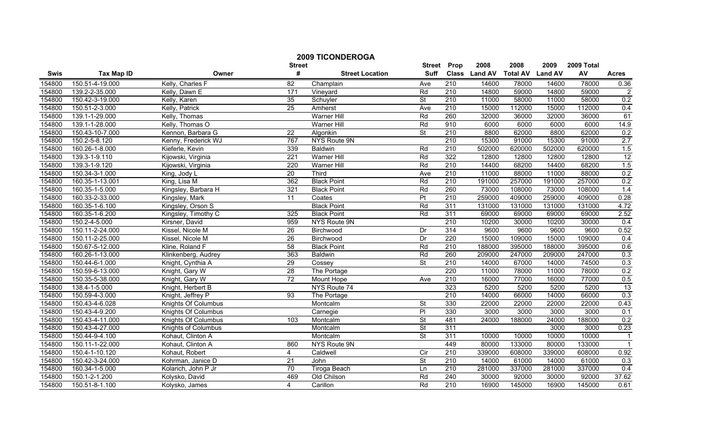|        |                   |                            | <b>Street</b>    | <b>2009 TICONDEROGA</b> | <b>Street</b>            | Prop             | 2008          | 2008            | 2009           | 2009 Total |                  |
|--------|-------------------|----------------------------|------------------|-------------------------|--------------------------|------------------|---------------|-----------------|----------------|------------|------------------|
| Swis   | <b>Tax Map ID</b> | Owner                      | #                | <b>Street Location</b>  | <b>Suff</b>              |                  | Class Land AV | <b>Total AV</b> | <b>Land AV</b> | AV         | <b>Acres</b>     |
| 154800 | 150.51-4-19.000   | Kelly, Charles F           | 82               | Champlain               | Ave                      | 210              | 14600         | 78000           | 14600          | 78000      | 0.36             |
| 154800 | 139.2-2-35.000    | Kelly, Dawn E              | 171              | Vineyard                | Rd                       | 210              | 14800         | 59000           | 14800          | 59000      | $\overline{2}$   |
| 154800 | 150.42-3-19.000   | Kelly, Karen               | 35               | Schuyler                | $\overline{\mathsf{St}}$ | 210              | 11000         | 58000           | 11000          | 58000      | 0.2              |
| 154800 | 150.51-2-3.000    | Kelly, Patrick             | $\overline{25}$  | Amherst                 | Ave                      | 210              | 15000         | 112000          | 15000          | 112000     | 0.4              |
| 154800 | 139.1-1-29.000    | Kelly, Thomas              |                  | <b>Warner Hill</b>      | Rd                       | 260              | 32000         | 36000           | 32000          | 36000      | 61               |
| 154800 | 139.1-1-28.000    | Kelly, Thomas O            |                  | <b>Warner Hill</b>      | Rd                       | 910              | 6000          | 6000            | 6000           | 6000       | 14.9             |
| 154800 | 150.43-10-7.000   | Kennon, Barbara G          | $\overline{22}$  | Algonkin                | St                       | 210              | 8800          | 62000           | 8800           | 62000      | 0.2              |
| 154800 | 150.2-5-8.120     | Kenny, Frederick WJ        | 767              | NYS Route 9N            |                          | 210              | 15300         | 91000           | 15300          | 91000      | 2.7              |
| 154800 | 160.26-1-8.000    | Kieferle, Kevin            | 339              | Baldwin                 | Rd                       | $\overline{210}$ | 502000        | 620000          | 502000         | 620000     | 1.5              |
| 154800 | 139.3-1-9.110     | Kijowski, Virginia         | $\overline{221}$ | <b>Warner Hill</b>      | Rd                       | 322              | 12800         | 12800           | 12800          | 12800      | $\frac{12}{1.5}$ |
| 154800 | 139.3-1-9.120     | Kijowski, Virginia         | 220              | <b>Warner Hill</b>      | Rd                       | 210              | 14400         | 68200           | 14400          | 68200      |                  |
| 154800 | 150.34-3-1.000    | King, Jody L               | 20               | Third                   | Ave                      | 210              | 11000         | 88000           | 11000          | 88000      | 0.2              |
| 154800 | 160.35-1-13.001   | King, Lisa M               | 362              | <b>Black Point</b>      | Rd                       | $\overline{210}$ | 191000        | 257000          | 191000         | 257000     | 0.2              |
| 154800 | 160.35-1-5.000    | Kingsley, Barbara H        | 321              | <b>Black Point</b>      | Rd                       | 260              | 73000         | 108000          | 73000          | 108000     | 1.4              |
| 154800 | 160.33-2-33.000   | Kingsley, Mark             | $\overline{11}$  | Coates                  | $\overline{P}$           | $\overline{210}$ | 259000        | 409000          | 259000         | 409000     | 0.28             |
| 154800 | 160.35-1-6.100    | Kingsley, Orson S          |                  | <b>Black Point</b>      | Rd                       | 311              | 131000        | 131000          | 131000         | 131000     | 4.72             |
| 154800 | 160.35-1-6.200    | Kingsley, Timothy C        | 325              | <b>Black Point</b>      | Rd                       | 311              | 69000         | 69000           | 69000          | 69000      | 2.52             |
| 154800 | 150.2-4-5.000     | Kirsner, David             | 959              | NYS Route 9N            |                          | 210              | 10200         | 30000           | 10200          | 30000      | 0.4              |
| 154800 | 150.11-2-24.000   | Kissel, Nicole M           | $\overline{26}$  | Birchwood               | Dr                       | 314              | 9600          | 9600            | 9600           | 9600       | 0.52             |
| 154800 | 150.11-2-25.000   | Kissel, Nicole M           | 26               | Birchwood               | Dr                       | 220              | 15000         | 109000          | 15000          | 109000     | 0.4              |
| 154800 | 150.67-5-12.000   | Kline, Roland F            | 58               | <b>Black Point</b>      | Rd                       | 210              | 188000        | 395000          | 188000         | 395000     | 0.6              |
| 154800 | 160.26-1-13.000   | Klinkenberg, Audrey        | 363              | <b>Baldwin</b>          | Rd                       | 260              | 209000        | 247000          | 209000         | 247000     | 0.3              |
| 154800 | 150.44-6-1.000    | Knight, Cynthia A          | 29               | Cossey                  | $\overline{\mathsf{St}}$ | 210              | 14000         | 67000           | 14000          | 74500      | 0.3              |
| 154800 | 150.59-6-13.000   | Knight, Gary W             | $\overline{28}$  | The Portage             |                          | 220              | 11000         | 78000           | 11000          | 78000      | 0.2              |
| 154800 | 150.35-5-38.000   | Knight, Gary W             | $\overline{72}$  | Mount Hope              | Ave                      | 210              | 16000         | 77000           | 16000          | 77000      | 0.5              |
| 154800 | 138.4-1-5.000     | Knight, Herbert B          |                  | NYS Route 74            |                          | 323              | 5200          | 5200            | 5200           | 5200       | 13               |
| 154800 | 150.59-4-3.000    | Knight, Jeffrey P          | 93               | The Portage             |                          | $\overline{210}$ | 14000         | 66000           | 14000          | 66000      | 0.3              |
| 154800 | 150.43-4-6.028    | Knights Of Columbus        |                  | Montcalm                | St                       | 330              | 22000         | 22000           | 22000          | 22000      | 0.43             |
| 154800 | 150.43-4-9.200    | <b>Knights Of Columbus</b> |                  | Carnegie                | $\overline{PI}$          | 330              | 3000          | 3000            | 3000           | 3000       | 0.1              |
| 154800 | 150.43-4-11.000   | <b>Knights Of Columbus</b> | 103              | Montcalm                | <b>St</b>                | 481              | 24000         | 188000          | 24000          | 188000     | 0.2              |
| 154800 | 150.43-4-27.000   | Knights of Columbus        |                  | Montcalm                | St                       | 311              |               |                 | 3000           | 3000       | 0.23             |
| 154800 | 150.44-9-4.100    | Kohaut, Clinton A          |                  | Montcalm                | St                       | 311              | 10000         | 10000           | 10000          | 10000      | $\mathbf{1}$     |
| 154800 | 150.11-1-22.000   | Kohaut, Clinton A          | 860              | NYS Route 9N            |                          | 449              | 80000         | 133000          | 80000          | 133000     | $\overline{1}$   |
| 154800 | 150.4-1-10.120    | Kohaut, Robert             | $\overline{4}$   | Caldwell                | $\overline{C}$           | 210              | 339000        | 608000          | 339000         | 608000     | 0.92             |
| 154800 | 150.42-3-24.000   | Kohrman, Janice D          | $\overline{21}$  | John                    | St                       | 210              | 14000         | 61000           | 14000          | 61000      | 0.3              |
| 154800 | 160.34-1-5.000    | Kolarich, John P Jr        | 70               | Tiroga Beach            | Ln                       | 210              | 281000        | 337000          | 281000         | 337000     | 0.4              |
| 154800 | 150.1-2-1.200     | Kolysko, David             | 469              | Old Chilson             | Rd                       | 240              | 30000         | 92000           | 30000          | 92000      | 37.62            |
| 154800 | 150.51-8-1.100    | Kolysko, James             | $\overline{4}$   | Carillon                | Rd                       | 210              | 16900         | 145000          | 16900          | 145000     | 0.61             |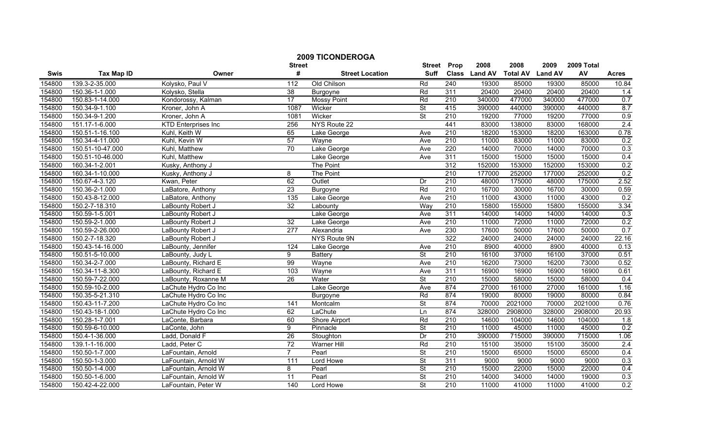|        |                   |                            |                    | <b>2009 TICONDEROGA</b> |                              |                  | 2008          | 2008            | 2009           | 2009 Total |              |
|--------|-------------------|----------------------------|--------------------|-------------------------|------------------------------|------------------|---------------|-----------------|----------------|------------|--------------|
| Swis   | <b>Tax Map ID</b> | Owner                      | <b>Street</b><br># | <b>Street Location</b>  | <b>Street</b><br><b>Suff</b> | Prop             | Class Land AV | <b>Total AV</b> | <b>Land AV</b> | AV         | <b>Acres</b> |
| 154800 | 139.3-2-35.000    | Kolysko, Paul V            | 112                | Old Chilson             | Rd                           | 240              | 19300         | 85000           | 19300          | 85000      | 10.84        |
| 154800 | 150.36-1-1.000    | Kolysko, Stella            | $\overline{38}$    | Burgoyne                | Rd                           | 311              | 20400         | 20400           | 20400          | 20400      | 1.4          |
| 154800 | 150.83-1-14.000   | Kondorossy, Kalman         | 17                 | <b>Mossy Point</b>      | Rd                           | 210              | 340000        | 477000          | 340000         | 477000     | 0.7          |
| 154800 | 150.34-9-1.100    | Kroner, John A             | 1087               | Wicker                  | <b>St</b>                    | 415              | 390000        | 440000          | 390000         | 440000     | 8.7          |
| 154800 | 150.34-9-1.200    | Kroner, John A             | 1081               | Wicker                  | $\overline{\mathsf{St}}$     | 210              | 19200         | 77000           | 19200          | 77000      | 0.9          |
| 154800 | 151.17-1-6.000    | <b>KTD Enterprises Inc</b> | 256                | NYS Route 22            |                              | 441              | 83000         | 138000          | 83000          | 168000     | 2.4          |
| 154800 | 150.51-1-16.100   | Kuhl, Keith W              | 65                 | Lake George             | Ave                          | 210              | 18200         | 153000          | 18200          | 163000     | 0.78         |
| 154800 | 150.34-4-11.000   | Kuhl, Kevin W              | 57                 | Wayne                   | Ave                          | 210              | 11000         | 83000           | 11000          | 83000      | 0.2          |
| 154800 | 150.51-10-47.000  | Kuhl, Matthew              | 70                 | Lake George             | Ave                          | $\overline{220}$ | 14000         | 70000           | 14000          | 70000      | 0.3          |
| 154800 | 150.51-10-46.000  | Kuhl, Matthew              |                    | Lake George             | Ave                          | 311              | 15000         | 15000           | 15000          | 15000      | 0.4          |
| 154800 | 160.34-1-2.001    | Kusky, Anthony J           |                    | The Point               |                              | 312              | 152000        | 153000          | 152000         | 153000     | 0.2          |
| 154800 | 160.34-1-10.000   | Kusky, Anthony J           | 8                  | The Point               |                              | 210              | 177000        | 252000          | 177000         | 252000     | 0.2          |
| 154800 | 150.67-4-3.120    | Kwan, Peter                | 62                 | Outlet                  | $\overline{Dr}$              | 210              | 48000         | 175000          | 48000          | 175000     | 2.52         |
| 154800 | 150.36-2-1.000    | LaBatore, Anthony          | $\overline{23}$    | Burgoyne                | Rd                           | 210              | 16700         | 30000           | 16700          | 30000      | 0.59         |
| 154800 | 150.43-8-12.000   | LaBatore, Anthony          | 135                | Lake George             | Ave                          | $\overline{210}$ | 11000         | 43000           | 11000          | 43000      | 0.2          |
| 154800 | 150.2-7-18.310    | LaBounty Robert J          | $\overline{32}$    | Labounty                | Way                          | 210              | 15800         | 155000          | 15800          | 155000     | 3.34         |
| 154800 | 150.59-1-5.001    | LaBounty Robert J          |                    | Lake George             | Ave                          | 311              | 14000         | 14000           | 14000          | 14000      | 0.3          |
| 154800 | 150.59-2-1.000    | LaBounty Robert J          | 32                 | Lake George             | Ave                          | 210              | 11000         | 72000           | 11000          | 72000      | 0.2          |
| 154800 | 150.59-2-26.000   | LaBounty Robert J          | 277                | Alexandria              | Ave                          | 230              | 17600         | 50000           | 17600          | 50000      | 0.7          |
| 154800 | 150.2-7-18.320    | LaBounty Robert J          |                    | NYS Route 9N            |                              | 322              | 24000         | 24000           | 24000          | 24000      | 22.16        |
| 154800 | 150.43-14-16.000  | LaBounty, Jennifer         | 124                | Lake George             | Ave                          | $\overline{210}$ | 8900          | 40000           | 8900           | 40000      | 0.13         |
| 154800 | 150.51-5-10.000   | LaBounty, Judy L           | 9                  | <b>Battery</b>          | <b>St</b>                    | 210              | 16100         | 37000           | 16100          | 37000      | 0.51         |
| 154800 | 150.34-2-7.000    | LaBounty, Richard E        | 99                 | Wayne                   | Ave                          | 210              | 16200         | 73000           | 16200          | 73000      | 0.52         |
| 154800 | 150.34-11-8.300   | LaBounty, Richard E        | 103                | Wayne                   | Ave                          | 311              | 16900         | 16900           | 16900          | 16900      | 0.61         |
| 154800 | 150.59-7-22.000   | LaBounty, Roxanne M        | 26                 | Water                   | $\overline{\mathsf{St}}$     | $\overline{210}$ | 15000         | 58000           | 15000          | 58000      | 0.4          |
| 154800 | 150.59-10-2.000   | LaChute Hydro Co Inc       |                    | Lake George             | Ave                          | 874              | 27000         | 161000          | 27000          | 161000     | 1.16         |
| 154800 | 150.35-5-21.310   | LaChute Hydro Co Inc       |                    | Burgoyne                | Rd                           | 874              | 19000         | 80000           | 19000          | 80000      | 0.84         |
| 154800 | 150.43-11-7.200   | LaChute Hydro Co Inc       | $\overline{141}$   | Montcalm                | $\overline{\mathsf{St}}$     | 874              | 70000         | 2021000         | 70000          | 2021000    | 0.76         |
| 154800 | 150.43-18-1.000   | LaChute Hydro Co Inc       | 62                 | LaChute                 | Ln                           | 874              | 328000        | 2908000         | 328000         | 2908000    | 20.93        |
| 154800 | 150.28-1-7.001    | LaConte, Barbara           | 60                 | Shore Airport           | Rd                           | 210              | 14600         | 104000          | 14600          | 104000     | 1.8          |
| 154800 | 150.59-6-10.000   | LaConte, John              | $\overline{9}$     | Pinnacle                | <b>St</b>                    | 210              | 11000         | 45000           | 11000          | 45000      | 0.2          |
| 154800 | 150.4-1-36.000    | Ladd, Donald F             | 26                 | Stoughton               | Dr                           | 210              | 390000        | 715000          | 390000         | 715000     | 1.06         |
| 154800 | 139.1-1-16.000    | Ladd, Peter C              | 72                 | <b>Warner Hill</b>      | Rd                           | 210              | 15100         | 35000           | 15100          | 35000      | 2.4          |
| 154800 | 150.50-1-7.000    | LaFountain, Arnold         | $\overline{7}$     | Pearl                   | $\overline{\mathsf{St}}$     | 210              | 15000         | 65000           | 15000          | 65000      | 0.4          |
| 154800 | 150.50-1-3.000    | LaFountain, Arnold W       | 111                | Lord Howe               | St                           | 311              | 9000          | 9000            | 9000           | 9000       | 0.3          |
| 154800 | 150.50-1-4.000    | LaFountain, Arnold W       | 8                  | Pearl                   | <b>St</b>                    | 210              | 15000         | 22000           | 15000          | 22000      | 0.4          |
| 154800 | 150.50-1-6.000    | LaFountain, Arnold W       | 11                 | Pearl                   | $\overline{\mathsf{St}}$     | 210              | 14000         | 34000           | 14000          | 19000      | 0.3          |
| 154800 | 150.42-4-22.000   | LaFountain, Peter W        | 140                | Lord Howe               | $\overline{\mathsf{St}}$     | 210              | 11000         | 41000           | 11000          | 41000      | 0.2          |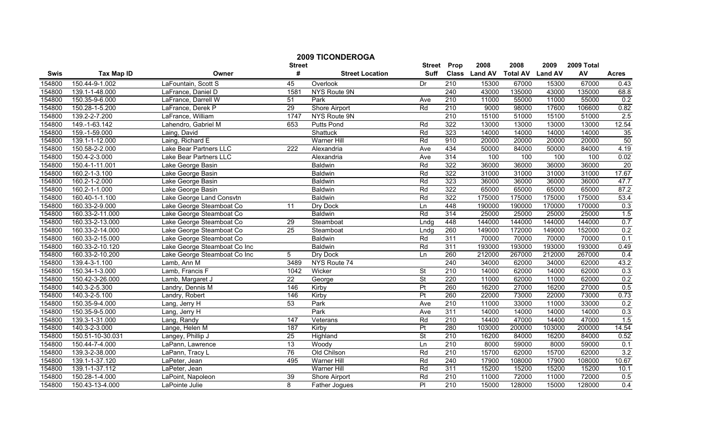|             |                                    |                                      |                    | <b>2009 TICONDEROGA</b> |                              |                  |                       |                         |                        |                  |              |
|-------------|------------------------------------|--------------------------------------|--------------------|-------------------------|------------------------------|------------------|-----------------------|-------------------------|------------------------|------------------|--------------|
| <b>Swis</b> | <b>Tax Map ID</b>                  | Owner                                | <b>Street</b><br># | <b>Street Location</b>  | <b>Street</b><br><b>Suff</b> | Prop             | 2008<br>Class Land AV | 2008<br><b>Total AV</b> | 2009<br><b>Land AV</b> | 2009 Total<br>AV | <b>Acres</b> |
| 154800      | 150.44-9-1.002                     | LaFountain, Scott S                  | 45                 | Overlook                | Dr                           | $\overline{210}$ | 15300                 | 67000                   | 15300                  | 67000            | 0.43         |
| 154800      | 139.1-1-48.000                     | LaFrance, Daniel D                   | 1581               | NYS Route 9N            |                              | 240              | 43000                 | 135000                  | 43000                  | 135000           | 68.8         |
| 154800      | 150.35-9-6.000                     | LaFrance, Darrell W                  | 51                 | Park                    | Ave                          | 210              | 11000                 | 55000                   | 11000                  | 55000            | 0.2          |
| 154800      | 150.28-1-5.200                     | LaFrance, Derek P                    | 29                 | <b>Shore Airport</b>    | Rd                           | 210              | 9000                  | 98000                   | 17600                  | 106600           | 0.82         |
| 154800      | 139.2-2-7.200                      | LaFrance, William                    | 1747               | NYS Route 9N            |                              | 210              | 15100                 | 51000                   | 15100                  | 51000            | 2.5          |
| 154800      | 149.-1-63.142                      | Lahendro, Gabriel M                  | 653                | <b>Putts Pond</b>       | Rd                           | 322              | 13000                 | 13000                   | 13000                  | 13000            | 12.54        |
| 154800      | 159.-1-59.000                      | Laing, David                         |                    | <b>Shattuck</b>         | Rd                           | 323              | 14000                 | 14000                   | 14000                  | 14000            | 35           |
| 154800      | 139.1-1-12.000                     | Laing, Richard E                     |                    | <b>Warner Hill</b>      | Rd                           | 910              | 20000                 | 20000                   | 20000                  | 20000            | 50           |
| 154800      | 150.58-2-2.000                     | Lake Bear Partners LLC               | $\overline{222}$   | Alexandria              | Ave                          | 434              | 50000                 | 84000                   | 50000                  | 84000            | 4.19         |
| 154800      | 150.4-2-3.000                      | Lake Bear Partners LLC               |                    | Alexandria              | Ave                          | 314              | 100                   | 100                     | 100                    | 100              | 0.02         |
| 154800      | 150.4-1-11.001                     | Lake George Basin                    |                    | <b>Baldwin</b>          | Rd                           | 322              | 36000                 | 36000                   | 36000                  | 36000            | 20           |
| 154800      | 160.2-1-3.100                      | Lake George Basin                    |                    | <b>Baldwin</b>          | Rd                           | 322              | 31000                 | 31000                   | 31000                  | 31000            | 17.67        |
| 154800      | 160.2-1-2.000                      | Lake George Basin                    |                    | <b>Baldwin</b>          | Rd                           | 323              | 36000                 | 36000                   | 36000                  | 36000            | 47.7         |
| 154800      | 160.2-1-1.000                      | Lake George Basin                    |                    | <b>Baldwin</b>          | Rd                           | 322              | 65000                 | 65000                   | 65000                  | 65000            | 87.2         |
| 154800      | 160.40-1-1.100                     | Lake George Land Consvtn             |                    | <b>Baldwin</b>          | Rd                           | 322              | 175000                | 175000                  | 175000                 | 175000           | 53.4         |
| 154800      | 160.33-2-9.000                     | Lake George Steamboat Co             | 11                 | Dry Dock                | Ln                           | 448              | 190000                | 190000                  | 170000                 | 170000           | 0.3          |
| 154800      | 160.33-2-11.000                    | Lake George Steamboat Co             |                    | <b>Baldwin</b>          | Rd                           | 314              | 25000                 | 25000                   | 25000                  | 25000            | 1.5          |
| 154800      | 160.33-2-13.000                    | Lake George Steamboat Co             | 29                 | Steamboat               | Lndg                         | 448              | 144000                | 144000                  | 144000                 | 144000           | 0.7          |
| 154800      | 160.33-2-14.000                    | Lake George Steamboat Co             | 25                 | Steamboat               | Lndg                         | 260              | 149000                | 172000                  | 149000                 | 152000           | 0.2          |
| 154800      | 160.33-2-15.000                    | Lake George Steamboat Co             |                    | <b>Baldwin</b>          | Rd                           | 311              | 70000                 | 70000                   | 70000                  | 70000            | 0.1          |
| 154800      | 160.33-2-10.120                    | Lake George Steamboat Co Inc         |                    | <b>Baldwin</b>          | Rd                           | 311              | 193000                | 193000                  | 193000                 | 193000           | 0.49         |
| 154800      | 160.33-2-10.200                    |                                      | 5                  | Dry Dock                | Ln                           | 260              | 212000                | 267000                  | 212000                 | 267000           | 0.4          |
| 154800      | 139.4-3-1.100                      | Lake George Steamboat Co Inc         | 3489               | NYS Route 74            |                              | 240              | 34000                 | 62000                   | 34000                  | 62000            | 43.2         |
| 154800      | 150.34-1-3.000                     | Lamb, Ann M<br>Lamb, Francis F       | 1042               | Wicker                  | <b>St</b>                    | 210              | 14000                 | 62000                   | 14000                  | 62000            | 0.3          |
| 154800      | 150.42-3-26.000                    |                                      | $\overline{22}$    |                         | St                           | 220              | 11000                 | 62000                   | 11000                  | 62000            |              |
| 154800      | 140.3-2-5.300                      | Lamb, Margaret J<br>Landry, Dennis M | 146                | George<br>Kirby         | $\overline{\mathsf{Pt}}$     | 260              | 16200                 | 27000                   | 16200                  | 27000            | 0.2<br>0.5   |
| 154800      | 140.3-2-5.100                      |                                      | 146                | Kirby                   | Pt                           | 260              | 22000                 | 73000                   | 22000                  | 73000            | 0.73         |
| 154800      | 150.35-9-4.000                     | Landry, Robert                       | 53                 | Park                    | Ave                          | $\overline{210}$ | 11000                 | 33000                   | 11000                  | 33000            | 0.2          |
| 154800      | 150.35-9-5.000                     | Lang, Jerry H                        |                    | Park                    | Ave                          | 311              | 14000                 | 14000                   | 14000                  | 14000            | 0.3          |
| 154800      | 139.3-1-31.000                     | Lang, Jerry H                        | 147                |                         | Rd                           | 210              | 14400                 | 47000                   | 14400                  | 47000            | 1.5          |
| 154800      | 140.3-2-3.000                      | Lang, Randy<br>Lange, Helen M        | 187                | Veterans<br>Kirby       |                              | 280              | 103000                | 200000                  | 103000                 | 200000           | 14.54        |
|             |                                    |                                      | 25                 |                         | Pt<br><b>St</b>              | 210              | 16200                 | 84000                   | 16200                  | 84000            |              |
| 154800      | 150.51-10-30.031<br>150.44-7-4.000 | Langey, Phillip J                    | 13                 | Highland                | Ln                           | 210              | 8000                  | 59000                   | 8000                   | 59000            | 0.52<br>0.1  |
| 154800      |                                    | LaPann, Lawrence                     |                    | Woody                   |                              |                  |                       |                         |                        |                  |              |
| 154800      | 139.3-2-38.000                     | LaPann, Tracy L                      | 76                 | Old Chilson             | Rd                           | 210              | 15700                 | 62000                   | 15700                  | 62000            | 3.2          |
| 154800      | 139.1-1-37.120                     | LaPeter, Jean                        | 495                | Warner Hill             | Rd                           | 240              | 17900                 | 108000                  | 17900                  | 108000           | 10.67        |
| 154800      | 139.1-1-37.112                     | LaPeter, Jean                        |                    | Warner Hill             | Rd                           | 311              | 15200                 | 15200                   | 15200                  | 15200            | 10.1         |
| 154800      | 150.28-1-4.000                     | LaPoint, Napoleon                    | 39                 | Shore Airport           | Rd                           | $\overline{210}$ | 11000                 | 72000                   | 11000                  | 72000            | 0.5          |
| 154800      | 150.43-13-4.000                    | LaPointe Julie                       | 8                  | Father Jogues           | $\overline{PI}$              | 210              | 15000                 | 128000                  | 15000                  | 128000           | 0.4          |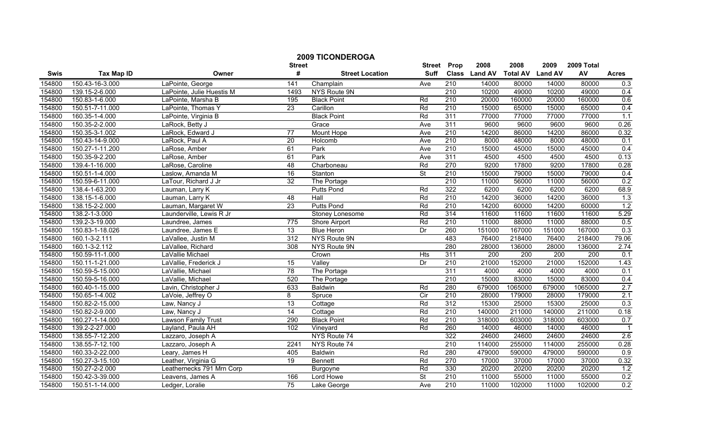|        |                   |                           | <b>Street</b>   | <b>2009 TICONDEROGA</b> | <b>Street</b>            | Prop             | 2008          | 2008            | 2009           | 2009 Total |                |
|--------|-------------------|---------------------------|-----------------|-------------------------|--------------------------|------------------|---------------|-----------------|----------------|------------|----------------|
| Swis   | <b>Tax Map ID</b> | Owner                     | #               | <b>Street Location</b>  | <b>Suff</b>              |                  | Class Land AV | <b>Total AV</b> | <b>Land AV</b> | AV         | <b>Acres</b>   |
| 154800 | 150.43-16-3.000   | LaPointe, George          | 141             | Champlain               | Ave                      | $\overline{210}$ | 14000         | 80000           | 14000          | 80000      | 0.3            |
| 154800 | 139.15-2-6.000    | LaPointe, Julie Huestis M | 1493            | NYS Route 9N            |                          | 210              | 10200         | 49000           | 10200          | 49000      | 0.4            |
| 154800 | 150.83-1-6.000    | LaPointe, Marsha B        | 195             | <b>Black Point</b>      | Rd                       | 210              | 20000         | 160000          | 20000          | 160000     | 0.6            |
| 154800 | 150.51-7-11.000   | LaPointe, Thomas Y        | 23              | Carillon                | Rd                       | 210              | 15000         | 65000           | 15000          | 65000      | 0.4            |
| 154800 | 160.35-1-4.000    | LaPointe, Virginia B      |                 | <b>Black Point</b>      | Rd                       | 311              | 77000         | 77000           | 77000          | 77000      | 1.1            |
| 154800 | 150.35-2-2.000    | LaRock, Betty J           |                 | Grace                   | Ave                      | 311              | 9600          | 9600            | 9600           | 9600       | 0.26           |
| 154800 | 150.35-3-1.002    | LaRock, Edward J          | 77              | Mount Hope              | Ave                      | 210              | 14200         | 86000           | 14200          | 86000      | 0.32           |
| 154800 | 150.43-14-9.000   | LaRock, Paul A            | 20              | Holcomb                 | Ave                      | 210              | 8000          | 48000           | 8000           | 48000      | 0.1            |
| 154800 | 150.27-1-11.200   | LaRose, Amber             | 61              | Park                    | Ave                      | 210              | 15000         | 45000           | 15000          | 45000      | 0.4            |
| 154800 | 150.35-9-2.200    | LaRose, Amber             | 61              | Park                    | Ave                      | 311              | 4500          | 4500            | 4500           | 4500       | 0.13           |
| 154800 | 139.4-1-16.000    | LaRose, Caroline          | 48              | Charboneau              | Rd                       | 270              | 9200          | 17800           | 9200           | 17800      | 0.28           |
| 154800 | 150.51-1-4.000    | Laslow, Amanda M          | 16              | Stanton                 | $\overline{\mathsf{St}}$ | 210              | 15000         | 79000           | 15000          | 79000      | 0.4            |
| 154800 | 150.59-6-11.000   | LaTour, Richard J Jr      | 32              | The Portage             |                          | $\overline{210}$ | 11000         | 56000           | 11000          | 56000      | 0.2            |
| 154800 | 138.4-1-63.200    | Lauman, Larry K           |                 | <b>Putts Pond</b>       | Rd                       | 322              | 6200          | 6200            | 6200           | 6200       | 68.9           |
| 154800 | 138.15-1-6.000    | Lauman, Larry K           | 48              | Hall                    | Rd                       | $\overline{210}$ | 14200         | 36000           | 14200          | 36000      | 1.3            |
| 154800 | 138.15-2-2.000    | Lauman, Margaret W        | 23              | <b>Putts Pond</b>       | Rd                       | 210              | 14200         | 60000           | 14200          | 60000      | 1.2            |
| 154800 | 138.2-1-3.000     | Launderville, Lewis R Jr  |                 | Stoney Lonesome         | Rd                       | 314              | 11600         | 11600           | 11600          | 11600      | 5.29           |
| 154800 | 139.2-3-19.000    | Laundree, James           | 775             | <b>Shore Airport</b>    | Rd                       | 210              | 11000         | 88000           | 11000          | 88000      | 0.5            |
| 154800 | 150.83-1-18.026   | Laundree, James E         | 13              | <b>Blue Heron</b>       | Dr                       | 260              | 151000        | 167000          | 151000         | 167000     | 0.3            |
| 154800 | 160.1-3-2.111     | LaVallee, Justin M        | 312             | NYS Route 9N            |                          | 483              | 76400         | 218400          | 76400          | 218400     | 79.06          |
| 154800 | 160.1-3-2.112     | LaVallee, Richard         | 308             | NYS Route 9N            |                          | 280              | 28000         | 136000          | 28000          | 136000     | 2.74           |
| 154800 | 150.59-11-1.000   | LaVallie Michael          |                 | Crown                   | <b>Hts</b>               | 311              | 200           | 200             | 200            | 200        | 0.1            |
| 154800 | 150.11-1-21.000   | LaVallie, Frederick J     | $\overline{15}$ | Valley                  | Dr                       | 210              | 21000         | 152000          | 21000          | 152000     | 1.43           |
| 154800 | 150.59-5-15.000   | LaVallie, Michael         | 78              | The Portage             |                          | 311              | 4000          | 4000            | 4000           | 4000       | 0.1            |
| 154800 | 150.59-5-16.000   | LaVallie, Michael         | 520             | The Portage             |                          | $\overline{210}$ | 15000         | 83000           | 15000          | 83000      | 0.4            |
| 154800 | 160.40-1-15.000   | Lavin, Christopher J      | 633             | Baldwin                 | Rd                       | 280              | 679000        | 1065000         | 679000         | 1065000    | 2.7            |
| 154800 | 150.65-1-4.002    | LaVoie, Jeffrey O         | 8               | Spruce                  | $\overline{C}$           | $\overline{210}$ | 28000         | 179000          | 28000          | 179000     | 2.1            |
| 154800 | 150.82-2-15.000   | Law, Nancy J              | 13              | Cottage                 | Rd                       | 312              | 15300         | 25000           | 15300          | 25000      | 0.3            |
| 154800 | 150.82-2-9.000    | Law, Nancy J              | 14              | Cottage                 | Rd                       | 210              | 140000        | 211000          | 140000         | 211000     | 0.18           |
| 154800 | 160.27-1-14.000   | Lawson Family Trust       | 290             | <b>Black Point</b>      | Rd                       | $\overline{210}$ | 318000        | 603000          | 318000         | 603000     | 0.7            |
| 154800 | 139.2-2-27.000    | Layland, Paula AH         | 102             | Vineyard                | Rd                       | 260              | 14000         | 46000           | 14000          | 46000      | $\overline{1}$ |
| 154800 | 138.55-7-12.200   | Lazzaro, Joseph A         |                 | NYS Route 74            |                          | 322              | 24600         | 24600           | 24600          | 24600      | 2.6            |
| 154800 | 138.55-7-12.100   | Lazzaro, Joseph A         | 2241            | NYS Route 74            |                          | 210              | 114000        | 255000          | 114000         | 255000     | 0.28           |
| 154800 | 160.33-2-22.000   | Leary, James H            | 405             | Baldwin                 | Rd                       | 280              | 479000        | 590000          | 479000         | 590000     | 0.9            |
| 154800 | 150.27-3-15.100   | Leather, Virginia G       | 19              | Bennett                 | Rd                       | 270              | 17000         | 37000           | 17000          | 37000      | 0.32           |
| 154800 | 150.27-2-2.000    | Leathernecks 791 Mrn Corp |                 | Burgoyne                | Rd                       | 330              | 20200         | 20200           | 20200          | 20200      | 1.2            |
| 154800 | 150.42-3-39.000   | Leavens, James A          | 166             | Lord Howe               | $\overline{\mathsf{St}}$ | 210              | 11000         | 55000           | 11000          | 55000      | 0.2            |
| 154800 | 150.51-1-14.000   | Ledger, Loralie           | 75              | Lake George             | Ave                      | 210              | 11000         | 102000          | 11000          | 102000     | 0.2            |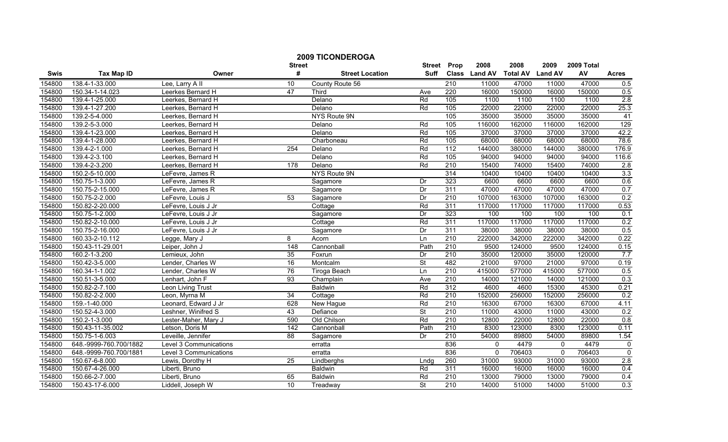|        |                        | <b>2009 TICONDEROGA</b><br><b>Street</b> | <b>Street</b>   | Prop                   | 2008                     | 2008             | 2009          | 2009 Total      |                |        |                |
|--------|------------------------|------------------------------------------|-----------------|------------------------|--------------------------|------------------|---------------|-----------------|----------------|--------|----------------|
| Swis   | <b>Tax Map ID</b>      | Owner                                    | #               | <b>Street Location</b> | Suff                     |                  | Class Land AV | <b>Total AV</b> | <b>Land AV</b> | AV     | <b>Acres</b>   |
| 154800 | 138.4-1-33.000         | Lee, Larry All                           | 10              | County Route 56        |                          | $\overline{210}$ | 11000         | 47000           | 11000          | 47000  | 0.5            |
| 154800 | 150.34-1-14.023        | Leerkes Bernard H                        | 47              | <b>Third</b>           | Ave                      | 220              | 16000         | 150000          | 16000          | 150000 | 0.5            |
| 154800 | 139.4-1-25.000         | Leerkes, Bernard H                       |                 | Delano                 | Rd                       | 105              | 1100          | 1100            | 1100           | 1100   | 2.8            |
| 154800 | 139.4-1-27.200         | Leerkes, Bernard H                       |                 | Delano                 | Rd                       | 105              | 22000         | 22000           | 22000          | 22000  | 25.3           |
| 154800 | 139.2-5-4.000          | Leerkes, Bernard H                       |                 | NYS Route 9N           |                          | 105              | 35000         | 35000           | 35000          | 35000  | $-41$          |
| 154800 | 139.2-5-3.000          | Leerkes, Bernard H                       |                 | Delano                 | Rd                       | 105              | 116000        | 162000          | 116000         | 162000 | 129            |
| 154800 | 139.4-1-23.000         | Leerkes, Bernard H                       |                 | Delano                 | $\overline{Rd}$          | 105              | 37000         | 37000           | 37000          | 37000  | 42.2           |
| 154800 | 139.4-1-28.000         | Leerkes, Bernard H                       |                 | Charboneau             | Rd                       | 105              | 68000         | 68000           | 68000          | 68000  | 78.6           |
| 154800 | 139.4-2-1.000          | Leerkes, Bernard H                       | 254             | Delano                 | Rd                       | $\overline{112}$ | 144000        | 380000          | 144000         | 380000 | 176.9          |
| 154800 | 139.4-2-3.100          | Leerkes, Bernard H                       |                 | Delano                 | Rd                       | 105              | 94000         | 94000           | 94000          | 94000  | 116.6          |
| 154800 | 139.4-2-3.200          | Leerkes, Bernard H                       | 178             | Delano                 | Rd                       | 210              | 15400         | 74000           | 15400          | 74000  | 2.8            |
| 154800 | 150.2-5-10.000         | LeFevre, James R                         |                 | NYS Route 9N           |                          | 314              | 10400         | 10400           | 10400          | 10400  | 3.3            |
| 154800 | 150.75-1-3.000         | LeFevre, James R                         |                 | Sagamore               | Dr                       | 323              | 6600          | 6600            | 6600           | 6600   | 0.6            |
| 154800 | 150.75-2-15.000        | LeFevre, James R                         |                 | Sagamore               | Dr                       | 311              | 47000         | 47000           | 47000          | 47000  | 0.7            |
| 154800 | 150.75-2-2.000         | LeFevre, Louis J                         | $\overline{53}$ | Sagamore               | Dr                       | $\overline{210}$ | 107000        | 163000          | 107000         | 163000 | 0.2            |
| 154800 | 150.82-2-20.000        | LeFevre, Louis J Jr                      |                 | Cottage                | Rd                       | 311              | 117000        | 117000          | 117000         | 117000 | 0.53           |
| 154800 | 150.75-1-2.000         | LeFevre, Louis J Jr                      |                 | Sagamore               | Dr                       | 323              | 100           | 100             | 100            | 100    | 0.1            |
| 154800 | 150.82-2-10.000        | LeFevre, Louis J Jr                      |                 | Cottage                | Rd                       | 311              | 117000        | 117000          | 117000         | 117000 | 0.2            |
| 154800 | 150.75-2-16.000        | LeFevre, Louis J Jr                      |                 | Sagamore               | Dr                       | 311              | 38000         | 38000           | 38000          | 38000  | 0.5            |
| 154800 | 160.33-2-10.112        | Legge, Mary J                            | 8               | Acorn                  | Ln                       | 210              | 222000        | 342000          | 222000         | 342000 | 0.22           |
| 154800 | 150.43-11-29.001       | Leiper, John J                           | 148             | Cannonball             | Path                     | 210              | 9500          | 124000          | 9500           | 124000 | 0.15           |
| 154800 | 160.2-1-3.200          | Lemieux, John                            | 35              | Foxrun                 | Dr                       | $\overline{210}$ | 35000         | 120000          | 35000          | 120000 | 7.7            |
| 154800 | 150.42-3-5.000         | Lender, Charles W                        | 16              | Montcalm               | $\overline{\mathsf{St}}$ | 482              | 21000         | 97000           | 21000          | 97000  | 0.19           |
| 154800 | 160.34-1-1.002         | Lender, Charles W                        | 76              | Tiroga Beach           | Ln                       | 210              | 415000        | 577000          | 415000         | 577000 | 0.5            |
| 154800 | 150.51-3-5.000         | Lenhart, John F                          | $\overline{93}$ | Champlain              | Ave                      | $\overline{210}$ | 14000         | 121000          | 14000          | 121000 | 0.3            |
| 154800 | 150.82-2-7.100         | Leon Living Trust                        |                 | <b>Baldwin</b>         | Rd                       | $\overline{312}$ | 4600          | 4600            | 15300          | 45300  | 0.21           |
| 154800 | 150.82-2-2.000         | Leon, Myrna M                            | $\overline{34}$ | Cottage                | Rd                       | $\overline{210}$ | 152000        | 256000          | 152000         | 256000 | 0.2            |
| 154800 | 159.-1-40.000          | Leonard, Edward J Jr                     | 628             | New Hague              | Rd                       | 210              | 16300         | 67000           | 16300          | 67000  | 4.11           |
| 154800 | 150.52-4-3.000         | Leshner, Winifred S                      | 43              | Defiance               | <b>St</b>                | 210              | 11000         | 43000           | 11000          | 43000  | 0.2            |
| 154800 | 150.2-1-3.000          | Lester-Maher, Mary J                     | 590             | Old Chilson            | $\overline{Rd}$          | $\overline{210}$ | 12800         | 22000           | 12800          | 22000  | 0.8            |
| 154800 | 150.43-11-35.002       | Letson, Doris M                          | 142             | Cannonball             | Path                     | 210              | 8300          | 123000          | 8300           | 123000 | 0.11           |
| 154800 | 150.75-1-6.003         | Leveille, Jennifer                       | 88              | Sagamore               | Dr                       | 210              | 54000         | 89800           | 54000          | 89800  | 1.54           |
| 154800 | 648.-9999-760.700/1882 | Level 3 Communications                   |                 | erratta                |                          | 836              | $\mathbf{0}$  | 4479            | $\mathbf{0}$   | 4479   | $\mathbf 0$    |
| 154800 | 648.-9999-760.700/1881 | Level 3 Communications                   |                 | erratta                |                          | 836              | $\Omega$      | 706403          | $\Omega$       | 706403 | $\overline{0}$ |
| 154800 | 150.67-6-8.000         | Lewis, Dorothy H                         | 25              | Lindberghs             | Lndg                     | 260              | 31000         | 93000           | 31000          | 93000  | 2.8            |
| 154800 | 150.67-4-26.000        | Liberti, Bruno                           |                 | <b>Baldwin</b>         | Rd                       | 311              | 16000         | 16000           | 16000          | 16000  | 0.4            |
| 154800 | 150.66-2-7.000         | Liberti, Bruno                           | 65              | Baldwin                | Rd                       | 210              | 13000         | 79000           | 13000          | 79000  | 0.4            |
| 154800 | 150.43-17-6.000        | Liddell, Joseph W                        | 10              | Treadway               | $\overline{\mathsf{St}}$ | 210              | 14000         | 51000           | 14000          | 51000  | 0.3            |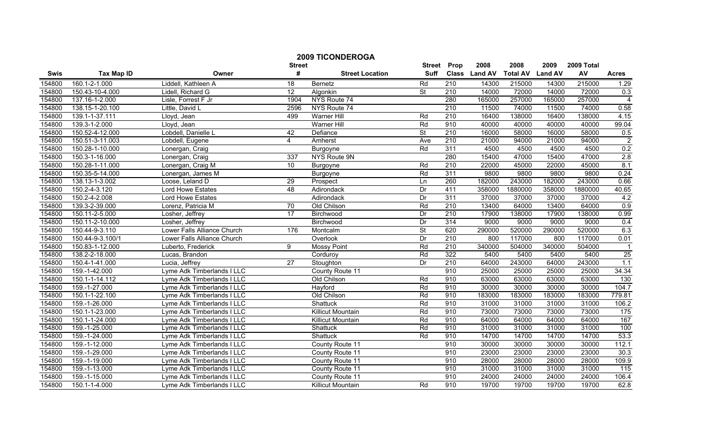|             |                   |                             | <b>Street</b>  | <b>2009 TICONDEROGA</b> | <b>Street</b>            | Prop             | 2008          | 2008            | 2009           | 2009 Total |                  |
|-------------|-------------------|-----------------------------|----------------|-------------------------|--------------------------|------------------|---------------|-----------------|----------------|------------|------------------|
| <b>Swis</b> | <b>Tax Map ID</b> | Owner                       | #              | <b>Street Location</b>  | <b>Suff</b>              |                  | Class Land AV | <b>Total AV</b> | <b>Land AV</b> | AV         | <b>Acres</b>     |
| 154800      | 160.1-2-1.000     | Liddell, Kathleen A         | 18             | Bernetz                 | Rd                       | 210              | 14300         | 215000          | 14300          | 215000     | 1.29             |
| 154800      | 150.43-10-4.000   | Lidell, Richard G           | 12             | Algonkin                | St                       | $\overline{210}$ | 14000         | 72000           | 14000          | 72000      | 0.3              |
| 154800      | 137.16-1-2.000    | Lisle, Forrest F Jr         | 1904           | NYS Route 74            |                          | 280              | 165000        | 257000          | 165000         | 257000     | $\overline{4}$   |
| 154800      | 138.15-1-20.100   | Little, David L             | 2596           | NYS Route 74            |                          | 210              | 11500         | 74000           | 11500          | 74000      | 0.58             |
| 154800      | 139.1-1-37.111    | Lloyd, Jean                 | 499            | <b>Warner Hill</b>      | Rd                       | 210              | 16400         | 138000          | 16400          | 138000     | 4.15             |
| 154800      | 139.3-1-2.000     | Lloyd, Jean                 |                | <b>Warner Hill</b>      | Rd                       | 910              | 40000         | 40000           | 40000          | 40000      | 99.04            |
| 154800      | 150.52-4-12.000   | Lobdell, Danielle L         | 42             | Defiance                | $\overline{\mathsf{St}}$ | 210              | 16000         | 58000           | 16000          | 58000      | 0.5              |
| 154800      | 150.51-3-11.003   | Lobdell, Eugene             | $\overline{4}$ | Amherst                 | Ave                      | 210              | 21000         | 94000           | 21000          | 94000      | $\overline{2}$   |
| 154800      | 150.28-1-10.000   | Lonergan, Craig             |                | Burgoyne                | Rd                       | 311              | 4500          | 4500            | 4500           | 4500       | 0.2              |
| 154800      | 150.3-1-16.000    | Lonergan, Craig             | 337            | NYS Route 9N            |                          | 280              | 15400         | 47000           | 15400          | 47000      | 2.8              |
| 154800      | 150.28-1-11.000   | Lonergan, Craig M           | 10             | Burgoyne                | Rd                       | $\overline{210}$ | 22000         | 45000           | 22000          | 45000      | 8.1              |
| 154800      | 150.35-5-14.000   | Lonergan, James M           |                | <b>Burgoyne</b>         | Rd                       | 311              | 9800          | 9800            | 9800           | 9800       | 0.24             |
| 154800      | 138.13-1-3.002    | Loose, Leland D             | 29             | Prospect                | Ln                       | 260              | 182000        | 243000          | 182000         | 243000     | 0.66             |
| 154800      | 150.2-4-3.120     | Lord Howe Estates           | 48             | Adirondack              | Dr                       | 411              | 358000        | 1880000         | 358000         | 1880000    | 40.65            |
| 154800      | 150.2-4-2.008     | Lord Howe Estates           |                | Adirondack              | Dr                       | 311              | 37000         | 37000           | 37000          | 37000      | 4.2              |
| 154800      | 139.3-2-39.000    | Lorenz, Patricia M          | 70             | Old Chilson             | Rd                       | $\overline{210}$ | 13400         | 64000           | 13400          | 64000      | $\overline{0.9}$ |
| 154800      | 150.11-2-5.000    | Losher, Jeffrey             | 17             | Birchwood               | Dr                       | 210              | 17900         | 138000          | 17900          | 138000     | 0.99             |
| 154800      | 150.11-2-10.000   | Losher, Jeffrey             |                | Birchwood               | Dr                       | 314              | 9000          | 9000            | 9000           | 9000       | 0.4              |
| 154800      | 150.44-9-3.110    | Lower Falls Alliance Church | 176            | Montcalm                | St                       | 620              | 290000        | 520000          | 290000         | 520000     | 6.3              |
| 154800      | 150.44-9-3.100/1  | Lower Falls Alliance Church |                | Overlook                | Dr                       | 210              | 800           | 117000          | 800            | 117000     | 0.01             |
| 154800      | 150.83-1-12.000   | Luberto, Frederick          | 9              | <b>Mossy Point</b>      | Rd                       | $\overline{210}$ | 340000        | 504000          | 340000         | 504000     | $\overline{1}$   |
| 154800      | 138.2-2-18.000    | Lucas, Brandon              |                | Corduroy                | Rd                       | 322              | 5400          | 5400            | 5400           | 5400       | 25               |
| 154800      | 150.4-1-41.000    | Lucia, Jeffrey              | 27             | Stoughton               | Dr                       | 210              | 64000         | 243000          | 64000          | 243000     | 1.1              |
| 154800      | 159.-1-42.000     | Lyme Adk Timberlands I LLC  |                | County Route 11         |                          | 910              | 25000         | 25000           | 25000          | 25000      | 34.34            |
| 154800      | 150.1-1-14.112    | Lyme Adk Timberlands I LLC  |                | Old Chilson             | Rd                       | 910              | 63000         | 63000           | 63000          | 63000      | 130              |
| 154800      | 159.-1-27.000     | Lyme Adk Timberlands I LLC  |                | Hayford                 | Rd                       | 910              | 30000         | 30000           | 30000          | 30000      | 104.7            |
| 154800      | 150.1-1-22.100    | Lyme Adk Timberlands I LLC  |                | Old Chilson             | Rd                       | 910              | 183000        | 183000          | 183000         | 183000     | 779.81           |
| 154800      | 159.-1-26.000     | Lyme Adk Timberlands I LLC  |                | Shattuck                | Rd                       | 910              | 31000         | 31000           | 31000          | 31000      | 106.2            |
| 154800      | 150.1-1-23.000    | Lyme Adk Timberlands I LLC  |                | Killicut Mountain       | Rd                       | 910              | 73000         | 73000           | 73000          | 73000      | 175              |
| 154800      | 150.1-1-24.000    | Lyme Adk Timberlands I LLC  |                | Killicut Mountain       | Rd                       | 910              | 64000         | 64000           | 64000          | 64000      | 167              |
| 154800      | 159.-1-25.000     | Lyme Adk Timberlands I LLC  |                | Shattuck                | Rd                       | 910              | 31000         | 31000           | 31000          | 31000      | 100              |
| 154800      | 159.-1-24.000     | Lyme Adk Timberlands I LLC  |                | <b>Shattuck</b>         | Rd                       | 910              | 14700         | 14700           | 14700          | 14700      | 53.3             |
| 154800      | 159.-1-12.000     | Lyme Adk Timberlands I LLC  |                | County Route 11         |                          | 910              | 30000         | 30000           | 30000          | 30000      | 112.1            |
| 154800      | 159.-1-29.000     | Lyme Adk Timberlands I LLC  |                | County Route 11         |                          | 910              | 23000         | 23000           | 23000          | 23000      | 30.3             |
| 154800      | 159.-1-19.000     | Lyme Adk Timberlands I LLC  |                | County Route 11         |                          | 910              | 28000         | 28000           | 28000          | 28000      | 109.9            |
| 154800      | 159.-1-13.000     | Lyme Adk Timberlands I LLC  |                | County Route 11         |                          | 910              | 31000         | 31000           | 31000          | 31000      | 115              |
| 154800      | 159.-1-15.000     | Lyme Adk Timberlands I LLC  |                | County Route 11         |                          | 910              | 24000         | 24000           | 24000          | 24000      | 106.4            |
| 154800      | 150.1-1-4.000     | Lyme Adk Timberlands I LLC  |                | Killicut Mountain       | Rd                       | 910              | 19700         | 19700           | 19700          | 19700      | 62.8             |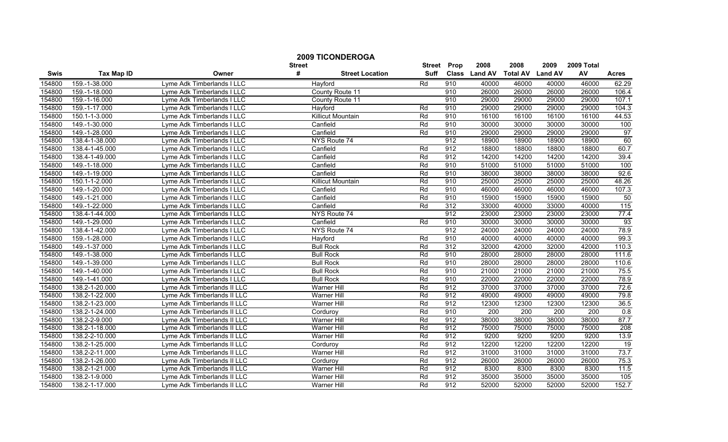|             |                   |                             | <b>Street</b>    | <b>2009 TICONDEROGA</b>  | <b>Street</b> | Prop | 2008          | 2008            | 2009           | 2009 Total |              |
|-------------|-------------------|-----------------------------|------------------|--------------------------|---------------|------|---------------|-----------------|----------------|------------|--------------|
| <b>Swis</b> | <b>Tax Map ID</b> | Owner                       | #                | <b>Street Location</b>   | <b>Suff</b>   |      | Class Land AV | <b>Total AV</b> | <b>Land AV</b> | AV         | <b>Acres</b> |
| 154800      | 159.-1-38.000     | Lyme Adk Timberlands I LLC  | Hayford          |                          | Rd            | 910  | 40000         | 46000           | 40000          | 46000      | 62.29        |
| 154800      | 159.-1-18.000     | Lyme Adk Timberlands I LLC  |                  | County Route 11          |               | 910  | 26000         | 26000           | 26000          | 26000      | 106.4        |
| 154800      | 159.-1-16.000     | Lyme Adk Timberlands I LLC  |                  | County Route 11          |               | 910  | 29000         | 29000           | 29000          | 29000      | 107.1        |
| 154800      | 159.-1-17.000     | Lyme Adk Timberlands I LLC  | Hayford          |                          | Rd            | 910  | 29000         | 29000           | 29000          | 29000      | 104.3        |
| 154800      | 150.1-1-3.000     | Lyme Adk Timberlands I LLC  |                  | <b>Killicut Mountain</b> | Rd            | 910  | 16100         | 16100           | 16100          | 16100      | 44.53        |
| 154800      | 149.-1-30.000     | Lyme Adk Timberlands I LLC  | Canfield         |                          | Rd            | 910  | 30000         | 30000           | 30000          | 30000      | 100          |
| 154800      | 149.-1-28.000     | Lyme Adk Timberlands I LLC  | Canfield         |                          | Rd            | 910  | 29000         | 29000           | 29000          | 29000      | 97           |
| 154800      | 138.4-1-38.000    | Lyme Adk Timberlands I LLC  |                  | NYS Route 74             |               | 912  | 18900         | 18900           | 18900          | 18900      | 60           |
| 154800      | 138.4-1-45.000    | Lyme Adk Timberlands I LLC  | Canfield         |                          | Rd            | 912  | 18800         | 18800           | 18800          | 18800      | 60.7         |
| 154800      | 138.4-1-49.000    | Lyme Adk Timberlands I LLC  | Canfield         |                          | Rd            | 912  | 14200         | 14200           | 14200          | 14200      | 39.4         |
| 154800      | 149.-1-18.000     | Lyme Adk Timberlands I LLC  | Canfield         |                          | Rd            | 910  | 51000         | 51000           | 51000          | 51000      | 100          |
| 154800      | 149.-1-19.000     | Lyme Adk Timberlands I LLC  | Canfield         |                          | Rd            | 910  | 38000         | 38000           | 38000          | 38000      | 92.6         |
| 154800      | 150.1-1-2.000     | Lyme Adk Timberlands I LLC  |                  | <b>Killicut Mountain</b> | Rd            | 910  | 25000         | 25000           | 25000          | 25000      | 48.26        |
| 154800      | 149.-1-20.000     | Lyme Adk Timberlands I LLC  | Canfield         |                          | Rd            | 910  | 46000         | 46000           | 46000          | 46000      | 107.3        |
| 154800      | 149.-1-21.000     | Lyme Adk Timberlands I LLC  | Canfield         |                          | Rd            | 910  | 15900         | 15900           | 15900          | 15900      | 50           |
| 154800      | 149.-1-22.000     | Lyme Adk Timberlands I LLC  | Canfield         |                          | Rd            | 312  | 33000         | 40000           | 33000          | 40000      | 115          |
| 154800      | 138.4-1-44.000    | Lyme Adk Timberlands I LLC  |                  | NYS Route 74             |               | 912  | 23000         | 23000           | 23000          | 23000      | 77.4         |
| 154800      | 149.-1-29.000     | Lyme Adk Timberlands I LLC  | Canfield         |                          | Rd            | 910  | 30000         | 30000           | 30000          | 30000      | 93           |
| 154800      | 138.4-1-42.000    | Lyme Adk Timberlands I LLC  |                  | NYS Route 74             |               | 912  | 24000         | 24000           | 24000          | 24000      | 78.9         |
| 154800      | 159.-1-28.000     | Lyme Adk Timberlands I LLC  | Hayford          |                          | Rd            | 910  | 40000         | 40000           | 40000          | 40000      | 99.3         |
| 154800      | 149.-1-37.000     | Lyme Adk Timberlands I LLC  | <b>Bull Rock</b> |                          | Rd            | 312  | 32000         | 42000           | 32000          | 42000      | 110.3        |
| 154800      | 149.-1-38.000     | Lyme Adk Timberlands I LLC  | <b>Bull Rock</b> |                          | Rd            | 910  | 28000         | 28000           | 28000          | 28000      | 111.6        |
| 154800      | 149.-1-39.000     | Lyme Adk Timberlands I LLC  | <b>Bull Rock</b> |                          | Rd            | 910  | 28000         | 28000           | 28000          | 28000      | 110.6        |
| 154800      | 149.-1-40.000     | Lyme Adk Timberlands I LLC  | <b>Bull Rock</b> |                          | Rd            | 910  | 21000         | 21000           | 21000          | 21000      | 75.5         |
| 154800      | 149.-1-41.000     | Lyme Adk Timberlands I LLC  | <b>Bull Rock</b> |                          | Rd            | 910  | 22000         | 22000           | 22000          | 22000      | 78.9         |
| 154800      | 138.2-1-20.000    | Lyme Adk Timberlands II LLC |                  | <b>Warner Hill</b>       | Rd            | 912  | 37000         | 37000           | 37000          | 37000      | 72.6         |
| 154800      | 138.2-1-22.000    | Lyme Adk Timberlands II LLC |                  | <b>Warner Hill</b>       | Rd            | 912  | 49000         | 49000           | 49000          | 49000      | 79.8         |
| 154800      | 138.2-1-23.000    | Lyme Adk Timberlands II LLC |                  | <b>Warner Hill</b>       | Rd            | 912  | 12300         | 12300           | 12300          | 12300      | 36.5         |
| 154800      | 138.2-1-24.000    | Lyme Adk Timberlands II LLC | Corduroy         |                          | Rd            | 910  | 200           | 200             | 200            | 200        | 0.8          |
| 154800      | 138.2-2-9.000     | Lyme Adk Timberlands II LLC |                  | Warner Hill              | Rd            | 912  | 38000         | 38000           | 38000          | 38000      | 87.7         |
| 154800      | 138.2-1-18.000    | Lyme Adk Timberlands II LLC |                  | <b>Warner Hill</b>       | Rd            | 912  | 75000         | 75000           | 75000          | 75000      | 208          |
| 154800      | 138.2-2-10.000    | Lyme Adk Timberlands II LLC |                  | <b>Warner Hill</b>       | Rd            | 912  | 9200          | 9200            | 9200           | 9200       | 13.9         |
| 154800      | 138.2-1-25.000    | Lyme Adk Timberlands II LLC | Corduroy         |                          | Rd            | 912  | 12200         | 12200           | 12200          | 12200      | 19           |
| 154800      | 138.2-2-11.000    | Lyme Adk Timberlands II LLC |                  | <b>Warner Hill</b>       | Rd            | 912  | 31000         | 31000           | 31000          | 31000      | 73.7         |
| 154800      | 138.2-1-26.000    | Lyme Adk Timberlands II LLC | Corduroy         |                          | Rd            | 912  | 26000         | 26000           | 26000          | 26000      | 75.3         |
| 154800      | 138.2-1-21.000    | Lyme Adk Timberlands II LLC |                  | Warner Hill              | Rd            | 912  | 8300          | 8300            | 8300           | 8300       | 11.5         |
| 154800      | 138.2-1-9.000     | Lyme Adk Timberlands II LLC |                  | <b>Warner Hill</b>       | Rd            | 912  | 35000         | 35000           | 35000          | 35000      | 105          |
| 154800      | 138.2-1-17.000    | Lyme Adk Timberlands II LLC |                  | Warner Hill              | Rd            | 912  | 52000         | 52000           | 52000          | 52000      | 152.7        |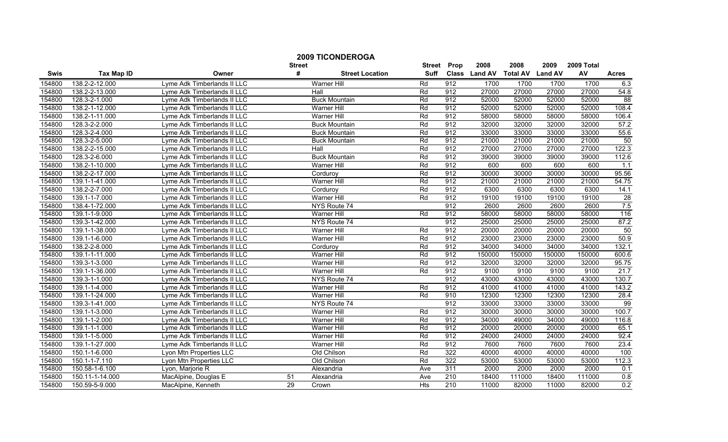|             |                   |                             |                    | <b>2009 TICONDEROGA</b> |                              |      |                       |                         |                        |                  |                 |
|-------------|-------------------|-----------------------------|--------------------|-------------------------|------------------------------|------|-----------------------|-------------------------|------------------------|------------------|-----------------|
| <b>Swis</b> | <b>Tax Map ID</b> | Owner                       | <b>Street</b><br># | <b>Street Location</b>  | <b>Street</b><br><b>Suff</b> | Prop | 2008<br>Class Land AV | 2008<br><b>Total AV</b> | 2009<br><b>Land AV</b> | 2009 Total<br>AV | <b>Acres</b>    |
| 154800      | 138.2-2-12.000    | Lyme Adk Timberlands II LLC |                    | Warner Hill             | Rd                           | 912  | 1700                  | 1700                    | 1700                   | 1700             | 6.3             |
| 154800      | 138.2-2-13.000    | Lyme Adk Timberlands II LLC |                    | Hall                    | Rd                           | 912  | 27000                 | 27000                   | 27000                  | 27000            | 54.8            |
| 154800      | 128.3-2-1.000     | Lyme Adk Timberlands II LLC |                    | <b>Buck Mountain</b>    | Rd                           | 912  | 52000                 | 52000                   | 52000                  | 52000            | 88              |
| 154800      | 138.2-1-12.000    | Lyme Adk Timberlands II LLC |                    | <b>Warner Hill</b>      | Rd                           | 912  | 52000                 | 52000                   | 52000                  | 52000            | 108.4           |
| 154800      | 138.2-1-11.000    | Lyme Adk Timberlands II LLC |                    | Warner Hill             | Rd                           | 912  | 58000                 | 58000                   | 58000                  | 58000            | 106.4           |
| 154800      | 128.3-2-2.000     | Lyme Adk Timberlands II LLC |                    | <b>Buck Mountain</b>    | Rd                           | 912  | 32000                 | 32000                   | 32000                  | 32000            | 57.2            |
| 154800      | 128.3-2-4.000     | Lyme Adk Timberlands II LLC |                    | <b>Buck Mountain</b>    | Rd                           | 912  | 33000                 | 33000                   | 33000                  | 33000            | 55.6            |
| 154800      | 128.3-2-5.000     | Lyme Adk Timberlands II LLC |                    | <b>Buck Mountain</b>    | Rd                           | 912  | 21000                 | 21000                   | 21000                  | 21000            | 50              |
| 154800      | 138.2-2-15.000    | Lyme Adk Timberlands II LLC |                    | Hall                    | Rd                           | 912  | 27000                 | 27000                   | 27000                  | 27000            | 122.3           |
| 154800      | 128.3-2-6.000     | Lyme Adk Timberlands II LLC |                    | <b>Buck Mountain</b>    | Rd                           | 912  | 39000                 | 39000                   | 39000                  | 39000            | 112.6           |
| 154800      | 138.2-1-10.000    | Lyme Adk Timberlands II LLC |                    | <b>Warner Hill</b>      | Rd                           | 912  | 600                   | 600                     | 600                    | 600              | 1.1             |
| 154800      | 138.2-2-17.000    | Lyme Adk Timberlands II LLC |                    | Corduroy                | Rd                           | 912  | 30000                 | 30000                   | 30000                  | 30000            | 95.56           |
| 154800      | 139.1-1-41.000    | Lyme Adk Timberlands II LLC |                    | Warner Hill             | Rd                           | 912  | 21000                 | 21000                   | 21000                  | 21000            | 54.75           |
| 154800      | 138.2-2-7.000     | Lyme Adk Timberlands II LLC |                    | Corduroy                | Rd                           | 912  | 6300                  | 6300                    | 6300                   | 6300             | 14.1            |
| 154800      | 139.1-1-7.000     | Lyme Adk Timberlands II LLC |                    | Warner Hill             | Rd                           | 912  | 19100                 | 19100                   | 19100                  | 19100            | $\overline{28}$ |
| 154800      | 138.4-1-72.000    | Lyme Adk Timberlands II LLC |                    | NYS Route 74            |                              | 912  | 2600                  | 2600                    | 2600                   | 2600             | 7.5             |
| 154800      | 139.1-1-9.000     | Lyme Adk Timberlands II LLC |                    | Warner Hill             | Rd                           | 912  | 58000                 | 58000                   | 58000                  | 58000            | 116             |
| 154800      | 139.3-1-42.000    | Lyme Adk Timberlands II LLC |                    | NYS Route 74            |                              | 912  | 25000                 | 25000                   | 25000                  | 25000            | 87.2            |
| 154800      | 139.1-1-38.000    | Lyme Adk Timberlands II LLC |                    | <b>Warner Hill</b>      | Rd                           | 912  | 20000                 | 20000                   | 20000                  | 20000            | 50              |
| 154800      | 139.1-1-6.000     | Lyme Adk Timberlands II LLC |                    | <b>Warner Hill</b>      | Rd                           | 912  | 23000                 | 23000                   | 23000                  | 23000            | 50.9            |
| 154800      | 138.2-2-8.000     | Lyme Adk Timberlands II LLC |                    | Cordurov                | Rd                           | 912  | 34000                 | 34000                   | 34000                  | 34000            | 132.1           |
| 154800      | 139.1-1-11.000    | Lyme Adk Timberlands II LLC |                    | Warner Hill             | Rd                           | 912  | 150000                | 150000                  | 150000                 | 150000           | 600.6           |
| 154800      | 139.3-1-3.000     | Lyme Adk Timberlands II LLC |                    | Warner Hill             | Rd                           | 912  | 32000                 | 32000                   | 32000                  | 32000            | 95.75           |
| 154800      | 139.1-1-36.000    | Lyme Adk Timberlands II LLC |                    | <b>Warner Hill</b>      | Rd                           | 912  | 9100                  | 9100                    | 9100                   | 9100             | 21.7            |
| 154800      | 139.3-1-1.000     | Lyme Adk Timberlands II LLC |                    | NYS Route 74            |                              | 912  | 43000                 | 43000                   | 43000                  | 43000            | 130.7           |
| 154800      | 139.1-1-4.000     | Lyme Adk Timberlands II LLC |                    | <b>Warner Hill</b>      | Rd                           | 912  | 41000                 | 41000                   | 41000                  | 41000            | 143.2           |
| 154800      | 139.1-1-24.000    | Lyme Adk Timberlands II LLC |                    | Warner Hill             | Rd                           | 910  | 12300                 | 12300                   | 12300                  | 12300            | 28.4            |
| 154800      | 139.3-1-41.000    | Lyme Adk Timberlands II LLC |                    | NYS Route 74            |                              | 912  | 33000                 | 33000                   | 33000                  | 33000            | 99              |
| 154800      | 139.1-1-3.000     | Lyme Adk Timberlands II LLC |                    | <b>Warner Hill</b>      | Rd                           | 912  | 30000                 | 30000                   | 30000                  | 30000            | 100.7           |
| 154800      | 139.1-1-2.000     | Lyme Adk Timberlands II LLC |                    | Warner Hill             | Rd                           | 912  | 34000                 | 49000                   | 34000                  | 49000            | 116.8           |
| 154800      | 139.1-1-1.000     | Lyme Adk Timberlands II LLC |                    | <b>Warner Hill</b>      | Rd                           | 912  | 20000                 | 20000                   | 20000                  | 20000            | 65.1            |
| 154800      | 139.1-1-5.000     | Lyme Adk Timberlands II LLC |                    | Warner Hill             | Rd                           | 912  | 24000                 | 24000                   | 24000                  | 24000            | 92.4            |
| 154800      | 139.1-1-27.000    | Lyme Adk Timberlands II LLC |                    | <b>Warner Hill</b>      | Rd                           | 912  | 7600                  | 7600                    | 7600                   | 7600             | 23.4            |
| 154800      | 150.1-1-6.000     | Lyon Mtn Properties LLC     |                    | Old Chilson             | Rd                           | 322  | 40000                 | 40000                   | 40000                  | 40000            | 100             |
| 154800      | 150.1-1-7.110     | Lyon Mtn Properties LLC     |                    | Old Chilson             | Rd                           | 322  | 53000                 | 53000                   | 53000                  | 53000            | 112.3           |
| 154800      | 150.58-1-6.100    | Lyon, Marjorie R            |                    | Alexandria              | Ave                          | 311  | 2000                  | 2000                    | 2000                   | 2000             | 0.1             |
| 154800      | 150.11-1-14.000   | MacAlpine, Douglas E        | 51                 | Alexandria              | Ave                          | 210  | 18400                 | 111000                  | 18400                  | 111000           | 0.8             |
| 154800      | 150.59-5-9.000    | MacAlpine, Kenneth          | 29                 | Crown                   | Hts                          | 210  | 11000                 | 82000                   | 11000                  | 82000            | 0.2             |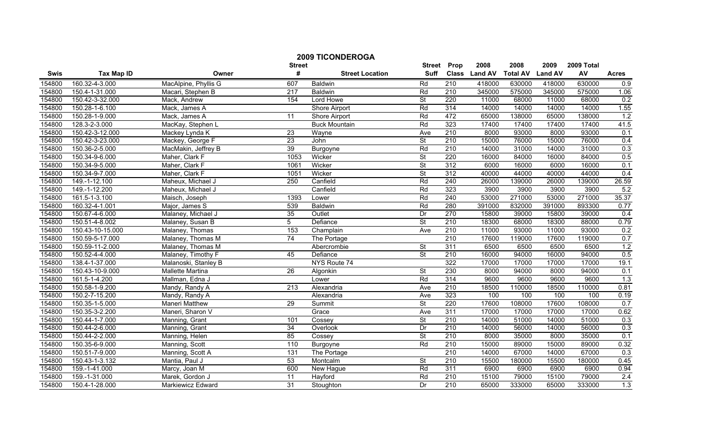|        |                   |                       |                    | <b>2009 TICONDEROGA</b> |                              |                      |                        |                         |                        |                  |              |
|--------|-------------------|-----------------------|--------------------|-------------------------|------------------------------|----------------------|------------------------|-------------------------|------------------------|------------------|--------------|
| Swis   | <b>Tax Map ID</b> | Owner                 | <b>Street</b><br># | <b>Street Location</b>  | <b>Street</b><br><b>Suff</b> | Prop<br><b>Class</b> | 2008<br><b>Land AV</b> | 2008<br><b>Total AV</b> | 2009<br><b>Land AV</b> | 2009 Total<br>AV | <b>Acres</b> |
| 154800 | 160.32-4-3.000    | MacAlpine, Phyllis G  | 607                | <b>Baldwin</b>          | Rd                           | 210                  | 418000                 | 630000                  | 418000                 | 630000           | 0.9          |
| 154800 | 150.4-1-31.000    | Macari, Stephen B     | $\overline{217}$   | <b>Baldwin</b>          | Rd                           | 210                  | 345000                 | 575000                  | 345000                 | 575000           | 1.06         |
| 154800 | 150.42-3-32.000   | Mack, Andrew          | 154                | Lord Howe               | $\overline{\mathsf{St}}$     | 220                  | 11000                  | 68000                   | 11000                  | 68000            | 0.2          |
| 154800 | 150.28-1-6.100    | Mack, James A         |                    | <b>Shore Airport</b>    | Rd                           | 314                  | 14000                  | 14000                   | 14000                  | 14000            | 1.55         |
| 154800 | 150.28-1-9.000    | Mack, James A         | $\overline{11}$    | Shore Airport           | Rd                           | 472                  | 65000                  | 138000                  | 65000                  | 138000           | 1.2          |
| 154800 | 128.3-2-3.000     | MacKay, Stephen L     |                    | <b>Buck Mountain</b>    | Rd                           | 323                  | 17400                  | 17400                   | 17400                  | 17400            | 41.5         |
| 154800 | 150.42-3-12.000   | Mackey Lynda K        | 23                 | Wayne                   | Ave                          | 210                  | 8000                   | 93000                   | 8000                   | 93000            | 0.1          |
| 154800 | 150.42-3-23.000   | Mackey, George F      | 23                 | John                    | $\overline{\mathsf{St}}$     | 210                  | 15000                  | 76000                   | 15000                  | 76000            | 0.4          |
| 154800 | 150.36-2-5.000    | MacMakin, Jeffrey B   | 39                 | Burgoyne                | Rd                           | 210                  | 14000                  | 31000                   | 14000                  | 31000            | 0.3          |
| 154800 | 150.34-9-6.000    | Maher, Clark F        | 1053               | Wicker                  | St                           | 220                  | 16000                  | 84000                   | 16000                  | 84000            | 0.5          |
| 154800 | 150.34-9-5.000    | Maher, Clark F        | 1061               | Wicker                  | <b>St</b>                    | 312                  | 6000                   | 16000                   | 6000                   | 16000            | 0.1          |
| 154800 | 150.34-9-7.000    | Maher, Clark F        | 1051               | Wicker                  | $\overline{\mathsf{St}}$     | 312                  | 40000                  | 44000                   | 40000                  | 44000            | 0.4          |
| 154800 | 149.-1-12.100     | Maheux, Michael J     | 250                | Canfield                | Rd                           | 240                  | 26000                  | 139000                  | 26000                  | 139000           | 26.59        |
| 154800 | 149.-1-12.200     | Maheux, Michael J     |                    | Canfield                | Rd                           | 323                  | 3900                   | 3900                    | 3900                   | 3900             | 5.2          |
| 154800 | 161.5-1-3.100     | Maisch, Joseph        | 1393               | Lower                   | Rd                           | 240                  | 53000                  | 271000                  | 53000                  | 271000           | 35.37        |
| 154800 | 160.32-4-1.001    | Major, James S        | 539                | <b>Baldwin</b>          | Rd                           | 280                  | 391000                 | 832000                  | 391000                 | 893300           | 0.77         |
| 154800 | 150.67-4-6.000    | Malaney, Michael J    | 35                 | Outlet                  | Dr                           | 270                  | 15800                  | 39000                   | 15800                  | 39000            | 0.4          |
| 154800 | 150.51-4-8.002    | Malaney, Susan B      | $\overline{5}$     | Defiance                | <b>St</b>                    | 210                  | 18300                  | 68000                   | 18300                  | 88000            | 0.79         |
| 154800 | 150.43-10-15.000  | Malaney, Thomas       | 153                | Champlain               | Ave                          | 210                  | 11000                  | 93000                   | 11000                  | 93000            | 0.2          |
| 154800 | 150.59-5-17.000   | Malaney, Thomas M     | 74                 | The Portage             |                              | 210                  | 17600                  | 119000                  | 17600                  | 119000           | 0.7          |
| 154800 | 150.59-11-2.000   | Malaney, Thomas M     |                    | Abercrombie             | <b>St</b>                    | 311                  | 6500                   | 6500                    | 6500                   | 6500             | 1.2          |
| 154800 | 150.52-4-4.000    | Malaney, Timothy F    | 45                 | Defiance                | St                           | 210                  | 16000                  | 94000                   | 16000                  | 94000            | 0.5          |
| 154800 | 138.4-1-37.000    | Malanoski, Stanley B  |                    | NYS Route 74            |                              | 322                  | 17000                  | 17000                   | 17000                  | 17000            | 19.1         |
| 154800 | 150.43-10-9.000   | Mallette Martina      | $\overline{26}$    | Algonkin                | <b>St</b>                    | 230                  | 8000                   | 94000                   | 8000                   | 94000            | 0.1          |
| 154800 | 161.5-1-4.200     | Mallman, Edna J       |                    | Lower                   | Rd                           | 314                  | 9600                   | 9600                    | 9600                   | 9600             | 1.3          |
| 154800 | 150.58-1-9.200    | Mandy, Randy A        | 213                | Alexandria              | Ave                          | 210                  | 18500                  | 110000                  | 18500                  | 110000           | 0.81         |
| 154800 | 150.2-7-15.200    | Mandy, Randy A        |                    | Alexandria              | Ave                          | 323                  | 100                    | 100                     | 100                    | 100              | 0.19         |
| 154800 | 150.35-1-5.000    | <b>Maneri Matthew</b> | 29                 | Summit                  | $\overline{\mathsf{St}}$     | 220                  | 17600                  | 108000                  | 17600                  | 108000           | 0.7          |
| 154800 | 150.35-3-2.200    | Maneri, Sharon V      |                    | Grace                   | Ave                          | 311                  | 17000                  | 17000                   | 17000                  | 17000            | 0.62         |
| 154800 | 150.44-1-7.000    | Manning, Grant        | 101                | Cossey                  | $\overline{\mathsf{St}}$     | 210                  | 14000                  | 51000                   | 14000                  | 51000            | 0.3          |
| 154800 | 150.44-2-6.000    | Manning, Grant        | 34                 | Overlook                | Dr                           | 210                  | 14000                  | 56000                   | 14000                  | 56000            | 0.3          |
| 154800 | 150.44-2-2.000    | Manning, Helen        | 85                 | Cossey                  | St                           | 210                  | 8000                   | 35000                   | 8000                   | 35000            | 0.1          |
| 154800 | 150.35-6-9.000    | Manning, Scott        | 110                | Burgoyne                | Rd                           | 210                  | 15000                  | 89000                   | 15000                  | 89000            | 0.32         |
| 154800 | 150.51-7-9.000    | Manning, Scott A      | 131                | The Portage             |                              | 210                  | 14000                  | 67000                   | 14000                  | 67000            | 0.3          |
| 154800 | 150.43-1-3.132    | Mantia, Paul J        | 53                 | Montcalm                | St                           | 210                  | 15500                  | 180000                  | 15500                  | 180000           | 0.45         |
| 154800 | 159.-1-41.000     | Marcy, Joan M         | 600                | New Hague               | Rd                           | 311                  | 6900                   | 6900                    | 6900                   | 6900             | 0.94         |
| 154800 | 159.-1-31.000     | Marek, Gordon J       | $\overline{11}$    | Hayford                 | Rd                           | 210                  | 15100                  | 79000                   | 15100                  | 79000            | 2.4          |
| 154800 | 150.4-1-28.000    | Markiewicz Edward     | 31                 | Stoughton               | Dr                           | 210                  | 65000                  | 333000                  | 65000                  | 333000           | 1.3          |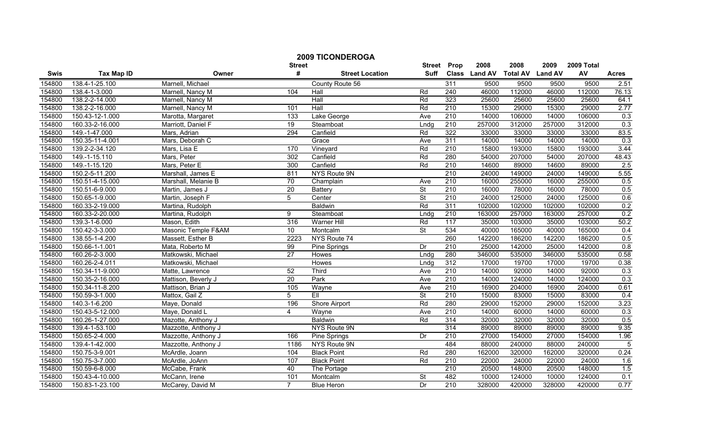|        |                   |                     | <b>Street</b>   | <b>2009 TICONDEROGA</b> | <b>Street</b>            | Prop             | 2008          | 2008            | 2009           | 2009 Total |                |
|--------|-------------------|---------------------|-----------------|-------------------------|--------------------------|------------------|---------------|-----------------|----------------|------------|----------------|
| Swis   | <b>Tax Map ID</b> | Owner               | #               | <b>Street Location</b>  | <b>Suff</b>              |                  | Class Land AV | <b>Total AV</b> | <b>Land AV</b> | AV         | <b>Acres</b>   |
| 154800 | 138.4-1-25.100    | Marnell, Michael    |                 | County Route 56         |                          | 311              | 9500          | 9500            | 9500           | 9500       | 2.51           |
| 154800 | 138.4-1-3.000     | Marnell, Nancy M    | 104             | Hall                    | Rd                       | 240              | 46000         | 112000          | 46000          | 112000     | 76.13          |
| 154800 | 138.2-2-14.000    | Marnell, Nancy M    |                 | Hall                    | Rd                       | 323              | 25600         | 25600           | 25600          | 25600      | 64.1           |
| 154800 | 138.2-2-16.000    | Marnell, Nancy M    | 101             | Hall                    | Rd                       | 210              | 15300         | 29000           | 15300          | 29000      | 2.77           |
| 154800 | 150.43-12-1.000   | Marotta, Margaret   | 133             | Lake George             | Ave                      | 210              | 14000         | 106000          | 14000          | 106000     | 0.3            |
| 154800 | 160.33-2-16.000   | Marriott, Daniel F  | 19              | Steamboat               | Lndg                     | 210              | 257000        | 312000          | 257000         | 312000     | 0.3            |
| 154800 | 149.-1-47.000     | Mars, Adrian        | 294             | Canfield                | Rd                       | 322              | 33000         | 33000           | 33000          | 33000      | 83.5           |
| 154800 | 150.35-11-4.001   | Mars, Deborah C     |                 | Grace                   | Ave                      | 311              | 14000         | 14000           | 14000          | 14000      | 0.3            |
| 154800 | 139.2-2-34.120    | Mars, Lisa E        | 170             | Vineyard                | Rd                       | 210              | 15800         | 193000          | 15800          | 193000     | 3.44           |
| 154800 | 149.-1-15.110     | Mars, Peter         | 302             | Canfield                | Rd                       | 280              | 54000         | 207000          | 54000          | 207000     | 48.43          |
| 154800 | 149.-1-15.120     | Mars, Peter E       | 300             | Canfield                | Rd                       | 210              | 14600         | 89000           | 14600          | 89000      | 2.5            |
| 154800 | 150.2-5-11.200    | Marshall, James E   | 811             | NYS Route 9N            |                          | 210              | 24000         | 149000          | 24000          | 149000     | 5.55           |
| 154800 | 150.51-4-15.000   | Marshall, Melanie B | $\overline{70}$ | Champlain               | Ave                      | 210              | 16000         | 255000          | 16000          | 255000     | 0.5            |
| 154800 | 150.51-6-9.000    | Martin, James J     | 20              | <b>Battery</b>          | St                       | 210              | 16000         | 78000           | 16000          | 78000      | 0.5            |
| 154800 | 150.65-1-9.000    | Martin, Joseph F    | 5               | Center                  | $\overline{\mathsf{St}}$ | $\overline{210}$ | 24000         | 125000          | 24000          | 125000     | 0.6            |
| 154800 | 160.33-2-19.000   | Martina, Rudolph    |                 | <b>Baldwin</b>          | Rd                       | 311              | 102000        | 102000          | 102000         | 102000     | 0.2            |
| 154800 | 160.33-2-20.000   | Martina, Rudolph    | 9               | Steamboat               | Lndg                     | 210              | 163000        | 257000          | 163000         | 257000     | 0.2            |
| 154800 | 139.3-1-6.000     | Mason, Edith        | 316             | <b>Warner Hill</b>      | Rd                       | 117              | 35000         | 103000          | 35000          | 103000     | 50.2           |
| 154800 | 150.42-3-3.000    | Masonic Temple F&AM | 10              | Montcalm                | St                       | 534              | 40000         | 165000          | 40000          | 165000     | 0.4            |
| 154800 | 138.55-1-4.200    | Massett, Esther B   | 2223            | NYS Route 74            |                          | 260              | 142200        | 186200          | 142200         | 186200     | 0.5            |
| 154800 | 150.66-1-1.001    | Mata, Roberto M     | 99              | Pine Springs            | Dr                       | $\overline{210}$ | 25000         | 142000          | 25000          | 142000     | 0.8            |
| 154800 | 160.26-2-3.000    | Matkowski, Michael  | $\overline{27}$ | Howes                   | Lndg                     | 280              | 346000        | 535000          | 346000         | 535000     | 0.58           |
| 154800 | 160.26-2-4.011    | Matkowski, Michael  |                 | Howes                   | Lndg                     | 312              | 17000         | 19700           | 17000          | 19700      | 0.38           |
| 154800 | 150.34-11-9.000   | Matte, Lawrence     | 52              | Third                   | Ave                      | $\overline{210}$ | 14000         | 92000           | 14000          | 92000      | 0.3            |
| 154800 | 150.35-2-16.000   | Mattison, Beverly J | $\overline{20}$ | Park                    | Ave                      | $\overline{210}$ | 14000         | 124000          | 14000          | 124000     | 0.3            |
| 154800 | 150.34-11-8.200   | Mattison, Brian J   | 105             | Wayne                   | Ave                      | $\overline{210}$ | 16900         | 204000          | 16900          | 204000     | 0.61           |
| 154800 | 150.59-3-1.000    | Mattox, Gail Z      | $\overline{5}$  | EII                     | <b>St</b>                | 210              | 15000         | 83000           | 15000          | 83000      | 0.4            |
| 154800 | 140.3-1-6.200     | Maye, Donald        | 196             | <b>Shore Airport</b>    | Rd                       | 280              | 29000         | 152000          | 29000          | 152000     | 3.23           |
| 154800 | 150.43-5-12.000   | Maye, Donald L      | 4               | Wayne                   | Ave                      | 210              | 14000         | 60000           | 14000          | 60000      | 0.3            |
| 154800 | 160.26-1-27.000   | Mazotte, Anthony J  |                 | <b>Baldwin</b>          | Rd                       | 314              | 32000         | 32000           | 32000          | 32000      | 0.5            |
| 154800 | 139.4-1-53.100    | Mazzotte, Anthony J |                 | NYS Route 9N            |                          | 314              | 89000         | 89000           | 89000          | 89000      | 9.35           |
| 154800 | 150.65-2-4.000    | Mazzotte, Anthony J | 166             | Pine Springs            | Dr                       | 210              | 27000         | 154000          | 27000          | 154000     | 1.96           |
| 154800 | 139.4-1-42.000    | Mazzotte, Anthony J | 1186            | NYS Route 9N            |                          | 484              | 88000         | 240000          | 88000          | 240000     | $\overline{5}$ |
| 154800 | 150.75-3-9.001    | McArdle, Joann      | 104             | <b>Black Point</b>      | Rd                       | 280              | 162000        | 320000          | 162000         | 320000     | 0.24           |
| 154800 | 150.75-3-7.000    | McArdle, JoAnn      | 107             | <b>Black Point</b>      | Rd                       | $\overline{210}$ | 22000         | 24000           | 22000          | 24000      | 1.6            |
| 154800 | 150.59-6-8.000    | McCabe, Frank       | 40              | The Portage             |                          | $\overline{210}$ | 20500         | 148000          | 20500          | 148000     | 1.5            |
| 154800 | 150.43-4-10.000   | McCann, Irene       | 101             | Montcalm                | St                       | 482              | 10000         | 124000          | 10000          | 124000     | 0.1            |
| 154800 | 150.83-1-23.100   | McCarey, David M    | $\overline{7}$  | <b>Blue Heron</b>       | Dr                       | 210              | 328000        | 420000          | 328000         | 420000     | 0.77           |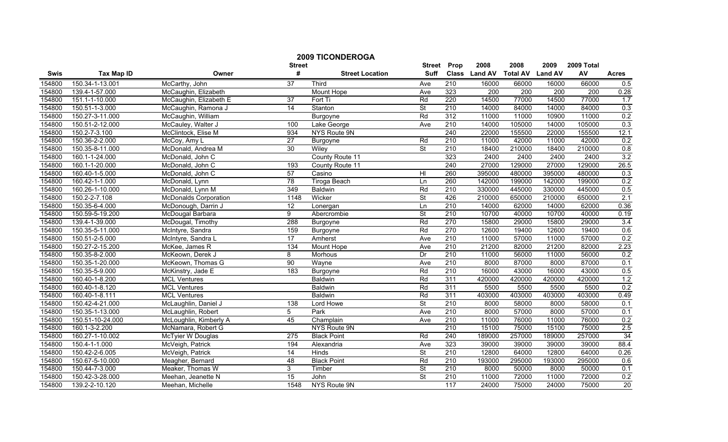| <b>2009 TICONDEROGA</b> |                   |                              |                         |                        |                              |                  |                       |                  |                  |                  |              |
|-------------------------|-------------------|------------------------------|-------------------------|------------------------|------------------------------|------------------|-----------------------|------------------|------------------|------------------|--------------|
|                         |                   |                              | <b>Street</b><br>#      |                        | <b>Street</b><br><b>Suff</b> | Prop             | 2008<br>Class Land AV | 2008             | 2009             | 2009 Total<br>AV |              |
| Swis                    | <b>Tax Map ID</b> | Owner                        |                         | <b>Street Location</b> |                              |                  |                       | <b>Total AV</b>  | <b>Land AV</b>   |                  | <b>Acres</b> |
| 154800                  | 150.34-1-13.001   | McCarthy, John               | $\overline{37}$         | Third                  | Ave                          | 210              | 16000                 | 66000            | 16000            | 66000            | 0.5          |
| 154800                  | 139.4-1-57.000    | McCaughin, Elizabeth         |                         | Mount Hope             | Ave                          | 323              | $\overline{200}$      | $\overline{200}$ | $\overline{200}$ | $\overline{200}$ | 0.28         |
| 154800                  | 151.1-1-10.000    | McCaughin, Elizabeth E       | $\overline{37}$         | Fort Ti                | Rd                           | 220              | 14500                 | 77000            | 14500            | 77000            | 1.7          |
| 154800                  | 150.51-1-3.000    | McCaughin, Ramona J          | 14                      | Stanton                | <b>St</b>                    | 210              | 14000                 | 84000            | 14000            | 84000            | 0.3          |
| 154800                  | 150.27-3-11.000   | McCaughin, William           |                         | Burgoyne               | Rd                           | 312              | 11000                 | 11000            | 10900            | 11000            | 0.2          |
| 154800                  | 150.51-2-12.000   | McCauley, Walter J           | 100                     | Lake George            | Ave                          | 210              | 14000                 | 105000           | 14000            | 105000           | 0.3          |
| 154800                  | 150.2-7-3.100     | McClintock, Elise M          | 934                     | <b>NYS Route 9N</b>    |                              | 240              | 22000                 | 155500           | 22000            | 155500           | 12.1         |
| 154800                  | 150.36-2-2.000    | McCoy, Amy L                 | 27                      | <b>Burgoyne</b>        | Rd                           | 210              | 11000                 | 42000            | 11000            | 42000            | 0.2          |
| 154800                  | 150.35-8-11.000   | McDonald, Andrea M           | 30                      | Wiley                  | $\overline{\mathsf{St}}$     | 210              | 18400                 | 210000           | 18400            | 210000           | 0.8          |
| 154800                  | 160.1-1-24.000    | McDonald, John C             |                         | County Route 11        |                              | 323              | 2400                  | 2400             | 2400             | 2400             | 3.2          |
| 154800                  | 160.1-1-20.000    | McDonald, John C             | 193                     | County Route 11        |                              | $\overline{240}$ | 27000                 | 129000           | 27000            | 129000           | 26.5         |
| 154800                  | 160.40-1-5.000    | McDonald, John C             | 57                      | Casino                 | H <sub>l</sub>               | 260              | 395000                | 480000           | 395000           | 480000           | 0.3          |
| 154800                  | 160.42-1-1.000    | McDonald, Lynn               | 78                      | <b>Tiroga Beach</b>    | Ln                           | 260              | 142000                | 199000           | 142000           | 199000           | 0.2          |
| 154800                  | 160.26-1-10.000   | McDonald, Lynn M             | 349                     | Baldwin                | Rd                           | $\overline{210}$ | 330000                | 445000           | 330000           | 445000           | 0.5          |
| 154800                  | 150.2-2-7.108     | <b>McDonalds Corporation</b> | 1148                    | Wicker                 | St                           | 426              | 210000                | 650000           | 210000           | 650000           | 2.1          |
| 154800                  | 150.35-6-4.000    | McDonough, Darrin J          | 12                      | Lonergan               | Ln                           | $\overline{210}$ | 14000                 | 62000            | 14000            | 62000            | 0.36         |
| 154800                  | 150.59-5-19.200   | McDougal Barbara             | $\overline{9}$          | Abercrombie            | <b>St</b>                    | 210              | 10700                 | 40000            | 10700            | 40000            | 0.19         |
| 154800                  | 139.4-1-39.000    | McDougal, Timothy            | 288                     | Burgoyne               | Rd                           | 270              | 15800                 | 29000            | 15800            | 29000            | 3.4          |
| 154800                  | 150.35-5-11.000   | McIntyre, Sandra             | 159                     | Burgoyne               | Rd                           | 270              | 12600                 | 19400            | 12600            | 19400            | 0.6          |
| 154800                  | 150.51-2-5.000    | McIntyre, Sandra L           | 17                      | Amherst                | Ave                          | 210              | 11000                 | 57000            | 11000            | 57000            | 0.2          |
| 154800                  | 150.27-2-15.200   | McKee, James R               | $\overline{134}$        | Mount Hope             | Ave                          | $\overline{210}$ | 21200                 | 82000            | 21200            | 82000            | 2.23         |
| 154800                  | 150.35-8-2.000    | McKeown, Derek J             | $\overline{\mathbf{8}}$ | Morhous                | Dr                           | 210              | 11000                 | 56000            | 11000            | 56000            | 0.2          |
| 154800                  | 150.35-1-20.000   | McKeown, Thomas G            | 90                      | Wayne                  | Ave                          | 210              | 8000                  | 87000            | 8000             | 87000            | 0.1          |
| 154800                  | 150.35-5-9.000    | McKinstry, Jade E            | 183                     | Burgoyne               | Rd                           | 210              | 16000                 | 43000            | 16000            | 43000            | 0.5          |
| 154800                  | 160.40-1-8.200    | <b>MCL Ventures</b>          |                         | <b>Baldwin</b>         | Rd                           | 311              | 420000                | 420000           | 420000           | 420000           | 1.2          |
| 154800                  | 160.40-1-8.120    | <b>MCL Ventures</b>          |                         | <b>Baldwin</b>         | Rd                           | 311              | 5500                  | 5500             | 5500             | 5500             | 0.2          |
| 154800                  | 160.40-1-8.111    | <b>MCL Ventures</b>          |                         | <b>Baldwin</b>         | Rd                           | 311              | 403000                | 403000           | 403000           | 403000           | 0.49         |
| 154800                  | 150.42-4-21.000   | McLaughlin, Daniel J         | 138                     | Lord Howe              | $\overline{\mathsf{St}}$     | 210              | 8000                  | 58000            | 8000             | 58000            | 0.1          |
| 154800                  | 150.35-1-13.000   | McLaughlin, Robert           | 5                       | Park                   | Ave                          | 210              | 8000                  | 57000            | 8000             | 57000            | 0.1          |
| 154800                  | 150.51-10-24.000  | McLoughlin, Kimberly A       | 45                      | Champlain              | Ave                          | 210              | 11000                 | 76000            | 11000            | 76000            | 0.2          |
| 154800                  | 160.1-3-2.200     | McNamara, Robert G           |                         | <b>NYS Route 9N</b>    |                              | 210              | 15100                 | 75000            | 15100            | 75000            | 2.5          |
| 154800                  | 160.27-1-10.002   | McTyier W Douglas            | 275                     | <b>Black Point</b>     | Rd                           | 240              | 189000                | 257000           | 189000           | 257000           | 34           |
| 154800                  | 150.4-1-1.000     | McVeigh, Patrick             | 194                     | Alexandria             | Ave                          | 323              | 39000                 | 39000            | 39000            | 39000            | 88.4         |
| 154800                  | 150.42-2-6.005    | McVeigh, Patrick             | 14                      | Hinds                  | $\overline{\mathsf{St}}$     | $\overline{210}$ | 12800                 | 64000            | 12800            | 64000            | 0.26         |
| 154800                  | 150.67-5-10.000   | Meagher, Bernard             | 48                      | <b>Black Point</b>     | Rd                           | $\overline{210}$ | 193000                | 295000           | 193000           | 295000           | 0.6          |
| 154800                  | 150.44-7-3.000    | Meaker, Thomas W             | 3                       | Timber                 | $\overline{\mathsf{St}}$     | $\overline{210}$ | 8000                  | 50000            | 8000             | 50000            | 0.1          |
| 154800                  | 150.42-3-28.000   | Meehan, Jeanette N           | 15                      | John                   | $\overline{\mathsf{St}}$     | 210              | 11000                 | 72000            | 11000            | 72000            | 0.2          |
| 154800                  | 139.2-2-10.120    | Meehan, Michelle             | 1548                    | NYS Route 9N           |                              | 117              | 24000                 | 75000            | 24000            | 75000            | 20           |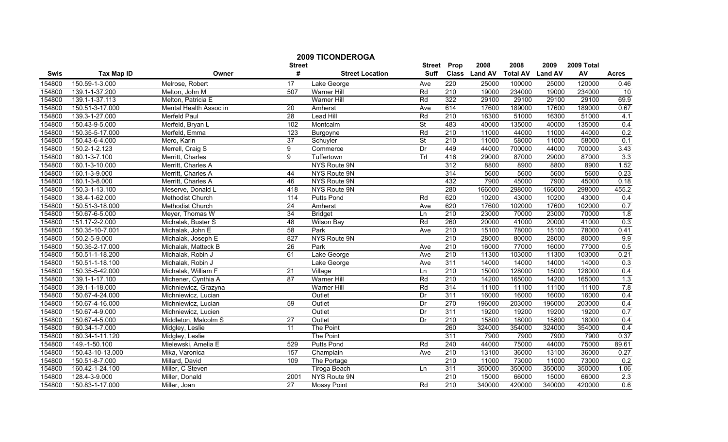|        |                   |                        |                    | <b>2009 TICONDEROGA</b> |                              |                  |                       |                         |                        |                  |              |
|--------|-------------------|------------------------|--------------------|-------------------------|------------------------------|------------------|-----------------------|-------------------------|------------------------|------------------|--------------|
| Swis   | <b>Tax Map ID</b> | Owner                  | <b>Street</b><br># | <b>Street Location</b>  | <b>Street</b><br><b>Suff</b> | Prop             | 2008<br>Class Land AV | 2008<br><b>Total AV</b> | 2009<br><b>Land AV</b> | 2009 Total<br>AV | <b>Acres</b> |
| 154800 | 150.59-1-3.000    | Melrose, Robert        | 17                 | Lake George             | Ave                          | 220              | 25000                 | 100000                  | 25000                  | 120000           | 0.46         |
| 154800 | 139.1-1-37.200    | Melton, John M         | 507                | Warner Hill             | Rd                           | 210              | 19000                 | 234000                  | 19000                  | 234000           | 10           |
| 154800 | 139.1-1-37.113    | Melton, Patricia E     |                    | <b>Warner Hill</b>      | Rd                           | 322              | 29100                 | 29100                   | 29100                  | 29100            | 69.9         |
| 154800 | 150.51-3-17.000   | Mental Health Assoc in | 20                 | Amherst                 | Ave                          | 614              | 17600                 | 189000                  | 17600                  | 189000           | 0.67         |
| 154800 | 139.3-1-27.000    | <b>Merfeld Paul</b>    | $\overline{28}$    | Lead Hill               | Rd                           | 210              | 16300                 | 51000                   | 16300                  | 51000            | 4.1          |
| 154800 | 150.43-9-5.000    | Merfeld, Bryan L       | 102                | Montcalm                | $\overline{\mathsf{St}}$     | 483              | 40000                 | 135000                  | 40000                  | 135000           | 0.4          |
| 154800 | 150.35-5-17.000   | Merfeld, Emma          | 123                | Burgoyne                | Rd                           | 210              | 11000                 | 44000                   | 11000                  | 44000            | 0.2          |
| 154800 | 150.43-6-4.000    | Mero, Karin            | 37                 | Schuyler                | $\overline{\mathsf{St}}$     | 210              | 11000                 | 58000                   | 11000                  | 58000            | 0.1          |
| 154800 | 150.2-1-2.123     | Merrell, Craig S       | 9                  | Commerce                | Dr                           | 449              | 44000                 | 700000                  | 44000                  | 700000           | 3.43         |
| 154800 | 160.1-3-7.100     | Merritt, Charles       | 9                  | Tuffertown              | Trl                          | 416              | 29000                 | 87000                   | 29000                  | 87000            | 3.3          |
| 154800 | 160.1-3-10.000    | Merritt, Charles A     |                    | NYS Route 9N            |                              | 312              | 8800                  | 8900                    | 8800                   | 8900             | 1.52         |
| 154800 | 160.1-3-9.000     | Merritt, Charles A     | 44                 | <b>NYS Route 9N</b>     |                              | 314              | 5600                  | 5600                    | 5600                   | 5600             | 0.23         |
| 154800 | 160.1-3-8.000     | Merritt, Charles A     | 46                 | NYS Route 9N            |                              | 432              | 7900                  | 45000                   | 7900                   | 45000            | 0.18         |
| 154800 | 150.3-1-13.100    | Meserve, Donald L      | 418                | NYS Route 9N            |                              | 280              | 166000                | 298000                  | 166000                 | 298000           | 455.2        |
| 154800 | 138.4-1-62.000    | Methodist Church       | 114                | <b>Putts Pond</b>       | Rd                           | 620              | 10200                 | 43000                   | 10200                  | 43000            | 0.4          |
| 154800 | 150.51-3-18.000   | Methodist Church       | $\overline{24}$    | Amherst                 | Ave                          | 620              | 17600                 | 102000                  | 17600                  | 102000           | 0.7          |
| 154800 | 150.67-6-5.000    | Meyer, Thomas W        | 34                 | <b>Bridget</b>          | Ln                           | 210              | 23000                 | 70000                   | 23000                  | 70000            | 1.8          |
| 154800 | 151.17-2-2.000    | Michalak, Buster S     | 48                 | <b>Wilson Bay</b>       | Rd                           | 260              | 20000                 | 41000                   | 20000                  | 41000            | 0.3          |
| 154800 | 150.35-10-7.001   | Michalak, John E       | 58                 | Park                    | Ave                          | 210              | 15100                 | 78000                   | 15100                  | 78000            | 0.41         |
| 154800 | 150.2-5-9.000     | Michalak, Joseph E     | 827                | <b>NYS Route 9N</b>     |                              | 210              | 28000                 | 80000                   | 28000                  | 80000            | 9.9          |
| 154800 | 150.35-2-17.000   | Michalak, Matteck B    | 26                 | Park                    | Ave                          | 210              | 16000                 | 77000                   | 16000                  | 77000            | 0.5          |
| 154800 | 150.51-1-18.200   | Michalak, Robin J      | 61                 | Lake George             | Ave                          | 210              | 11300                 | 103000                  | 11300                  | 103000           | 0.21         |
| 154800 | 150.51-1-18.100   | Michalak, Robin J      |                    | Lake George             | Ave                          | 311              | 14000                 | 14000                   | 14000                  | 14000            | 0.3          |
| 154800 | 150.35-5-42.000   | Michalak, William F    | $\overline{21}$    | Village                 | Ln                           | 210              | 15000                 | 128000                  | 15000                  | 128000           | 0.4          |
| 154800 | 139.1-1-17.100    | Michener, Cynthia A    | 87                 | <b>Warner Hill</b>      | Rd                           | 210              | 14200                 | 165000                  | 14200                  | 165000           | 1.3          |
| 154800 | 139.1-1-18.000    | Michniewicz, Grazyna   |                    | <b>Warner Hill</b>      | Rd                           | 314              | 11100                 | 11100                   | 11100                  | 11100            | 7.8          |
| 154800 | 150.67-4-24.000   | Michniewicz, Lucian    |                    | Outlet                  | Dr                           | 311              | 16000                 | 16000                   | 16000                  | 16000            | 0.4          |
| 154800 | 150.67-4-16.000   | Michniewicz, Lucian    | 59                 | Outlet                  | Dr                           | 270              | 196000                | 203000                  | 196000                 | 203000           | 0.4          |
| 154800 | 150.67-4-9.000    | Michniewicz, Lucien    |                    | Outlet                  | Dr                           | 311              | 19200                 | 19200                   | 19200                  | 19200            | 0.7          |
| 154800 | 150.67-4-5.000    | Middleton, Malcolm S   | $\overline{27}$    | Outlet                  | Dr                           | 210              | 15800                 | 18000                   | 15800                  | 18000            | 0.4          |
| 154800 | 160.34-1-7.000    | Midgley, Leslie        | 11                 | <b>The Point</b>        |                              | 260              | 324000                | 354000                  | 324000                 | 354000           | 0.4          |
| 154800 | 160.34-1-11.120   | Midgley, Leslie        |                    | The Point               |                              | 311              | 7900                  | 7900                    | 7900                   | 7900             | 0.37         |
| 154800 | 149.-1-50.100     | Mielewski, Amelia E    | 529                | <b>Putts Pond</b>       | Rd                           | 240              | 44000                 | 75000                   | 44000                  | 75000            | 89.61        |
| 154800 | 150.43-10-13.000  | Mika, Varonica         | 157                | Champlain               | Ave                          | 210              | 13100                 | 36000                   | 13100                  | 36000            | 0.27         |
| 154800 | 150.51-8-7.000    | Millard, David         | 109                | The Portage             |                              | $\overline{210}$ | 11000                 | 73000                   | 11000                  | 73000            | 0.2          |
| 154800 | 160.42-1-24.100   | Miller, C Steven       |                    | <b>Tiroga Beach</b>     | Ln                           | 311              | 350000                | 350000                  | 350000                 | 350000           | 1.06         |
| 154800 | 128.4-3-9.000     | Miller, Donald         | 2001               | NYS Route 9N            |                              | 210              | 15000                 | 66000                   | 15000                  | 66000            | 2.3          |
| 154800 | 150.83-1-17.000   | Miller, Joan           | 27                 | <b>Mossy Point</b>      | Rd                           | 210              | 340000                | 420000                  | 340000                 | 420000           | 0.6          |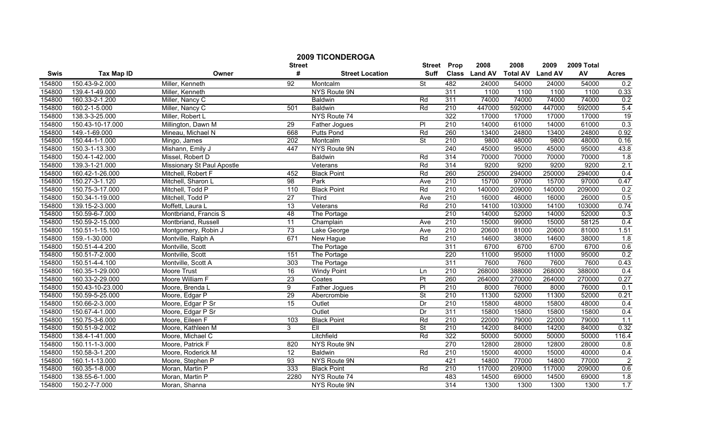|        |                   |                            | <b>Street</b>   | <b>2009 TICONDEROGA</b> | <b>Street</b>            |                  | 2008          | 2008            | 2009           | 2009 Total |                |
|--------|-------------------|----------------------------|-----------------|-------------------------|--------------------------|------------------|---------------|-----------------|----------------|------------|----------------|
| Swis   | <b>Tax Map ID</b> | Owner                      | #               | <b>Street Location</b>  | <b>Suff</b>              | Prop             | Class Land AV | <b>Total AV</b> | <b>Land AV</b> | AV         | <b>Acres</b>   |
| 154800 | 150.43-9-2.000    | Miller, Kenneth            | 92              | Montcalm                | <b>St</b>                | 482              | 24000         | 54000           | 24000          | 54000      | 0.2            |
| 154800 | 139.4-1-49.000    | Miller, Kenneth            |                 | NYS Route 9N            |                          | 311              | 1100          | 1100            | 1100           | 1100       | 0.33           |
| 154800 | 160.33-2-1.200    | Miller, Nancy C            |                 | Baldwin                 | Rd                       | 311              | 74000         | 74000           | 74000          | 74000      | 0.2            |
| 154800 | 160.2-1-5.000     | Miller, Nancy C            | 501             | <b>Baldwin</b>          | Rd                       | 210              | 447000        | 592000          | 447000         | 592000     | 5.4            |
| 154800 | 138.3-3-25.000    | Miller, Robert L           |                 | NYS Route 74            |                          | 322              | 17000         | 17000           | 17000          | 17000      | 19             |
| 154800 | 150.43-10-17.000  | Millington, Dawn M         | 29              | Father Jogues           | $\overline{P}$           | 210              | 14000         | 61000           | 14000          | 61000      | 0.3            |
| 154800 | 149.-1-69.000     | Mineau, Michael N          | 668             | <b>Putts Pond</b>       | Rd                       | 260              | 13400         | 24800           | 13400          | 24800      | 0.92           |
| 154800 | 150.44-1-1.000    | Mingo, James               | 202             | Montcalm                | St                       | 210              | 9800          | 48000           | 9800           | 48000      | 0.16           |
| 154800 | 150.3-1-13.300    | Mishann, Emily J           | 447             | NYS Route 9N            |                          | 240              | 45000         | 95000           | 45000          | 95000      | 43.8           |
| 154800 | 150.4-1-42.000    | Missel, Robert D           |                 | <b>Baldwin</b>          | Rd                       | 314              | 70000         | 70000           | 70000          | 70000      | 1.8            |
| 154800 | 139.3-1-21.000    | Missionary St Paul Apostle |                 | Veterans                | Rd                       | 314              | 9200          | 9200            | 9200           | 9200       | 2.1            |
| 154800 | 160.42-1-26.000   | Mitchell, Robert F         | 452             | <b>Black Point</b>      | Rd                       | 260              | 250000        | 294000          | 250000         | 294000     | 0.4            |
| 154800 | 150.27-3-1.120    | Mitchell, Sharon L         | $\overline{98}$ | Park                    | Ave                      | 210              | 15700         | 97000           | 15700          | 97000      | 0.47           |
| 154800 | 150.75-3-17.000   | Mitchell, Todd P           | 110             | <b>Black Point</b>      | Rd                       | 210              | 140000        | 209000          | 140000         | 209000     | 0.2            |
| 154800 | 150.34-1-19.000   | Mitchell, Todd P           | $\overline{27}$ | Third                   | Ave                      | $\overline{210}$ | 16000         | 46000           | 16000          | 26000      | 0.5            |
| 154800 | 139.15-2-3.000    | Moffett, Laura L           | $\overline{13}$ | Veterans                | Rd                       | 210              | 14100         | 103000          | 14100          | 103000     | 0.74           |
| 154800 | 150.59-6-7.000    | Montbriand, Francis S      | 48              | The Portage             |                          | 210              | 14000         | 52000           | 14000          | 52000      | 0.3            |
| 154800 | 150.59-2-15.000   | Montbriand, Russell        | 11              | Champlain               | Ave                      | 210              | 15000         | 99000           | 15000          | 58125      | 0.4            |
| 154800 | 150.51-1-15.100   | Montgomery, Robin J        | 73              | Lake George             | Ave                      | 210              | 20600         | 81000           | 20600          | 81000      | 1.51           |
| 154800 | 159.-1-30.000     | Montville, Ralph A         | 671             | New Hague               | Rd                       | 210              | 14600         | 38000           | 14600          | 38000      | 1.8            |
| 154800 | 150.51-4-4.200    | Montville, Scott           |                 | The Portage             |                          | 311              | 6700          | 6700            | 6700           | 6700       | 0.6            |
| 154800 | 150.51-7-2.000    | Montville, Scott           | 151             | The Portage             |                          | 220              | 11000         | 95000           | 11000          | 95000      | 0.2            |
| 154800 | 150.51-4-4.100    | Montville, Scott A         | 303             | The Portage             |                          | 311              | 7600          | 7600            | 7600           | 7600       | 0.43           |
| 154800 | 160.35-1-29.000   | <b>Moore Trust</b>         | 16              | <b>Windy Point</b>      | Ln                       | 210              | 268000        | 388000          | 268000         | 388000     | 0.4            |
| 154800 | 160.33-2-29.000   | Moore William F            | 23              | Coates                  | Pt                       | 260              | 264000        | 270000          | 264000         | 270000     | 0.27           |
| 154800 | 150.43-10-23.000  | Moore, Brenda L            | 9               | Father Jogues           | $\overline{P}$           | 210              | 8000          | 76000           | 8000           | 76000      | 0.1            |
| 154800 | 150.59-5-25.000   | Moore, Edgar P             | 29              | Abercrombie             | <b>St</b>                | $\overline{210}$ | 11300         | 52000           | 11300          | 52000      | 0.21           |
| 154800 | 150.66-2-3.000    | Moore, Edgar P Sr          | $\overline{15}$ | Outlet                  | Dr                       | $\overline{210}$ | 15800         | 48000           | 15800          | 48000      | 0.4            |
| 154800 | 150.67-4-1.000    | Moore, Edgar P Sr          |                 | Outlet                  | Dr                       | 311              | 15800         | 15800           | 15800          | 15800      | 0.4            |
| 154800 | 150.75-3-6.000    | Moore, Eileen F            | 103             | <b>Black Point</b>      | Rd                       | 210              | 22000         | 79000           | 22000          | 79000      | 1.1            |
| 154800 | 150.51-9-2.002    | Moore, Kathleen M          | 3               | EII                     | $\overline{\mathsf{St}}$ | 210              | 14200         | 84000           | 14200          | 84000      | 0.32           |
| 154800 | 138.4-1-41.000    | Moore, Michael C           |                 | Litchfield              | Rd                       | 322              | 50000         | 50000           | 50000          | 50000      | 116.4          |
| 154800 | 150.11-1-3.000    | Moore, Patrick F           | 820             | NYS Route 9N            |                          | 270              | 12800         | 28000           | 12800          | 28000      | 0.8            |
| 154800 | 150.58-3-1.200    | Moore, Roderick M          | $\overline{12}$ | Baldwin                 | Rd                       | 210              | 15000         | 40000           | 15000          | 40000      | 0.4            |
| 154800 | 160.1-1-13.000    | Moore, Stephen P           | 93              | NYS Route 9N            |                          | 421              | 14800         | 77000           | 14800          | 77000      | $\overline{2}$ |
| 154800 | 160.35-1-8.000    | Moran, Martin P            | 333             | <b>Black Point</b>      | Rd                       | $\overline{210}$ | 117000        | 209000          | 117000         | 209000     | 0.6            |
| 154800 | 138.55-6-1.000    | Moran, Martin P            | 2280            | NYS Route 74            |                          | 483              | 14500         | 69000           | 14500          | 69000      | 1.8            |
| 154800 | 150.2-7-7.000     | Moran, Shanna              |                 | NYS Route 9N            |                          | 314              | 1300          | 1300            | 1300           | 1300       | 1.7            |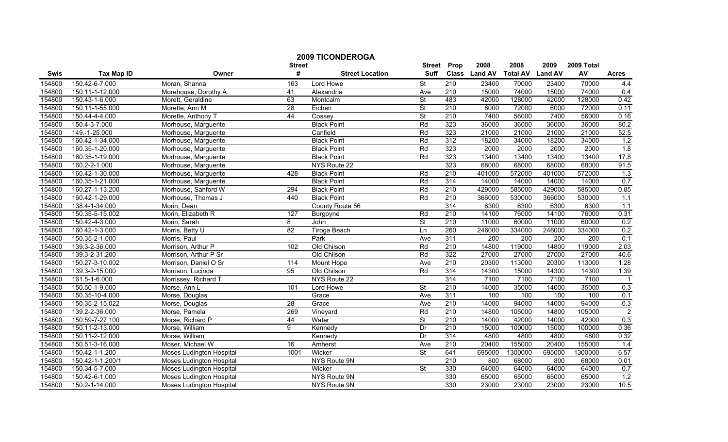|        |                   |                                 | <b>Street</b>   | <b>2009 TICONDEROGA</b> | <b>Street</b>            | Prop             | 2008          | 2008            | 2009           | 2009 Total |                          |
|--------|-------------------|---------------------------------|-----------------|-------------------------|--------------------------|------------------|---------------|-----------------|----------------|------------|--------------------------|
| Swis   | <b>Tax Map ID</b> | Owner                           | #               | <b>Street Location</b>  | <b>Suff</b>              |                  | Class Land AV | <b>Total AV</b> | <b>Land AV</b> | AV         | <b>Acres</b>             |
| 154800 | 150.42-6-7.000    | Moran, Shanna                   | 163             | Lord Howe               | St                       | 210              | 23400         | 70000           | 23400          | 70000      | 4.4                      |
| 154800 | 150.11-1-12.000   | Morehouse, Dorothy A            | $\overline{41}$ | Alexandria              | Ave                      | 210              | 15000         | 74000           | 15000          | 74000      | 0.4                      |
| 154800 | 150.43-1-6.000    | Morett, Geraldine               | 63              | Montcalm                | $\overline{\mathsf{St}}$ | 483              | 42000         | 128000          | 42000          | 128000     | 0.42                     |
| 154800 | 150.11-1-55.000   | Morette, Ann M                  | 28              | Eichen                  | <b>St</b>                | 210              | 6000          | 72000           | 6000           | 72000      | 0.11                     |
| 154800 | 150.44-4-4.000    | Morette, Anthony 7              | 44              | Cossey                  | <b>St</b>                | $\overline{210}$ | 7400          | 56000           | 7400           | 56000      | 0.16                     |
| 154800 | 150.4-3-7.000     | Morhouse, Marguerite            |                 | <b>Black Point</b>      | Rd                       | 323              | 36000         | 36000           | 36000          | 36000      | 80.2                     |
| 154800 | 149.-1-25.000     | Morhouse, Marguerite            |                 | Canfield                | Rd                       | 323              | 21000         | 21000           | 21000          | 21000      | 52.5                     |
| 154800 | 160.42-1-34.000   | Morhouse, Marguerite            |                 | <b>Black Point</b>      | Rd                       | 312              | 18200         | 34000           | 18200          | 34000      | 1.2                      |
| 154800 | 160.35-1-20.000   | Morhouse, Marguerite            |                 | <b>Black Point</b>      | Rd                       | 323              | 2000          | 2000            | 2000           | 2000       | 1.8                      |
| 154800 | 160.35-1-19.000   | Morhouse, Marguerite            |                 | <b>Black Point</b>      | Rd                       | 323              | 13400         | 13400           | 13400          | 13400      | 17.8                     |
| 154800 | 160.2-2-1.000     | Morhouse, Marguerite            |                 | NYS Route 22            |                          | 323              | 68000         | 68000           | 68000          | 68000      | 91.5                     |
| 154800 | 160.42-1-30.000   | Morhouse, Marguerite            | 428             | <b>Black Point</b>      | Rd                       | 210              | 401000        | 572000          | 401000         | 572000     | 1.3                      |
| 154800 | 160.35-1-21.000   | Morhouse, Marguerite            |                 | <b>Black Point</b>      | Rd                       | 314              | 14000         | 14000           | 14000          | 14000      | 0.7                      |
| 154800 | 160.27-1-13.200   | Morhouse, Sanford W             | 294             | <b>Black Point</b>      | Rd                       | 210              | 429000        | 585000          | 429000         | 585000     | 0.85                     |
| 154800 | 160.42-1-29.000   | Morhouse, Thomas J              | 440             | <b>Black Point</b>      | Rd                       | $\overline{210}$ | 366000        | 530000          | 366000         | 530000     | 1.1                      |
| 154800 | 138.4-1-34.000    | Morin, Dean                     |                 | County Route 56         |                          | 314              | 6300          | 6300            | 6300           | 6300       | 1.1                      |
| 154800 | 150.35-5-15.002   | Morin, Elizabeth R              | 127             | Burgoyne                | Rd                       | 210              | 14100         | 76000           | 14100          | 76000      | 0.31                     |
| 154800 | 150.42-4-3.000    | Morin, Sarah                    | 8               | John                    | <b>St</b>                | 210              | 11000         | 60000           | 11000          | 60000      | 0.2                      |
| 154800 | 160.42-1-3.000    | Morris, Betty U                 | 82              | <b>Tiroga Beach</b>     | Ln                       | 260              | 246000        | 334000          | 246000         | 334000     | 0.2                      |
| 154800 | 150.35-2-1.000    | Morris, Paul                    |                 | Park                    | Ave                      | 311              | 200           | 200             | 200            | 200        | 0.1                      |
| 154800 | 139.3-2-36.000    | Morrison, Arthur P              | 102             | Old Chilson             | Rd                       | 210              | 14800         | 119000          | 14800          | 119000     | 2.03                     |
| 154800 | 139.3-2-31.200    | Morrison, Arthur P Sr           |                 | Old Chilson             | Rd                       | 322              | 27000         | 27000           | 27000          | 27000      | 40.6                     |
| 154800 | 150.27-3-10.002   | Morrison, Daniel O Sr           | 114             | <b>Mount Hope</b>       | Ave                      | 210              | 20300         | 113000          | 20300          | 113000     | 1.28                     |
| 154800 | 139.3-2-15.000    | Morrison, Lucinda               | 95              | Old Chilson             | Rd                       | 314              | 14300         | 15000           | 14300          | 14300      | 1.39                     |
| 154800 | 161.5-1-6.000     | Morrissey, Richard T            |                 | NYS Route 22            |                          | 314              | 7100          | 7100            | 7100           | 7100       | $\overline{\phantom{1}}$ |
| 154800 | 150.50-1-9.000    | Morse, Ann L                    | 101             | Lord Howe               | $\overline{\mathsf{St}}$ | $\overline{210}$ | 14000         | 35000           | 14000          | 35000      | 0.3                      |
| 154800 | 150.35-10-4.000   | Morse, Douglas                  |                 | Grace                   | Ave                      | 311              | 100           | 100             | 100            | 100        | 0.1                      |
| 154800 | 150.35-2-15.022   | Morse, Douglas                  | $\overline{28}$ | Grace                   | Ave                      | 210              | 14000         | 94000           | 14000          | 94000      | 0.3                      |
| 154800 | 139.2-2-36.000    | Morse, Pamela                   | 269             | Vineyard                | Rd                       | 210              | 14800         | 105000          | 14800          | 105000     | $\overline{2}$           |
| 154800 | 150.59-7-27.100   | Morse, Richard P                | 44              | Water                   | $\overline{\mathsf{St}}$ | 210              | 14000         | 42000           | 14000          | 42000      | 0.3                      |
| 154800 | 150.11-2-13.000   | Morse, William                  | 9               | Kennedy                 | Dr                       | 210              | 15000         | 100000          | 15000          | 100000     | 0.36                     |
| 154800 | 150.11-2-12.000   | Morse, William                  |                 | Kennedy                 | Dr                       | 314              | 4800          | 4800            | 4800           | 4800       | 0.32                     |
| 154800 | 150.51-3-16.000   | Moser, Michael W                | 16              | Amherst                 | Ave                      | 210              | 20400         | 155000          | 20400          | 155000     | 1.4                      |
| 154800 | 150.42-1-1.200    | Moses Ludington Hospital        | 1001            | Wicker                  | St                       | 641              | 695000        | 1300000         | 695000         | 1300000    | 6.57                     |
| 154800 | 150.42-1-1.200/1  | <b>Moses Ludington Hospital</b> |                 | NYS Route 9N            |                          | $\overline{210}$ | 800           | 68000           | 800            | 68000      | 0.01                     |
| 154800 | 150.34-5-7.000    | <b>Moses Ludington Hospital</b> |                 | Wicker                  | $\overline{\mathsf{St}}$ | 330              | 64000         | 64000           | 64000          | 64000      | 0.7                      |
| 154800 | 150.42-6-1.000    | Moses Ludington Hospital        |                 | NYS Route 9N            |                          | 330              | 65000         | 65000           | 65000          | 65000      | 1.2                      |
| 154800 | 150.2-1-14.000    | <b>Moses Ludington Hospital</b> |                 | NYS Route 9N            |                          | 330              | 23000         | 23000           | 23000          | 23000      | 10.5                     |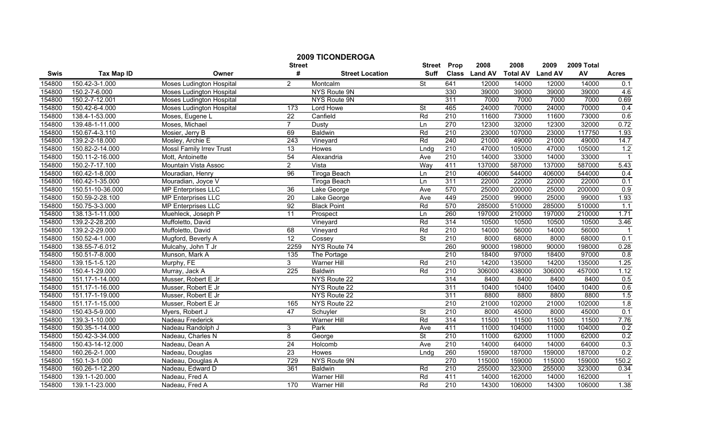|             |                   |                                 |                  | <b>2009 TICONDEROGA</b> |                          |                  |               |                 |                |            |                            |
|-------------|-------------------|---------------------------------|------------------|-------------------------|--------------------------|------------------|---------------|-----------------|----------------|------------|----------------------------|
|             |                   |                                 | <b>Street</b>    |                         | <b>Street</b>            | Prop             | 2008          | 2008            | 2009           | 2009 Total |                            |
| <b>Swis</b> | <b>Tax Map ID</b> | Owner                           | #                | <b>Street Location</b>  | <b>Suff</b>              |                  | Class Land AV | <b>Total AV</b> | <b>Land AV</b> | AV         | <b>Acres</b>               |
| 154800      | 150.42-3-1.000    | <b>Moses Ludington Hospital</b> | 2                | Montcalm                | <b>St</b>                | 641              | 12000         | 14000           | 12000          | 14000      | 0.1                        |
| 154800      | 150.2-7-6.000     | <b>Moses Ludington Hospital</b> |                  | NYS Route 9N            |                          | 330              | 39000         | 39000           | 39000          | 39000      | 4.6                        |
| 154800      | 150.2-7-12.001    | <b>Moses Ludington Hospital</b> |                  | NYS Route 9N            |                          | 311              | 7000          | 7000            | 7000           | 7000       | 0.69                       |
| 154800      | 150.42-6-4.000    | <b>Moses Ludington Hospital</b> | $\overline{173}$ | Lord Howe               | St                       | 465              | 24000         | 70000           | 24000          | 70000      | 0.4                        |
| 154800      | 138.4-1-53.000    | Moses, Eugene L                 | $\overline{22}$  | Canfield                | Rd                       | 210              | 11600         | 73000           | 11600          | 73000      | 0.6                        |
| 154800      | 139.48-1-11.000   | Moses, Michael                  | $\overline{7}$   | <b>Dusty</b>            | Ln                       | 270              | 12300         | 32000           | 12300          | 32000      | 0.72                       |
| 154800      | 150.67-4-3.110    | Mosier, Jerry B                 | 69               | <b>Baldwin</b>          | Rd                       | 210              | 23000         | 107000          | 23000          | 117750     | 1.93                       |
| 154800      | 139.2-2-18.000    | Mosley, Archie E                | 243              | Vineyard                | Rd                       | 240              | 21000         | 49000           | 21000          | 49000      | 14.7                       |
| 154800      | 150.82-2-14.000   | <b>MossI Family Irrev Trust</b> | $\overline{13}$  | Howes                   | Lndg                     | 210              | 47000         | 105000          | 47000          | 105000     | 1.2                        |
| 154800      | 150.11-2-16.000   | Mott, Antoinette                | 54               | Alexandria              | Ave                      | $\overline{210}$ | 14000         | 33000           | 14000          | 33000      | $\overline{\phantom{0}}$ 1 |
| 154800      | 150.2-7-17.100    | Mountain Vista Assoc            | $\overline{2}$   | Vista                   | Way                      | 411              | 137000        | 587000          | 137000         | 587000     | 5.43                       |
| 154800      | 160.42-1-8.000    | Mouradian, Henry                | 96               | <b>Tiroga Beach</b>     | Ln                       | 210              | 406000        | 544000          | 406000         | 544000     | 0.4                        |
| 154800      | 160.42-1-35.000   | Mouradian, Joyce V              |                  | Tiroga Beach            | Ln                       | 311              | 22000         | 22000           | 22000          | 22000      | 0.1                        |
| 154800      | 150.51-10-36.000  | <b>MP Enterprises LLC</b>       | 36               | Lake George             | Ave                      | 570              | 25000         | 200000          | 25000          | 200000     | 0.9                        |
| 154800      | 150.59-2-28.100   | MP Enterprises LLC              | $\overline{20}$  | Lake George             | Ave                      | 449              | 25000         | 99000           | 25000          | 99000      | 1.93                       |
| 154800      | 150.75-3-3.000    | <b>MP Enterprises LLC</b>       | $\overline{92}$  | <b>Black Point</b>      | Rd                       | 570              | 285000        | 510000          | 285000         | 510000     | 1.1                        |
| 154800      | 138.13-1-11.000   | Muehleck, Joseph P              | 11               | Prospect                | Ln                       | 260              | 197000        | 210000          | 197000         | 210000     | 1.71                       |
| 154800      | 139.2-2-28.200    | Muffoletto, David               |                  | Vineyard                | Rd                       | 314              | 10500         | 10500           | 10500          | 10500      | 3.46                       |
| 154800      | 139.2-2-29.000    | Muffoletto, David               | 68               | Vineyard                | Rd                       | 210              | 14000         | 56000           | 14000          | 56000      | $\overline{1}$             |
| 154800      | 150.52-4-1.000    | Mugford, Beverly A              | 12               | Cossey                  | $\overline{\mathsf{St}}$ | 210              | 8000          | 68000           | 8000           | 68000      | 0.1                        |
| 154800      | 138.55-7-6.012    | Mulcahy, John T Jr              | 2259             | NYS Route 74            |                          | 260              | 90000         | 198000          | 90000          | 198000     | 0.28                       |
| 154800      | 150.51-7-8.000    | Munson, Mark A                  | 135              | The Portage             |                          | $\overline{210}$ | 18400         | 97000           | 18400          | 97000      | 0.8                        |
| 154800      | 139.15-1-5.120    | Murphy, FE                      | 3                | <b>Warner Hill</b>      | Rd                       | 210              | 14200         | 135000          | 14200          | 135000     | 1.25                       |
| 154800      | 150.4-1-29.000    | Murray, Jack A                  | $\overline{225}$ | <b>Baldwin</b>          | Rd                       | 210              | 306000        | 438000          | 306000         | 457000     | 1.12                       |
| 154800      | 151.17-1-14.000   | Musser, Robert E Jr             |                  | NYS Route 22            |                          | 314              | 8400          | 8400            | 8400           | 8400       | 0.5                        |
| 154800      | 151.17-1-16.000   | Musser, Robert E Jr             |                  | NYS Route 22            |                          | 311              | 10400         | 10400           | 10400          | 10400      | 0.6                        |
| 154800      | 151.17-1-19.000   | Musser, Robert E Jr             |                  | NYS Route 22            |                          | 311              | 8800          | 8800            | 8800           | 8800       | 1.5                        |
| 154800      | 151.17-1-15.000   | Musser, Robert E Jr             | 165              | NYS Route 22            |                          | $\overline{210}$ | 21000         | 102000          | 21000          | 102000     | 1.8                        |
| 154800      | 150.43-5-9.000    | Myers, Robert J                 | $\overline{47}$  | Schuyler                | $\overline{\mathsf{St}}$ | 210              | 8000          | 45000           | 8000           | 45000      | 0.1                        |
| 154800      | 139.3-1-10.000    | Nadeau Frederick                |                  | <b>Warner Hill</b>      | Rd                       | 314              | 11500         | 11500           | 11500          | 11500      | 7.76                       |
| 154800      | 150.35-1-14.000   | Nadeau Randolph J               | 3                | Park                    | Ave                      | 411              | 11000         | 104000          | 11000          | 104000     | 0.2                        |
| 154800      | 150.42-3-34.000   | Nadeau, Charles N               | 8                | George                  | <b>St</b>                | 210              | 11000         | 62000           | 11000          | 62000      | 0.2                        |
| 154800      | 150.43-14-12.000  | Nadeau, Dean A                  | 24               | Holcomb                 | Ave                      | 210              | 14000         | 64000           | 14000          | 64000      | 0.3                        |
| 154800      | 160.26-2-1.000    | Nadeau, Douglas                 | 23               | Howes                   | Lndg                     | 260              | 159000        | 187000          | 159000         | 187000     | 0.2                        |
| 154800      | 150.1-3-1.000     | Nadeau, Douglas A               | 729              | NYS Route 9N            |                          | 270              | 115000        | 159000          | 115000         | 159000     | 150.2                      |
| 154800      | 160.26-1-12.200   | Nadeau, Edward D                | 361              | Baldwin                 | Rd                       | $\overline{210}$ | 255000        | 323000          | 255000         | 323000     | 0.34                       |
| 154800      | 139.1-1-20.000    | Nadeau, Fred A                  |                  | Warner Hill             | Rd                       | 411              | 14000         | 162000          | 14000          | 162000     |                            |
| 154800      | 139.1-1-23.000    | Nadeau, Fred A                  | 170              | Warner Hill             | Rd                       | 210              | 14300         | 106000          | 14300          | 106000     | 1.38                       |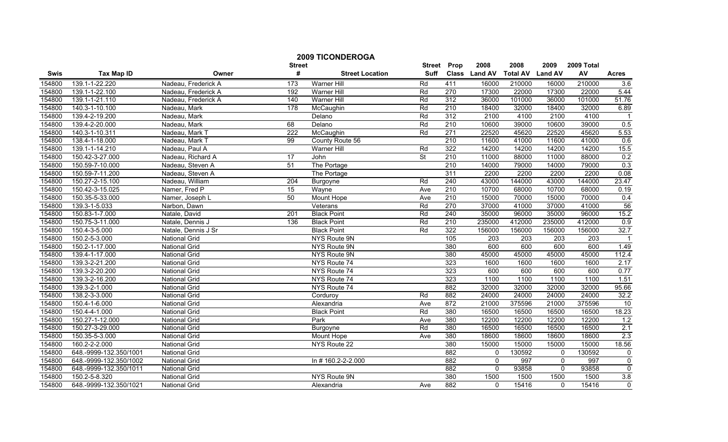|        |                        |                      | <b>Street</b>   | <b>2009 TICONDEROGA</b> | <b>Street</b>            | Prop             | 2008          | 2008             | 2009             | 2009 Total |                |
|--------|------------------------|----------------------|-----------------|-------------------------|--------------------------|------------------|---------------|------------------|------------------|------------|----------------|
| Swis   | <b>Tax Map ID</b>      | Owner                | #               | <b>Street Location</b>  | <b>Suff</b>              |                  | Class Land AV | <b>Total AV</b>  | <b>Land AV</b>   | AV         | <b>Acres</b>   |
| 154800 | 139.1-1-22.220         | Nadeau, Frederick A  | 173             | Warner Hill             | Rd                       | 411              | 16000         | 210000           | 16000            | 210000     | 3.6            |
| 154800 | 139.1-1-22.100         | Nadeau, Frederick A  | 192             | Warner Hill             | Rd                       | 270              | 17300         | 22000            | 17300            | 22000      | 5.44           |
| 154800 | 139.1-1-21.110         | Nadeau, Frederick A  | 140             | <b>Warner Hill</b>      | Rd                       | 312              | 36000         | 101000           | 36000            | 101000     | 51.76          |
| 154800 | 140.3-1-10.100         | Nadeau, Mark         | 178             | McCaughin               | Rd                       | 210              | 18400         | 32000            | 18400            | 32000      | 6.89           |
| 154800 | 139.4-2-19.200         | Nadeau, Mark         |                 | Delano                  | Rd                       | 312              | 2100          | 4100             | 2100             | 4100       |                |
| 154800 | 139.4-2-20.000         | Nadeau, Mark         | 68              | Delano                  | Rd                       | 210              | 10600         | 39000            | 10600            | 39000      | 0.5            |
| 154800 | 140.3-1-10.311         | Nadeau, Mark T       | 222             | McCaughin               | Rd                       | 271              | 22520         | 45620            | 22520            | 45620      | 5.53           |
| 154800 | 138.4-1-18.000         | Nadeau, Mark T       | 99              | County Route 56         |                          | 210              | 11600         | 41000            | 11600            | 41000      | 0.6            |
| 154800 | 139.1-1-14.210         | Nadeau, Paul A       |                 | Warner Hill             | Rd                       | 322              | 14200         | 14200            | 14200            | 14200      | 15.5           |
| 154800 | 150.42-3-27.000        | Nadeau, Richard A    | 17              | John                    | $\overline{\mathsf{St}}$ | $\overline{210}$ | 11000         | 88000            | 11000            | 88000      | 0.2            |
| 154800 | 150.59-7-10.000        | Nadeau, Steven A     | $\overline{51}$ | The Portage             |                          | 210              | 14000         | 79000            | 14000            | 79000      | 0.3            |
| 154800 | 150.59-7-11.200        | Nadeau, Steven A     |                 | The Portage             |                          | 311              | 2200          | 2200             | 2200             | 2200       | 0.08           |
| 154800 | 150.27-2-15.100        | Nadeau, William      | 204             | Burgoyne                | Rd                       | 240              | 43000         | 144000           | 43000            | 144000     | 23.47          |
| 154800 | 150.42-3-15.025        | Namer, Fred P        | $\overline{15}$ | Wayne                   | Ave                      | 210              | 10700         | 68000            | 10700            | 68000      | 0.19           |
| 154800 | 150.35-5-33.000        | Namer, Joseph L      | 50              | <b>Mount Hope</b>       | Ave                      | $\overline{210}$ | 15000         | 70000            | 15000            | 70000      | 0.4            |
| 154800 | 139.3-1-5.033          | Narbon, Dawn         |                 | Veterans                | Rd                       | 270              | 37000         | 41000            | 37000            | 41000      | 56             |
| 154800 | 150.83-1-7.000         | Natale, David        | 201             | <b>Black Point</b>      | Rd                       | 240              | 35000         | 96000            | 35000            | 96000      | 15.2           |
| 154800 | 150.75-3-11.000        | Natale, Dennis J     | 136             | <b>Black Point</b>      | Rd                       | 210              | 235000        | 412000           | 235000           | 412000     | 0.9            |
| 154800 | 150.4-3-5.000          | Natale, Dennis J Sr  |                 | <b>Black Point</b>      | Rd                       | 322              | 156000        | 156000           | 156000           | 156000     | 32.7           |
| 154800 | 150.2-5-3.000          | <b>National Grid</b> |                 | NYS Route 9N            |                          | 105              | 203           | $\overline{203}$ | $\overline{203}$ | 203        |                |
| 154800 | 150.2-1-17.000         | <b>National Grid</b> |                 | NYS Route 9N            |                          | 380              | 600           | 600              | 600              | 600        | 1.49           |
| 154800 | 139.4-1-17.000         | National Grid        |                 | NYS Route 9N            |                          | 380              | 45000         | 45000            | 45000            | 45000      | 112.4          |
| 154800 | 139.3-2-21.200         | <b>National Grid</b> |                 | NYS Route 74            |                          | 323              | 1600          | 1600             | 1600             | 1600       | 2.17           |
| 154800 | 139.3-2-20.200         | <b>National Grid</b> |                 | NYS Route 74            |                          | 323              | 600           | 600              | 600              | 600        | 0.77           |
| 154800 | 139.3-2-16.200         | <b>National Grid</b> |                 | NYS Route 74            |                          | 323              | 1100          | 1100             | 1100             | 1100       | 1.51           |
| 154800 | 139.3-2-1.000          | <b>National Grid</b> |                 | NYS Route 74            |                          | 882              | 32000         | 32000            | 32000            | 32000      | 95.66          |
| 154800 | 138.2-3-3.000          | National Grid        |                 | Corduroy                | Rd                       | 882              | 24000         | 24000            | 24000            | 24000      | 32.2           |
| 154800 | 150.4-1-6.000          | <b>National Grid</b> |                 | Alexandria              | Ave                      | 872              | 21000         | 375596           | 21000            | 375596     | 10             |
| 154800 | 150.4-4-1.000          | <b>National Grid</b> |                 | <b>Black Point</b>      | Rd                       | 380              | 16500         | 16500            | 16500            | 16500      | 18.23          |
| 154800 | 150.27-1-12.000        | <b>National Grid</b> |                 | Park                    | Ave                      | 380              | 12200         | 12200            | 12200            | 12200      | 1.2            |
| 154800 | 150.27-3-29.000        | <b>National Grid</b> |                 | Burgoyne                | Rd                       | 380              | 16500         | 16500            | 16500            | 16500      | 2.1            |
| 154800 | 150.35-5-3.000         | <b>National Grid</b> |                 | Mount Hope              | Ave                      | 380              | 18600         | 18600            | 18600            | 18600      | 2.3            |
| 154800 | 160.2-2-2.000          | <b>National Grid</b> |                 | NYS Route 22            |                          | 380              | 15000         | 15000            | 15000            | 15000      | 18.56          |
| 154800 | 648.-9999-132.350/1001 | <b>National Grid</b> |                 |                         |                          | 882              | $\mathbf{0}$  | 130592           | $\mathbf{0}$     | 130592     | $\mathbf 0$    |
| 154800 | 648.-9999-132.350/1002 | <b>National Grid</b> |                 | In #160.2-2-2.000       |                          | 882              | $\Omega$      | 997              | 0                | 997        | $\overline{0}$ |
| 154800 | 648.-9999-132.350/1011 | <b>National Grid</b> |                 |                         |                          | 882              | $\Omega$      | 93858            | $\mathbf{0}$     | 93858      | $\mathbf 0$    |
| 154800 | 150.2-5-8.320          | <b>National Grid</b> |                 | NYS Route 9N            |                          | 380              | 1500          | 1500             | 1500             | 1500       | 3.8            |
| 154800 | 648.-9999-132.350/1021 | <b>National Grid</b> |                 | Alexandria              | Ave                      | 882              | $\Omega$      | 15416            | $\mathbf{0}$     | 15416      | $\mathbf 0$    |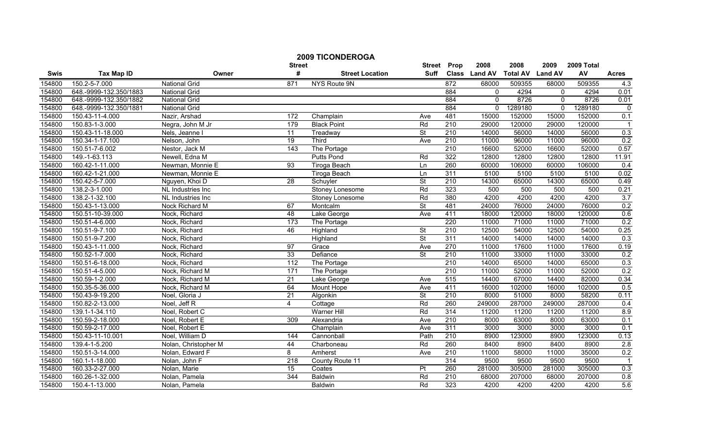| <b>2009 TICONDEROGA</b> |                        |                      |                  |                        |                          |                  |               |                 |                |            |                |
|-------------------------|------------------------|----------------------|------------------|------------------------|--------------------------|------------------|---------------|-----------------|----------------|------------|----------------|
|                         |                        |                      | <b>Street</b>    |                        |                          | Street Prop      | 2008          | 2008            | 2009           | 2009 Total |                |
| <b>Swis</b>             | <b>Tax Map ID</b>      | Owner                | #                | <b>Street Location</b> | Suff                     |                  | Class Land AV | <b>Total AV</b> | <b>Land AV</b> | AV         | <b>Acres</b>   |
| 154800                  | 150.2-5-7.000          | <b>National Grid</b> | 871              | NYS Route 9N           |                          | 872              | 68000         | 509355          | 68000          | 509355     | 4.3            |
| 154800                  | 648.-9999-132.350/1883 | <b>National Grid</b> |                  |                        |                          | 884              | $\Omega$      | 4294            | $\mathbf{0}$   | 4294       | 0.01           |
| 154800                  | 648.-9999-132.350/1882 | <b>National Grid</b> |                  |                        |                          | 884              | $\Omega$      | 8726            | $\mathbf{0}$   | 8726       | 0.01           |
| 154800                  | 648.-9999-132.350/1881 | <b>National Grid</b> |                  |                        |                          | 884              | $\Omega$      | 1289180         | $\Omega$       | 1289180    | $\mathbf 0$    |
| 154800                  | 150.43-11-4.000        | Nazir, Arshad        | 172              | Champlain              | Ave                      | 481              | 15000         | 152000          | 15000          | 152000     | 0.1            |
| 154800                  | 150.83-1-3.000         | Negra, John M Jr     | 179              | <b>Black Point</b>     | Rd                       | 210              | 29000         | 120000          | 29000          | 120000     |                |
| 154800                  | 150.43-11-18.000       | Nels, Jeanne I       | $\overline{11}$  | Treadway               | <b>St</b>                | 210              | 14000         | 56000           | 14000          | 56000      | 0.3            |
| 154800                  | 150.34-1-17.100        | Nelson, John         | 19               | Third                  | Ave                      | 210              | 11000         | 96000           | 11000          | 96000      | 0.2            |
| 154800                  | 150.51-7-6.002         | Nestor, Jack M       | 143              | The Portage            |                          | $\overline{210}$ | 16600         | 52000           | 16600          | 52000      | 0.57           |
| 154800                  | 149.-1-63.113          | Newell, Edna M       |                  | <b>Putts Pond</b>      | Rd                       | 322              | 12800         | 12800           | 12800          | 12800      | 11.91          |
| 154800                  | 160.42-1-11.000        | Newman, Monnie E     | 93               | <b>Tiroga Beach</b>    | Ln                       | 260              | 60000         | 106000          | 60000          | 106000     | 0.4            |
| 154800                  | 160.42-1-21.000        | Newman, Monnie E     |                  | Tiroga Beach           | Ln                       | 311              | 5100          | 5100            | 5100           | 5100       | 0.02           |
| 154800                  | 150.42-5-7.000         | Nguyen, Khoi D       | $\overline{28}$  | Schuyler               | <b>St</b>                | 210              | 14300         | 65000           | 14300          | 65000      | 0.49           |
| 154800                  | 138.2-3-1.000          | NL Industries Inc    |                  | Stoney Lonesome        | Rd                       | 323              | 500           | 500             | 500            | 500        | 0.21           |
| 154800                  | 138.2-1-32.100         | NL Industries Inc    |                  | Stoney Lonesome        | Rd                       | 380              | 4200          | 4200            | 4200           | 4200       | 3.7            |
| 154800                  | 150.43-1-13.000        | Nock Richard M       | 67               | Montcalm               | <b>St</b>                | 481              | 24000         | 76000           | 24000          | 76000      | 0.2            |
| 154800                  | 150.51-10-39.000       | Nock, Richard        | 48               | Lake George            | Ave                      | 411              | 18000         | 120000          | 18000          | 120000     | 0.6            |
| 154800                  | 150.51-4-6.000         | Nock, Richard        | 173              | The Portage            |                          | 220              | 11000         | 71000           | 11000          | 71000      | 0.2            |
| 154800                  | 150.51-9-7.100         | Nock, Richard        | 46               | Highland               | $\overline{\mathsf{St}}$ | 210              | 12500         | 54000           | 12500          | 54000      | 0.25           |
| 154800                  | 150.51-9-7.200         | Nock, Richard        |                  | Highland               | St                       | 311              | 14000         | 14000           | 14000          | 14000      | 0.3            |
| 154800                  | 150.43-1-11.000        | Nock, Richard        | $\overline{97}$  | Grace                  | Ave                      | 270              | 11000         | 17600           | 11000          | 17600      | 0.19           |
| 154800                  | 150.52-1-7.000         | Nock, Richard        | 33               | Defiance               | St                       | 210              | 11000         | 33000           | 11000          | 33000      | 0.2            |
| 154800                  | 150.51-6-18.000        | Nock, Richard        | 112              | The Portage            |                          | $\overline{210}$ | 14000         | 65000           | 14000          | 65000      | 0.3            |
| 154800                  | 150.51-4-5.000         | Nock, Richard M      | $\overline{171}$ | The Portage            |                          | 210              | 11000         | 52000           | 11000          | 52000      | 0.2            |
| 154800                  | 150.59-1-2.000         | Nock, Richard M      | $\overline{21}$  | Lake George            | Ave                      | 515              | 14400         | 67000           | 14400          | 82000      | 0.34           |
| 154800                  | 150.35-5-36.000        | Nock, Richard M      | 64               | Mount Hope             | Ave                      | 411              | 16000         | 102000          | 16000          | 102000     | 0.5            |
| 154800                  | 150.43-9-19.200        | Noel, Gloria J       | $\overline{21}$  | Algonkin               | $\overline{\mathsf{St}}$ | 210              | 8000          | 51000           | 8000           | 58200      | 0.11           |
| 154800                  | 150.82-2-13.000        | Noel, Jeff R         | 4                | Cottage                | Rd                       | 260              | 249000        | 287000          | 249000         | 287000     | 0.4            |
| 154800                  | 139.1-1-34.110         | Noel, Robert C       |                  | <b>Warner Hill</b>     | Rd                       | 314              | 11200         | 11200           | 11200          | 11200      | 8.9            |
| 154800                  | 150.59-2-18.000        | Noel, Robert E       | 309              | Alexandria             | Ave                      | 210              | 8000          | 63000           | 8000           | 63000      | 0.1            |
| 154800                  | 150.59-2-17.000        | Noel, Robert E       |                  | Champlain              | Ave                      | 311              | 3000          | 3000            | 3000           | 3000       | 0.1            |
| 154800                  | 150.43-11-10.001       | Noel, William D      | 144              | Cannonball             | Path                     | 210              | 8900          | 123000          | 8900           | 123000     | 0.13           |
| 154800                  | 139.4-1-5.200          | Nolan, Christopher M | 44               | Charboneau             | Rd                       | 260              | 8400          | 8900            | 8400           | 8900       | 2.8            |
| 154800                  | 150.51-3-14.000        | Nolan, Edward F      | 8                | Amherst                | Ave                      | 210              | 11000         | 58000           | 11000          | 35000      | 0.2            |
| 154800                  | 160.1-1-18.000         | Nolan, John F        | 218              | County Route 11        |                          | 314              | 9500          | 9500            | 9500           | 9500       | $\overline{1}$ |
| 154800                  | 160.33-2-27.000        | Nolan, Marie         | 15               | Coates                 | Pt                       | 260              | 281000        | 305000          | 281000         | 305000     | 0.3            |
| 154800                  | 160.26-1-32.000        | Nolan, Pamela        | 344              | <b>Baldwin</b>         | Rd                       | 210              | 68000         | 207000          | 68000          | 207000     | 0.8            |
| 154800                  | 150.4-1-13.000         | Nolan, Pamela        |                  | <b>Baldwin</b>         | Rd                       | 323              | 4200          | 4200            | 4200           | 4200       | 5.6            |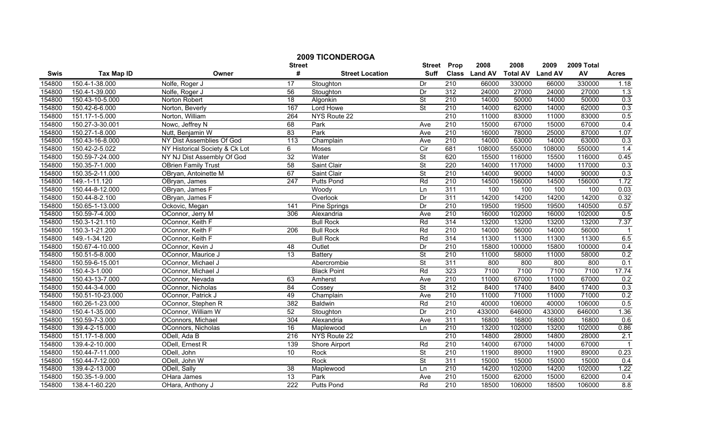|        |                   | <b>2009 TICONDEROGA</b>        |                    |                        |                              |                  |                       |                         |                        |                  |                          |
|--------|-------------------|--------------------------------|--------------------|------------------------|------------------------------|------------------|-----------------------|-------------------------|------------------------|------------------|--------------------------|
| Swis   | <b>Tax Map ID</b> | Owner                          | <b>Street</b><br># | <b>Street Location</b> | <b>Street</b><br><b>Suff</b> | Prop             | 2008<br>Class Land AV | 2008<br><b>Total AV</b> | 2009<br><b>Land AV</b> | 2009 Total<br>AV | <b>Acres</b>             |
| 154800 | 150.4-1-38.000    | Nolfe, Roger J                 | 17                 | Stoughton              | Dr                           | $\overline{210}$ | 66000                 | 330000                  | 66000                  | 330000           | 1.18                     |
| 154800 | 150.4-1-39.000    | Nolfe, Roger J                 | 56                 | Stoughton              | Dr                           | 312              | 24000                 | 27000                   | 24000                  | 27000            | 1.3                      |
| 154800 | 150.43-10-5.000   | Norton Robert                  | 18                 | Algonkin               | $\overline{\mathsf{St}}$     | 210              | 14000                 | 50000                   | 14000                  | 50000            | 0.3                      |
| 154800 | 150.42-6-6.000    | Norton, Beverly                | 167                | Lord Howe              | <b>St</b>                    | 210              | 14000                 | 62000                   | 14000                  | 62000            | 0.3                      |
| 154800 | 151.17-1-5.000    | Norton, William                | 264                | NYS Route 22           |                              | 210              | 11000                 | 83000                   | 11000                  | 83000            | 0.5                      |
| 154800 | 150.27-3-30.001   | Nowc, Jeffrey N                | 68                 | Park                   | Ave                          | 210              | 15000                 | 67000                   | 15000                  | 67000            | 0.4                      |
| 154800 | 150.27-1-8.000    | Nutt, Benjamin W               | 83                 | Park                   | Ave                          | 210              | 16000                 | 78000                   | 25000                  | 87000            | 1.07                     |
| 154800 | 150.43-16-8.000   | NY Dist Assemblies Of God      | 113                | Champlain              | Ave                          | 210              | 14000                 | 63000                   | 14000                  | 63000            | 0.3                      |
| 154800 | 150.42-2-5.022    | NY Historical Society & Ck Lot | 6                  | Moses                  | $\overline{C}$ ir            | 681              | 108000                | 550000                  | 108000                 | 550000           | 1.4                      |
| 154800 | 150.59-7-24.000   | NY NJ Dist Assembly Of God     | $\overline{32}$    | Water                  | St                           | 620              | 15500                 | 116000                  | 15500                  | 116000           | 0.45                     |
| 154800 | 150.35-7-1.000    | OBrien Family Trust            | 58                 | Saint Clair            | St                           | 220              | 14000                 | 117000                  | 14000                  | 117000           | 0.3                      |
| 154800 | 150.35-2-11.000   | OBryan, Antoinette M           | 67                 | Saint Clair            | $\overline{\mathsf{St}}$     | 210              | 14000                 | 90000                   | 14000                  | 90000            | 0.3                      |
| 154800 | 149.-1-11.120     | OBryan, James                  | 247                | <b>Putts Pond</b>      | Rd                           | 210              | 14500                 | 156000                  | 14500                  | 156000           | 1.72                     |
| 154800 | 150.44-8-12.000   | OBryan, James F                |                    | Woody                  | Ln                           | 311              | 100                   | 100                     | 100                    | 100              | 0.03                     |
| 154800 | 150.44-8-2.100    | OBryan, James F                |                    | Overlook               | Dr                           | 311              | 14200                 | 14200                   | 14200                  | 14200            | 0.32                     |
| 154800 | 150.65-1-13.000   | Ockovic, Megan                 | 141                | Pine Springs           | Dr                           | 210              | 19500                 | 19500                   | 19500                  | 140500           | 0.57                     |
| 154800 | 150.59-7-4.000    | OConnor, Jerry M               | 306                | Alexandria             | Ave                          | 210              | 16000                 | 102000                  | 16000                  | 102000           | 0.5                      |
| 154800 | 150.3-1-21.110    | OConnor, Keith F               |                    | <b>Bull Rock</b>       | Rd                           | 314              | 13200                 | 13200                   | 13200                  | 13200            | 7.37                     |
| 154800 | 150.3-1-21.200    | OConnor, Keith F               | 206                | <b>Bull Rock</b>       | Rd                           | 210              | 14000                 | 56000                   | 14000                  | 56000            | $\overline{1}$           |
| 154800 | 149.-1-34.120     | OConnor, Keith F               |                    | <b>Bull Rock</b>       | Rd                           | 314              | 11300                 | 11300                   | 11300                  | 11300            | 6.5                      |
| 154800 | 150.67-4-10.000   | OConnor, Kevin J               | 48                 | Outlet                 | $\overline{Dr}$              | $\overline{210}$ | 15800                 | 100000                  | 15800                  | 100000           | 0.4                      |
| 154800 | 150.51-5-8.000    | OConnor, Maurice J             | $\overline{13}$    | <b>Battery</b>         | $\overline{\mathsf{St}}$     | 210              | 11000                 | 58000                   | 11000                  | 58000            | 0.2                      |
| 154800 | 150.59-6-15.001   | OConnor, Michael J             |                    | Abercrombie            | $\overline{\mathsf{St}}$     | 311              | 800                   | 800                     | 800                    | 800              | 0.1                      |
| 154800 | 150.4-3-1.000     | OConnor, Michael J             |                    | <b>Black Point</b>     | Rd                           | 323              | 7100                  | 7100                    | 7100                   | 7100             | 17.74                    |
| 154800 | 150.43-13-7.000   | OConnor, Nevada                | 63                 | Amherst                | Ave                          | $\overline{210}$ | 11000                 | 67000                   | 11000                  | 67000            | 0.2                      |
| 154800 | 150.44-3-4.000    | OConnor, Nicholas              | 84                 | Cossey                 | $\overline{\mathsf{St}}$     | 312              | 8400                  | 17400                   | 8400                   | 17400            | 0.3                      |
| 154800 | 150.51-10-23.000  | OConnor, Patrick J             | 49                 | Champlain              | Ave                          | 210              | 11000                 | 71000                   | 11000                  | 71000            | 0.2                      |
| 154800 | 160.26-1-23.000   | OConnor, Stephen R             | 382                | <b>Baldwin</b>         | Rd                           | 210              | 40000                 | 106000                  | 40000                  | 106000           | 0.5                      |
| 154800 | 150.4-1-35.000    | OConnor, William W             | 52                 | Stoughton              | Dr                           | 210              | 433000                | 646000                  | 433000                 | 646000           | 1.36                     |
| 154800 | 150.59-7-3.000    | OConnors, Michael              | 304                | Alexandria             | Ave                          | 311              | 16800                 | 16800                   | 16800                  | 16800            | 0.6                      |
| 154800 | 139.4-2-15.000    | OConnors, Nicholas             | 16                 | Maplewood              | Ln                           | 210              | 13200                 | 102000                  | 13200                  | 102000           | 0.86                     |
| 154800 | 151.17-1-8.000    | ODell, Ada B                   | 216                | NYS Route 22           |                              | 210              | 14800                 | 28000                   | 14800                  | 28000            | 2.1                      |
| 154800 | 139.4-2-10.000    | ODell, Ernest R                | 139                | <b>Shore Airport</b>   | Rd                           | 210              | 14000                 | 67000                   | 14000                  | 67000            |                          |
| 154800 | 150.44-7-11.000   | ODell, John                    | 10                 | Rock                   | $\overline{\mathsf{St}}$     | 210              | 11900                 | 89000                   | 11900                  | 89000            |                          |
| 154800 | 150.44-7-12.000   | ODell, John W                  |                    | Rock                   | St                           | 311              | 15000                 | 15000                   | 15000                  | 15000            | 0.23                     |
| 154800 | 139.4-2-13.000    | ODell, Sally                   | 38                 |                        | Ln                           | $\overline{210}$ | 14200                 | 102000                  | 14200                  | 102000           | 0.4<br>$\overline{1.22}$ |
| 154800 | 150.35-1-9.000    | OHara James                    | $\overline{13}$    | Maplewood<br>Park      | Ave                          | 210              | 15000                 | 62000                   | 15000                  | 62000            | 0.4                      |
| 154800 | 138.4-1-60.220    | OHara, Anthony J               | 222                | <b>Putts Pond</b>      | Rd                           | 210              | 18500                 | 106000                  | 18500                  | 106000           | 8.8                      |
|        |                   |                                |                    |                        |                              |                  |                       |                         |                        |                  |                          |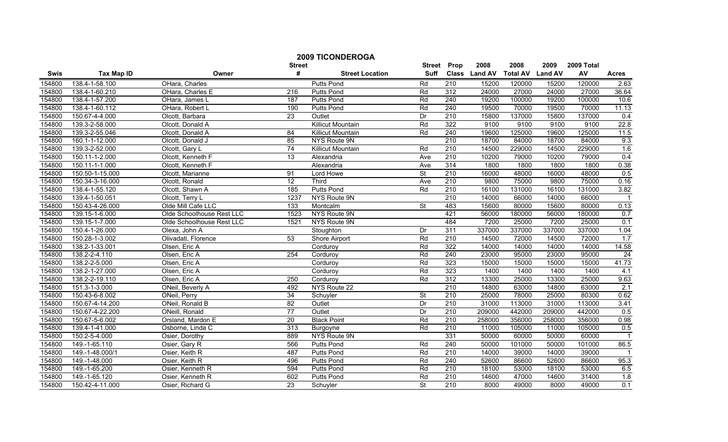|        |                   |                           | <b>2009 TICONDEROGA</b> | <b>Street</b>            | Prop                     | 2008             | 2008          | 2009            | 2009 Total     |        |                          |
|--------|-------------------|---------------------------|-------------------------|--------------------------|--------------------------|------------------|---------------|-----------------|----------------|--------|--------------------------|
| Swis   | <b>Tax Map ID</b> | Owner                     | <b>Street</b><br>#      | <b>Street Location</b>   | <b>Suff</b>              |                  | Class Land AV | <b>Total AV</b> | <b>Land AV</b> | AV     | <b>Acres</b>             |
| 154800 | 138.4-1-58.100    | OHara, Charles            |                         | <b>Putts Pond</b>        | Rd                       | 210              | 15200         | 120000          | 15200          | 120000 | 2.63                     |
| 154800 | 138.4-1-60.210    | OHara, Charles E          | 216                     | <b>Putts Pond</b>        | Rd                       | 312              | 24000         | 27000           | 24000          | 27000  | 36.64                    |
| 154800 | 138.4-1-57.200    | OHara, James L            | 187                     | <b>Putts Pond</b>        | Rd                       | 240              | 19200         | 100000          | 19200          | 100000 | 10.6                     |
| 154800 | 138.4-1-60.112    | OHara, Robert L           | 190                     | <b>Putts Pond</b>        | Rd                       | 240              | 19500         | 70000           | 19500          | 70000  | 11.13                    |
| 154800 | 150.67-4-4.000    | Olcott, Barbara           | 23                      | Outlet                   | Dr                       | 210              | 15800         | 137000          | 15800          | 137000 | 0.4                      |
| 154800 | 139.3-2-58.000    | Olcott, Donald A          |                         | <b>Killicut Mountain</b> | Rd                       | 322              | 9100          | 9100            | 9100           | 9100   | 22.8                     |
| 154800 | 139.3-2-55.046    | Olcott, Donald A          | 84                      | <b>Killicut Mountain</b> | Rd                       | 240              | 19600         | 125000          | 19600          | 125000 | 11.5                     |
| 154800 | 160.1-1-12.000    | Olcott, Donald J          | 85                      | NYS Route 9N             |                          | 210              | 18700         | 84000           | 18700          | 84000  | 9.3                      |
| 154800 | 139.3-2-52.000    | Olcott, Gary L            | 74                      | <b>Killicut Mountain</b> | Rd                       | $\overline{210}$ | 14500         | 229000          | 14500          | 229000 | 1.6                      |
| 154800 | 150.11-1-2.000    | Olcott, Kenneth F         | 13                      | Alexandria               | Ave                      | 210              | 10200         | 79000           | 10200          | 79000  | 0.4                      |
| 154800 | 150.11-1-1.000    | Olcott, Kenneth F         |                         | Alexandria               | Ave                      | 314              | 1800          | 1800            | 1800           | 1800   | 0.38                     |
| 154800 | 150.50-1-15.000   | Olcott, Marianne          | 91                      | Lord Howe                | $\overline{\mathsf{St}}$ | 210              | 16000         | 48000           | 16000          | 48000  | 0.5                      |
| 154800 | 150.34-3-16.000   | Olcott, Ronald            | $\overline{12}$         | Third                    | Ave                      | 210              | 9800          | 75000           | 9800           | 75000  | 0.16                     |
| 154800 | 138.4-1-55.120    | Olcott, Shawn A           | 185                     | Putts Pond               | Rd                       | $\overline{210}$ | 16100         | 131000          | 16100          | 131000 | 3.82                     |
| 154800 | 139.4-1-50.051    | Olcott, Terry L           | 1237                    | NYS Route 9N             |                          | $\overline{210}$ | 14000         | 66000           | 14000          | 66000  | $\overline{\phantom{0}}$ |
| 154800 | 150.43-4-26.000   | Olde Mill Cafe LLC        | 133                     | Montcalm                 | $\overline{\mathsf{St}}$ | 483              | 15600         | 80000           | 15600          | 80000  | 0.13                     |
| 154800 | 139.15-1-6.000    | Olde Schoolhouse Rest LLC | 1523                    | NYS Route 9N             |                          | 421              | 56000         | 180000          | 56000          | 180000 | 0.7                      |
| 154800 | 139.15-1-7.000    | Olde Schoolhouse Rest LLC | 1521                    | NYS Route 9N             |                          | 484              | 7200          | 25000           | 7200           | 25000  | 0.1                      |
| 154800 | 150.4-1-26.000    | Olexa, John A             |                         | Stoughton                | Dr                       | 311              | 337000        | 337000          | 337000         | 337000 | 1.04                     |
| 154800 | 150.28-1-3.002    | Olivadati, Florence       | 53                      | Shore Airport            | Rd                       | 210              | 14500         | 72000           | 14500          | 72000  | 1.7                      |
| 154800 | 138.2-1-33.001    | Olsen, Eric A             |                         | Corduroy                 | Rd                       | 322              | 14000         | 14000           | 14000          | 14000  | 14.58                    |
| 154800 | 138.2-2-4.110     | Olsen, Eric A             | 254                     | Corduroy                 | Rd                       | 240              | 23000         | 95000           | 23000          | 95000  | 24                       |
| 154800 | 138.2-2-5.000     | Olsen, Eric A             |                         | Corduroy                 | Rd                       | 323              | 15000         | 15000           | 15000          | 15000  | 41.73                    |
| 154800 | 138.2-1-27.000    | Olsen, Eric A             |                         | Corduroy                 | Rd                       | 323              | 1400          | 1400            | 1400           | 1400   | 4.1                      |
| 154800 | 138.2-2-19.110    | Olsen, Eric A             | 250                     | Corduroy                 | Rd                       | 312              | 13300         | 25000           | 13300          | 25000  | 9.63                     |
| 154800 | 151.3-1-3.000     | ONeil, Beverly A          | 492                     | NYS Route 22             |                          | 210              | 14800         | 63000           | 14800          | 63000  | 2.1                      |
| 154800 | 150.43-6-8.002    | ONeil, Perry              | 34                      | Schuyler                 | $\overline{\mathsf{St}}$ | 210              | 25000         | 78000           | 25000          | 80300  | 0.62                     |
| 154800 | 150.67-4-14.200   | ONeil, Ronald B           | 82                      | Outlet                   | Dr                       | 210              | 31000         | 113000          | 31000          | 113000 | 3.41                     |
| 154800 | 150.67-4-22.200   | ONeill, Ronald            | 77                      | Outlet                   | Dr                       | 210              | 209000        | 442000          | 209000         | 442000 | 0.5                      |
| 154800 | 150.67-5-6.002    | Orsland, Mardon E         | $\overline{20}$         | <b>Black Point</b>       | Rd                       | $\overline{210}$ | 258000        | 356000          | 258000         | 356000 | 0.98                     |
| 154800 | 139.4-1-41.000    | Osborne, Linda C          | 313                     | Burgoyne                 | Rd                       | 210              | 11000         | 105000          | 11000          | 105000 | 0.5                      |
| 154800 | 150.2-5-4.000     | Osier, Dorothy            | 889                     | NYS Route 9N             |                          | 331              | 50000         | 60000           | 50000          | 60000  |                          |
| 154800 | 149.-1-65.110     | Osier, Gary R             | 566                     | <b>Putts Pond</b>        | Rd                       | 240              | 50000         | 101000          | 50000          | 101000 | 86.5                     |
| 154800 | 149.-1-48.000/1   | Osier, Keith R            | 487                     | <b>Putts Pond</b>        | Rd                       | 210              | 14000         | 39000           | 14000          | 39000  |                          |
| 154800 | 149.-1-48.000     | Osier, Keith R            | 496                     | <b>Putts Pond</b>        | Rd                       | 240              | 52600         | 86600           | 52600          | 86600  | 95.3                     |
| 154800 | 149.-1-65.200     | Osier, Kenneth R          | 594                     | <b>Putts Pond</b>        | Rd                       | $\overline{210}$ | 18100         | 53000           | 18100          | 53000  | 6.5                      |
| 154800 | 149.-1-65.120     | Osier, Kenneth R          | 602                     | <b>Putts Pond</b>        | Rd                       | 210              | 14600         | 47000           | 14600          | 31400  | $\overline{1.8}$         |
| 154800 | 150.42-4-11.000   | Osier, Richard G          | 23                      | Schuyler                 | $\overline{\mathsf{St}}$ | 210              | 8000          | 49000           | 8000           | 49000  | $\overline{0.1}$         |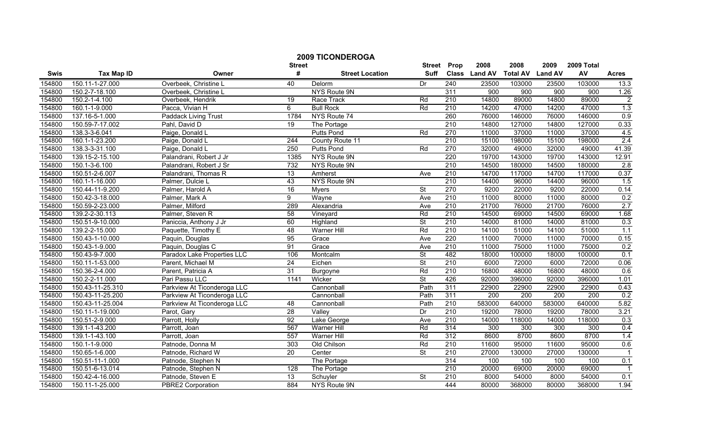|             |                   |                             |                 | <b>2009 TICONDEROGA</b> |                          |                  |               |                 |                  |                  |                |
|-------------|-------------------|-----------------------------|-----------------|-------------------------|--------------------------|------------------|---------------|-----------------|------------------|------------------|----------------|
|             |                   |                             | <b>Street</b>   |                         | <b>Street</b>            | Prop             | 2008          | 2008            | 2009             | 2009 Total       |                |
| <b>Swis</b> | <b>Tax Map ID</b> | Owner                       | #               | <b>Street Location</b>  | <b>Suff</b>              |                  | Class Land AV | <b>Total AV</b> | <b>Land AV</b>   | AV               | <b>Acres</b>   |
| 154800      | 150.11-1-27.000   | Overbeek, Christine L       | 40              | Delorm                  | Dr                       | 240              | 23500         | 103000          | 23500            | 103000           | 13.3           |
| 154800      | 150.2-7-18.100    | Overbeek, Christine L       |                 | <b>NYS Route 9N</b>     |                          | 311              | 900           | 900             | 900              | 900              | 1.26           |
| 154800      | 150.2-1-4.100     | Overbeek, Hendrik           | $\overline{19}$ | Race Track              | Rd                       | 210              | 14800         | 89000           | 14800            | 89000            | $\overline{2}$ |
| 154800      | 160.1-1-9.000     | Pacca, Vivian H             | $\overline{6}$  | <b>Bull Rock</b>        | Rd                       | 210              | 14200         | 47000           | 14200            | 47000            | 1.3            |
| 154800      | 137.16-5-1.000    | Paddack Living Trust        | 1784            | NYS Route 74            |                          | 260              | 76000         | 146000          | 76000            | 146000           | 0.9            |
| 154800      | 150.59-7-17.002   | Pahl, David D               | 19              | The Portage             |                          | 210              | 14800         | 127000          | 14800            | 127000           | 0.33           |
| 154800      | 138.3-3-6.041     | Paige, Donald L             |                 | <b>Putts Pond</b>       | Rd                       | 270              | 11000         | 37000           | 11000            | 37000            | 4.5            |
| 154800      | 160.1-1-23.200    | Paige, Donald L             | 244             | County Route 11         |                          | 210              | 15100         | 198000          | 15100            | 198000           | 2.4            |
| 154800      | 138.3-3-31.100    | Paige, Donald L             | 250             | Putts Pond              | Rd                       | 270              | 32000         | 49000           | 32000            | 49000            | 41.39          |
| 154800      | 139.15-2-15.100   | Palandrani, Robert J Jr     | 1385            | NYS Route 9N            |                          | 220              | 19700         | 143000          | 19700            | 143000           | 12.91          |
| 154800      | 150.1-3-6.100     | Palandrani, Robert J Sr     | 732             | NYS Route 9N            |                          | 210              | 14500         | 180000          | 14500            | 180000           | 2.8            |
| 154800      | 150.51-2-6.007    | Palandrani, Thomas R        | 13              | Amherst                 | Ave                      | 210              | 14700         | 117000          | 14700            | 117000           | 0.37           |
| 154800      | 160.1-1-16.000    | Palmer, Dulcie L            | 43              | <b>NYS Route 9N</b>     |                          | $\overline{210}$ | 14400         | 96000           | 14400            | 96000            | 1.5            |
| 154800      | 150.44-11-9.200   | Palmer, Harold A            | 16              | <b>Myers</b>            | $\overline{\mathsf{St}}$ | 270              | 9200          | 22000           | 9200             | 22000            | 0.14           |
| 154800      | 150.42-3-18.000   | Palmer, Mark A              | 9               | Wayne                   | Ave                      | $\overline{210}$ | 11000         | 80000           | 11000            | 80000            | 0.2            |
| 154800      | 150.59-2-23.000   | Palmer, Milford             | 289             | Alexandria              | Ave                      | 210              | 21700         | 76000           | 21700            | 76000            | 2.7            |
| 154800      | 139.2-2-30.113    | Palmer, Steven R            | 58              | Vineyard                | Rd                       | 210              | 14500         | 69000           | 14500            | 69000            | 1.68           |
| 154800      | 150.51-9-10.000   | Paniccia, Anthony J Jr      | 60              | Highland                | <b>St</b>                | 210              | 14000         | 81000           | 14000            | 81000            | 0.3            |
| 154800      | 139.2-2-15.000    | Paquette, Timothy E         | 48              | <b>Warner Hill</b>      | Rd                       | 210              | 14100         | 51000           | 14100            | 51000            | 1.1            |
| 154800      | 150.43-1-10.000   | Paquin, Douglas             | 95              | Grace                   | Ave                      | 220              | 11000         | 70000           | 11000            | 70000            | 0.15           |
| 154800      | 150.43-1-9.000    | Paguin, Douglas C           | 91              | Grace                   | Ave                      | 210              | 11000         | 75000           | 11000            | 75000            | 0.2            |
| 154800      | 150.43-9-7.000    | Paradox Lake Properties LLC | 106             | Montcalm                | $\overline{\mathsf{St}}$ | 482              | 18000         | 100000          | 18000            | 100000           | 0.1            |
| 154800      | 150.11-1-53.000   | Parent, Michael M           | $\overline{24}$ | Eichen                  | $\overline{\mathsf{St}}$ | 210              | 6000          | 72000           | 6000             | 72000            | 0.06           |
| 154800      | 150.36-2-4.000    | Parent, Patricia A          | $\overline{31}$ | Burgoyne                | Rd                       | 210              | 16800         | 48000           | 16800            | 48000            | 0.6            |
| 154800      | 150.2-2-11.000    | Pari Passu LLC              | 1141            | Wicker                  | $\overline{\mathsf{St}}$ | 426              | 92000         | 396000          | 92000            | 396000           | 1.01           |
| 154800      | 150.43-11-25.310  | Parkview At Ticonderoga LLC |                 | Cannonball              | Path                     | 311              | 22900         | 22900           | 22900            | 22900            | 0.43           |
| 154800      | 150.43-11-25.200  | Parkview At Ticonderoga LLC |                 | Cannonball              | Path                     | 311              | 200           | 200             | $\overline{200}$ | $\overline{200}$ | 0.2            |
| 154800      | 150.43-11-25.004  | Parkview At Ticonderoga LLC | 48              | Cannonball              | Path                     | 210              | 583000        | 640000          | 583000           | 640000           | 5.82           |
| 154800      | 150.11-1-19.000   | Parot, Gary                 | 28              | Valley                  | Dr                       | 210              | 19200         | 78000           | 19200            | 78000            | 3.21           |
| 154800      | 150.51-2-9.000    | Parrott, Holly              | 92              | Lake George             | Ave                      | 210              | 14000         | 118000          | 14000            | 118000           | 0.3            |
| 154800      | 139.1-1-43.200    | Parrott, Joan               | 567             | <b>Warner Hill</b>      | Rd                       | 314              | 300           | 300             | 300              | 300              | 0.4            |
| 154800      | 139.1-1-43.100    | Parrott, Joan               | 557             | <b>Warner Hill</b>      | Rd                       | 312              | 8600          | 8700            | 8600             | 8700             | 1.4            |
| 154800      | 150.1-1-9.000     | Patnode, Donna M            | 303             | Old Chilson             | Rd                       | 210              | 11600         | 95000           | 11600            | 95000            | 0.6            |
| 154800      | 150.65-1-6.000    | Patnode, Richard W          | $\overline{20}$ | Center                  | $\overline{\mathsf{St}}$ | 210              | 27000         | 130000          | 27000            | 130000           | $\overline{1}$ |
| 154800      | 150.51-11-1.000   | Patnode, Stephen N          |                 | The Portage             |                          | 314              | 100           | 100             | 100              | 100              | 0.1            |
| 154800      | 150.51-6-13.014   | Patnode, Stephen N          | 128             | The Portage             |                          | 210              | 20000         | 69000           | 20000            | 69000            |                |
| 154800      | 150.42-4-16.000   | Patnode, Steven E           | $\overline{13}$ | Schuyler                | <b>St</b>                | 210              | 8000          | 54000           | 8000             | 54000            | 0.1            |
| 154800      | 150.11-1-25.000   | <b>PBRE2 Corporation</b>    | 884             | NYS Route 9N            |                          | 444              | 80000         | 368000          | 80000            | 368000           | 1.94           |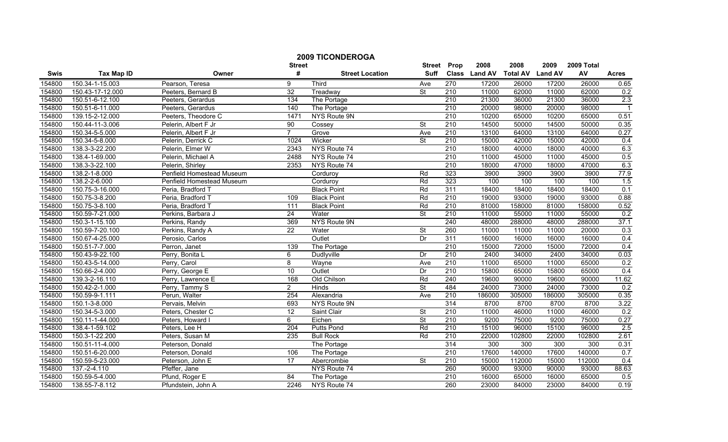|        |                   |                           | <b>2009 TICONDEROGA</b> |                        |                              |                  |                       |                         |                        |                  |                |
|--------|-------------------|---------------------------|-------------------------|------------------------|------------------------------|------------------|-----------------------|-------------------------|------------------------|------------------|----------------|
| Swis   | <b>Tax Map ID</b> | Owner                     | <b>Street</b><br>#      | <b>Street Location</b> | <b>Street</b><br><b>Suff</b> | Prop             | 2008<br>Class Land AV | 2008<br><b>Total AV</b> | 2009<br><b>Land AV</b> | 2009 Total<br>AV | <b>Acres</b>   |
| 154800 | 150.34-1-15.003   | Pearson, Teresa           | 9                       | Third                  | Ave                          | 270              | 17200                 | 26000                   | 17200                  | 26000            | 0.65           |
| 154800 | 150.43-17-12.000  | Peeters, Bernard B        | 32                      | Treadway               | St                           | 210              | 11000                 | 62000                   | 11000                  | 62000            | 0.2            |
| 154800 | 150.51-6-12.100   | Peeters, Gerardus         | 134                     | The Portage            |                              | 210              | 21300                 | 36000                   | 21300                  | 36000            | 2.3            |
| 154800 | 150.51-6-11.000   | Peeters, Gerardus         | 140                     | The Portage            |                              | 210              | 20000                 | 98000                   | 20000                  | 98000            | $\overline{1}$ |
| 154800 | 139.15-2-12.000   | Peeters, Theodore C       | 1471                    | NYS Route 9N           |                              | 210              | 10200                 | 65000                   | 10200                  | 65000            | 0.51           |
| 154800 | 150.44-11-3.006   | Pelerin, Albert F Jr      | 90                      | Cossey                 | $\overline{\mathsf{St}}$     | 210              | 14500                 | 50000                   | 14500                  | 50000            | 0.35           |
| 154800 | 150.34-5-5.000    | Pelerin, Albert F Jr      | $\overline{7}$          | Grove                  | Ave                          | 210              | 13100                 | 64000                   | 13100                  | 64000            | 0.27           |
| 154800 | 150.34-5-8.000    | Pelerin, Derrick C        | 1024                    | Wicker                 | <b>St</b>                    | 210              | 15000                 | 42000                   | 15000                  | 42000            | 0.4            |
| 154800 | 138.3-3-22.200    | Pelerin, Elmer W          | 2343                    | NYS Route 74           |                              | $\overline{210}$ | 18000                 | 40000                   | 18000                  | 40000            | 6.3            |
| 154800 | 138.4-1-69.000    | Pelerin, Michael A        | 2488                    | NYS Route 74           |                              | $\overline{210}$ | 11000                 | 45000                   | 11000                  | 45000            | 0.5            |
| 154800 | 138.3-3-22.100    | Pelerin, Shirley          | 2353                    | NYS Route 74           |                              | 210              | 18000                 | 47000                   | 18000                  | 47000            | 6.3            |
| 154800 | 138.2-1-8.000     | Penfield Homestead Museum |                         | Corduroy               | Rd                           | 323              | 3900                  | 3900                    | 3900                   | 3900             | 77.9           |
| 154800 | 138.2-2-6.000     | Penfield Homestead Museum |                         | Corduroy               | Rd                           | 323              | 100                   | 100                     | 100                    | 100              | 1.5            |
| 154800 | 150.75-3-16.000   | Peria, Bradford T         |                         | <b>Black Point</b>     | Rd                           | 311              | 18400                 | 18400                   | 18400                  | 18400            | 0.1            |
| 154800 | 150.75-3-8.200    | Peria, Bradford T         | 109                     | <b>Black Point</b>     | Rd                           | $\overline{210}$ | 19000                 | 93000                   | 19000                  | 93000            | 0.88           |
| 154800 | 150.75-3-8.100    | Peria, Bradford T         | 111                     | <b>Black Point</b>     | Rd                           | 210              | 81000                 | 158000                  | 81000                  | 158000           | 0.52           |
| 154800 | 150.59-7-21.000   | Perkins, Barbara J        | 24                      | Water                  | $\overline{\mathsf{St}}$     | 210              | 11000                 | 55000                   | 11000                  | 55000            | 0.2            |
| 154800 | 150.3-1-15.100    | Perkins, Randy            | 369                     | NYS Route 9N           |                              | 240              | 48000                 | 288000                  | 48000                  | 288000           | 37.1           |
| 154800 | 150.59-7-20.100   | Perkins, Randy A          | $\overline{22}$         | Water                  | St                           | 260              | 11000                 | 11000                   | 11000                  | 20000            | 0.3            |
| 154800 | 150.67-4-25.000   | Perosio, Carlos           |                         | Outlet                 | Dr                           | 311              | 16000                 | 16000                   | 16000                  | 16000            | 0.4            |
| 154800 | 150.51-7-7.000    | Perron, Janet             | 139                     | The Portage            |                              | 210              | 15000                 | 72000                   | 15000                  | 72000            | 0.4            |
| 154800 | 150.43-9-22.100   | Perry, Bonita L           | 6                       | Dudlyville             | Dr                           | 210              | 2400                  | 34000                   | 2400                   | 34000            | 0.03           |
| 154800 | 150.43-5-14.000   | Perry, Carol              | $\overline{8}$          | Wayne                  | Ave                          | 210              | 11000                 | 65000                   | 11000                  | 65000            | 0.2            |
| 154800 | 150.66-2-4.000    | Perry, George E           | 10                      | Outlet                 | Dr                           | 210              | 15800                 | 65000                   | 15800                  | 65000            | 0.4            |
| 154800 | 139.3-2-16.110    | Perry, Lawrence E         | 168                     | Old Chilson            | Rd                           | 240              | 19600                 | 90000                   | 19600                  | 90000            | 11.62          |
| 154800 | 150.42-2-1.000    | Perry, Tammy S            | 2                       | Hinds                  | St                           | 484              | 24000                 | 73000                   | 24000                  | 73000            | 0.2            |
| 154800 | 150.59-9-1.111    | Perun, Walter             | 254                     | Alexandria             | Ave                          | $\overline{210}$ | 186000                | 305000                  | 186000                 | 305000           | 0.35           |
| 154800 | 150.1-3-8.000     | Pervais, Melvin           | 693                     | NYS Route 9N           |                              | 314              | 8700                  | 8700                    | 8700                   | 8700             | 3.22           |
| 154800 | 150.34-5-3.000    | Peters, Chester C         | 12                      | Saint Clair            | St                           | 210              | 11000                 | 46000                   | 11000                  | 46000            | 0.2            |
| 154800 | 150.11-1-44.000   | Peters, Howard I          | 6                       | Eichen                 | $\overline{\mathsf{St}}$     | 210              | 9200                  | 75000                   | 9200                   | 75000            | 0.27           |
| 154800 | 138.4-1-59.102    | Peters, Lee H             | 204                     | <b>Putts Pond</b>      | Rd                           | 210              | 15100                 | 96000                   | 15100                  | 96000            | 2.5            |
| 154800 | 150.3-1-22.200    | Peters, Susan M           | 235                     | <b>Bull Rock</b>       | Rd                           | 210              | 22000                 | 102800                  | 22000                  | 102800           | 2.61           |
| 154800 | 150.51-11-4.000   | Peterson, Donald          |                         | The Portage            |                              | 314              | 300                   | 300                     | 300                    | 300              | 0.31           |
| 154800 | 150.51-6-20.000   | Peterson, Donald          | 106                     | The Portage            |                              | 210              | 17600                 | 140000                  | 17600                  | 140000           | 0.7            |
| 154800 | 150.59-5-23.000   | Peterson, John E          | 17                      | Abercrombie            | <b>St</b>                    | 210              | 15000                 | 112000                  | 15000                  | 112000           | 0.4            |
| 154800 | 137.-2-4.110      | Pfeffer, Jane             |                         | NYS Route 74           |                              | 260              | 90000                 | 93000                   | 90000                  | 93000            | 88.63          |
| 154800 | 150.59-5-4.000    | Pfund, Roger E            | 84                      | The Portage            |                              | 210              | 16000                 | 65000                   | 16000                  | 65000            | 0.5            |
| 154800 | 138.55-7-8.112    | Pfundstein, John A        | 2246                    | NYS Route 74           |                              | 260              | 23000                 | 84000                   | 23000                  | 84000            | 0.19           |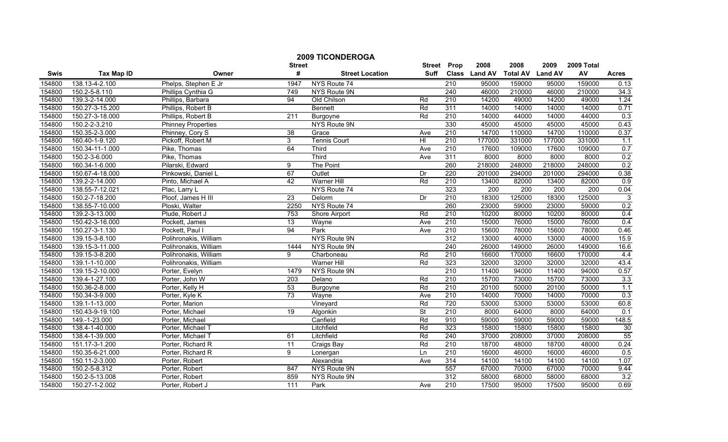|        |                   |                           | <b>Street</b>    | <b>2009 TICONDEROGA</b> | <b>Street</b> | Prop             | 2008             | 2008             | 2009             | 2009 Total |              |
|--------|-------------------|---------------------------|------------------|-------------------------|---------------|------------------|------------------|------------------|------------------|------------|--------------|
| Swis   | <b>Tax Map ID</b> | Owner                     | #                | <b>Street Location</b>  | <b>Suff</b>   |                  | Class Land AV    | <b>Total AV</b>  | <b>Land AV</b>   | AV         | <b>Acres</b> |
| 154800 | 138.13-4-2.100    | Phelps, Stephen E Jr      | 1947             | NYS Route 74            |               | $\overline{210}$ | 95000            | 159000           | 95000            | 159000     | 0.13         |
| 154800 | 150.2-5-8.110     | Phillips Cynthia G        | 749              | NYS Route 9N            |               | 240              | 46000            | 210000           | 46000            | 210000     | 34.3         |
| 154800 | 139.3-2-14.000    | Phillips, Barbara         | 94               | Old Chilson             | Rd            | $\overline{210}$ | 14200            | 49000            | 14200            | 49000      | 1.24         |
| 154800 | 150.27-3-15.200   | Phillips, Robert B        |                  | <b>Bennett</b>          | Rd            | 311              | 14000            | 14000            | 14000            | 14000      | 0.71         |
| 154800 | 150.27-3-18.000   | Phillips, Robert B        | 211              | Burgoyne                | Rd            | 210              | 14000            | 44000            | 14000            | 44000      | 0.3          |
| 154800 | 150.2-2-3.210     | <b>Phinney Properties</b> |                  | <b>NYS Route 9N</b>     |               | 330              | 45000            | 45000            | 45000            | 45000      | 0.43         |
| 154800 | 150.35-2-3.000    | Phinney, Cory S           | 38               | Grace                   | Ave           | 210              | 14700            | 110000           | 14700            | 110000     | 0.37         |
| 154800 | 160.40-1-9.120    | Pickoff, Robert M         | 3                | <b>Tennis Court</b>     | HI            | 210              | 177000           | 331000           | 177000           | 331000     | 1.1          |
| 154800 | 150.34-11-1.000   | Pike, Thomas              | 64               | Third                   | Ave           | 210              | 17600            | 109000           | 17600            | 109000     | 0.7          |
| 154800 | 150.2-3-6.000     | Pike, Thomas              |                  | Third                   | Ave           | 311              | 8000             | 8000             | 8000             | 8000       | 0.2          |
| 154800 | 160.34-1-6.000    | Pilarski, Edward          | 9                | The Point               |               | 260              | 218000           | 248000           | 218000           | 248000     | 0.2          |
| 154800 | 150.67-4-18.000   | Pinkowski, Daniel L       | 67               | Outlet                  | Dr            | 220              | 201000           | 294000           | 201000           | 294000     | 0.38         |
| 154800 | 139.2-2-14.000    | Pinto, Michael A          | 42               | <b>Warner Hill</b>      | Rd            | $\overline{210}$ | 13400            | 82000            | 13400            | 82000      | 0.9          |
| 154800 | 138.55-7-12.021   | Plac, Larry L             |                  | NYS Route 74            |               | 323              | $\overline{200}$ | $\overline{200}$ | $\overline{200}$ | 200        | 0.04         |
| 154800 | 150.2-7-18.200    | Ploof, James H III        | $\overline{23}$  | Delorm                  | Dr            | $\overline{210}$ | 18300            | 125000           | 18300            | 125000     | 3            |
| 154800 | 138.55-7-10.000   | Ploski, Walter            | 2250             | NYS Route 74            |               | 260              | 23000            | 59000            | 23000            | 59000      | 0.2          |
| 154800 | 139.2-3-13.000    | Plude, Robert J           | 753              | Shore Airport           | Rd            | 210              | 10200            | 80000            | 10200            | 80000      | 0.4          |
| 154800 | 150.42-3-16.000   | Pockett, James            | 13               | Wayne                   | Ave           | 210              | 15000            | 76000            | 15000            | 76000      | 0.4          |
| 154800 | 150.27-3-1.130    | Pockett, Paul I           | 94               | Park                    | Ave           | 210              | 15600            | 78000            | 15600            | 78000      | 0.46         |
| 154800 | 139.15-3-8.100    | Polihronakis, William     |                  | <b>NYS Route 9N</b>     |               | 312              | 13000            | 40000            | 13000            | 40000      | 15.9         |
| 154800 | 139.15-3-11.000   | Polihronakis, William     | 1444             | NYS Route 9N            |               | 240              | 26000            | 149000           | 26000            | 149000     | 16.6         |
| 154800 | 139.15-3-8.200    | Polihronakis, William     | 9                | Charboneau              | Rd            | 210              | 16600            | 170000           | 16600            | 170000     | 4.4          |
| 154800 | 139.1-1-10.000    | Polihronakis, William     |                  | <b>Warner Hill</b>      | Rd            | 323              | 32000            | 32000            | 32000            | 32000      | 43.4         |
| 154800 | 139.15-2-10.000   | Porter, Evelyn            | 1479             | NYS Route 9N            |               | 210              | 11400            | 94000            | 11400            | 94000      | 0.57         |
| 154800 | 139.4-1-27.100    | Porter, John W            | 203              | Delano                  | Rd            | $\overline{210}$ | 15700            | 73000            | 15700            | 73000      | 3.3          |
| 154800 | 150.36-2-8.000    | Porter, Kelly H           | 53               | Burgoyne                | Rd            | 210              | 20100            | 50000            | 20100            | 50000      | 1.1          |
| 154800 | 150.34-3-9.000    | Porter, Kyle K            | 73               | Wayne                   | Ave           | $\overline{210}$ | 14000            | 70000            | 14000            | 70000      | 0.3          |
| 154800 | 139.1-1-13.000    | Porter, Marion            |                  | Vineyard                | Rd            | 720              | 53000            | 53000            | 53000            | 53000      | 60.8         |
| 154800 | 150.43-9-19.100   | Porter, Michael           | 19               | Algonkin                | St            | 210              | 8000             | 64000            | 8000             | 64000      | 0.1          |
| 154800 | 149.-1-23.000     | Porter, Michael           |                  | Canfield                | Rd            | 910              | 59000            | 59000            | 59000            | 59000      | 148.5        |
| 154800 | 138.4-1-40.000    | Porter, Michael T         |                  | Litchfield              | Rd            | 323              | 15800            | 15800            | 15800            | 15800      | 30           |
| 154800 | 138.4-1-39.000    | Porter, Michael T         | 61               | Litchfield              | Rd            | 240              | 37000            | 208000           | 37000            | 208000     | 55           |
| 154800 | 151.17-3-1.200    | Porter, Richard R         | $\overline{11}$  | Craigs Bay              | Rd            | 210              | 18700            | 48000            | 18700            | 48000      | 0.24         |
| 154800 | 150.35-6-21.000   | Porter, Richard R         | 9                | Lonergan                | Ln            | 210              | 16000            | 46000            | 16000            | 46000      | 0.5          |
| 154800 | 150.11-2-3.000    | Porter, Robert            |                  | Alexandria              | Ave           | 314              | 14100            | 14100            | 14100            | 14100      | 1.07         |
| 154800 | 150.2-5-8.312     | Porter, Robert            | 847              | NYS Route 9N            |               | 557              | 67000            | 70000            | 67000            | 70000      | 9.44         |
| 154800 | 150.2-5-13.008    | Porter, Robert            | 859              | NYS Route 9N            |               | 312              | 58000            | 68000            | 58000            | 68000      | 3.2          |
| 154800 | 150.27-1-2.002    | Porter, Robert J          | $\frac{111}{11}$ | Park                    | Ave           | 210              | 17500            | 95000            | 17500            | 95000      | 0.69         |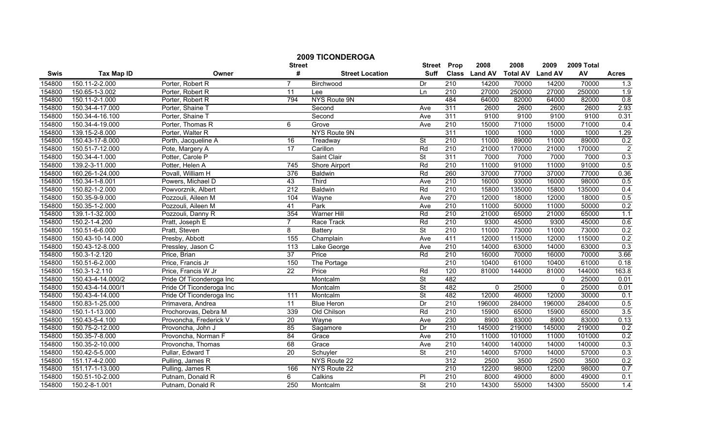|        |                   |                          | <b>Street</b>    | <b>2009 TICONDEROGA</b> | <b>Street</b>            | Prop             | 2008          | 2008            | 2009           | 2009 Total |                  |
|--------|-------------------|--------------------------|------------------|-------------------------|--------------------------|------------------|---------------|-----------------|----------------|------------|------------------|
| Swis   | <b>Tax Map ID</b> | Owner                    | #                | <b>Street Location</b>  | <b>Suff</b>              |                  | Class Land AV | <b>Total AV</b> | <b>Land AV</b> | AV         | <b>Acres</b>     |
| 154800 | 150.11-2-2.000    | Porter, Robert R         | $\overline{7}$   | Birchwood               | Dr                       | 210              | 14200         | 70000           | 14200          | 70000      | 1.3              |
| 154800 | 150.65-1-3.002    | Porter, Robert R         | $\overline{11}$  | Lee                     | Ln                       | $\overline{210}$ | 27000         | 250000          | 27000          | 250000     | $\overline{1.9}$ |
| 154800 | 150.11-2-1.000    | Porter, Robert R         | 794              | <b>NYS Route 9N</b>     |                          | 484              | 64000         | 82000           | 64000          | 82000      | 0.8              |
| 154800 | 150.34-4-17.000   | Porter, Shaine T         |                  | Second                  | Ave                      | 311              | 2600          | 2600            | 2600           | 2600       | 2.93             |
| 154800 | 150.34-4-16.100   | Porter, Shaine T         |                  | Second                  | Ave                      | 311              | 9100          | 9100            | 9100           | 9100       | 0.31             |
| 154800 | 150.34-4-19.000   | Porter, Thomas R         | 6                | Grove                   | Ave                      | 210              | 15000         | 71000           | 15000          | 71000      | 0.4              |
| 154800 | 139.15-2-8.000    | Porter, Walter R         |                  | NYS Route 9N            |                          | 311              | 1000          | 1000            | 1000           | 1000       | 1.29             |
| 154800 | 150.43-17-8.000   | Porth, Jacqueline A      | 16               | Treadway                | St                       | 210              | 11000         | 89000           | 11000          | 89000      | 0.2              |
| 154800 | 150.51-7-12.000   | Pote, Margery A          | $\overline{17}$  | Carillon                | Rd                       | 210              | 21000         | 170000          | 21000          | 170000     | $\overline{2}$   |
| 154800 | 150.34-4-1.000    | Potter, Carole P         |                  | Saint Clair             | St                       | 311              | 7000          | 7000            | 7000           | 7000       | 0.3              |
| 154800 | 139.2-3-11.000    | Potter, Helen A          | 745              | Shore Airport           | Rd                       | $\overline{210}$ | 11000         | 91000           | 11000          | 91000      | 0.5              |
| 154800 | 160.26-1-24.000   | Povall, William H        | 376              | Baldwin                 | Rd                       | 260              | 37000         | 77000           | 37000          | 77000      | 0.36             |
| 154800 | 150.34-1-8.001    | Powers, Michael D        | 43               | Third                   | Ave                      | 210              | 16000         | 93000           | 16000          | 98000      | 0.5              |
| 154800 | 150.82-1-2.000    | Powvorznik, Albert       | $\overline{212}$ | <b>Baldwin</b>          | Rd                       | 210              | 15800         | 135000          | 15800          | 135000     | 0.4              |
| 154800 | 150.35-9-9.000    | Pozzouli, Aileen M       | 104              | Wayne                   | Ave                      | 270              | 12000         | 18000           | 12000          | 18000      | 0.5              |
| 154800 | 150.35-1-2.000    | Pozzouli, Aileen M       | 41               | Park                    | Ave                      | $\overline{210}$ | 11000         | 50000           | 11000          | 50000      | 0.2              |
| 154800 | 139.1-1-32.000    | Pozzouli, Danny R        | 354              | <b>Warner Hill</b>      | Rd                       | 210              | 21000         | 65000           | 21000          | 65000      | 1.1              |
| 154800 | 150.2-1-4.200     | Pratt, Joseph E          | $\overline{7}$   | Race Track              | Rd                       | 210              | 9300          | 45000           | 9300           | 45000      | 0.6              |
| 154800 | 150.51-6-6.000    | Pratt, Steven            | 8                | <b>Battery</b>          | St                       | 210              | 11000         | 73000           | 11000          | 73000      | 0.2              |
| 154800 | 150.43-10-14.000  | Presby, Abbott           | 155              | Champlain               | Ave                      | 411              | 12000         | 115000          | 12000          | 115000     | 0.2              |
| 154800 | 150.43-12-8.000   | Pressley, Jason C        | 113              | Lake George             | Ave                      | $\overline{210}$ | 14000         | 63000           | 14000          | 63000      | 0.3              |
| 154800 | 150.3-1-2.120     | Price, Brian             | 37               | Price                   | Rd                       | 210              | 16000         | 70000           | 16000          | 70000      | 3.66             |
| 154800 | 150.51-6-2.000    | Price, Francis Jr        | 150              | The Portage             |                          | 210              | 10400         | 61000           | 10400          | 61000      | 0.18             |
| 154800 | 150.3-1-2.110     | Price, Francis W Jr      | 22               | Price                   | Rd                       | 120              | 81000         | 144000          | 81000          | 144000     | 163.8            |
| 154800 | 150.43-4-14.000/2 | Pride Of Ticonderoga Inc |                  | Montcalm                | St                       | 482              |               |                 | $\mathbf{0}$   | 25000      | 0.01             |
| 154800 | 150.43-4-14.000/1 | Pride Of Ticonderoga Inc |                  | Montcalm                | St                       | 482              | $\mathbf{0}$  | 25000           | $\mathbf{0}$   | 25000      | 0.01             |
| 154800 | 150.43-4-14.000   | Pride Of Ticonderoga Inc | 111              | Montcalm                | <b>St</b>                | 482              | 12000         | 46000           | 12000          | 30000      | 0.1              |
| 154800 | 150.83-1-25.000   | Primavera, Andrea        | $\overline{11}$  | <b>Blue Heron</b>       | Dr                       | 210              | 196000        | 284000          | 196000         | 284000     | 0.5              |
| 154800 | 150.1-1-13.000    | Prochorovas, Debra M     | 339              | Old Chilson             | Rd                       | 210              | 15900         | 65000           | 15900          | 65000      | 3.5              |
| 154800 | 150.43-5-4.100    | Provoncha, Frederick V   | $\overline{20}$  | Wayne                   | Ave                      | 230              | 8900          | 83000           | 8900           | 83000      | 0.13             |
| 154800 | 150.75-2-12.000   | Provoncha, John J        | 85               | Sagamore                | Dr                       | 210              | 145000        | 219000          | 145000         | 219000     | 0.2              |
| 154800 | 150.35-7-8.000    | Provoncha, Norman F      | 84               | Grace                   | Ave                      | 210              | 11000         | 101000          | 11000          | 101000     | 0.2              |
| 154800 | 150.35-2-10.000   | Provoncha, Thomas        | 68               | Grace                   | Ave                      | 210              | 14000         | 140000          | 14000          | 140000     | 0.3              |
| 154800 | 150.42-5-5.000    | Pullar, Edward T         | 20               | Schuyler                | St                       | $\overline{210}$ | 14000         | 57000           | 14000          | 57000      | 0.3              |
| 154800 | 151.17-4-2.000    | Pulling, James R         |                  | NYS Route 22            |                          | 312              | 2500          | 3500            | 2500           | 3500       | 0.2              |
| 154800 | 151.17-1-13.000   | Pulling, James R         | 166              | NYS Route 22            |                          | $\overline{210}$ | 12200         | 98000           | 12200          | 98000      | 0.7              |
| 154800 | 150.51-10-2.000   | Putnam, Donald R         | 6                | Calkins                 | PI                       | 210              | 8000          | 49000           | 8000           | 49000      | 0.1              |
| 154800 | 150.2-8-1.001     | Putnam, Donald R         | 250              | Montcalm                | $\overline{\mathsf{St}}$ | 210              | 14300         | 55000           | 14300          | 55000      | 1.4              |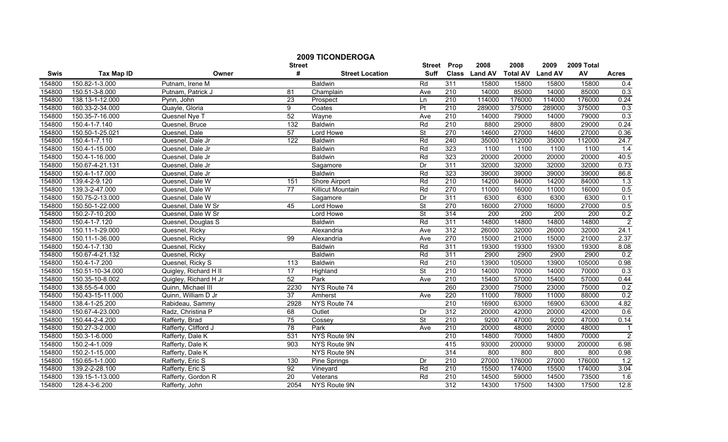|        | <b>2009 TICONDEROGA</b> |                       |                    |                          |                              |                  |                       |                         |                        |                  |                |
|--------|-------------------------|-----------------------|--------------------|--------------------------|------------------------------|------------------|-----------------------|-------------------------|------------------------|------------------|----------------|
| Swis   | <b>Tax Map ID</b>       | Owner                 | <b>Street</b><br># | <b>Street Location</b>   | <b>Street</b><br><b>Suff</b> | Prop             | 2008<br>Class Land AV | 2008<br><b>Total AV</b> | 2009<br><b>Land AV</b> | 2009 Total<br>AV | <b>Acres</b>   |
| 154800 | 150.82-1-3.000          | Putnam, Irene M       |                    | Baldwin                  | Rd                           | 311              | 15800                 | 15800                   | 15800                  | 15800            | 0.4            |
| 154800 | 150.51-3-8.000          | Putnam, Patrick J     | 81                 | Champlain                | Ave                          | $\overline{210}$ | 14000                 | 85000                   | 14000                  | 85000            | 0.3            |
| 154800 | 138.13-1-12.000         | Pynn, John            | $\overline{23}$    | Prospect                 | Ln                           | 210              | 114000                | 176000                  | 114000                 | 176000           | 0.24           |
| 154800 | 160.33-2-34.000         | Quayle, Gloria        | $\overline{9}$     | Coates                   | P <sub>t</sub>               | 210              | 289000                | 375000                  | 289000                 | 375000           | 0.3            |
| 154800 | 150.35-7-16.000         | Quesnel Nye T         | 52                 | Wayne                    | Ave                          | $\overline{210}$ | 14000                 | 79000                   | 14000                  | 79000            | 0.3            |
| 154800 | 150.4-1-7.140           | Quesnel, Bruce        | 132                | <b>Baldwin</b>           | Rd                           | 210              | 8800                  | 29000                   | 8800                   | 29000            | 0.24           |
| 154800 | 150.50-1-25.021         | Quesnel, Dale         | 57                 | Lord Howe                | <b>St</b>                    | 270              | 14600                 | 27000                   | 14600                  | 27000            | 0.36           |
| 154800 | 150.4-1-7.110           | Quesnel, Dale Jr      | 122                | Baldwin                  | Rd                           | 240              | 35000                 | 112000                  | 35000                  | 112000           | 24.7           |
| 154800 | 150.4-1-15.000          | Quesnel, Dale Jr      |                    | Baldwin                  | Rd                           | 323              | 1100                  | 1100                    | 1100                   | 1100             | 1.4            |
| 154800 | 150.4-1-16.000          | Quesnel, Dale Jr      |                    | <b>Baldwin</b>           | Rd                           | 323              | 20000                 | 20000                   | 20000                  | 20000            | 40.5           |
| 154800 | 150.67-4-21.131         | Quesnel, Dale Jr      |                    | Sagamore                 | Dr                           | 311              | 32000                 | 32000                   | 32000                  | 32000            | 0.73           |
| 154800 | 150.4-1-17.000          | Quesnel, Dale Jr      |                    | <b>Baldwin</b>           | Rd                           | 323              | 39000                 | 39000                   | 39000                  | 39000            | 86.8           |
| 154800 | 139.4-2-9.120           | Quesnel, Dale W       | 151                | Shore Airport            | Rd                           | $\overline{210}$ | 14200                 | 84000                   | 14200                  | 84000            | 1.3            |
| 154800 | 139.3-2-47.000          | Quesnel, Dale W       | $\overline{77}$    | <b>Killicut Mountain</b> | Rd                           | 270              | 11000                 | 16000                   | 11000                  | 16000            | 0.5            |
| 154800 | 150.75-2-13.000         | Quesnel, Dale W       |                    | Sagamore                 | Dr                           | 311              | 6300                  | 6300                    | 6300                   | 6300             | 0.1            |
| 154800 | 150.50-1-22.000         | Quesnel, Dale W Sr    | 45                 | Lord Howe                | $\overline{\mathsf{St}}$     | 270              | 16000                 | 27000                   | 16000                  | 27000            | 0.5            |
| 154800 | 150.2-7-10.200          | Quesnel, Dale W Sr    |                    | Lord Howe                | St                           | 314              | 200                   | 200                     | 200                    | 200              | 0.2            |
| 154800 | 150.4-1-7.120           | Quesnel, Douglas S    |                    | <b>Baldwin</b>           | Rd                           | 311              | 14800                 | 14800                   | 14800                  | 14800            | $\overline{2}$ |
| 154800 | 150.11-1-29.000         | Quesnel, Ricky        |                    | Alexandria               | Ave                          | 312              | 26000                 | 32000                   | 26000                  | 32000            | 24.1           |
| 154800 | 150.11-1-36.000         | Quesnel, Ricky        | 99                 | Alexandria               | Ave                          | 270              | 15000                 | 21000                   | 15000                  | 21000            | 2.37           |
| 154800 | 150.4-1-7.130           | Quesnel, Ricky        |                    | <b>Baldwin</b>           | Rd                           | 311              | 19300                 | 19300                   | 19300                  | 19300            | 8.08           |
| 154800 | 150.67-4-21.132         | Quesnel, Ricky        |                    | <b>Baldwin</b>           | Rd                           | 311              | 2900                  | 2900                    | 2900                   | 2900             | 0.2            |
| 154800 | 150.4-1-7.200           | Quesnel, Ricky S      | 113                | Baldwin                  | Rd                           | 210              | 13900                 | 105000                  | 13900                  | 105000           | 0.98           |
| 154800 | 150.51-10-34.000        | Quigley, Richard H II | $\overline{17}$    | Highland                 | $\overline{\mathsf{St}}$     | 210              | 14000                 | 70000                   | 14000                  | 70000            | 0.3            |
| 154800 | 150.35-10-8.002         | Quigley, Richard H Jr | 52                 | Park                     | Ave                          | 210              | 15400                 | 57000                   | 15400                  | 57000            | 0.44           |
| 154800 | 138.55-5-4.000          | Quinn, Michael III    | 2230               | NYS Route 74             |                              | 260              | 23000                 | 75000                   | 23000                  | 75000            | 0.2            |
| 154800 | 150.43-15-11.000        | Quinn, William D Jr   | $\overline{37}$    | Amherst                  | Ave                          | 220              | 11000                 | 78000                   | 11000                  | 88000            | 0.2            |
| 154800 | 138.4-1-25.200          | Rabideau, Sammy       | 2928               | NYS Route 74             |                              | 210              | 16900                 | 63000                   | 16900                  | 63000            | 4.82           |
| 154800 | 150.67-4-23.000         | Radz, Christina P     | 68                 | Outlet                   | Dr                           | 312              | 20000                 | 42000                   | 20000                  | 42000            | 0.6            |
| 154800 | 150.44-2-4.200          | Rafferty, Brad        | 75                 | Cossey                   | $\overline{\mathsf{St}}$     | $\overline{210}$ | 9200                  | 47000                   | 9200                   | 47000            | 0.14           |
| 154800 | 150.27-3-2.000          | Rafferty, Clifford J  | 78                 | Park                     | Ave                          | 210              | 20000                 | 48000                   | 20000                  | 48000            | $\overline{1}$ |
| 154800 | 150.3-1-6.000           | Rafferty, Dale K      | 531                | NYS Route 9N             |                              | 210              | 14800                 | 70000                   | 14800                  | 70000            | $\overline{2}$ |
| 154800 | 150.2-4-1.009           | Rafferty, Dale K      | 903                | NYS Route 9N             |                              | 415              | 93000                 | 200000                  | 93000                  | 200000           | 6.98           |
| 154800 | 150.2-1-15.000          | Rafferty, Dale K      |                    | NYS Route 9N             |                              | 314              | 800                   | 800                     | 800                    | 800              | 0.98           |
| 154800 | 150.65-1-1.000          | Rafferty, Eric S      | 130                | Pine Springs             | Dr                           | $\overline{210}$ | 27000                 | 176000                  | 27000                  | 176000           | 1.2            |
| 154800 | 139.2-2-28.100          | Rafferty, Eric S      | 92                 | Vineyard                 | Rd                           | 210              | 15500                 | 174000                  | 15500                  | 174000           | 3.04           |
| 154800 | 139.15-1-13.000         | Rafferty, Gordon R    | 20                 | Veterans                 | Rd                           | 210              | 14500                 | 59000                   | 14500                  | 73500            | 1.6            |
| 154800 | 128.4-3-6.200           | Rafferty, John        | 2054               | NYS Route 9N             |                              | 312              | 14300                 | 17500                   | 14300                  | 17500            | 12.8           |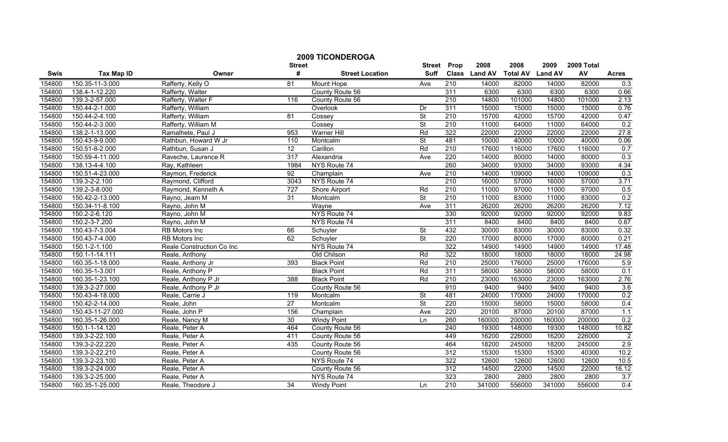|                  |                                  |                           | <b>2009 TICONDEROGA</b> |                             |                              |                  |                       |                         |                        |                  |                |
|------------------|----------------------------------|---------------------------|-------------------------|-----------------------------|------------------------------|------------------|-----------------------|-------------------------|------------------------|------------------|----------------|
| Swis             | <b>Tax Map ID</b>                | Owner                     | <b>Street</b><br>#      | <b>Street Location</b>      | <b>Street</b><br><b>Suff</b> | Prop             | 2008<br>Class Land AV | 2008<br><b>Total AV</b> | 2009<br><b>Land AV</b> | 2009 Total<br>AV | <b>Acres</b>   |
|                  |                                  |                           |                         |                             |                              |                  |                       |                         |                        |                  |                |
| 154800           | 150.35-11-3.000                  | Rafferty, Kelly O         | 81                      | Mount Hope                  | Ave                          | 210              | 14000<br>6300         | 82000                   | 14000<br>6300          | 82000<br>6300    | 0.3            |
| 154800           | 138.4-1-12.220                   | Rafferty, Walter          | 116                     | County Route 56             |                              | 311<br>210       |                       | 6300                    |                        | 101000           | 0.66           |
| 154800<br>154800 | 139.3-2-57.000<br>150.44-2-1.000 | Rafferty, Walter F        |                         | County Route 56<br>Overlook |                              | 311              | 14800                 | 101000<br>15000         | 14800<br>15000         | 15000            | 2.13<br>0.76   |
|                  |                                  | Rafferty, William         |                         |                             | Dr                           |                  | 15000                 |                         |                        |                  |                |
| 154800           | 150.44-2-4.100                   | Rafferty, William         | 81                      | Cossey                      | $\overline{\mathsf{St}}$     | 210              | 15700                 | 42000                   | 15700                  | 42000            | 0.47           |
| 154800           | 150.44-2-3.000                   | Rafferty, William M       |                         | Cossey                      | $\overline{\mathsf{St}}$     | 210              | 11000                 | 64000                   | 11000                  | 64000            | 0.2            |
| 154800           | 138.2-1-13.000                   | Ramalhete, Paul J         | 953                     | <b>Warner Hill</b>          | Rd                           | 322              | 22000                 | 22000                   | 22000                  | 22000            | 27.8           |
| 154800           | 150.43-9-9.000                   | Rathbun, Howard W Jr      | 110                     | Montcalm                    | <b>St</b>                    | 481              | 10000                 | 40000                   | 10000                  | 40000            | 0.06           |
| 154800           | 150.51-8-2.000                   | Rathbun, Susan J          | $\overline{12}$         | Carillon                    | Rd                           | 210              | 17600                 | 116000                  | 17600                  | 116000           | 0.7            |
| 154800           | 150.59-4-11.000                  | Raveche, Laurence R       | 317                     | Alexandria                  | Ave                          | 220              | 14000                 | 80000                   | 14000                  | 80000            | 0.3            |
| 154800           | 138.13-4-4.100                   | Ray, Kathleen             | 1984                    | NYS Route 74                |                              | 260              | 34000                 | 93000                   | 34000                  | 93000            | 4.34           |
| 154800           | 150.51-4-23.000                  | Raymon, Frederick         | $\overline{92}$         | Champlain                   | Ave                          | 210              | 14000                 | 109000                  | 14000                  | 109000           | 0.3            |
| 154800           | 139.3-2-2.100                    | Raymond, Clifford         | 3043                    | NYS Route 74                |                              | 210              | 16000                 | 57000                   | 16000                  | 57000            | 3.71           |
| 154800           | 139.2-3-8.000                    | Raymond, Kenneth A        | $\overline{727}$        | Shore Airport               | Rd                           | 210              | 11000                 | 97000                   | 11000                  | 97000            | 0.5            |
| 154800           | 150.42-2-13.000                  | Rayno, Jeam M             | 31                      | Montcalm                    | St                           | 210              | 11000                 | 83000                   | 11000                  | 83000            | 0.2            |
| 154800           | 150.34-11-8.100                  | Rayno, John M             |                         | Wayne                       | Ave                          | 311              | 26200                 | 26200                   | 26200                  | 26200            | 7.12           |
| 154800           | 150.2-2-6.120                    | Rayno, John M             |                         | NYS Route 74                |                              | 330              | 92000                 | 92000                   | 92000                  | 92000            | 9.83           |
| 154800           | 150.2-3-7.200                    | Rayno, John M             |                         | NYS Route 74                |                              | 311              | 8400                  | 8400                    | 8400                   | 8400             | 0.67           |
| 154800           | 150.43-7-3.004                   | <b>RB</b> Motors Inc      | 66                      | Schuyler                    | $\overline{\mathsf{St}}$     | 432              | 30000                 | 83000                   | 30000                  | 83000            | 0.32           |
| 154800           | 150.43-7-4.000                   | RB Motors Inc             | 62                      | Schuyler                    | $\overline{\mathsf{St}}$     | 220              | 17000                 | 80000                   | 17000                  | 80000            | 0.21           |
| 154800           | 150.1-2-1.100                    | Reale Construction Co Inc |                         | NYS Route 74                |                              | 322              | 14900                 | 14900                   | 14900                  | 14900            | 17.48          |
| 154800           | 150.1-1-14.111                   | Reale, Anthony            |                         | Old Chilson                 | Rd                           | 322              | 18000                 | 18000                   | 18000                  | 18000            | 24.98          |
| 154800           | 160.35-1-18.000                  | Reale, Anthony Jr         | 393                     | <b>Black Point</b>          | Rd                           | 210              | 25000                 | 176000                  | 25000                  | 176000           | 5.9            |
| 154800           | 160.35-1-3.001                   | Reale, Anthony P          |                         | <b>Black Point</b>          | Rd                           | 311              | 58000                 | 58000                   | 58000                  | 58000            | 0.1            |
| 154800           | 160.35-1-23.100                  | Reale, Anthony P Jr       | 388                     | <b>Black Point</b>          | Rd                           | 210              | 23000                 | 163000                  | 23000                  | 163000           | 2.76           |
| 154800           | 139.3-2-27.000                   | Reale, Anthony P Jr       |                         | County Route 56             |                              | 910              | 9400                  | 9400                    | 9400                   | 9400             | 3.6            |
| 154800           | 150.43-4-18.000                  | Reale, Carrie J           | 119                     | Montcalm                    | $\overline{\mathsf{St}}$     | 481              | 24000                 | 170000                  | 24000                  | 170000           | 0.2            |
| 154800           | 150.42-2-14.000                  | Reale, John               | $\overline{27}$         | Montcalm                    | $\overline{\mathsf{St}}$     | 220              | 15000                 | 58000                   | 15000                  | 58000            | 0.4            |
| 154800           | 150.43-11-27.000                 | Reale, John P             | 156                     | Champlain                   | Ave                          | 220              | 20100                 | 87000                   | 20100                  | 87000            | 1.1            |
| 154800           | 160.35-1-26.000                  | Reale, Nancy M            | 30                      | <b>Windy Point</b>          | Ln                           | 260              | 160000                | 200000                  | 160000                 | 200000           | 0.2            |
| 154800           | 150.1-1-14.120                   | Reale, Peter A            | 464                     | County Route 56             |                              | 240              | 19300                 | 148000                  | 19300                  | 148000           | 10.82          |
| 154800           | 139.3-2-22.100                   | Reale, Peter A            | 411                     | County Route 56             |                              | 449              | 16200                 | 226000                  | 16200                  | 226000           | $\overline{2}$ |
| 154800           | 139.3-2-22.220                   | Reale, Peter A            | 435                     | County Route 56             |                              | 464              | 18200                 | 245000                  | 18200                  | 245000           | 2.9            |
| 154800           | 139.3-2-22.210                   | Reale, Peter A            |                         | County Route 56             |                              | $\overline{312}$ | 15300                 | 15300                   | 15300                  | 40300            | 10.2           |
| 154800           | 139.3-2-23.100                   | Reale, Peter A            |                         | NYS Route 74                |                              | 322              | 12600                 | 12600                   | 12600                  | 12600            | 10.5           |
| 154800           | 139.3-2-24.000                   | Reale, Peter A            |                         | County Route 56             |                              | 312              | 14500                 | 22000                   | 14500                  | 22000            | 16.12          |
| 154800           | 139.3-2-25.000                   | Reale, Peter A            |                         | NYS Route 74                |                              | 323              | 2800                  | 2800                    | 2800                   | 2800             | 3.7            |
| 154800           | 160.35-1-25.000                  | Reale, Theodore J         | 34                      | <b>Windy Point</b>          | Ln                           | 210              | 341000                | 556000                  | 341000                 | 556000           | 0.4            |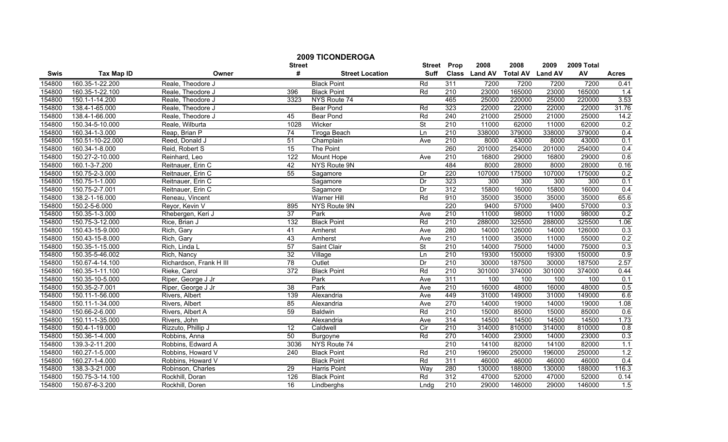|        |                   |                         | <b>Street</b>   | <b>2009 TICONDEROGA</b> | <b>Street</b>            | Prop             | 2008          | 2008            | 2009           | 2009 Total |                  |
|--------|-------------------|-------------------------|-----------------|-------------------------|--------------------------|------------------|---------------|-----------------|----------------|------------|------------------|
| Swis   | <b>Tax Map ID</b> | Owner                   | #               | <b>Street Location</b>  | <b>Suff</b>              |                  | Class Land AV | <b>Total AV</b> | <b>Land AV</b> | AV         | <b>Acres</b>     |
| 154800 | 160.35-1-22.200   | Reale, Theodore J       |                 | <b>Black Point</b>      | Rd                       | 311              | 7200          | 7200            | 7200           | 7200       | 0.41             |
| 154800 | 160.35-1-22.100   | Reale, Theodore J       | 396             | <b>Black Point</b>      | Rd                       | $\overline{210}$ | 23000         | 165000          | 23000          | 165000     | 1.4              |
| 154800 | 150.1-1-14.200    | Reale, Theodore J       | 3323            | NYS Route 74            |                          | 465              | 25000         | 220000          | 25000          | 220000     | 3.53             |
| 154800 | 138.4-1-65.000    | Reale, Theodore J       |                 | <b>Bear Pond</b>        | Rd                       | 323              | 22000         | 22000           | 22000          | 22000      | 31.76            |
| 154800 | 138.4-1-66.000    | Reale, Theodore J       | 45              | <b>Bear Pond</b>        | Rd                       | 240              | 21000         | 25000           | 21000          | 25000      | 14.2             |
| 154800 | 150.34-5-10.000   | Reale, Wilburta         | 1028            | Wicker                  | $\overline{\mathsf{St}}$ | 210              | 11000         | 62000           | 11000          | 62000      | 0.2              |
| 154800 | 160.34-1-3.000    | Reap, Brian P           | 74              | <b>Tiroga Beach</b>     | Ln                       | 210              | 338000        | 379000          | 338000         | 379000     | 0.4              |
| 154800 | 150.51-10-22.000  | Reed, Donald J          | 51              | Champlain               | Ave                      | 210              | 8000          | 43000           | 8000           | 43000      | 0.1              |
| 154800 | 160.34-1-8.000    | Reid, Robert S          | 15              | The Point               |                          | 260              | 201000        | 254000          | 201000         | 254000     | 0.4              |
| 154800 | 150.27-2-10.000   | Reinhard, Leo           | 122             | Mount Hope              | Ave                      | 210              | 16800         | 29000           | 16800          | 29000      | 0.6              |
| 154800 | 160.1-3-7.200     | Reitnauer, Erin C       | 42              | NYS Route 9N            |                          | 484              | 8000          | 28000           | 8000           | 28000      | 0.16             |
| 154800 | 150.75-2-3.000    | Reitnauer, Erin C       | 55              | Sagamore                | Dr                       | 220              | 107000        | 175000          | 107000         | 175000     | 0.2              |
| 154800 | 150.75-1-1.000    | Reitnauer, Erin C       |                 | Sagamore                | Dr                       | 323              | 300           | 300             | 300            | 300        | 0.1              |
| 154800 | 150.75-2-7.001    | Reitnauer, Erin C       |                 | Sagamore                | Dr                       | 312              | 15800         | 16000           | 15800          | 16000      | 0.4              |
| 154800 | 138.2-1-16.000    | Reneau, Vincent         |                 | <b>Warner Hill</b>      | Rd                       | 910              | 35000         | 35000           | 35000          | 35000      | 65.6             |
| 154800 | 150.2-5-6.000     | Reyor, Kevin V          | 895             | NYS Route 9N            |                          | 220              | 9400          | 57000           | 9400           | 57000      | 0.3              |
| 154800 | 150.35-1-3.000    | Rhebergen, Keri J       | 37              | Park                    | Ave                      | 210              | 11000         | 98000           | 11000          | 98000      | 0.2              |
| 154800 | 150.75-3-12.000   | Rice, Brian J           | 132             | <b>Black Point</b>      | Rd                       | 210              | 288000        | 325500          | 288000         | 325500     | 1.06             |
| 154800 | 150.43-15-9.000   | Rich, Gary              | 41              | Amherst                 | Ave                      | 280              | 14000         | 126000          | 14000          | 126000     | 0.3              |
| 154800 | 150.43-15-8.000   | Rich, Gary              | 43              | Amherst                 | Ave                      | 210              | 11000         | 35000           | 11000          | 55000      | 0.2              |
| 154800 | 150.35-1-15.000   | Rich, Linda L           | 57              | Saint Clair             | <b>St</b>                | 210              | 14000         | 75000           | 14000          | 75000      | 0.3              |
| 154800 | 150.35-5-46.002   | Rich, Nancy             | $\overline{32}$ | Village                 | Ln                       | 210              | 19300         | 150000          | 19300          | 150000     | 0.9              |
| 154800 | 150.67-4-14.100   | Richardson, Frank H III | 78              | Outlet                  | Dr                       | 210              | 30000         | 187500          | 30000          | 187500     | 2.57             |
| 154800 | 160.35-1-11.100   | Rieke, Carol            | 372             | <b>Black Point</b>      | Rd                       | 210              | 301000        | 374000          | 301000         | 374000     | 0.44             |
| 154800 | 150.35-10-5.000   | Riper, George J Jr      |                 | Park                    | Ave                      | 311              | 100           | 100             | 100            | 100        | 0.1              |
| 154800 | 150.35-2-7.001    | Riper, George J Jr      | 38              | Park                    | Ave                      | 210              | 16000         | 48000           | 16000          | 48000      | 0.5              |
| 154800 | 150.11-1-56.000   | Rivers, Albert          | 139             | Alexandria              | Ave                      | 449              | 31000         | 149000          | 31000          | 149000     | 6.6              |
| 154800 | 150.11-1-34.000   | Rivers, Albert          | 85              | Alexandria              | Ave                      | 270              | 14000         | 19000           | 14000          | 19000      | 1.08             |
| 154800 | 150.66-2-6.000    | Rivers, Albert A        | 59              | <b>Baldwin</b>          | Rd                       | 210              | 15000         | 85000           | 15000          | 85000      | 0.6              |
| 154800 | 150.11-1-35.000   | Rivers, John            |                 | Alexandria              | Ave                      | 314              | 14500         | 14500           | 14500          | 14500      | 1.73             |
| 154800 | 150.4-1-19.000    | Rizzuto, Phillip J      | 12              | Caldwell                | Cir                      | 210              | 314000        | 810000          | 314000         | 810000     | 0.8              |
| 154800 | 150.36-1-4.000    | Robbins, Anna           | 50              | <b>Burgoyne</b>         | Rd                       | 270              | 14000         | 23000           | 14000          | 23000      | 0.3              |
| 154800 | 139.3-2-11.200    | Robbins, Edward A       | 3036            | NYS Route 74            |                          | 210              | 14100         | 82000           | 14100          | 82000      | 1.1              |
| 154800 | 160.27-1-5.000    | Robbins, Howard V       | 240             | <b>Black Point</b>      | Rd                       | 210              | 196000        | 250000          | 196000         | 250000     | 1.2              |
| 154800 | 160.27-1-4.000    | Robbins, Howard V       |                 | <b>Black Point</b>      | Rd                       | 311              | 46000         | 46000           | 46000          | 46000      | 0.4              |
| 154800 | 138.3-3-21.000    | Robinson, Charles       | 29              | Harris Point            | Way                      | 280              | 130000        | 188000          | 130000         | 188000     | 116.3            |
| 154800 | 150.75-3-14.100   | Rockhill, Doran         | 126             | <b>Black Point</b>      | Rd                       | 312              | 47000         | 52000           | 47000          | 52000      | 0.14             |
| 154800 | 150.67-6-3.200    | Rockhill, Doren         | 16              | Lindberghs              | Lndq                     | 210              | 29000         | 146000          | 29000          | 146000     | $\overline{1.5}$ |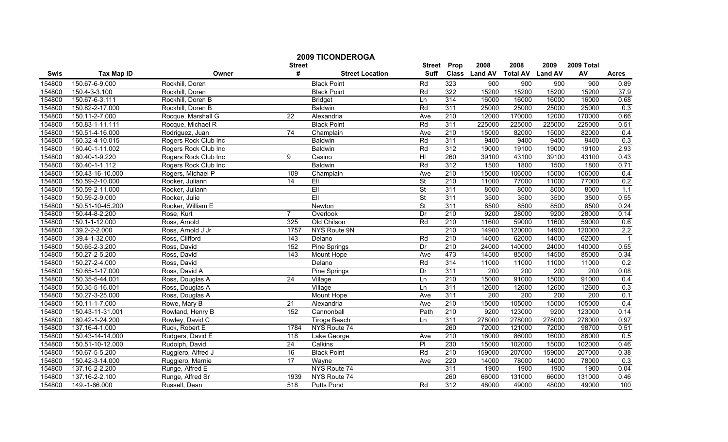|        | <b>2009 TICONDEROGA</b> |                      |                 |                        |                          |                  |                  |                  |                  |                  |              |
|--------|-------------------------|----------------------|-----------------|------------------------|--------------------------|------------------|------------------|------------------|------------------|------------------|--------------|
|        |                         |                      | <b>Street</b>   |                        | <b>Street</b>            | Prop             | 2008             | 2008             | 2009             | 2009 Total       |              |
| Swis   | <b>Tax Map ID</b>       | Owner                | #               | <b>Street Location</b> | <b>Suff</b>              |                  | Class Land AV    | <b>Total AV</b>  | <b>Land AV</b>   | AV               | <b>Acres</b> |
| 154800 | 150.67-6-9.000          | Rockhill, Doren      |                 | <b>Black Point</b>     | Rd                       | 323              | 900              | 900              | 900              | 900              | 0.89         |
| 154800 | 150.4-3-3.100           | Rockhill, Doren      |                 | <b>Black Point</b>     | Rd                       | 322              | 15200            | 15200            | 15200            | 15200            | 37.9         |
| 154800 | 150.67-6-3.111          | Rockhill, Doren B    |                 | <b>Bridget</b>         | Ln                       | 314              | 16000            | 16000            | 16000            | 16000            | 0.68         |
| 154800 | 150.82-2-17.000         | Rockhill, Doren B    |                 | <b>Baldwin</b>         | Rd                       | 311              | 25000            | 25000            | 25000            | 25000            | 0.3          |
| 154800 | 150.11-2-7.000          | Rocque, Marshall G   | 22              | Alexandria             | Ave                      | 210              | 12000            | 170000           | 12000            | 170000           | 0.66         |
| 154800 | 150.83-1-11.111         | Rocque, Michael R    |                 | <b>Black Point</b>     | Rd                       | 311              | 225000           | 225000           | 225000           | 225000           | 0.51         |
| 154800 | 150.51-4-16.000         | Rodriguez, Juan      | $\overline{74}$ | Champlain              | Ave                      | 210              | 15000            | 82000            | 15000            | 82000            | 0.4          |
| 154800 | 160.32-4-10.015         | Rogers Rock Club Inc |                 | <b>Baldwin</b>         | Rd                       | 311              | 9400             | 9400             | 9400             | 9400             | 0.3          |
| 154800 | 160.40-1-11.002         | Rogers Rock Club Inc |                 | <b>Baldwin</b>         | Rd                       | 312              | 19000            | 19100            | 19000            | 19100            | 2.93         |
| 154800 | 160.40-1-9.220          | Rogers Rock Club Inc | 9               | Casino                 | HI                       | 260              | 39100            | 43100            | 39100            | 43100            | 0.43         |
| 154800 | 160.40-1-1.112          | Rogers Rock Club Inc |                 | <b>Baldwin</b>         | Rd                       | 312              | 1500             | 1800             | 1500             | 1800             | 0.71         |
| 154800 | 150.43-16-10.000        | Rogers, Michael P    | 109             | Champlain              | Ave                      | 210              | 15000            | 106000           | 15000            | 106000           | 0.4          |
| 154800 | 150.59-2-10.000         | Rooker, Juliann      | 14              | Ell                    | $\overline{\mathsf{St}}$ | $\overline{210}$ | 11000            | 77000            | 11000            | 77000            | 0.2          |
| 154800 | 150.59-2-11.000         | Rooker, Juliann      |                 | EII                    | <b>St</b>                | 311              | 8000             | 8000             | 8000             | 8000             | 1.1          |
| 154800 | 150.59-2-9.000          | Rooker, Julie        |                 | EII                    | St                       | 311              | 3500             | 3500             | 3500             | 3500             | 0.55         |
| 154800 | 150.51-10-45.200        | Rooker, William E    |                 | Newton                 | $\overline{\mathsf{St}}$ | 311              | 8500             | 8500             | 8500             | 8500             | 0.24         |
| 154800 | 150.44-8-2.200          | Rose, Kurt           | $\overline{7}$  | Overlook               | Dr                       | 210              | 9200             | 28000            | 9200             | 28000            | 0.14         |
| 154800 | 150.1-1-12.000          | Ross, Arnold         | 325             | Old Chilson            | Rd                       | 210              | 11600            | 59000            | 11600            | 59000            | 0.6          |
| 154800 | 139.2-2-2.000           | Ross, Arnold J Jr    | 1757            | NYS Route 9N           |                          | 210              | 14900            | 120000           | 14900            | 120000           | 2.2          |
| 154800 | 139.4-1-32.000          | Ross, Clifford       | 143             | Delano                 | Rd                       | 210              | 14000            | 62000            | 14000            | 62000            |              |
| 154800 | 150.65-2-3.200          | Ross, David          | 152             | <b>Pine Springs</b>    | Dr                       | 210              | 24000            | 140000           | 24000            | 140000           | 0.55         |
| 154800 | 150.27-2-5.200          | Ross, David          | 143             | Mount Hope             | Ave                      | 473              | 14500            | 85000            | 14500            | 85000            | 0.34         |
| 154800 | 150.27-2-4.000          | Ross, David          |                 | Delano                 | Rd                       | 314              | 11000            | 11000            | 11000            | 11000            | 0.2          |
| 154800 | 150.65-1-17.000         | Ross, David A        |                 | Pine Springs           | Dr                       | 311              | $\overline{200}$ | $\overline{200}$ | $\overline{200}$ | $\overline{200}$ | 0.08         |
| 154800 | 150.35-5-44.001         | Ross, Douglas A      | $\overline{24}$ | Village                | Ln                       | $\overline{210}$ | 15000            | 91000            | 15000            | 91000            | 0.4          |
| 154800 | 150.35-5-16.001         | Ross, Douglas A      |                 | Village                | Ln                       | 311              | 12600            | 12600            | 12600            | 12600            | 0.3          |
| 154800 | 150.27-3-25.000         | Ross, Douglas A      |                 | Mount Hope             | Ave                      | 311              | 200              | 200              | $\overline{200}$ | $\overline{200}$ | 0.1          |
| 154800 | 150.11-1-7.000          | Rowe, Mary B         | $\overline{21}$ | Alexandria             | Ave                      | 210              | 15000            | 105000           | 15000            | 105000           | 0.4          |
| 154800 | 150.43-11-31.001        | Rowland, Henry B     | 152             | Cannonball             | Path                     | 210              | 9200             | 123000           | 9200             | 123000           | 0.14         |
| 154800 | 160.42-1-24.200         | Rowley, David C      |                 | Tiroga Beach           | Ln                       | 311              | 278000           | 278000           | 278000           | 278000           | 0.97         |
| 154800 | 137.16-4-1.000          | Ruck, Robert E       | 1784            | NYS Route 74           |                          | 260              | 72000            | 121000           | 72000            | 98700            | 0.51         |
| 154800 | 150.43-14-14.000        | Rudgers, David E     | 118             | Lake George            | Ave                      | 210              | 16000            | 86000            | 16000            | 86000            | 0.5          |
| 154800 | 150.51-10-12.000        | Rudolph, David       | 24              | Calkins                | $\overline{P}$           | 230              | 15000            | 102000           | 15000            | 102000           | 0.46         |
| 154800 | 150.67-5-5.200          | Ruggiero, Alfred J   | 16              | <b>Black Point</b>     | Rd                       | 210              | 159000           | 207000           | 159000           | 207000           | 0.38         |
| 154800 | 150.42-3-14.000         | Ruggiero, Marnie     | $\overline{17}$ | Wayne                  | Ave                      | 220              | 14000            | 78000            | 14000            | 78000            | 0.3          |
| 154800 | 137.16-2-2.200          | Runge, Alfred E      |                 | NYS Route 74           |                          | 311              | 1900             | 1900             | 1900             | 1900             | 0.04         |
| 154800 | 137.16-2-2.100          | Runge, Alfred Sr     | 1939            | NYS Route 74           |                          | 260              | 66000            | 131000           | 66000            | 131000           | 0.46         |
| 154800 | 149.-1-66.000           | Russell, Dean        | 518             | <b>Putts Pond</b>      | Rd                       | 312              | 48000            | 49000            | 48000            | 49000            | 100          |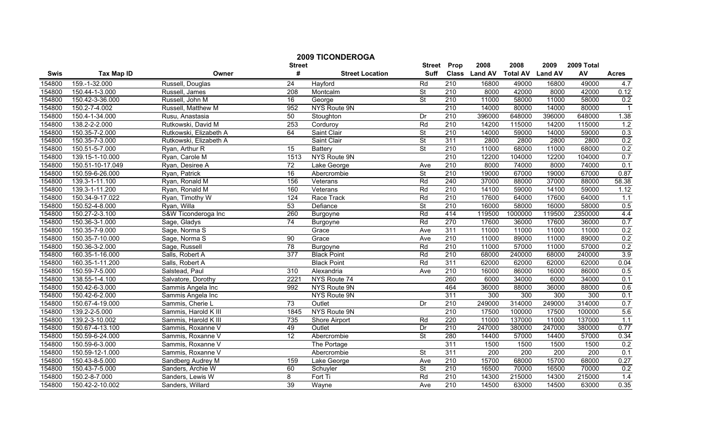|        |                      |                        | <b>Street</b>    | <b>2009 TICONDEROGA</b> | <b>Street</b>            | Prop             | 2008          | 2008             | 2009             | 2009 Total       |                |
|--------|----------------------|------------------------|------------------|-------------------------|--------------------------|------------------|---------------|------------------|------------------|------------------|----------------|
| Swis   | <b>Tax Map ID</b>    | Owner                  | #                | <b>Street Location</b>  | <b>Suff</b>              |                  | Class Land AV | <b>Total AV</b>  | <b>Land AV</b>   | AV               | <b>Acres</b>   |
| 154800 | 159.-1-32.000        | Russell, Douglas       | 24               | Hayford                 | Rd                       | 210              | 16800         | 49000            | 16800            | 49000            | 4.7            |
| 154800 | 150.44-1-3.000       | Russell, James         | $\overline{208}$ | Montcalm                | <b>St</b>                | 210              | 8000          | 42000            | 8000             | 42000            | 0.12           |
| 154800 | 150.42-3-36.000      | Russell, John M        | 16               | George                  | $\overline{\mathsf{St}}$ | 210              | 11000         | 58000            | 11000            | 58000            | 0.2            |
| 154800 | 150.2-7-4.002        | Russell, Matthew M     | 952              | NYS Route 9N            |                          | 210              | 14000         | 80000            | 14000            | 80000            | $\overline{1}$ |
| 154800 | 150.4-1-34.000       | Rusu, Anastasia        | 50               | Stoughton               | Dr                       | $\overline{210}$ | 396000        | 648000           | 396000           | 648000           | 1.38           |
| 154800 | 138.2-2-2.000        | Rutkowski, David M     | 253              | Corduroy                | Rd                       | 210              | 14200         | 115000           | 14200            | 115000           | 1.2            |
| 154800 | 150.35-7-2.000       | Rutkowski, Elizabeth A | 64               | Saint Clair             | $\overline{\mathsf{St}}$ | 210              | 14000         | 59000            | 14000            | 59000            | 0.3            |
| 154800 | 150.35-7-3.000       | Rutkowski, Elizabeth A |                  | Saint Clair             | <b>St</b>                | 311              | 2800          | 2800             | 2800             | 2800             | 0.2            |
| 154800 | 150.51-5-7.000       | Ryan, Arthur R         | $\overline{15}$  | <b>Battery</b>          | $\overline{\mathsf{St}}$ | $\overline{210}$ | 11000         | 68000            | 11000            | 68000            | 0.2            |
| 154800 | 139.15-1-10.000      | Ryan, Carole M         | 1513             | NYS Route 9N            |                          | $\overline{210}$ | 12200         | 104000           | 12200            | 104000           | 0.7            |
| 154800 | 150.51-10-17.049     | Ryan, Desiree A        | $\overline{72}$  | Lake George             | Ave                      | 210              | 8000          | 74000            | 8000             | 74000            | 0.1            |
| 154800 | 150.59-6-26.000      | Ryan, Patrick          | 16               | Abercrombie             | $\overline{\mathsf{St}}$ | 210              | 19000         | 67000            | 19000            | 67000            | 0.87           |
| 154800 | 139.3-1-11.100       | Ryan, Ronald M         | 156              | Veterans                | Rd                       | 240              | 37000         | 88000            | 37000            | 88000            | 58.38          |
| 154800 | 139.3-1-11.200       | Ryan, Ronald M         | 160              | Veterans                | Rd                       | 210              | 14100         | 59000            | 14100            | 59000            | 1.12           |
| 154800 | 150.34-9-17.022      | Ryan, Timothy W        | 124              | Race Track              | Rd                       | $\overline{210}$ | 17600         | 64000            | 17600            | 64000            | 1.1            |
| 154800 | 150.52-4-8.000       | Ryan, Willa            | 53               | Defiance                | <b>St</b>                | $\overline{210}$ | 16000         | 58000            | 16000            | 58000            | 0.5            |
| 154800 | 150.27-2-3.100       | S&W Ticonderoga Inc    | 260              | Burgoyne                | Rd                       | 414              | 119500        | 1000000          | 119500           | 2350000          | 4.4            |
| 154800 | 150.36-3-1.000       | Sage, Gladys           | 74               | Burgoyne                | Rd                       | 270              | 17600         | 36000            | 17600            | 36000            | 0.7            |
| 154800 | 150.35-7-9.000       | Sage, Norma S          |                  | Grace                   | Ave                      | 311              | 11000         | 11000            | 11000            | 11000            | 0.2            |
| 154800 | 150.35-7-10.000      | Sage, Norma S          | 90               | Grace                   | Ave                      | 210              | 11000         | 89000            | 11000            | 89000            | 0.2            |
| 154800 | 150.36-3-2.000       | Sage, Russell          | 78               | Burgoyne                | Rd                       | 210              | 11000         | 57000            | 11000            | 57000            | 0.2            |
| 154800 | 160.35-1-16.000      | Salls, Robert A        | 377              | <b>Black Point</b>      | Rd                       | 210              | 68000         | 240000           | 68000            | 240000           | 3.9            |
| 154800 | 160.35-1-11.200      | Salls, Robert A        |                  | <b>Black Point</b>      | Rd                       | 311              | 62000         | 62000            | 62000            | 62000            | 0.04           |
| 154800 | 150.59-7-5.000       | Salstead, Paul         | 310              | Alexandria              | Ave                      | $\overline{210}$ | 16000         | 86000            | 16000            | 86000            | 0.5            |
| 154800 | $138.55 - 1 - 4.100$ | Salvatore, Dorothy     | 2221             | NYS Route 74            |                          | 260              | 6000          | 34000            | 6000             | 34000            | 0.1            |
| 154800 | 150.42-6-3.000       | Sammis Angela Inc      | 992              | NYS Route 9N            |                          | 464              | 36000         | 88000            | 36000            | 88000            | 0.6            |
| 154800 | 150.42-6-2.000       | Sammis Angela Inc      |                  | NYS Route 9N            |                          | 311              | 300           | 300              | 300              | 300              | 0.1            |
| 154800 | 150.67-4-19.000      | Sammis, Cherie L       | $\overline{73}$  | Outlet                  | Dr                       | $\overline{210}$ | 249000        | 314000           | 249000           | 314000           | 0.7            |
| 154800 | 139.2-2-5.000        | Sammis, Harold K III   | 1845             | NYS Route 9N            |                          | 210              | 17500         | 100000           | 17500            | 100000           | 5.6            |
| 154800 | 139.2-3-10.002       | Sammis, Harold K III   | 735              | Shore Airport           | Rd                       | 220              | 11000         | 137000           | 11000            | 137000           | 1.1            |
| 154800 | 150.67-4-13.100      | Sammis, Roxanne V      | 49               | Outlet                  | Dr                       | 210              | 247000        | 380000           | 247000           | 380000           | 0.77           |
| 154800 | 150.59-6-24.000      | Sammis, Roxanne V      | 12               | Abercrombie             | <b>St</b>                | 280              | 14400         | 57000            | 14400            | 57000            | 0.34           |
| 154800 | 150.59-6-3.000       | Sammis, Roxanne V      |                  | The Portage             |                          | 311              | 1500          | 1500             | 1500             | 1500             | 0.2            |
| 154800 | 150.59-12-1.000      | Sammis, Roxanne V      |                  | Abercrombie             | $\overline{\mathsf{St}}$ | 311              | 200           | $\overline{200}$ | $\overline{200}$ | $\overline{200}$ | 0.1            |
| 154800 | 150.43-8-5.000       | Sandberg Audrey M      | 159              | Lake George             | Ave                      | $\overline{210}$ | 15700         | 68000            | 15700            | 68000            | 0.27           |
| 154800 | 150.43-7-5.000       | Sanders, Archie W      | 60               | Schuyler                | St                       | $\overline{210}$ | 16500         | 70000            | 16500            | 70000            | 0.2            |
| 154800 | 150.2-8-7.000        | Sanders, Lewis W       | 8                | Fort Ti                 | Rd                       | 210              | 14300         | 215000           | 14300            | 215000           | 1.4            |
| 154800 | 150.42-2-10.002      | Sanders, Willard       | 39               | Wayne                   | Ave                      | 210              | 14500         | 63000            | 14500            | 63000            | 0.35           |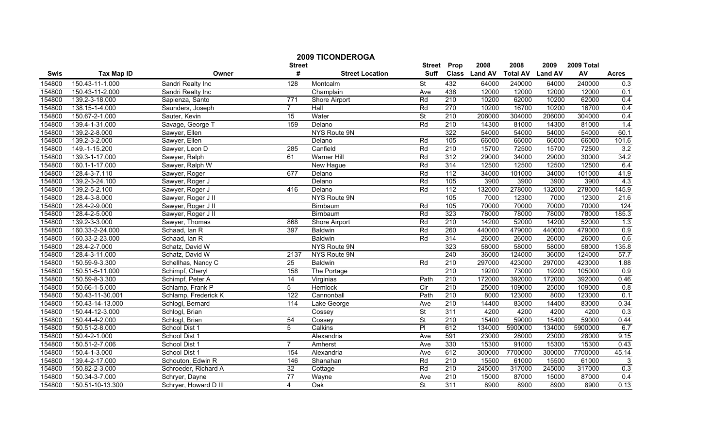|        |                   |                       | <b>Street</b>    | <b>2009 TICONDEROGA</b> | <b>Street</b>            | Prop             | 2008          | 2008            | 2009           | 2009 Total |                  |
|--------|-------------------|-----------------------|------------------|-------------------------|--------------------------|------------------|---------------|-----------------|----------------|------------|------------------|
| Swis   | <b>Tax Map ID</b> | Owner                 | #                | <b>Street Location</b>  | <b>Suff</b>              |                  | Class Land AV | <b>Total AV</b> | <b>Land AV</b> | AV         | <b>Acres</b>     |
| 154800 | 150.43-11-1.000   | Sandri Realty Inc     | 128              | Montcalm                | St                       | 432              | 64000         | 240000          | 64000          | 240000     | 0.3              |
| 154800 | 150.43-11-2.000   | Sandri Realty Inc     |                  | Champlain               | Ave                      | 438              | 12000         | 12000           | 12000          | 12000      | 0.1              |
| 154800 | 139.2-3-18.000    | Sapienza, Santo       | $\overline{771}$ | Shore Airport           | Rd                       | 210              | 10200         | 62000           | 10200          | 62000      | 0.4              |
| 154800 | 138.15-1-4.000    | Saunders, Joseph      | $\overline{7}$   | Hall                    | Rd                       | 270              | 10200         | 16700           | 10200          | 16700      | 0.4              |
| 154800 | 150.67-2-1.000    | Sauter, Kevin         | 15               | Water                   | <b>St</b>                | 210              | 206000        | 304000          | 206000         | 304000     | 0.4              |
| 154800 | 139.4-1-31.000    | Savage, George T      | 159              | Delano                  | Rd                       | 210              | 14300         | 81000           | 14300          | 81000      | 1.4              |
| 154800 | 139.2-2-8.000     | Sawyer, Ellen         |                  | NYS Route 9N            |                          | 322              | 54000         | 54000           | 54000          | 54000      | 60.1             |
| 154800 | 139.2-3-2.000     | Sawyer, Ellen         |                  | Delano                  | Rd                       | 105              | 66000         | 66000           | 66000          | 66000      | 101.6            |
| 154800 | 149.-1-15.200     | Sawyer, Leon D        | 285              | Canfield                | Rd                       | 210              | 15700         | 72500           | 15700          | 72500      | 3.2              |
| 154800 | 139.3-1-17.000    | Sawyer, Ralph         | 61               | Warner Hill             | Rd                       | 312              | 29000         | 34000           | 29000          | 30000      | 34.2             |
| 154800 | 160.1-1-17.000    | Sawyer, Ralph W       |                  | New Hague               | Rd                       | 314              | 12500         | 12500           | 12500          | 12500      | 6.4              |
| 154800 | 128.4-3-7.110     | Sawyer, Roger         | 677              | Delano                  | Rd                       | 112              | 34000         | 101000          | 34000          | 101000     | 41.9             |
| 154800 | 139.2-3-24.100    | Sawyer, Roger J       |                  | Delano                  | Rd                       | 105              | 3900          | 3900            | 3900           | 3900       | 4.3              |
| 154800 | 139.2-5-2.100     | Sawyer, Roger J       | 416              | Delano                  | Rd                       | 112              | 132000        | 278000          | 132000         | 278000     | 145.9            |
| 154800 | 128.4-3-8.000     | Sawyer, Roger J II    |                  | NYS Route 9N            |                          | 105              | 7000          | 12300           | 7000           | 12300      | 21.6             |
| 154800 | 128.4-2-9.000     | Sawyer, Roger J II    |                  | Birnbaum                | Rd                       | 105              | 70000         | 70000           | 70000          | 70000      | $\overline{124}$ |
| 154800 | 128.4-2-5.000     | Sawyer, Roger J II    |                  | Birnbaum                | Rd                       | 323              | 78000         | 78000           | 78000          | 78000      | 185.3            |
| 154800 | 139.2-3-3.000     | Sawyer, Thomas        | 868              | Shore Airport           | Rd                       | 210              | 14200         | 52000           | 14200          | 52000      | 1.3              |
| 154800 | 160.33-2-24.000   | Schaad, Ian R         | 397              | <b>Baldwin</b>          | Rd                       | 260              | 440000        | 479000          | 440000         | 479000     | 0.9              |
| 154800 | 160.33-2-23.000   | Schaad, Ian R         |                  | <b>Baldwin</b>          | Rd                       | 314              | 26000         | 26000           | 26000          | 26000      | 0.6              |
| 154800 | 128.4-2-7.000     | Schatz, David W       |                  | NYS Route 9N            |                          | 323              | 58000         | 58000           | 58000          | 58000      | 135.8            |
| 154800 | 128.4-3-11.000    | Schatz, David W       | 2137             | NYS Route 9N            |                          | 240              | 36000         | 124000          | 36000          | 124000     | 57.7             |
| 154800 | 150.59-9-3.300    | Schellhas, Nancy C    | 25               | <b>Baldwin</b>          | Rd                       | 210              | 297000        | 423000          | 297000         | 423000     | 1.88             |
| 154800 | 150.51-5-11.000   | Schimpf, Cheryl       | 158              | The Portage             |                          | 210              | 19200         | 73000           | 19200          | 105000     | 0.9              |
| 154800 | 150.59-8-3.300    | Schimpf, Peter A      | $\overline{14}$  | Virginias               | Path                     | $\overline{210}$ | 172000        | 392000          | 172000         | 392000     | 0.46             |
| 154800 | 150.66-1-5.000    | Schlamp, Frank P      | 5                | Hemlock                 | $\overline{C}$           | $\overline{210}$ | 25000         | 109000          | 25000          | 109000     | 0.8              |
| 154800 | 150.43-11-30.001  | Schlamp, Frederick K  | 122              | Cannonball              | Path                     | 210              | 8000          | 123000          | 8000           | 123000     | 0.1              |
| 154800 | 150.43-14-13.000  | Schlogl, Bernard      | 114              | Lake George             | Ave                      | 210              | 14400         | 83000           | 14400          | 83000      | 0.34             |
| 154800 | 150.44-12-3.000   | Schlogl, Brian        |                  | Cossey                  | <b>St</b>                | 311              | 4200          | 4200            | 4200           | 4200       | 0.3              |
| 154800 | 150.44-4-2.000    | Schlogl, Brian        | 54               | Cossey                  | <b>St</b>                | 210              | 15400         | 59000           | 15400          | 59000      | 0.44             |
| 154800 | 150.51-2-8.000    | School Dist 1         | 5                | Calkins                 | $\overline{P}$           | 612              | 134000        | 5900000         | 134000         | 5900000    | 6.7              |
| 154800 | 150.4-2-1.000     | School Dist 1         |                  | Alexandria              | Ave                      | 591              | 23000         | 28000           | 23000          | 28000      | 9.15             |
| 154800 | 150.51-2-7.006    | School Dist 1         | $\overline{7}$   | Amherst                 | Ave                      | 330              | 15300         | 91000           | 15300          | 15300      | 0.43             |
| 154800 | 150.4-1-3.000     | School Dist 1         | 154              | Alexandria              | Ave                      | 612              | 300000        | 7700000         | 300000         | 7700000    | 45.14            |
| 154800 | 139.4-2-17.000    | Schouton, Edwin R     | 146              | Shanahan                | Rd                       | $\overline{210}$ | 15500         | 61000           | 15500          | 61000      | 3                |
| 154800 | 150.82-2-3.000    | Schroeder, Richard A  | $\overline{32}$  | Cottage                 | Rd                       | $\overline{210}$ | 245000        | 317000          | 245000         | 317000     | 0.3              |
| 154800 | 150.34-3-7.000    | Schryer, Dayne        | $\overline{77}$  | Wayne                   | Ave                      | 210              | 15000         | 87000           | 15000          | 87000      | 0.4              |
| 154800 | 150.51-10-13.300  | Schryer, Howard D III | $\overline{4}$   | $\overline{Oak}$        | $\overline{\mathsf{St}}$ | 311              | 8900          | 8900            | 8900           | 8900       | 0.13             |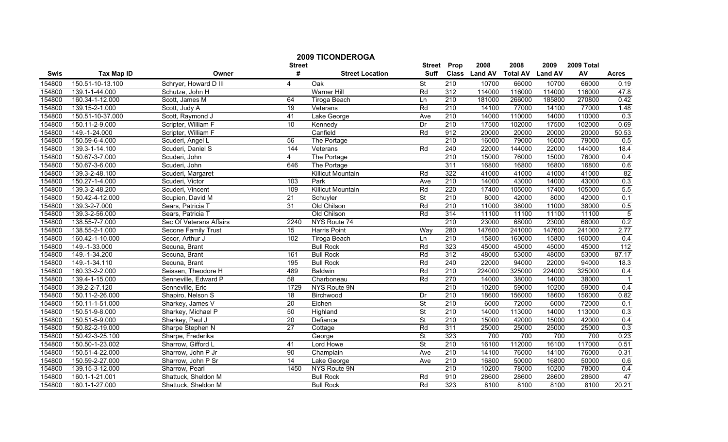|        | <b>2009 TICONDEROGA</b> | <b>Street</b>              |                    | 2008                     | 2008                     | 2009             | 2009 Total    |                 |                |        |                  |
|--------|-------------------------|----------------------------|--------------------|--------------------------|--------------------------|------------------|---------------|-----------------|----------------|--------|------------------|
| Swis   | <b>Tax Map ID</b>       | Owner                      | <b>Street</b><br># | <b>Street Location</b>   | <b>Suff</b>              | Prop             | Class Land AV | <b>Total AV</b> | <b>Land AV</b> | AV     | <b>Acres</b>     |
| 154800 | 150.51-10-13.100        | Schryer, Howard D III      | 4                  | Oak                      | St                       | $\overline{210}$ | 10700         | 66000           | 10700          | 66000  | 0.19             |
| 154800 | 139.1-1-44.000          | Schutze, John H            |                    | Warner Hill              | Rd                       | 312              | 114000        | 116000          | 114000         | 116000 | 47.8             |
| 154800 | 160.34-1-12.000         | Scott, James M             | 64                 | <b>Tiroga Beach</b>      | Ln                       | 210              | 181000        | 266000          | 185800         | 270800 | 0.42             |
| 154800 | 139.15-2-1.000          | Scott, Judy A              | 19                 | Veterans                 | Rd                       | 210              | 14100         | 77000           | 14100          | 77000  | 1.48             |
| 154800 | 150.51-10-37.000        | Scott, Raymond J           | 41                 | Lake George              | Ave                      | $\overline{210}$ | 14000         | 110000          | 14000          | 110000 | 0.3              |
| 154800 | 150.11-2-9.000          | Scripter, William F        | 10                 | Kennedy                  | Dr                       | 210              | 17500         | 102000          | 17500          | 102000 | 0.69             |
| 154800 | 149.-1-24.000           | Scripter, William F        |                    | Canfield                 | $\overline{Rd}$          | 912              | 20000         | 20000           | 20000          | 20000  | 50.53            |
| 154800 | 150.59-6-4.000          | Scuderi, Angel L           | 56                 | The Portage              |                          | 210              | 16000         | 79000           | 16000          | 79000  | 0.5              |
| 154800 | 139.3-1-14.100          | Scuderi, Daniel S          | 144                | Veterans                 | Rd                       | $\overline{240}$ | 22000         | 144000          | 22000          | 144000 | 18.4             |
| 154800 | 150.67-3-7.000          | Scuderi, John              | $\overline{4}$     | The Portage              |                          | $\overline{210}$ | 15000         | 76000           | 15000          | 76000  | 0.4              |
| 154800 | 150.67-3-6.000          | Scuderi, John              | 646                | The Portage              |                          | 311              | 16800         | 16800           | 16800          | 16800  | 0.6              |
| 154800 | 139.3-2-48.100          | Scuderi, Margaret          |                    | <b>Killicut Mountain</b> | Rd                       | 322              | 41000         | 41000           | 41000          | 41000  | 82               |
| 154800 | 150.27-1-4.000          | Scuderi, Victor            | 103                | Park                     | Ave                      | $\overline{210}$ | 14000         | 43000           | 14000          | 43000  | 0.3              |
| 154800 | 139.3-2-48.200          | Scuderi, Vincent           | 109                | <b>Killicut Mountain</b> | Rd                       | 220              | 17400         | 105000          | 17400          | 105000 | 5.5              |
| 154800 | 150.42-4-12.000         | Scupien, David M           | 21                 | Schuyler                 | $\overline{\mathsf{St}}$ | $\overline{210}$ | 8000          | 42000           | 8000           | 42000  | 0.1              |
| 154800 | 139.3-2-7.000           | Sears, Patricia T          | $\overline{31}$    | Old Chilson              | Rd                       | 210              | 11000         | 38000           | 11000          | 38000  | 0.5              |
| 154800 | 139.3-2-56.000          | Sears, Patricia T          |                    | Old Chilson              | Rd                       | 314              | 11100         | 11100           | 11100          | 11100  | $\overline{5}$   |
| 154800 | 138.55-7-7.000          | Sec Of Veterans Affairs    | 2240               | NYS Route 74             |                          | 210              | 23000         | 68000           | 23000          | 68000  | 0.2              |
| 154800 | 138.55-2-1.000          | <b>Secone Family Trust</b> | 15                 | <b>Harris Point</b>      | Way                      | 280              | 147600        | 241000          | 147600         | 241000 | 2.77             |
| 154800 | 160.42-1-10.000         | Secor, Arthur J            | 102                | Tiroga Beach             | Ln                       | 210              | 15800         | 160000          | 15800          | 160000 | 0.4              |
| 154800 | 149.-1-33.000           | Secuna, Brant              |                    | <b>Bull Rock</b>         | Rd                       | 323              | 45000         | 45000           | 45000          | 45000  | $\overline{112}$ |
| 154800 | 149.-1-34.200           | Secuna, Brant              | 161                | <b>Bull Rock</b>         | Rd                       | 312              | 48000         | 53000           | 48000          | 53000  | 87.17            |
| 154800 | 149.-1-34.110           | Secuna, Brant              | 195                | <b>Bull Rock</b>         | Rd                       | 240              | 22000         | 94000           | 22000          | 94000  | 18.3             |
| 154800 | 160.33-2-2.000          | Seissen, Theodore H        | 489                | <b>Baldwin</b>           | Rd                       | 210              | 224000        | 325000          | 224000         | 325000 | 0.4              |
| 154800 | 139.4-1-15.000          | Senneville, Edward P       | 58                 | Charboneau               | Rd                       | 270              | 14000         | 38000           | 14000          | 38000  |                  |
| 154800 | 139.2-2-7.120           | Senneville, Eric           | 1729               | NYS Route 9N             |                          | $\overline{210}$ | 10200         | 59000           | 10200          | 59000  | 0.4              |
| 154800 | 150.11-2-26.000         | Shapiro, Nelson S          | 18                 | Birchwood                | Dr                       | $\overline{210}$ | 18600         | 156000          | 18600          | 156000 | 0.82             |
| 154800 | 150.11-1-51.000         | Sharkey, James V           | $\overline{20}$    | Eichen                   | $\overline{\mathsf{St}}$ | 210              | 6000          | 72000           | 6000           | 72000  | 0.1              |
| 154800 | 150.51-9-8.000          | Sharkey, Michael P         | 50                 | Highland                 | <b>St</b>                | 210              | 14000         | 113000          | 14000          | 113000 | 0.3              |
| 154800 | 150.51-5-9.000          | Sharkey, Paul J            | $\overline{20}$    | Defiance                 | $\overline{\mathsf{St}}$ | $\overline{210}$ | 15000         | 42000           | 15000          | 42000  | 0.4              |
| 154800 | 150.82-2-19.000         | Sharpe Stephen N           | $\overline{27}$    | Cottage                  | Rd                       | 311              | 25000         | 25000           | 25000          | 25000  | 0.3              |
| 154800 | 150.42-3-25.100         | Sharpe, Frederika          |                    | George                   | St                       | 323              | 700           | 700             | 700            | 700    | 0.23             |
| 154800 | 150.50-1-23.002         | Sharrow, Gifford L         | 41                 | Lord Howe                | <b>St</b>                | 210              | 16100         | 112000          | 16100          | 117000 | 0.51             |
| 154800 | 150.51-4-22.000         | Sharrow, John P Jr         | 90                 | Champlain                | Ave                      | 210              | 14100         | 76000           | 14100          | 76000  | 0.31             |
| 154800 | 150.59-2-27.000         | Sharrow, John P Sr         | $\overline{14}$    | Lake George              | Ave                      | $\overline{210}$ | 16800         | 50000           | 16800          | 50000  | 0.6              |
| 154800 | 139.15-3-12.000         | Sharrow, Pearl             | 1450               | NYS Route 9N             |                          | $\overline{210}$ | 10200         | 78000           | 10200          | 78000  | 0.4              |
| 154800 | 160.1-1-21.001          | Shattuck, Sheldon M        |                    | <b>Bull Rock</b>         | Rd                       | 910              | 28600         | 28600           | 28600          | 28600  | 47               |
| 154800 | 160.1-1-27.000          | Shattuck, Sheldon M        |                    | <b>Bull Rock</b>         | Rd                       | 323              | 8100          | 8100            | 8100           | 8100   | 20.21            |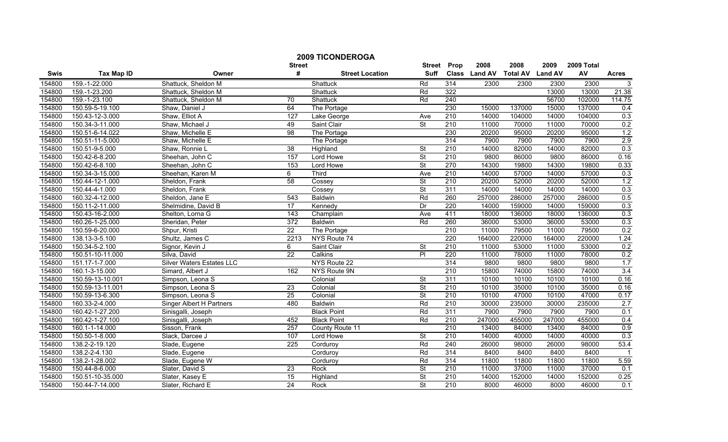|        |                   |                                  |                    | <b>2009 TICONDEROGA</b> |                              |                  | 2008          | 2008            |                        | 2009 Total |                  |
|--------|-------------------|----------------------------------|--------------------|-------------------------|------------------------------|------------------|---------------|-----------------|------------------------|------------|------------------|
| Swis   | <b>Tax Map ID</b> | Owner                            | <b>Street</b><br># | <b>Street Location</b>  | <b>Street</b><br><b>Suff</b> | Prop             | Class Land AV | <b>Total AV</b> | 2009<br><b>Land AV</b> | AV         | <b>Acres</b>     |
| 154800 | 159.-1-22.000     | Shattuck, Sheldon M              |                    | Shattuck                | Rd                           | $\overline{314}$ | 2300          | 2300            | 2300                   | 2300       | $\overline{3}$   |
| 154800 | 159.-1-23.200     | Shattuck, Sheldon M              |                    | Shattuck                | Rd                           | 322              |               |                 | 13000                  | 13000      | 21.38            |
| 154800 | 159.-1-23.100     | Shattuck, Sheldon M              | 70                 | Shattuck                | Rd                           | 240              |               |                 | 56700                  | 102000     | 114.75           |
| 154800 | 150.59-5-19.100   | Shaw, Daniel J                   | 64                 | The Portage             |                              | 230              | 15000         | 137000          | 15000                  | 137000     | 0.4              |
| 154800 | 150.43-12-3.000   | Shaw, Elliot A                   | 127                | Lake George             | Ave                          | $\overline{210}$ | 14000         | 104000          | 14000                  | 104000     | 0.3              |
| 154800 | 150.34-3-11.000   | Shaw, Michael J                  | 49                 | Saint Clair             | St                           | 210              | 11000         | 70000           | 11000                  | 70000      | 0.2              |
| 154800 | 150.51-6-14.022   | Shaw, Michelle E                 | 98                 | The Portage             |                              | 230              | 20200         | 95000           | 20200                  | 95000      | 1.2              |
| 154800 | 150.51-11-5.000   | Shaw, Michelle E                 |                    | The Portage             |                              | 314              | 7900          | 7900            | 7900                   | 7900       | 2.9              |
| 154800 | 150.51-9-5.000    | Shaw, Ronnie L                   | $\overline{38}$    | Highland                | St                           | $\overline{210}$ | 14000         | 82000           | 14000                  | 82000      | 0.3              |
| 154800 | 150.42-6-8.200    | Sheehan, John C                  | 157                | Lord Howe               | St                           | 210              | 9800          | 86000           | 9800                   | 86000      | 0.16             |
| 154800 | 150.42-6-8.100    | Sheehan, John C                  | 153                | Lord Howe               | <b>St</b>                    | 270              | 14300         | 19800           | 14300                  | 19800      | 0.33             |
| 154800 | 150.34-3-15.000   | Sheehan, Karen M                 | $\overline{6}$     | Third                   | Ave                          | 210              | 14000         | 57000           | 14000                  | 57000      | 0.3              |
| 154800 | 150.44-12-1.000   | Sheldon, Frank                   | 58                 | Cossey                  | $\overline{\mathsf{St}}$     | 210              | 20200         | 52000           | 20200                  | 52000      | 1.2              |
| 154800 | 150.44-4-1.000    | Sheldon, Frank                   |                    | Cossey                  | $\overline{\mathsf{St}}$     | 311              | 14000         | 14000           | 14000                  | 14000      | 0.3              |
| 154800 | 160.32-4-12.000   | Sheldon, Jane E                  | 543                | <b>Baldwin</b>          | Rd                           | 260              | 257000        | 286000          | 257000                 | 286000     | 0.5              |
| 154800 | 150.11-2-11.000   | Shelmidine, David B              | 17                 | Kennedy                 | Dr                           | 220              | 14000         | 159000          | 14000                  | 159000     | 0.3              |
| 154800 | 150.43-16-2.000   | Shelton, Lorna G                 | 143                | Champlain               | Ave                          | 411              | 18000         | 136000          | 18000                  | 136000     | 0.3              |
| 154800 | 160.26-1-25.000   | Sheridan, Peter                  | 372                | <b>Baldwin</b>          | Rd                           | 260              | 36000         | 53000           | 36000                  | 53000      | 0.3              |
| 154800 | 150.59-6-20.000   | Shpur, Kristi                    | $\overline{22}$    | The Portage             |                              | 210              | 11000         | 79500           | 11000                  | 79500      | 0.2              |
| 154800 | 138.13-3-5.100    | Shultz, James C                  | 2213               | NYS Route 74            |                              | 220              | 164000        | 220000          | 164000                 | 220000     | 1.24             |
| 154800 | 150.34-5-2.100    | Signor, Kevin J                  | 6                  | Saint Clair             | <b>St</b>                    | $\overline{210}$ | 11000         | 53000           | 11000                  | 53000      | 0.2              |
| 154800 | 150.51-10-11.000  | Silva, David                     | $\overline{22}$    | Calkins                 | $\overline{P}$               | 220              | 11000         | 78000           | 11000                  | 78000      | 0.2              |
| 154800 | 151.17-1-7.000    | <b>Silver Waters Estates LLC</b> |                    | NYS Route 22            |                              | 314              | 9800          | 9800            | 9800                   | 9800       | 1.7              |
| 154800 | 160.1-3-15.000    | Simard, Albert J                 | 162                | NYS Route 9N            |                              | $\overline{210}$ | 15800         | 74000           | 15800                  | 74000      | 3.4              |
| 154800 | 150.59-13-10.001  | Simpson, Leona S                 |                    | Colonial                | St                           | 311              | 10100         | 10100           | 10100                  | 10100      | 0.16             |
| 154800 | 150.59-13-11.001  | Simpson, Leona S                 | 23                 | Colonial                | St                           | 210              | 10100         | 35000           | 10100                  | 35000      | 0.16             |
| 154800 | 150.59-13-6.300   | Simpson, Leona S                 | 25                 | Colonial                | $\overline{\mathsf{St}}$     | 210              | 10100         | 47000           | 10100                  | 47000      | 0.17             |
| 154800 | 160.33-2-4.000    | <b>Singer Albert H Partners</b>  | 480                | <b>Baldwin</b>          | Rd                           | 210              | 30000         | 235000          | 30000                  | 235000     | 2.7              |
| 154800 | 160.42-1-27.200   | Sinisgalli, Joseph               |                    | <b>Black Point</b>      | Rd                           | 311              | 7900          | 7900            | 7900                   | 7900       | 0.1              |
| 154800 | 160.42-1-27.100   | Sinisgalli, Joseph               | 452                | <b>Black Point</b>      | Rd                           | 210              | 247000        | 455000          | 247000                 | 455000     | 0.4              |
| 154800 | 160.1-1-14.000    | Sisson, Frank                    | 257                | County Route 11         |                              | 210              | 13400         | 84000           | 13400                  | 84000      | 0.9              |
| 154800 | 150.50-1-8.000    | Slack, Darcee J                  | 107                | Lord Howe               | St                           | 210              | 14000         | 40000           | 14000                  | 40000      | 0.3              |
| 154800 | 138.2-2-19.120    | Slade, Eugene                    | 225                | Corduroy                | Rd                           | 240              | 26000         | 98000           | 26000                  | 98000      | 53.4             |
| 154800 | 138.2-2-4.130     | Slade, Eugene                    |                    | Corduroy                | Rd                           | 314              | 8400          | 8400            | 8400                   | 8400       |                  |
| 154800 | 138.2-1-28.002    | Slade, Eugene W                  |                    | Corduroy                | Rd                           | 314              | 11800         | 11800           | 11800                  | 11800      | 5.59             |
| 154800 | 150.44-8-6.000    | Slater, David S                  | $\overline{23}$    | Rock                    | $\overline{\mathsf{St}}$     | $\overline{210}$ | 11000         | 37000           | 11000                  | 37000      | 0.1              |
| 154800 | 150.51-10-35.000  | Slater, Kasey E                  | 15                 | Highland                | $\overline{\mathsf{St}}$     | 210              | 14000         | 152000          | 14000                  | 152000     | 0.25             |
| 154800 | 150.44-7-14.000   | Slater, Richard E                | 24                 | Rock                    | $\overline{\mathsf{St}}$     | 210              | 8000          | 46000           | 8000                   | 46000      | $\overline{0.1}$ |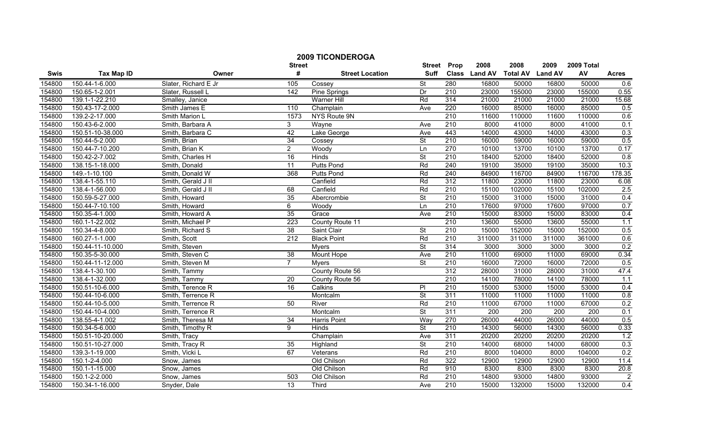|        |                   |                      |                    | <b>2009 TICONDEROGA</b> |                              |                  |               |                 |                |                  |                |
|--------|-------------------|----------------------|--------------------|-------------------------|------------------------------|------------------|---------------|-----------------|----------------|------------------|----------------|
|        |                   |                      | <b>Street</b><br># |                         | <b>Street</b><br><b>Suff</b> | Prop             | 2008          | 2008            | 2009           | 2009 Total<br>AV |                |
| Swis   | <b>Tax Map ID</b> | Owner                |                    | <b>Street Location</b>  |                              |                  | Class Land AV | <b>Total AV</b> | <b>Land AV</b> |                  | <b>Acres</b>   |
| 154800 | 150.44-1-6.000    | Slater, Richard E Jr | 105                | Cossey                  | St                           | 280              | 16800         | 50000           | 16800          | 50000            | 0.6            |
| 154800 | 150.65-1-2.001    | Slater, Russell L    | 142                | Pine Springs            | Dr                           | $\overline{210}$ | 23000         | 155000          | 23000          | 155000           | 0.55           |
| 154800 | 139.1-1-22.210    | Smalley, Janice      |                    | <b>Warner Hill</b>      | Rd                           | 314              | 21000         | 21000           | 21000          | 21000            | 15.68          |
| 154800 | 150.43-17-2.000   | Smith James E        | 110                | Champlain               | Ave                          | 220              | 16000         | 85000           | 16000          | 85000            | 0.5            |
| 154800 | 139.2-2-17.000    | Smith Marion L       | 1573               | NYS Route 9N            |                              | 210              | 11600         | 110000          | 11600          | 110000           | 0.6            |
| 154800 | 150.43-6-2.000    | Smith, Barbara A     | 3                  | Wayne                   | Ave                          | 210              | 8000          | 41000           | 8000           | 41000            | 0.1            |
| 154800 | 150.51-10-38.000  | Smith, Barbara C     | 42                 | Lake George             | Ave                          | 443              | 14000         | 43000           | 14000          | 43000            | 0.3            |
| 154800 | 150.44-5-2.000    | Smith, Brian         | 34                 | Cossey                  | $\overline{\mathsf{St}}$     | 210              | 16000         | 59000           | 16000          | 59000            | 0.5            |
| 154800 | 150.44-7-10.200   | Smith, Brian K       | $\overline{2}$     | Woody                   | Ln                           | 270              | 10100         | 13700           | 10100          | 13700            | 0.17           |
| 154800 | 150.42-2-7.002    | Smith, Charles H     | 16                 | Hinds                   | St                           | 210              | 18400         | 52000           | 18400          | 52000            | 0.8            |
| 154800 | 138.15-1-18.000   | Smith, Donald        | $\overline{11}$    | <b>Putts Pond</b>       | Rd                           | 240              | 19100         | 35000           | 19100          | 35000            | 10.3           |
| 154800 | 149.-1-10.100     | Smith, Donald W      | 368                | <b>Putts Pond</b>       | Rd                           | 240              | 84900         | 116700          | 84900          | 116700           | 178.35         |
| 154800 | 138.4-1-55.110    | Smith, Gerald J II   |                    | Canfield                | Rd                           | 312              | 11800         | 23000           | 11800          | 23000            | 6.08           |
| 154800 | 138.4-1-56.000    | Smith, Gerald J II   | 68                 | Canfield                | Rd                           | 210              | 15100         | 102000          | 15100          | 102000           | 2.5            |
| 154800 | 150.59-5-27.000   | Smith, Howard        | 35                 | Abercrombie             | St                           | 210              | 15000         | 31000           | 15000          | 31000            | 0.4            |
| 154800 | 150.44-7-10.100   | Smith, Howard        | 6                  | Woody                   | Ln                           | $\overline{210}$ | 17600         | 97000           | 17600          | 97000            | 0.7            |
| 154800 | 150.35-4-1.000    | Smith, Howard A      | 35                 | Grace                   | Ave                          | 210              | 15000         | 83000           | 15000          | 83000            | 0.4            |
| 154800 | 160.1-1-22.002    | Smith, Michael P     | 223                | County Route 11         |                              | 210              | 13600         | 55000           | 13600          | 55000            | 1.1            |
| 154800 | 150.34-4-8.000    | Smith, Richard S     | 38                 | Saint Clair             | $\overline{\mathsf{St}}$     | 210              | 15000         | 152000          | 15000          | 152000           | 0.5            |
| 154800 | 160.27-1-1.000    | Smith, Scott         | 212                | <b>Black Point</b>      | Rd                           | 210              | 311000        | 311000          | 311000         | 361000           | 0.6            |
| 154800 | 150.44-11-10.000  | Smith, Steven        |                    | <b>Myers</b>            | $\overline{\mathsf{St}}$     | 314              | 3000          | 3000            | 3000           | 3000             | 0.2            |
| 154800 | 150.35-5-30.000   | Smith, Steven C      | $\overline{38}$    | Mount Hope              | Ave                          | 210              | 11000         | 69000           | 11000          | 69000            | 0.34           |
| 154800 | 150.44-11-12.000  | Smith, Steven M      | $\overline{7}$     | <b>M</b> vers           | $\overline{\mathsf{St}}$     | 210              | 16000         | 72000           | 16000          | 72000            | 0.5            |
| 154800 | 138.4-1-30.100    | Smith, Tammy         |                    | County Route 56         |                              | 312              | 28000         | 31000           | 28000          | 31000            | 47.4           |
| 154800 | 138.4-1-32.000    | Smith, Tammy         | 20                 | County Route 56         |                              | $\overline{210}$ | 14100         | 78000           | 14100          | 78000            | 1.1            |
| 154800 | 150.51-10-6.000   | Smith, Terence R     | 16                 | Calkins                 | PI                           | 210              | 15000         | 53000           | 15000          | 53000            | 0.4            |
| 154800 | 150.44-10-6.000   | Smith, Terrence R    |                    | Montcalm                | $\overline{\mathsf{St}}$     | 311              | 11000         | 11000           | 11000          | 11000            | 0.8            |
| 154800 | 150.44-10-5.000   | Smith, Terrence R    | 50                 | River                   | Rd                           | 210              | 11000         | 67000           | 11000          | 67000            | 0.2            |
| 154800 | 150.44-10-4.000   | Smith, Terrence R    |                    | Montcalm                | St                           | 311              | 200           | 200             | 200            | 200              | 0.1            |
| 154800 | 138.55-4-1.002    | Smith, Theresa M     | 34                 | Harris Point            | Way                          | 270              | 26000         | 44000           | 26000          | 44000            | 0.5            |
| 154800 | 150.34-5-6.000    | Smith, Timothy R     | 9                  | <b>Hinds</b>            | $\overline{\mathsf{St}}$     | 210              | 14300         | 56000           | 14300          | 56000            | 0.33           |
| 154800 | 150.51-10-20.000  | Smith, Tracy         |                    | Champlain               | Ave                          | 311              | 20200         | 20200           | 20200          | 20200            | 1.2            |
| 154800 | 150.51-10-27.000  | Smith, Tracy R       | 35                 | Highland                | St                           | 210              | 14000         | 68000           | 14000          | 68000            | 0.3            |
| 154800 | 139.3-1-19.000    | Smith, Vicki L       | 67                 | Veterans                | Rd                           | 210              | 8000          | 104000          | 8000           | 104000           | 0.2            |
| 154800 | 150.1-2-4.000     | Snow, James          |                    | Old Chilson             | Rd                           | 322              | 12900         | 12900           | 12900          | 12900            | 11.4           |
| 154800 | 150.1-1-15.000    | Snow, James          |                    | Old Chilson             | Rd                           | 910              | 8300          | 8300            | 8300           | 8300             | 20.8           |
| 154800 | 150.1-2-2.000     | Snow, James          | 503                | Old Chilson             | Rd                           | 210              | 14800         | 93000           | 14800          | 93000            | $\overline{2}$ |
| 154800 | 150.34-1-16.000   | Snyder, Dale         | 13                 | Third                   | Ave                          | 210              | 15000         | 132000          | 15000          | 132000           | 0.4            |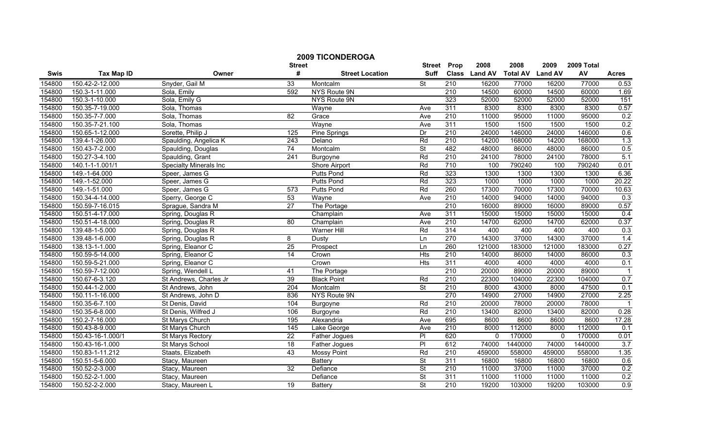|        |                   |                               | <b>Street</b>   | <b>2009 TICONDEROGA</b> | <b>Street</b>            | Prop             | 2008          | 2008            | 2009           | 2009 Total |              |
|--------|-------------------|-------------------------------|-----------------|-------------------------|--------------------------|------------------|---------------|-----------------|----------------|------------|--------------|
| Swis   | <b>Tax Map ID</b> | Owner                         | #               | <b>Street Location</b>  | Suff                     |                  | Class Land AV | <b>Total AV</b> | <b>Land AV</b> | AV         | <b>Acres</b> |
| 154800 | 150.42-2-12.000   | Snyder, Gail M                | 33              | Montcalm                | St                       | $\overline{210}$ | 16200         | 77000           | 16200          | 77000      | 0.53         |
| 154800 | 150.3-1-11.000    | Sola, Emily                   | 592             | NYS Route 9N            |                          | 210              | 14500         | 60000           | 14500          | 60000      | 1.69         |
| 154800 | 150.3-1-10.000    | Sola, Emily G                 |                 | NYS Route 9N            |                          | 323              | 52000         | 52000           | 52000          | 52000      | 151          |
| 154800 | 150.35-7-19.000   | Sola, Thomas                  |                 | Wayne                   | Ave                      | 311              | 8300          | 8300            | 8300           | 8300       | 0.57         |
| 154800 | 150.35-7-7.000    | Sola, Thomas                  | 82              | Grace                   | Ave                      | $\overline{210}$ | 11000         | 95000           | 11000          | 95000      | 0.2          |
| 154800 | 150.35-7-21.100   | Sola, Thomas                  |                 | Wayne                   | Ave                      | 311              | 1500          | 1500            | 1500           | 1500       | 0.2          |
| 154800 | 150.65-1-12.000   | Sorette, Philip J             | 125             | <b>Pine Springs</b>     | Dr                       | 210              | 24000         | 146000          | 24000          | 146000     | 0.6          |
| 154800 | 139.4-1-26.000    | Spaulding, Angelica K         | 243             | Delano                  | Rd                       | 210              | 14200         | 168000          | 14200          | 168000     | 1.3          |
| 154800 | 150.43-7-2.000    | Spaulding, Douglas            | 74              | Montcalm                | St                       | 482              | 48000         | 86000           | 48000          | 86000      | 0.5          |
| 154800 | 150.27-3-4.100    | Spaulding, Grant              | 241             | Burgoyne                | Rd                       | $\overline{210}$ | 24100         | 78000           | 24100          | 78000      | 5.1          |
| 154800 | 140.1-1-1.001/1   | <b>Specialty Minerals Inc</b> |                 | Shore Airport           | Rd                       | 710              | 100           | 790240          | 100            | 790240     | 0.01         |
| 154800 | 149.-1-64.000     | Speer, James G                |                 | <b>Putts Pond</b>       | Rd                       | 323              | 1300          | 1300            | 1300           | 1300       | 6.36         |
| 154800 | 149.-1-52.000     | Speer, James G                |                 | Putts Pond              | Rd                       | 323              | 1000          | 1000            | 1000           | 1000       | 20.22        |
| 154800 | 149.-1-51.000     | Speer, James G                | 573             | <b>Putts Pond</b>       | Rd                       | 260              | 17300         | 70000           | 17300          | 70000      | 10.63        |
| 154800 | 150.34-4-14.000   | Sperry, George C              | 53              | Wayne                   | Ave                      | $\overline{210}$ | 14000         | 94000           | 14000          | 94000      | 0.3          |
| 154800 | 150.59-7-16.015   | Sprague, Sandra M             | $\overline{27}$ | The Portage             |                          | 210              | 16000         | 89000           | 16000          | 89000      | 0.57         |
| 154800 | 150.51-4-17.000   | Spring, Douglas R             |                 | Champlain               | Ave                      | 311              | 15000         | 15000           | 15000          | 15000      | 0.4          |
| 154800 | 150.51-4-18.000   | Spring, Douglas R             | 80              | Champlain               | Ave                      | 210              | 14700         | 62000           | 14700          | 62000      | 0.37         |
| 154800 | 139.48-1-5.000    | Spring, Douglas R             |                 | <b>Warner Hill</b>      | Rd                       | 314              | 400           | 400             | 400            | 400        | 0.3          |
| 154800 | 139.48-1-6.000    | Spring, Douglas R             | 8               | Dusty                   | Ln                       | 270              | 14300         | 37000           | 14300          | 37000      | 1.4          |
| 154800 | 138.13-1-1.000    | Spring, Eleanor C             | 25              | Prospect                | Ln                       | 260              | 121000        | 183000          | 121000         | 183000     | 0.27         |
| 154800 | 150.59-5-14.000   | Spring, Eleanor C             | 14              | Crown                   | <b>Hts</b>               | $\overline{210}$ | 14000         | 86000           | 14000          | 86000      | 0.3          |
| 154800 | 150.59-5-21.000   | Spring, Eleanor C             |                 | Crown                   | $\overline{H}$           | 311              | 4000          | 4000            | 4000           | 4000       | 0.1          |
| 154800 | 150.59-7-12.000   | Spring, Wendell L             | 41              | The Portage             |                          | 210              | 20000         | 89000           | 20000          | 89000      |              |
| 154800 | 150.67-6-3.120    | St Andrews, Charles Jr        | 39              | <b>Black Point</b>      | Rd                       | 210              | 22300         | 104000          | 22300          | 104000     | 0.7          |
| 154800 | 150.44-1-2.000    | St Andrews, John              | 204             | Montcalm                | $\overline{\mathsf{St}}$ | $\overline{210}$ | 8000          | 43000           | 8000           | 47500      | 0.1          |
| 154800 | 150.11-1-16.000   | St Andrews, John D            | 836             | NYS Route 9N            |                          | 270              | 14900         | 27000           | 14900          | 27000      | 2.25         |
| 154800 | 150.35-6-7.100    | St Denis, David               | 104             | Burgoyne                | Rd                       | 210              | 20000         | 78000           | 20000          | 78000      |              |
| 154800 | 150.35-6-8.000    | St Denis, Wilfred J           | 106             | Burgoyne                | Rd                       | 210              | 13400         | 82000           | 13400          | 82000      | 0.28         |
| 154800 | 150.2-7-16.000    | St Marys Church               | 195             | Alexandria              | Ave                      | 695              | 8600          | 8600            | 8600           | 8600       | 17.28        |
| 154800 | 150.43-8-9.000    | St Marys Church               | 145             | Lake George             | Ave                      | 210              | 8000          | 112000          | 8000           | 112000     | 0.1          |
| 154800 | 150.43-16-1.000/1 | <b>St Marys Rectory</b>       | $\overline{22}$ | Father Jogues           | $\overline{P}$           | 620              | $\mathbf{0}$  | 170000          | $\mathbf{0}$   | 170000     | 0.01         |
| 154800 | 150.43-16-1.000   | St Marys School               | 18              | <b>Father Jogues</b>    | $\overline{P}$           | 612              | 74000         | 1440000         | 74000          | 1440000    | 3.7          |
| 154800 | 150.83-1-11.212   | Staats, Elizabeth             | 43              | <b>Mossy Point</b>      | Rd                       | 210              | 459000        | 558000          | 459000         | 558000     | 1.35         |
| 154800 | 150.51-5-6.000    | Stacy, Maureen                |                 | Battery                 | St                       | 311              | 16800         | 16800           | 16800          | 16800      | 0.6          |
| 154800 | 150.52-2-3.000    | Stacy, Maureen                | 32              | Defiance                | St                       | 210              | 11000         | 37000           | 11000          | 37000      | 0.2          |
| 154800 | 150.52-2-1.000    | Stacy, Maureen                |                 | Defiance                | $\overline{\mathsf{St}}$ | 311              | 11000         | 11000           | 11000          | 11000      | 0.2          |
| 154800 | 150.52-2-2.000    | Stacy, Maureen L              | $\overline{19}$ | Battery                 | $\overline{\mathsf{St}}$ | 210              | 19200         | 103000          | 19200          | 103000     | 0.9          |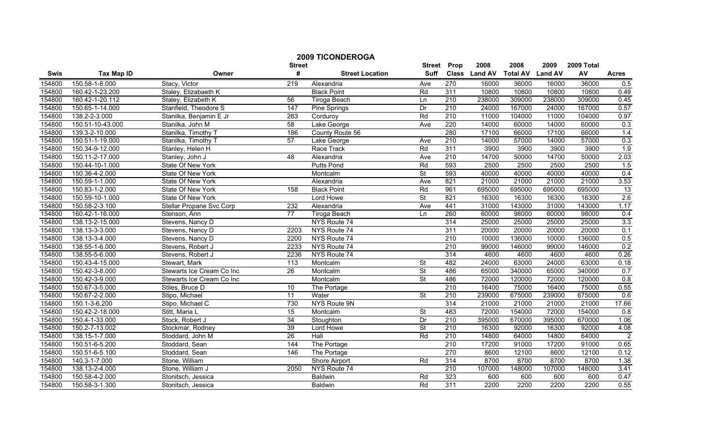|        |                   |                           | <b>Street</b>   | <b>2009 TICONDEROGA</b> | <b>Street</b>            | Prop             | 2008          | 2008            | 2009           | 2009 Total |                |
|--------|-------------------|---------------------------|-----------------|-------------------------|--------------------------|------------------|---------------|-----------------|----------------|------------|----------------|
| Swis   | <b>Tax Map ID</b> | Owner                     | #               | <b>Street Location</b>  | <b>Suff</b>              |                  | Class Land AV | <b>Total AV</b> | <b>Land AV</b> | AV         | <b>Acres</b>   |
| 154800 | 150.58-1-8.000    | Stacy, Victor             | 219             | Alexandria              | Ave                      | 270              | 16000         | 36000           | 16000          | 36000      | 0.5            |
| 154800 | 160.42-1-23.200   | Staley, Elizabaeth K      |                 | <b>Black Point</b>      | Rd                       | 311              | 10800         | 10800           | 10800          | 10800      | 0.49           |
| 154800 | 160.42-1-20.112   | Staley, Elizabeth K       | 56              | Tiroga Beach            | Ln                       | 210              | 238000        | 309000          | 238000         | 309000     | 0.45           |
| 154800 | 150.65-1-14.000   | Stanfield, Theodore S     | 147             | <b>Pine Springs</b>     | Dr                       | 210              | 24000         | 167000          | 24000          | 167000     | 0.57           |
| 154800 | 138.2-2-3.000     | Stanilka, Benjamin E Jr   | 263             | Corduroy                | Rd                       | 210              | 11000         | 104000          | 11000          | 104000     | 0.97           |
| 154800 | 150.51-10-43.000  | Stanilka, John M          | 58              | Lake George             | Ave                      | 220              | 14000         | 60000           | 14000          | 60000      | 0.3            |
| 154800 | 139.3-2-10.000    | Stanilka, Timothy T       | 186             | County Route 56         |                          | 280              | 17100         | 66000           | 17100          | 66000      | 1.4            |
| 154800 | 150.51-1-19.000   | Stanilka, Timothy T       | 57              | Lake George             | Ave                      | 210              | 14000         | 57000           | 14000          | 57000      | 0.3            |
| 154800 | 150.34-9-12.000   | Stanley, Helen H          |                 | Race Track              | Rd                       | 311              | 3900          | 3900            | 3900           | 3900       | 1.9            |
| 154800 | 150.11-2-17.000   | Stanley, John J           | 48              | Alexandria              | Ave                      | 210              | 14700         | 50000           | 14700          | 50000      | 2.03           |
| 154800 | 150.44-10-1.000   | State Of New York         |                 | <b>Putts Pond</b>       | Rd                       | 593              | 2500          | 2500            | 2500           | 2500       | 1.5            |
| 154800 | 150.36-4-2.000    | State Of New York         |                 | Montcalm                | $\overline{\mathsf{St}}$ | 593              | 40000         | 40000           | 40000          | 40000      | 0.4            |
| 154800 | 150.59-1-1.000    | State Of New York         |                 | Alexandria              | Ave                      | 821              | 21000         | 21000           | 21000          | 21000      | 3.53           |
| 154800 | 150.83-1-2.000    | State Of New York         | 158             | <b>Black Point</b>      | Rd                       | 961              | 695000        | 695000          | 695000         | 695000     | 13             |
| 154800 | 150.59-10-1.000   | State Of New York         |                 | Lord Howe               | $\overline{\mathsf{St}}$ | 821              | 16300         | 16300           | 16300          | 16300      | 2.6            |
| 154800 | 150.58-2-3.100    | Stellar Propane Svc Corp  | 232             | Alexandria              | Ave                      | 441              | 31000         | 143000          | 31000          | 143000     | 1.17           |
| 154800 | 160.42-1-16.000   | Stenson, Ann              | 77              | Tiroga Beach            | Ln                       | 260              | 60000         | 98000           | 60000          | 98000      | 0.4            |
| 154800 | 138.13-2-15.000   | Stevens, Nancy D          |                 | NYS Route 74            |                          | 314              | 25000         | 25000           | 25000          | 25000      | 3.3            |
| 154800 | 138.13-3-3.000    | Stevens, Nancy D          | 2203            | NYS Route 74            |                          | 311              | 20000         | 20000           | 20000          | 20000      | 0.1            |
| 154800 | 138.13-3-4.000    | Stevens, Nancy D          | 2200            | NYS Route 74            |                          | 210              | 10000         | 136000          | 10000          | 136000     | 0.5            |
| 154800 | 138.55-1-6.000    | Stevens, Robert J         | 2233            | NYS Route 74            |                          | 210              | 99000         | 146000          | 99000          | 146000     | 0.2            |
| 154800 | 138.55-5-6.000    | Stevens, Robert J         | 2236            | NYS Route 74            |                          | 314              | 4600          | 4600            | 4600           | 4600       | 0.26           |
| 154800 | 150.43-4-15.000   | Stewart, Mark             | $\frac{1}{13}$  | Montcalm                | <b>St</b>                | 482              | 24000         | 63000           | 24000          | 63000      | 0.18           |
| 154800 | 150.42-3-8.000    | Stewarts Ice Cream Co Inc | $\overline{26}$ | Montcalm                | $\overline{\mathsf{St}}$ | 486              | 65000         | 340000          | 65000          | 340000     | 0.7            |
| 154800 | 150.42-3-9.000    | Stewarts Ice Cream Co Inc |                 | Montcalm                | $\overline{\mathsf{St}}$ | 486              | 72000         | 120000          | 72000          | 120000     | 0.8            |
| 154800 | 150.67-3-5.000    | Stiles, Bruce D           | 10              | The Portage             |                          | $\overline{210}$ | 16400         | 75000           | 16400          | 75000      | 0.55           |
| 154800 | 150.67-2-2.000    | Stipo, Michael            | $\overline{11}$ | Water                   | $\overline{\mathsf{St}}$ | $\overline{210}$ | 239000        | 675000          | 239000         | 675000     | 0.6            |
| 154800 | 150.1-3-6.200     | Stipo, Michael C          | 730             | NYS Route 9N            |                          | 314              | 21000         | 21000           | 21000          | 21000      | 17.66          |
| 154800 | 150.42-2-18.000   | Stitt, Maria L            | 15              | Montcalm                | St                       | 483              | 72000         | 154000          | 72000          | 154000     | 0.8            |
| 154800 | 150.4-1-33.000    | Stock, Robert J           | 34              | Stoughton               | Dr                       | 210              | 395000        | 670000          | 395000         | 670000     | 1.06           |
| 154800 | 150.2-7-13.002    | Stockmar, Rodney          | 39              | Lord Howe               | St                       | 210              | 16300         | 92000           | 16300          | 92000      | 4.08           |
| 154800 | 138.15-1-7.000    | Stoddard, John M          | 26              | Hall                    | Rd                       | 210              | 14800         | 64000           | 14800          | 64000      | $\overline{2}$ |
| 154800 | 150.51-6-5.200    | Stoddard, Sean            | 144             | The Portage             |                          | 210              | 17200         | 91000           | 17200          | 91000      | 0.65           |
| 154800 | 150.51-6-5.100    | Stoddard, Sean            | 146             | The Portage             |                          | 270              | 8600          | 12100           | 8600           | 12100      | 0.12           |
| 154800 | 140.3-1-7.000     | Stone, William            |                 | Shore Airport           | Rd                       | 314              | 8700          | 8700            | 8700           | 8700       | 1.38           |
| 154800 | 138.13-2-4.000    | Stone, William J          | 2050            | NYS Route 74            |                          | $\overline{210}$ | 107000        | 148000          | 107000         | 148000     | 3.41           |
| 154800 | 150.58-4-2.000    | Stonitsch, Jessica        |                 | Baldwin                 | Rd                       | 323              | 600           | 600             | 600            | 600        | 0.47           |
| 154800 | 150.58-3-1.300    | Stonitsch, Jessica        |                 | Baldwin                 | Rd                       | 311              | 2200          | 2200            | 2200           | 2200       | 0.55           |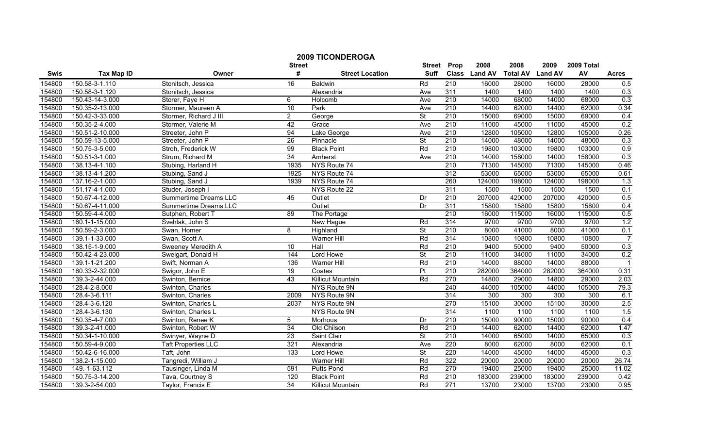|        |                   |                              |                    | <b>2009 TICONDEROGA</b>  |                              |                  | 2008          | 2008            | 2009           | 2009 Total |                |
|--------|-------------------|------------------------------|--------------------|--------------------------|------------------------------|------------------|---------------|-----------------|----------------|------------|----------------|
| Swis   | <b>Tax Map ID</b> | Owner                        | <b>Street</b><br># | <b>Street Location</b>   | <b>Street</b><br><b>Suff</b> | Prop             | Class Land AV | <b>Total AV</b> | <b>Land AV</b> | AV         | <b>Acres</b>   |
| 154800 | 150.58-3-1.110    | Stonitsch, Jessica           | 16                 | Baldwin                  | Rd                           | 210              | 16000         | 28000           | 16000          | 28000      | 0.5            |
| 154800 | 150.58-3-1.120    | Stonitsch, Jessica           |                    | Alexandria               | Ave                          | 311              | 1400          | 1400            | 1400           | 1400       | 0.3            |
| 154800 | 150.43-14-3.000   | Storer, Faye H               | 6                  | Holcomb                  | Ave                          | 210              | 14000         | 68000           | 14000          | 68000      | 0.3            |
| 154800 | 150.35-2-13.000   | Stormer, Maureen A           | 10                 | Park                     | Ave                          | 210              | 14400         | 62000           | 14400          | 62000      | 0.34           |
| 154800 | 150.42-3-33.000   | Stormer, Richard J III       | $\overline{2}$     | George                   | $\overline{\mathsf{St}}$     | 210              | 15000         | 69000           | 15000          | 69000      | 0.4            |
| 154800 | 150.35-2-4.000    | Stormer, Valerie M           | 42                 | Grace                    | Ave                          | 210              | 11000         | 45000           | 11000          | 45000      | 0.2            |
| 154800 | 150.51-2-10.000   | Streeter, John P             | 94                 | Lake George              | Ave                          | 210              | 12800         | 105000          | 12800          | 105000     | 0.26           |
| 154800 | 150.59-13-5.000   | Streeter, John P             | 26                 | Pinnacle                 | <b>St</b>                    | 210              | 14000         | 48000           | 14000          | 48000      | 0.3            |
| 154800 | 150.75-3-5.000    | Stroh, Frederick W           | $\overline{99}$    | <b>Black Point</b>       | Rd                           | 210              | 19800         | 103000          | 19800          | 103000     | 0.9            |
| 154800 | 150.51-3-1.000    | Strum, Richard M             | 34                 | Amherst                  | Ave                          | 210              | 14000         | 158000          | 14000          | 158000     | 0.3            |
| 154800 | 138.13-4-1.100    | Stubing, Harland H           | 1935               | NYS Route 74             |                              | 210              | 71300         | 145000          | 71300          | 145000     | 0.46           |
| 154800 | 138.13-4-1.200    | Stubing, Sand J              | 1925               | NYS Route 74             |                              | 312              | 53000         | 65000           | 53000          | 65000      | 0.61           |
| 154800 | 137.16-2-1.000    | Stubing, Sand J              | 1939               | NYS Route 74             |                              | 260              | 124000        | 198000          | 124000         | 198000     | 1.3            |
| 154800 | 151.17-4-1.000    | Studer, Joseph I             |                    | NYS Route 22             |                              | 311              | 1500          | 1500            | 1500           | 1500       | 0.1            |
| 154800 | 150.67-4-12.000   | Summertime Dreams LLC        | 45                 | Outlet                   | Dr                           | 210              | 207000        | 420000          | 207000         | 420000     | 0.5            |
| 154800 | 150.67-4-11.000   | <b>Summertime Dreams LLC</b> |                    | Outlet                   | Dr                           | 311              | 15800         | 15800           | 15800          | 15800      | 0.4            |
| 154800 | 150.59-4-4.000    | Sutphen, Robert T            | 89                 | The Portage              |                              | 210              | 16000         | 115000          | 16000          | 115000     | 0.5            |
| 154800 | 160.1-1-15.000    | Svehlak, John S              |                    | New Hague                | Rd                           | 314              | 9700          | 9700            | 9700           | 9700       | 1.2            |
| 154800 | 150.59-2-3.000    | Swan, Homer                  | 8                  | Highland                 | St                           | 210              | 8000          | 41000           | 8000           | 41000      | 0.1            |
| 154800 | 139.1-1-33.000    | Swan, Scott A                |                    | <b>Warner Hill</b>       | Rd                           | 314              | 10800         | 10800           | 10800          | 10800      | $\overline{7}$ |
| 154800 | 138.15-1-9.000    | Sweeney Meredith A           | 10                 | Hall                     | Rd                           | $\overline{210}$ | 9400          | 50000           | 9400           | 50000      | 0.3            |
| 154800 | 150.42-4-23.000   | Sweigart, Donald H           | 144                | Lord Howe                | <b>St</b>                    | 210              | 11000         | 34000           | 11000          | 34000      | 0.2            |
| 154800 | 139.1-1-21.200    | Swift, Norman A              | 136                | <b>Warner Hill</b>       | Rd                           | 210              | 14000         | 88000           | 14000          | 88000      |                |
| 154800 | 160.33-2-32.000   | Swigor, John E               | 19                 | Coates                   | Pt                           | $\overline{210}$ | 282000        | 364000          | 282000         | 364000     | 0.31           |
| 154800 | 139.3-2-44.000    | Swinton, Bernice             | 43                 | Killicut Mountain        | Rd                           | 270              | 14800         | 29000           | 14800          | 29000      | 2.03           |
| 154800 | 128.4-2-8.000     | Swinton, Charles             |                    | NYS Route 9N             |                              | 240              | 44000         | 105000          | 44000          | 105000     | 79.3           |
| 154800 | 128.4-3-6.111     | Swinton, Charles             | 2009               | NYS Route 9N             |                              | 314              | 300           | 300             | 300            | 300        | 6.1            |
| 154800 | 128.4-3-6.120     | Swinton, Charles L           | 2037               | NYS Route 9N             |                              | 270              | 15100         | 30000           | 15100          | 30000      | 2.5            |
| 154800 | 128.4-3-6.130     | Swinton, Charles L           |                    | NYS Route 9N             |                              | 314              | 1100          | 1100            | 1100           | 1100       | 1.5            |
| 154800 | 150.35-4-7.000    | Swinton, Renee K             | 5                  | Morhous                  | Dr                           | 210              | 15000         | 90000           | 15000          | 90000      | 0.4            |
| 154800 | 139.3-2-41.000    | Swinton, Robert W            | 34                 | Old Chilson              | Rd                           | 210              | 14400         | 62000           | 14400          | 62000      | 1.47           |
| 154800 | 150.34-1-10.000   | Swinyer, Wayne D             | 23                 | Saint Clair              | <b>St</b>                    | 210              | 14000         | 65000           | 14000          | 65000      | 0.3            |
| 154800 | 150.59-4-9.000    | <b>Taft Properties LLC</b>   | 321                | Alexandria               | Ave                          | 220              | 8000          | 62000           | 8000           | 62000      | 0.1            |
| 154800 | 150.42-6-16.000   | Taft, John                   | $\overline{133}$   | Lord Howe                | $\overline{\mathsf{St}}$     | 220              | 14000         | 45000           | 14000          | 45000      | 0.3            |
| 154800 | 138.2-1-15.000    | Tangredi, William J          |                    | Warner Hill              | Rd                           | 322              | 20000         | 20000           | 20000          | 20000      | 26.74          |
| 154800 | 149.-1-63.112     | Tausinger, Linda M           | 591                | <b>Putts Pond</b>        | Rd                           | 270              | 19400         | 25000           | 19400          | 25000      | 11.02          |
| 154800 | 150.75-3-14.200   | Tava, Courtney S             | 120                | <b>Black Point</b>       | Rd                           | 210              | 183000        | 239000          | 183000         | 239000     | 0.42           |
| 154800 | 139.3-2-54.000    | Taylor, Francis E            | $\overline{34}$    | <b>Killicut Mountain</b> | Rd                           | 271              | 13700         | 23000           | 13700          | 23000      | 0.95           |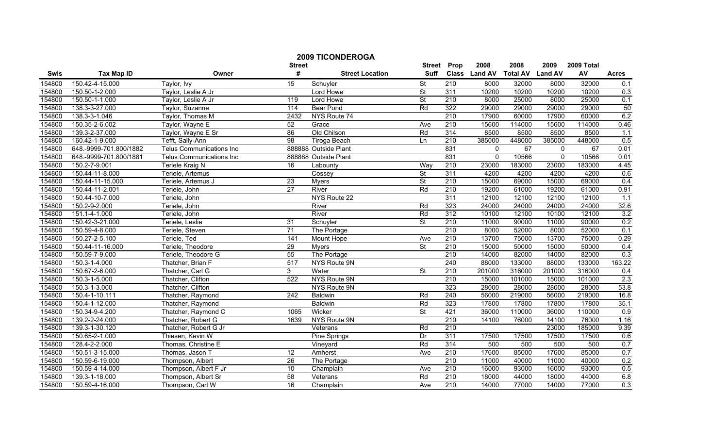|        |                        |                                 |                    | <b>2009 TICONDEROGA</b> |                              |                  |                       |                         |                        |                  |              |
|--------|------------------------|---------------------------------|--------------------|-------------------------|------------------------------|------------------|-----------------------|-------------------------|------------------------|------------------|--------------|
| Swis   | <b>Tax Map ID</b>      | Owner                           | <b>Street</b><br># | <b>Street Location</b>  | <b>Street</b><br><b>Suff</b> | Prop             | 2008<br>Class Land AV | 2008<br><b>Total AV</b> | 2009<br><b>Land AV</b> | 2009 Total<br>AV | <b>Acres</b> |
| 154800 | 150.42-4-15.000        | Taylor, Ivy                     | 15                 | Schuyler                | <b>St</b>                    | 210              | 8000                  | 32000                   | 8000                   | 32000            | 0.1          |
| 154800 | 150.50-1-2.000         | Taylor, Leslie A Jr             |                    | Lord Howe               | $\overline{\mathsf{St}}$     | 311              | 10200                 | 10200                   | 10200                  | 10200            | 0.3          |
| 154800 | 150.50-1-1.000         | Taylor, Leslie A Jr             | 119                | Lord Howe               | <b>St</b>                    | 210              | 8000                  | 25000                   | 8000                   | 25000            | 0.1          |
| 154800 | 138.3-3-27.000         | Taylor, Suzanne                 | 114                | <b>Bear Pond</b>        | Rd                           | 322              | 29000                 | 29000                   | 29000                  | 29000            | 50           |
| 154800 | 138.3-3-1.046          | Taylor, Thomas M                | 2432               | NYS Route 74            |                              | 210              | 17900                 | 60000                   | 17900                  | 60000            | 6.2          |
| 154800 | 150.35-2-6.002         | Taylor, Wayne E                 | 52                 | Grace                   | Ave                          | 210              | 15600                 | 114000                  | 15600                  | 114000           | 0.46         |
| 154800 | 139.3-2-37.000         | Taylor, Wayne E Sr              | 86                 | Old Chilson             | Rd                           | 314              | 8500                  | 8500                    | 8500                   | 8500             | 1.1          |
| 154800 | 160.42-1-9.000         | Tefft, Sally-Ann                | 98                 | <b>Tiroga Beach</b>     | Ln                           | 210              | 385000                | 448000                  | 385000                 | 448000           | 0.5          |
| 154800 | 648.-9999-701.800/1882 | <b>Telus Communications Inc</b> |                    | 888888 Outside Plant    |                              | 831              | $\mathbf{0}$          | 67                      | $\mathbf{0}$           | 67               | 0.01         |
| 154800 | 648.-9999-701.800/1881 | Telus Communications Inc        |                    | 888888 Outside Plant    |                              | 831              | $\mathbf{0}$          | 10566                   | $\mathbf 0$            | 10566            | 0.01         |
| 154800 | 150.2-7-9.001          | Teriele Kraig N                 | 16                 | Labounty                | Way                          | $\overline{210}$ | 23000                 | 183000                  | 23000                  | 183000           | 4.45         |
| 154800 | 150.44-11-8.000        | Teriele, Artemus                |                    | Cossey                  | $\overline{\mathsf{St}}$     | 311              | 4200                  | 4200                    | 4200                   | 4200             | 0.6          |
| 154800 | 150.44-11-15.000       | Teriele, Artemus J              | 23                 | <b>Myers</b>            | <b>St</b>                    | 210              | 15000                 | 69000                   | 15000                  | 69000            | 0.4          |
| 154800 | 150.44-11-2.001        | Teriele, John                   | 27                 | River                   | Rd                           | 210              | 19200                 | 61000                   | 19200                  | 61000            | 0.91         |
| 154800 | 150.44-10-7.000        | Teriele, John                   |                    | NYS Route 22            |                              | 311              | 12100                 | 12100                   | 12100                  | 12100            | 1.1          |
| 154800 | 150.2-9-2.000          | Teriele, John                   |                    | River                   | Rd                           | 323              | 24000                 | 24000                   | 24000                  | 24000            | 32.6         |
| 154800 | 151.1-4-1.000          | Teriele, John                   |                    | River                   | Rd                           | 312              | 10100                 | 12100                   | 10100                  | 12100            | 3.2          |
| 154800 | 150.42-3-21.000        | Teriele, Leslie                 | 31                 | Schuyler                | <b>St</b>                    | 210              | 11000                 | 90000                   | 11000                  | 90000            | 0.2          |
| 154800 | 150.59-4-8.000         | Teriele, Steven                 | 71                 | The Portage             |                              | 210              | 8000                  | 52000                   | 8000                   | 52000            | 0.1          |
| 154800 | 150.27-2-5.100         | Teriele, Ted                    | $\overline{141}$   | Mount Hope              | Ave                          | 210              | 13700                 | 75000                   | 13700                  | 75000            | 0.29         |
| 154800 | 150.44-11-16.000       | Teriele, Theodore               | 29                 | <b>Myers</b>            | $\overline{\mathsf{St}}$     | 210              | 15000                 | 50000                   | 15000                  | 50000            | 0.4          |
| 154800 | 150.59-7-9.000         | Teriele, Theodore G             | 55                 | The Portage             |                              | 210              | 14000                 | 82000                   | 14000                  | 82000            | 0.3          |
| 154800 | 150.3-1-4.000          | Thatcher, Brian F               | 517                | NYS Route 9N            |                              | 240              | 88000                 | 133000                  | 88000                  | 133000           | 163.22       |
| 154800 | 150.67-2-6.000         | Thatcher, Carl G                | 3                  | Water                   | $\overline{\mathsf{St}}$     | $\overline{210}$ | 201000                | 316000                  | 201000                 | 316000           | 0.4          |
| 154800 | 150.3-1-5.000          | Thatcher, Clifton               | 522                | NYS Route 9N            |                              | $\overline{210}$ | 15000                 | 101000                  | 15000                  | 101000           | 2.3          |
| 154800 | 150.3-1-3.000          | Thatcher, Clifton               |                    | NYS Route 9N            |                              | 323              | 28000                 | 28000                   | 28000                  | 28000            | 53.8         |
| 154800 | 150.4-1-10.111         | Thatcher, Raymond               | $\overline{242}$   | Baldwin                 | Rd                           | 240              | 56000                 | 219000                  | 56000                  | 219000           | 16.8         |
| 154800 | 150.4-1-12.000         | Thatcher, Raymond               |                    | <b>Baldwin</b>          | Rd                           | 323              | 17800                 | 17800                   | 17800                  | 17800            | 35.1         |
| 154800 | 150.34-9-4.200         | Thatcher, Raymond C             | 1065               | Wicker                  | <b>St</b>                    | 421              | 36000                 | 110000                  | 36000                  | 110000           | 0.9          |
| 154800 | 139.2-2-24.000         | Thatcher, Robert G              | 1639               | NYS Route 9N            |                              | 210              | 14100                 | 76000                   | 14100                  | 76000            | 1.16         |
| 154800 | 139.3-1-30.120         | Thatcher, Robert G Jr           |                    | Veterans                | Rd                           | 210              |                       |                         | 23000                  | 185000           | 9.39         |
| 154800 | 150.65-2-1.000         | Thiesen, Kevin W                |                    | Pine Springs            | Dr                           | 311              | 17500                 | 17500                   | 17500                  | 17500            | 0.6          |
| 154800 | 128.4-2-2.000          | Thomas, Christine E             |                    | Vineyard                | Rd                           | 314              | 500                   | 500                     | 500                    | 500              | 0.7          |
| 154800 | 150.51-3-15.000        | Thomas, Jason T                 | 12                 | Amherst                 | Ave                          | $\overline{210}$ | 17600                 | 85000                   | 17600                  | 85000            | 0.7          |
| 154800 | 150.59-6-19.000        | Thompson, Albert                | 26                 | The Portage             |                              | $\overline{210}$ | 11000                 | 40000                   | 11000                  | 40000            | 0.2          |
| 154800 | 150.59-4-14.000        | Thompson, Albert F Jr           | 10                 | Champlain               | Ave                          | $\overline{210}$ | 16000                 | 93000                   | 16000                  | 93000            | 0.5          |
| 154800 | 139.3-1-18.000         | Thompson, Albert Sr             | 58                 | Veterans                | Rd                           | 210              | 18000                 | 44000                   | 18000                  | 44000            | 6.8          |
| 154800 | 150.59-4-16.000        | Thompson, Carl W                | 16                 | Champlain               | Ave                          | 210              | 14000                 | 77000                   | 14000                  | 77000            | 0.3          |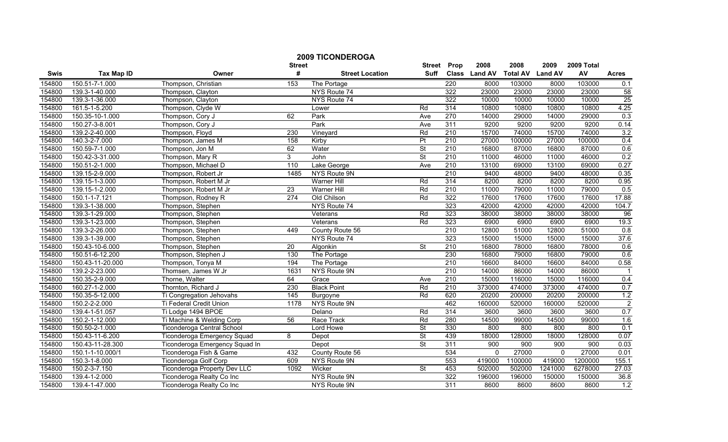|        |                   |                                   | <b>Street</b>    | <b>2009 TICONDEROGA</b> | <b>Street</b>            | Prop             | 2008          | 2008                    | 2009     | 2009 Total |                |
|--------|-------------------|-----------------------------------|------------------|-------------------------|--------------------------|------------------|---------------|-------------------------|----------|------------|----------------|
| Swis   | <b>Tax Map ID</b> | Owner                             | #                | <b>Street Location</b>  | Suff                     |                  | Class Land AV | <b>Total AV Land AV</b> |          | AV         | <b>Acres</b>   |
| 154800 | 150.51-7-1.000    | Thompson, Christian               | 153              | The Portage             |                          | 220              | 8000          | 103000                  | 8000     | 103000     | 0.1            |
| 154800 | 139.3-1-40.000    | Thompson, Clayton                 |                  | NYS Route 74            |                          | 322              | 23000         | 23000                   | 23000    | 23000      | 58             |
| 154800 | 139.3-1-36.000    | Thompson, Clayton                 |                  | NYS Route 74            |                          | 322              | 10000         | 10000                   | 10000    | 10000      | 25             |
| 154800 | 161.5-1-5.200     | Thompson, Clyde W                 |                  | Lower                   | Rd                       | 314              | 10800         | 10800                   | 10800    | 10800      | 4.25           |
| 154800 | 150.35-10-1.000   | Thompson, Cory J                  | 62               | Park                    | Ave                      | 270              | 14000         | 29000                   | 14000    | 29000      | 0.3            |
| 154800 | 150.27-3-8.001    | Thompson, Cory J                  |                  | Park                    | Ave                      | 311              | 9200          | 9200                    | 9200     | 9200       | 0.14           |
| 154800 | 139.2-2-40.000    | Thompson, Floyd                   | 230              | Vineyard                | Rd                       | 210              | 15700         | 74000                   | 15700    | 74000      | 3.2            |
| 154800 | 140.3-2-7.000     | Thompson, James M                 | 158              | Kirby                   | $\overline{P}$           | 210              | 27000         | 100000                  | 27000    | 100000     | 0.4            |
| 154800 | 150.59-7-1.000    | Thompson, Jon M                   | 62               | Water                   | St                       | 210              | 16800         | 87000                   | 16800    | 87000      | 0.6            |
| 154800 | 150.42-3-31.000   | Thompson, Mary R                  | 3                | John                    | St                       | $\overline{210}$ | 11000         | 46000                   | 11000    | 46000      | 0.2            |
| 154800 | 150.51-2-1.000    | Thompson, Michael D               | 110              | Lake George             | Ave                      | 210              | 13100         | 69000                   | 13100    | 69000      | 0.27           |
| 154800 | 139.15-2-9.000    | Thompson, Robert Jr               | 1485             | NYS Route 9N            |                          | 210              | 9400          | 48000                   | 9400     | 48000      | 0.35           |
| 154800 | 139.15-1-3.000    | Thompson, Robert M Jr             |                  | Warner Hill             | Rd                       | 314              | 8200          | 8200                    | 8200     | 8200       | 0.95           |
| 154800 | 139.15-1-2.000    | Thompson, Robert M Jr             | $\overline{23}$  | <b>Warner Hill</b>      | Rd                       | 210              | 11000         | 79000                   | 11000    | 79000      | 0.5            |
| 154800 | 150.1-1-7.121     | Thompson, Rodney R                | $\overline{274}$ | Old Chilson             | Rd                       | 322              | 17600         | 17600                   | 17600    | 17600      | 17.88          |
| 154800 | 139.3-1-38.000    | Thompson, Stephen                 |                  | NYS Route 74            |                          | 323              | 42000         | 42000                   | 42000    | 42000      | 104.7          |
| 154800 | 139.3-1-29.000    | Thompson, Stephen                 |                  | Veterans                | Rd                       | 323              | 38000         | 38000                   | 38000    | 38000      | 96             |
| 154800 | 139.3-1-23.000    | Thompson, Stephen                 |                  | Veterans                | Rd                       | 323              | 6900          | 6900                    | 6900     | 6900       | 19.3           |
| 154800 | 139.3-2-26.000    | Thompson, Stephen                 | 449              | County Route 56         |                          | 210              | 12800         | 51000                   | 12800    | 51000      | 0.8            |
| 154800 | 139.3-1-39.000    | Thompson, Stephen                 |                  | NYS Route 74            |                          | 323              | 15000         | 15000                   | 15000    | 15000      | 37.6           |
| 154800 | 150.43-10-6.000   | Thompson, Stephen                 | 20               | Algonkin                | St                       | 210              | 16800         | 78000                   | 16800    | 78000      | 0.6            |
| 154800 | 150.51-6-12.200   | Thompson, Stephen J               | 130              | The Portage             |                          | 230              | 16800         | 79000                   | 16800    | 79000      | 0.6            |
| 154800 | 150.43-11-20.000  | Thompson, Tonya M                 | 194              | The Portage             |                          | 210              | 16600         | 84000                   | 16600    | 84000      | 0.58           |
| 154800 | 139.2-2-23.000    | Thomsen, James W Jr               | 1631             | NYS Route 9N            |                          | 210              | 14000         | 86000                   | 14000    | 86000      | $\overline{1}$ |
| 154800 | 150.35-2-9.000    | Thorne, Walter                    | 64               | Grace                   | Ave                      | $\overline{210}$ | 15000         | 116000                  | 15000    | 116000     | 0.4            |
| 154800 | 160.27-1-2.000    | Thornton, Richard J               | 230              | <b>Black Point</b>      | Rd                       | $\overline{210}$ | 373000        | 474000                  | 373000   | 474000     | 0.7            |
| 154800 | 150.35-5-12.000   | Ti Congregation Jehovahs          | 145              | Burgoyne                | Rd                       | 620              | 20200         | 200000                  | 20200    | 200000     | 1.2            |
| 154800 | 150.2-2-2.000     | Ti Federal Credit Union           | 1178             | NYS Route 9N            |                          | 462              | 160000        | 520000                  | 160000   | 520000     | $\overline{2}$ |
| 154800 | 139.4-1-51.057    | Ti Lodge 1494 BPOE                |                  | Delano                  | Rd                       | 314              | 3600          | 3600                    | 3600     | 3600       | 0.7            |
| 154800 | 150.2-1-12.000    | Ti Machine & Welding Corp         | 56               | Race Track              | $\overline{Rd}$          | 280              | 14500         | 99000                   | 14500    | 99000      | 1.6            |
| 154800 | 150.50-2-1.000    | <b>Ticonderoga Central School</b> |                  | Lord Howe               | $\overline{\mathsf{St}}$ | 330              | 800           | 800                     | 800      | 800        | 0.1            |
| 154800 | 150.43-11-6.200   | Ticonderoga Emergency Squad       | 8                | Depot                   | <b>St</b>                | 439              | 18000         | 128000                  | 18000    | 128000     | 0.07           |
| 154800 | 150.43-11-28.300  | Ticonderoga Emergency Squad In    |                  | Depot                   | <b>St</b>                | 311              | 900           | 900                     | 900      | 900        | 0.03           |
| 154800 | 150.1-1-10.000/1  | Ticonderoga Fish & Game           | 432              | County Route 56         |                          | 534              | $\Omega$      | 27000                   | $\Omega$ | 27000      | 0.01           |
| 154800 | 150.3-1-8.000     | Ticonderoga Golf Corp             | 609              | NYS Route 9N            |                          | 553              | 419000        | 1100000                 | 419000   | 1200000    | 155.1          |
| 154800 | 150.2-3-7.150     | Ticonderoga Property Dev LLC      | 1092             | Wicker                  | St                       | 453              | 502000        | 502000                  | 1241000  | 6278000    | 27.03          |
| 154800 | 139.4-1-2.000     | Ticonderoga Realty Co Inc         |                  | NYS Route 9N            |                          | 322              | 196000        | 196000                  | 150000   | 150000     | 36.8           |
| 154800 | 139.4-1-47.000    | Ticonderoga Realty Co Inc         |                  | NYS Route 9N            |                          | 311              | 8600          | 8600                    | 8600     | 8600       | 1.2            |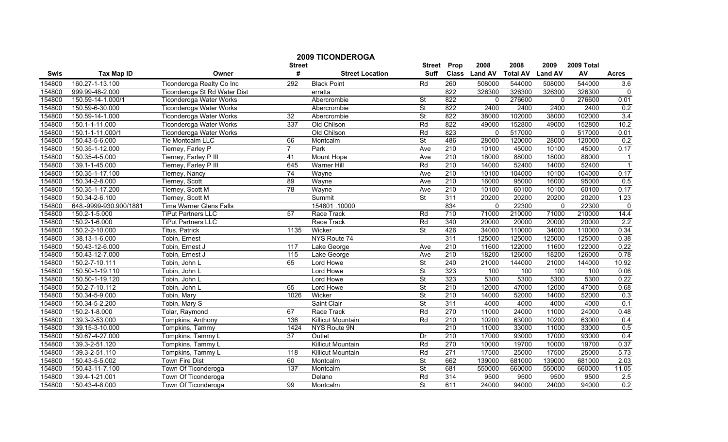|        |                        | <b>2009 TICONDEROGA</b><br><b>Street</b> | <b>Street</b>     | Prop                     | 2008                     | 2008             | 2009          | 2009 Total      |                |        |                |
|--------|------------------------|------------------------------------------|-------------------|--------------------------|--------------------------|------------------|---------------|-----------------|----------------|--------|----------------|
| Swis   | <b>Tax Map ID</b>      | Owner                                    | #                 | <b>Street Location</b>   | <b>Suff</b>              |                  | Class Land AV | <b>Total AV</b> | <b>Land AV</b> | AV     | <b>Acres</b>   |
| 154800 | 160.27-1-13.100        | Ticonderoga Realty Co Inc                | 292               | <b>Black Point</b>       | Rd                       | 260              | 508000        | 544000          | 508000         | 544000 | 3.6            |
| 154800 | 999.99-48-2.000        | Ticonderoga St Rd Water Dist             |                   | erratta                  |                          | 822              | 326300        | 326300          | 326300         | 326300 | $\mathbf 0$    |
| 154800 | 150.59-14-1.000/1      | <b>Ticonderoga Water Works</b>           |                   | Abercrombie              | <b>St</b>                | 822              | $\mathbf{0}$  | 276600          | $\mathbf{0}$   | 276600 | 0.01           |
| 154800 | 150.59-6-30.000        | <b>Ticonderoga Water Works</b>           |                   | Abercrombie              | $\overline{\mathsf{St}}$ | 822              | 2400          | 2400            | 2400           | 2400   | 0.2            |
| 154800 | 150.59-14-1.000        | <b>Ticonderoga Water Works</b>           | 32                | Abercrombie              | St                       | 822              | 38000         | 102000          | 38000          | 102000 | 3.4            |
| 154800 | 150.1-1-11.000         | <b>Ticonderoga Water Works</b>           | 337               | Old Chilson              | Rd                       | 822              | 49000         | 152800          | 49000          | 152800 | 10.2           |
| 154800 | 150.1-1-11.000/1       | <b>Ticonderoga Water Works</b>           |                   | Old Chilson              | Rd                       | 823              | $\Omega$      | 517000          | $\mathbf{0}$   | 517000 | 0.01           |
| 154800 | 150.43-5-6.000         | Tie Montcalm LLC                         | 66                | Montcalm                 | <b>St</b>                | 486              | 28000         | 120000          | 28000          | 120000 | 0.2            |
| 154800 | 150.35-1-12.000        | Tierney, Farley P                        | $\overline{7}$    | Park                     | Ave                      | 210              | 10100         | 45000           | 10100          | 45000  | 0.17           |
| 154800 | 150.35-4-5.000         | Tierney, Farley P III                    | 41                | Mount Hope               | Ave                      | 210              | 18000         | 88000           | 18000          | 88000  | $\overline{1}$ |
| 154800 | 139.1-1-45.000         | Tierney, Farley P III                    | 645               | <b>Warner Hill</b>       | Rd                       | 210              | 14000         | 52400           | 14000          | 52400  | $\overline{1}$ |
| 154800 | 150.35-1-17.100        | Tierney, Nancy                           | 74                | Wayne                    | Ave                      | 210              | 10100         | 104000          | 10100          | 104000 | 0.17           |
| 154800 | 150.34-2-8.000         | Tierney, Scott                           | $\overline{89}$   | Wayne                    | Ave                      | 210              | 16000         | 95000           | 16000          | 95000  | 0.5            |
| 154800 | 150.35-1-17.200        | Tierney, Scott M                         | 78                | Wayne                    | Ave                      | 210              | 10100         | 60100           | 10100          | 60100  | 0.17           |
| 154800 | 150.34-2-6.100         | Tierney, Scott M                         |                   | Summit                   | <b>St</b>                | 311              | 20200         | 20200           | 20200          | 20200  | 1.23           |
| 154800 | 648.-9999-930.900/1881 | <b>Time Warner Glens Falls</b>           |                   | 154801.10000             |                          | 834              | $\mathbf{0}$  | 22300           | $\mathbf{0}$   | 22300  | 0              |
| 154800 | 150.2-1-5.000          | <b>TiPut Partners LLC</b>                | 57                | Race Track               | Rd                       | 710              | 71000         | 210000          | 71000          | 210000 | 14.4           |
| 154800 | 150.2-1-6.000          | <b>TiPut Partners LLC</b>                |                   | Race Track               | Rd                       | 340              | 20000         | 20000           | 20000          | 20000  | 2.2            |
| 154800 | 150.2-2-10.000         | Titus, Patrick                           | 1135              | Wicker                   | St                       | 426              | 34000         | 110000          | 34000          | 110000 | 0.34           |
| 154800 | 138.13-1-6.000         | Tobin, Ernest                            |                   | NYS Route 74             |                          | 311              | 125000        | 125000          | 125000         | 125000 | 0.38           |
| 154800 | 150.43-12-6.000        | Tobin, Ernest J                          | 117               | Lake George              | Ave                      | $\overline{210}$ | 11600         | 122000          | 11600          | 122000 | 0.22           |
| 154800 | 150.43-12-7.000        | Tobin, Ernest J                          | $\frac{115}{115}$ | Lake George              | Ave                      | 210              | 18200         | 126000          | 18200          | 126000 | 0.78           |
| 154800 | 150.2-7-10.111         | Tobin, John L                            | 65                | Lord Howe                | <b>St</b>                | 240              | 21000         | 144000          | 21000          | 144000 | 10.92          |
| 154800 | 150.50-1-19.110        | Tobin, John L                            |                   | Lord Howe                | <b>St</b>                | 323              | 100           | 100             | 100            | 100    | 0.06           |
| 154800 | 150.50-1-19.120        | Tobin, John L                            |                   | Lord Howe                | St                       | 323              | 5300          | 5300            | 5300           | 5300   | 0.22           |
| 154800 | 150.2-7-10.112         | Tobin, John L                            | 65                | Lord Howe                | $\overline{\mathsf{St}}$ | 210              | 12000         | 47000           | 12000          | 47000  | 0.68           |
| 154800 | 150.34-5-9.000         | Tobin, Mary                              | 1026              | Wicker                   | $\overline{\mathsf{St}}$ | 210              | 14000         | 52000           | 14000          | 52000  | 0.3            |
| 154800 | 150.34-5-2.200         | Tobin, Mary S                            |                   | Saint Clair              | $\overline{\mathsf{St}}$ | 311              | 4000          | 4000            | 4000           | 4000   | 0.1            |
| 154800 | 150.2-1-8.000          | Tolar, Raymond                           | 67                | Race Track               | Rd                       | 270              | 11000         | 24000           | 11000          | 24000  | 0.48           |
| 154800 | 139.3-2-53.000         | Tompkins, Anthony                        | 136               | Killicut Mountain        | Rd                       | 210              | 10200         | 63000           | 10200          | 63000  | 0.4            |
| 154800 | 139.15-3-10.000        | Tompkins, Tammy                          | 1424              | NYS Route 9N             |                          | 210              | 11000         | 33000           | 11000          | 33000  | 0.5            |
| 154800 | 150.67-4-27.000        | Tompkins, Tammy L                        | 37                | Outlet                   | Dr                       | 210              | 17000         | 93000           | 17000          | 93000  | 0.4            |
| 154800 | 139.3-2-51.120         | Tompkins, Tammy L                        |                   | <b>Killicut Mountain</b> | Rd                       | 270              | 10000         | 19700           | 10000          | 19700  | 0.37           |
| 154800 | 139.3-2-51.110         | Tompkins, Tammy L                        | 118               | <b>Killicut Mountain</b> | Rd                       | $\overline{271}$ | 17500         | 25000           | 17500          | 25000  | 5.73           |
| 154800 | 150.43-5-5.002         | <b>Town Fire Dist</b>                    | 60                | Montcalm                 | $\overline{\mathsf{St}}$ | 662              | 139000        | 681000          | 139000         | 681000 | 2.03           |
| 154800 | 150.43-11-7.100        | Town Of Ticonderoga                      | $\frac{137}{ }$   | Montcalm                 | St                       | 681              | 550000        | 660000          | 550000         | 660000 | 11.05          |
| 154800 | 139.4-1-21.001         | Town Of Ticonderoga                      |                   | Delano                   | Rd                       | 314              | 9500          | 9500            | 9500           | 9500   | 2.5            |
| 154800 | 150.43-4-8.000         | Town Of Ticonderoga                      | 99                | Montcalm                 | $\overline{\mathsf{St}}$ | 611              | 24000         | 94000           | 24000          | 94000  | 0.2            |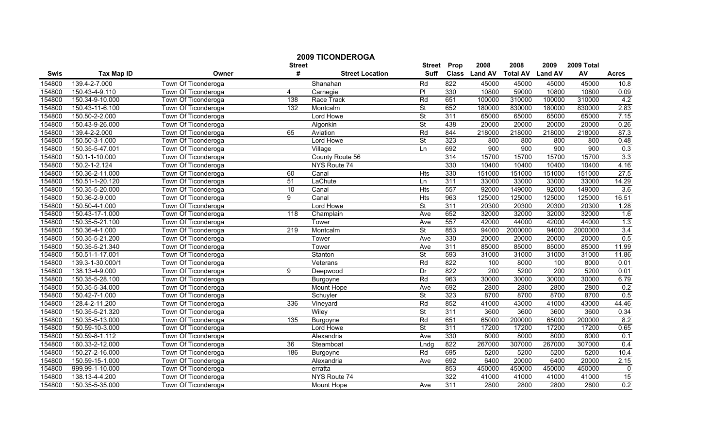|             |                   |                     |                    | <b>2009 TICONDEROGA</b> |                              |      |                       |                         |                        |                  |              |
|-------------|-------------------|---------------------|--------------------|-------------------------|------------------------------|------|-----------------------|-------------------------|------------------------|------------------|--------------|
| <b>Swis</b> | <b>Tax Map ID</b> | Owner               | <b>Street</b><br># | <b>Street Location</b>  | <b>Street</b><br><b>Suff</b> | Prop | 2008<br>Class Land AV | 2008<br><b>Total AV</b> | 2009<br><b>Land AV</b> | 2009 Total<br>AV | <b>Acres</b> |
| 154800      | 139.4-2-7.000     | Town Of Ticonderoga |                    | Shanahan                | Rd                           | 822  | 45000                 | 45000                   | 45000                  | 45000            | 10.8         |
| 154800      | 150.43-4-9.110    | Town Of Ticonderoga | $\overline{4}$     | Carnegie                | $\overline{P}$               | 330  | 10800                 | 59000                   | 10800                  | 10800            | 0.09         |
| 154800      | 150.34-9-10.000   | Town Of Ticonderoga | 138                | Race Track              | Rd                           | 651  | 100000                | 310000                  | 100000                 | 310000           | 4.2          |
| 154800      | 150.43-11-6.100   | Town Of Ticonderoga | 132                | Montcalm                | <b>St</b>                    | 652  | 180000                | 830000                  | 180000                 | 830000           | 2.83         |
| 154800      | 150.50-2-2.000    | Town Of Ticonderoga |                    | Lord Howe               | St                           | 311  | 65000                 | 65000                   | 65000                  | 65000            | 7.15         |
| 154800      | 150.43-9-26.000   | Town Of Ticonderoga |                    | Algonkin                | $\overline{\mathsf{St}}$     | 438  | 20000                 | 20000                   | 20000                  | 20000            | 0.26         |
| 154800      | 139.4-2-2.000     | Town Of Ticonderoga | 65                 | Aviation                | $\overline{Rd}$              | 844  | 218000                | 218000                  | 218000                 | 218000           | 87.3         |
| 154800      | 150.50-3-1.000    | Town Of Ticonderoga |                    | Lord Howe               | $\overline{\mathsf{St}}$     | 323  | 800                   | 800                     | 800                    | 800              | 0.48         |
| 154800      | 150.35-5-47.001   | Town Of Ticonderoga |                    | Village                 | Ln                           | 692  | 900                   | 900                     | 900                    | 900              | 0.3          |
| 154800      | 150.1-1-10.000    | Town Of Ticonderoga |                    | County Route 56         |                              | 314  | 15700                 | 15700                   | 15700                  | 15700            | 3.3          |
| 154800      | 150.2-1-2.124     | Town Of Ticonderoga |                    | NYS Route 74            |                              | 330  | 10400                 | 10400                   | 10400                  | 10400            | 4.16         |
| 154800      | 150.36-2-11.000   | Town Of Ticonderoga | 60                 | Canal                   | Hts                          | 330  | 151000                | 151000                  | 151000                 | 151000           | 27.5         |
| 154800      | 150.51-1-20.120   | Town Of Ticonderoga | $\overline{51}$    | LaChute                 | Ln                           | 311  | 33000                 | 33000                   | 33000                  | 33000            | 14.29        |
| 154800      | 150.35-5-20.000   | Town Of Ticonderoga | 10                 | Canal                   | <b>Hts</b>                   | 557  | 92000                 | 149000                  | 92000                  | 149000           | 3.6          |
| 154800      | 150.36-2-9.000    | Town Of Ticonderoga | 9                  | Canal                   | <b>Hts</b>                   | 963  | 125000                | 125000                  | 125000                 | 125000           | 16.51        |
| 154800      | 150.50-4-1.000    | Town Of Ticonderoga |                    | Lord Howe               | $\overline{\mathsf{St}}$     | 311  | 20300                 | 20300                   | 20300                  | 20300            | 1.28         |
| 154800      | 150.43-17-1.000   | Town Of Ticonderoga | 118                | Champlain               | Ave                          | 652  | 32000                 | 32000                   | 32000                  | 32000            | 1.6          |
| 154800      | 150.35-5-21.100   | Town Of Ticonderoga |                    | Tower                   | Ave                          | 557  | 42000                 | 44000                   | 42000                  | 44000            | 1.3          |
| 154800      | 150.36-4-1.000    | Town Of Ticonderoga | 219                | Montcalm                | <b>St</b>                    | 853  | 94000                 | 2000000                 | 94000                  | 2000000          | 3.4          |
| 154800      | 150.35-5-21.200   | Town Of Ticonderoga |                    | Tower                   | Ave                          | 330  | 20000                 | 20000                   | 20000                  | 20000            | 0.5          |
| 154800      | 150.35-5-21.340   | Town Of Ticonderoga |                    | Tower                   | Ave                          | 311  | 85000                 | 85000                   | 85000                  | 85000            | 11.99        |
| 154800      | 150.51-1-17.001   | Town Of Ticonderoga |                    | Stanton                 | $\overline{\mathsf{St}}$     | 593  | 31000                 | 31000                   | 31000                  | 31000            | 11.86        |
| 154800      | 139.3-1-30.000/1  | Town Of Ticonderoga |                    | Veterans                | Rd                           | 822  | 100                   | 8000                    | 100                    | 8000             | 0.01         |
| 154800      | 138.13-4-9.000    | Town Of Ticonderoga | 9                  | Deepwood                | Dr                           | 822  | 200                   | 5200                    | 200                    | 5200             | 0.01         |
| 154800      | 150.35-5-28.100   | Town Of Ticonderoga |                    | Burgoyne                | Rd                           | 963  | 30000                 | 30000                   | 30000                  | 30000            | 6.79         |
| 154800      | 150.35-5-34.000   | Town Of Ticonderoga |                    | Mount Hope              | Ave                          | 692  | 2800                  | 2800                    | 2800                   | 2800             | 0.2          |
| 154800      | 150.42-7-1.000    | Town Of Ticonderoga |                    | Schuyler                | St                           | 323  | 8700                  | 8700                    | 8700                   | 8700             | 0.5          |
| 154800      | 128.4-2-11.200    | Town Of Ticonderoga | 336                | Vineyard                | Rd                           | 852  | 41000                 | 43000                   | 41000                  | 43000            | 44.46        |
| 154800      | 150.35-5-21.320   | Town Of Ticonderoga |                    | Wiley                   | <b>St</b>                    | 311  | 3600                  | 3600                    | 3600                   | 3600             | 0.34         |
| 154800      | 150.35-5-13.000   | Town Of Ticonderoga | 135                | Burgoyne                | Rd                           | 651  | 65000                 | 200000                  | 65000                  | 200000           | 8.2          |
| 154800      | 150.59-10-3.000   | Town Of Ticonderoga |                    | Lord Howe               | $\overline{\mathsf{St}}$     | 311  | 17200                 | 17200                   | 17200                  | 17200            | 0.65         |
| 154800      | 150.59-8-1.112    | Town Of Ticonderoga |                    | Alexandria              | Ave                          | 330  | 8000                  | 8000                    | 8000                   | 8000             | 0.1          |
| 154800      | 160.33-2-12.000   | Town Of Ticonderoga | 36                 | Steamboat               | Lndg                         | 822  | 267000                | 307000                  | 267000                 | 307000           | 0.4          |
| 154800      | 150.27-2-16.000   | Town Of Ticonderoga | 186                | Burgoyne                | Rd                           | 695  | 5200                  | 5200                    | 5200                   | 5200             | 10.4         |
| 154800      | 150.59-15-1.000   | Town Of Ticonderoga |                    | Alexandria              | Ave                          | 692  | 6400                  | 20000                   | 6400                   | 20000            | 2.15         |
| 154800      | 999.99-1-10.000   | Town Of Ticonderoga |                    | erratta                 |                              | 853  | 450000                | 450000                  | 450000                 | 450000           | 0            |
| 154800      | 138.13-4-4.200    | Town Of Ticonderoga |                    | NYS Route 74            |                              | 322  | 41000                 | 41000                   | 41000                  | 41000            | 15           |
| 154800      | 150.35-5-35.000   | Town Of Ticonderoga |                    | Mount Hope              | Ave                          | 311  | 2800                  | 2800                    | 2800                   | 2800             | 0.2          |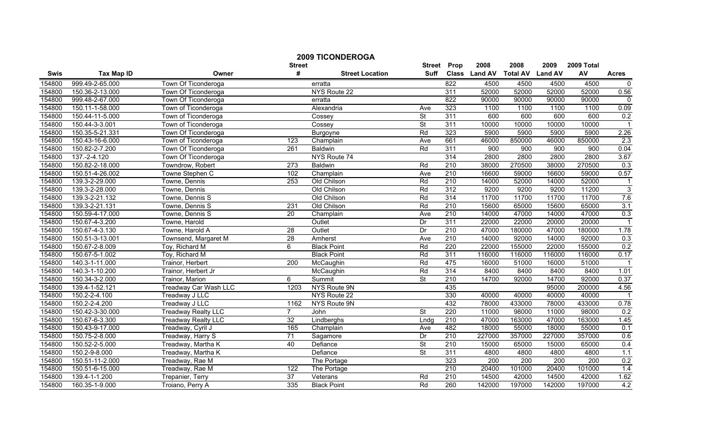| <b>2009 TICONDEROGA</b>                |                   |                            |                  |                        |                          |                  |               |                 |                |            |                |  |
|----------------------------------------|-------------------|----------------------------|------------------|------------------------|--------------------------|------------------|---------------|-----------------|----------------|------------|----------------|--|
| <b>Street</b><br>Prop<br><b>Street</b> |                   |                            |                  |                        |                          |                  | 2008          | 2008            | 2009           | 2009 Total |                |  |
| <b>Swis</b>                            | <b>Tax Map ID</b> | Owner                      | #                | <b>Street Location</b> | Suff                     |                  | Class Land AV | <b>Total AV</b> | <b>Land AV</b> | AV         | <b>Acres</b>   |  |
| 154800                                 | 999.49-2-65.000   | Town Of Ticonderoga        |                  | erratta                |                          | 822              | 4500          | 4500            | 4500           | 4500       | $\mathbf 0$    |  |
| 154800                                 | 150.36-2-13.000   | Town Of Ticonderoga        |                  | NYS Route 22           |                          | 311              | 52000         | 52000           | 52000          | 52000      | 0.56           |  |
| 154800                                 | 999.48-2-67.000   | Town Of Ticonderoga        |                  | erratta                |                          | 822              | 90000         | 90000           | 90000          | 90000      | $\mathbf 0$    |  |
| 154800                                 | 150.11-1-58.000   | Town of Ticonderoga        |                  | Alexandria             | Ave                      | 323              | 1100          | 1100            | 1100           | 1100       | 0.09           |  |
| 154800                                 | 150.44-11-5.000   | Town of Ticonderoga        |                  | Cossey                 | <b>St</b>                | 311              | 600           | 600             | 600            | 600        | 0.2            |  |
| 154800                                 | 150.44-3-3.001    | Town of Ticonderoga        |                  | Cossey                 | St                       | 311              | 10000         | 10000           | 10000          | 10000      |                |  |
| 154800                                 | 150.35-5-21.331   | Town Of Ticonderoga        |                  | <b>Burgoyne</b>        | Rd                       | 323              | 5900          | 5900            | 5900           | 5900       | 2.26           |  |
| 154800                                 | 150.43-16-6.000   | Town of Ticonderoga        | 123              | Champlain              | Ave                      | 661              | 46000         | 850000          | 46000          | 850000     | 2.3            |  |
| 154800                                 | 150.82-2-7.200    | Town Of Ticonderoga        | 261              | <b>Baldwin</b>         | Rd                       | 311              | 900           | 900             | 900            | 900        | 0.04           |  |
| 154800                                 | 137.-2-4.120      | Town Of Ticonderoga        |                  | NYS Route 74           |                          | 314              | 2800          | 2800            | 2800           | 2800       | 3.67           |  |
| 154800                                 | 150.82-2-18.000   | Towndrow, Robert           | $\overline{273}$ | <b>Baldwin</b>         | Rd                       | 210              | 38000         | 270500          | 38000          | 270500     | 0.3            |  |
| 154800                                 | 150.51-4-26.002   | Towne Stephen C            | 102              | Champlain              | Ave                      | 210              | 16600         | 59000           | 16600          | 59000      | 0.57           |  |
| 154800                                 | 139.3-2-29.000    | Towne, Dennis              | $\overline{253}$ | Old Chilson            | Rd                       | 210              | 14000         | 52000           | 14000          | 52000      | $\overline{1}$ |  |
| 154800                                 | 139.3-2-28.000    | Towne, Dennis              |                  | Old Chilson            | Rd                       | 312              | 9200          | 9200            | 9200           | 11200      | $\overline{3}$ |  |
| 154800                                 | 139.3-2-21.132    | Towne, Dennis S            |                  | Old Chilson            | Rd                       | 314              | 11700         | 11700           | 11700          | 11700      | 7.6            |  |
| 154800                                 | 139.3-2-21.131    | Towne, Dennis S            | 231              | Old Chilson            | Rd                       | 210              | 15600         | 65000           | 15600          | 65000      | 3.1            |  |
| 154800                                 | 150.59-4-17.000   | Towne, Dennis S            | $\overline{20}$  | Champlain              | Ave                      | 210              | 14000         | 47000           | 14000          | 47000      | 0.3            |  |
| 154800                                 | 150.67-4-3.200    | Towne, Harold              |                  | Outlet                 | Dr                       | 311              | 22000         | 22000           | 20000          | 20000      | $\overline{1}$ |  |
| 154800                                 | 150.67-4-3.130    | Towne, Harold A            | 28               | Outlet                 | Dr                       | 210              | 47000         | 180000          | 47000          | 180000     | 1.78           |  |
| 154800                                 | 150.51-3-13.001   | Townsend, Margaret M       | $\overline{28}$  | Amherst                | Ave                      | 210              | 14000         | 92000           | 14000          | 92000      | 0.3            |  |
| 154800                                 | 150.67-2-8.009    | Toy, Richard M             | 6                | <b>Black Point</b>     | Rd                       | 220              | 22000         | 155000          | 22000          | 155000     | 0.2            |  |
| 154800                                 | 150.67-5-1.002    | Toy, Richard M             |                  | <b>Black Point</b>     | Rd                       | 311              | 116000        | 116000          | 116000         | 116000     | 0.17           |  |
| 154800                                 | 140.3-1-11.000    | Trainor, Herbert           | $\overline{200}$ | McCaughin              | Rd                       | 475              | 16000         | 51000           | 16000          | 51000      |                |  |
| 154800                                 | 140.3-1-10.200    | Trainor, Herbert Jr        |                  | McCaughin              | Rd                       | 314              | 8400          | 8400            | 8400           | 8400       | 1.01           |  |
| 154800                                 | 150.34-3-2.000    | Trainor, Marion            | 6                | Summit                 | <b>St</b>                | $\overline{210}$ | 14700         | 92000           | 14700          | 92000      | 0.37           |  |
| 154800                                 | 139.4-1-52.121    | Treadway Car Wash LLC      | 1203             | NYS Route 9N           |                          | 435              |               |                 | 95000          | 200000     | 4.56           |  |
| 154800                                 | 150.2-2-4.100     | Treadway J LLC             |                  | NYS Route 22           |                          | 330              | 40000         | 40000           | 40000          | 40000      |                |  |
| 154800                                 | 150.2-2-4.200     | Treadway J LLC             | 1162             | NYS Route 9N           |                          | 432              | 78000         | 433000          | 78000          | 433000     | 0.78           |  |
| 154800                                 | 150.42-3-30.000   | <b>Treadway Realty LLC</b> | $\overline{7}$   | John                   | $\overline{\mathsf{St}}$ | 220              | 11000         | 98000           | 11000          | 98000      | 0.2            |  |
| 154800                                 | 150.67-6-3.300    | <b>Treadway Realty LLC</b> | 32               | Lindberghs             | Lndg                     | 210              | 47000         | 163000          | 47000          | 163000     | 1.45           |  |
| 154800                                 | 150.43-9-17.000   | Treadway, Cyril J          | 165              | Champlain              | Ave                      | 482              | 18000         | 55000           | 18000          | 55000      | 0.1            |  |
| 154800                                 | 150.75-2-8.000    | Treadway, Harry S          | 71               | Sagamore               | Dr                       | 210              | 227000        | 357000          | 227000         | 357000     | 0.6            |  |
| 154800                                 | 150.52-2-5.000    | Treadway, Martha K         | 40               | Defiance               | <b>St</b>                | 210              | 15000         | 65000           | 15000          | 65000      | 0.4            |  |
| 154800                                 | 150.2-9-8.000     | Treadway, Martha K         |                  | Defiance               | $\overline{\mathsf{St}}$ | 311              | 4800          | 4800            | 4800           | 4800       | 1.1            |  |
| 154800                                 | 150.51-11-2.000   | Treadway, Rae M            |                  | The Portage            |                          | 323              | 200           | 200             | 200            | 200        | 0.2            |  |
| 154800                                 | 150.51-6-15.000   | Treadway, Rae M            | 122              | The Portage            |                          | $\overline{210}$ | 20400         | 101000          | 20400          | 101000     | 1.4            |  |
| 154800                                 | 139.4-1-1.200     | Trepanier, Terry           | 37               | Veterans               | Rd                       | 210              | 14500         | 42000           | 14500          | 42000      | 1.62           |  |
| 154800                                 | 160.35-1-9.000    | Troiano, Perry A           | 335              | <b>Black Point</b>     | Rd                       | 260              | 142000        | 197000          | 142000         | 197000     | 4.2            |  |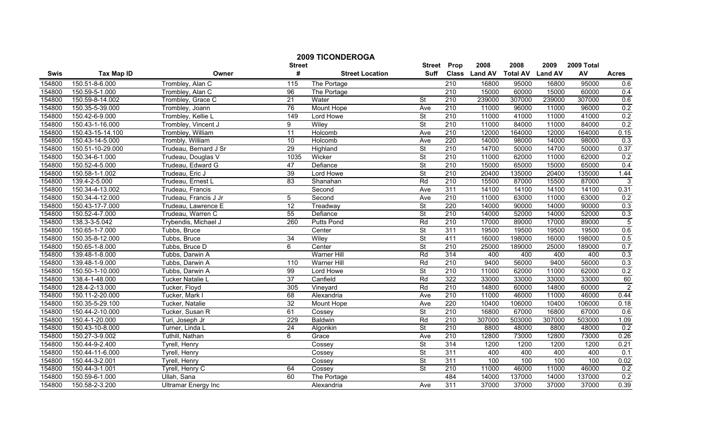|        |                   |                            | <b>Street</b>   | <b>2009 TICONDEROGA</b> | <b>Street</b>            | Prop             | 2008          | 2008            | 2009           | 2009 Total |                |
|--------|-------------------|----------------------------|-----------------|-------------------------|--------------------------|------------------|---------------|-----------------|----------------|------------|----------------|
| Swis   | <b>Tax Map ID</b> | Owner                      | #               | <b>Street Location</b>  | <b>Suff</b>              |                  | Class Land AV | <b>Total AV</b> | <b>Land AV</b> | AV         | <b>Acres</b>   |
| 154800 | 150.51-8-6.000    | Trombley, Alan C           | 115             | The Portage             |                          | $\overline{210}$ | 16800         | 95000           | 16800          | 95000      | 0.6            |
| 154800 | 150.59-5-1.000    | Trombley, Alan C           | 96              | The Portage             |                          | 210              | 15000         | 60000           | 15000          | 60000      | 0.4            |
| 154800 | 150.59-8-14.002   | Trombley, Grace C          | $\overline{21}$ | Water                   | $\overline{\mathsf{St}}$ | 210              | 239000        | 307000          | 239000         | 307000     | 0.6            |
| 154800 | 150.35-5-39.000   | Trombley, Joann            | 76              | Mount Hope              | Ave                      | 210              | 11000         | 96000           | 11000          | 96000      | 0.2            |
| 154800 | 150.42-6-9.000    | Trombley, Kellie L         | 149             | Lord Howe               | $\overline{\mathsf{St}}$ | 210              | 11000         | 41000           | 11000          | 41000      | 0.2            |
| 154800 | 150.43-1-16.000   | Trombley, Vincent J        | 9               | Wiley                   | <b>St</b>                | 210              | 11000         | 84000           | 11000          | 84000      | 0.2            |
| 154800 | 150.43-15-14.100  | Trombley, William          | 11              | <b>Holcomb</b>          | Ave                      | 210              | 12000         | 164000          | 12000          | 164000     | 0.15           |
| 154800 | 150.43-14-5.000   | Trombly, William           | 10              | Holcomb                 | Ave                      | 220              | 14000         | 98000           | 14000          | 98000      | 0.3            |
| 154800 | 150.51-10-29.000  | Trudeau, Bernard J Sr      | 29              | Highland                | $\overline{\mathsf{St}}$ | 210              | 14700         | 50000           | 14700          | 50000      | 0.37           |
| 154800 | 150.34-6-1.000    | Trudeau, Douglas V         | 1035            | Wicker                  | <b>St</b>                | $\overline{210}$ | 11000         | 62000           | 11000          | 62000      | 0.2            |
| 154800 | 150.52-4-5.000    | Trudeau, Edward G          | 47              | Defiance                | <b>St</b>                | $\overline{210}$ | 15000         | 65000           | 15000          | 65000      | 0.4            |
| 154800 | 150.58-1-1.002    | Trudeau, Eric J            | 39              | Lord Howe               | <b>St</b>                | 210              | 20400         | 135000          | 20400          | 135000     | 1.44           |
| 154800 | 139.4-2-5.000     | Trudeau, Ernest L          | $\overline{83}$ | Shanahan                | Rd                       | 210              | 15500         | 87000           | 15500          | 87000      | 3              |
| 154800 | 150.34-4-13.002   | Trudeau, Francis           |                 | Second                  | Ave                      | 311              | 14100         | 14100           | 14100          | 14100      | 0.31           |
| 154800 | 150.34-4-12.000   | Trudeau, Francis J Jr      | 5               | Second                  | Ave                      | $\overline{210}$ | 11000         | 63000           | 11000          | 63000      | 0.2            |
| 154800 | 150.43-17-7.000   | Trudeau, Lawrence E        | $\overline{12}$ | Treadway                | $\overline{\mathsf{St}}$ | 220              | 14000         | 90000           | 14000          | 90000      | 0.3            |
| 154800 | 150.52-4-7.000    | Trudeau, Warren C          | 55              | Defiance                | <b>St</b>                | 210              | 14000         | 52000           | 14000          | 52000      | 0.3            |
| 154800 | 138.3-3-5.042     | Trybendis, Michael J       | 260             | <b>Putts Pond</b>       | Rd                       | 210              | 17000         | 89000           | 17000          | 89000      | $\overline{5}$ |
| 154800 | 150.65-1-7.000    | Tubbs, Bruce               |                 | Center                  | <b>St</b>                | 311              | 19500         | 19500           | 19500          | 19500      | 0.6            |
| 154800 | 150.35-8-12.000   | Tubbs, Bruce               | $\overline{34}$ | Wiley                   | <b>St</b>                | 411              | 16000         | 198000          | 16000          | 198000     | 0.5            |
| 154800 | 150.65-1-8.000    | Tubbs, Bruce D             | 6               | Center                  | <b>St</b>                | 210              | 25000         | 189000          | 25000          | 189000     | 0.7            |
| 154800 | 139.48-1-8.000    | Tubbs, Darwin A            |                 | <b>Warner Hill</b>      | Rd                       | 314              | 400           | 400             | 400            | 400        | 0.3            |
| 154800 | 139.48-1-9.000    | Tubbs, Darwin A            | 110             | Warner Hill             | Rd                       | $\overline{210}$ | 9400          | 56000           | 9400           | 56000      | 0.3            |
| 154800 | 150.50-1-10.000   | Tubbs, Darwin A            | 99              | Lord Howe               | $\overline{\mathsf{St}}$ | 210              | 11000         | 62000           | 11000          | 62000      | 0.2            |
| 154800 | 138.4-1-48.000    | Tucker Natalie L           | $\overline{37}$ | Canfield                | Rd                       | 322              | 33000         | 33000           | 33000          | 33000      | 60             |
| 154800 | 128.4-2-13.000    | Tucker, Floyd              | 305             | Vineyard                | Rd                       | 210              | 14800         | 60000           | 14800          | 60000      | $\overline{2}$ |
| 154800 | 150.11-2-20.000   | Tucker, Mark I             | 68              | Alexandria              | Ave                      | $\overline{210}$ | 11000         | 46000           | 11000          | 46000      | 0.44           |
| 154800 | 150.35-5-29.100   | Tucker, Natalie            | $\overline{32}$ | Mount Hope              | Ave                      | 220              | 10400         | 106000          | 10400          | 106000     | 0.18           |
| 154800 | 150.44-2-10.000   | Tucker, Susan R            | 61              | Cossey                  | $\overline{\mathsf{St}}$ | 210              | 16800         | 67000           | 16800          | 67000      | 0.6            |
| 154800 | 150.4-1-20.000    | Turi, Joseph Jr            | 229             | <b>Baldwin</b>          | Rd                       | 210              | 307000        | 503000          | 307000         | 503000     | 1.09           |
| 154800 | 150.43-10-8.000   | Turner, Linda L            | $\overline{24}$ | Algonkin                | $\overline{\mathsf{St}}$ | 210              | 8800          | 48000           | 8800           | 48000      | 0.2            |
| 154800 | 150.27-3-9.002    | Tuthill, Nathan            | 6               | Grace                   | Ave                      | 210              | 12800         | 73000           | 12800          | 73000      | 0.26           |
| 154800 | 150.44-9-2.400    | <b>Tyrell, Henry</b>       |                 | Cossey                  | <b>St</b>                | 314              | 1200          | 1200            | 1200           | 1200       | 0.21           |
| 154800 | 150.44-11-6.000   | Tyrell, Henry              |                 | Cossey                  | <b>St</b>                | 311              | 400           | 400             | 400            | 400        | 0.1            |
| 154800 | 150.44-3-2.001    | Tyrell, Henry              |                 | Cossev                  | <b>St</b>                | 311              | 100           | 100             | 100            | 100        | 0.02           |
| 154800 | 150.44-3-1.001    | Tyrell, Henry C            | 64              | Cossey                  | $\overline{\mathsf{St}}$ | 210              | 11000         | 46000           | 11000          | 46000      | 0.2            |
| 154800 | 150.59-6-1.000    | Ullah, Sana                | 60              | The Portage             |                          | 484              | 14000         | 137000          | 14000          | 137000     | 0.2            |
| 154800 | 150.58-2-3.200    | <b>Ultramar Energy Inc</b> |                 | Alexandria              | Ave                      | 311              | 37000         | 37000           | 37000          | 37000      | 0.39           |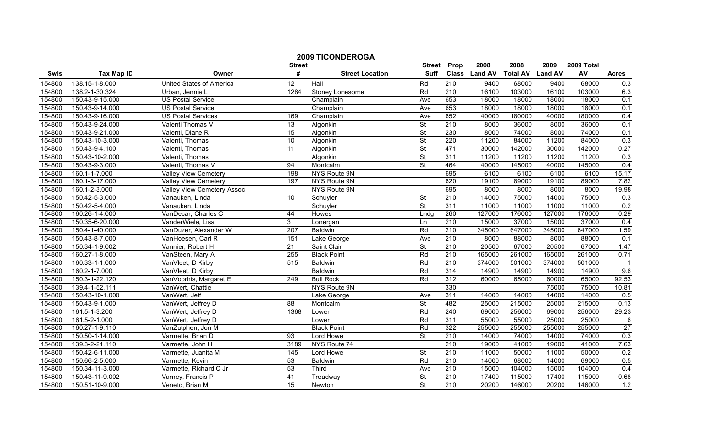|        | <b>2009 TICONDEROGA</b> |                            |                  |                        |                          |                  |               |                 |                |            |              |
|--------|-------------------------|----------------------------|------------------|------------------------|--------------------------|------------------|---------------|-----------------|----------------|------------|--------------|
|        |                         |                            | <b>Street</b>    |                        | <b>Street</b>            | Prop             | 2008          | 2008            | 2009           | 2009 Total |              |
| Swis   | <b>Tax Map ID</b>       | Owner                      | #                | <b>Street Location</b> | <b>Suff</b>              |                  | Class Land AV | <b>Total AV</b> | <b>Land AV</b> | AV         | <b>Acres</b> |
| 154800 | 138.15-1-8.000          | United States of America   | $\overline{12}$  | Hall                   | Rd                       | 210              | 9400          | 68000           | 9400           | 68000      | 0.3          |
| 154800 | 138.2-1-30.324          | Urban, Jennie L            | 1284             | Stoney Lonesome        | Rd                       | 210              | 16100         | 103000          | 16100          | 103000     | 6.3          |
| 154800 | 150.43-9-15.000         | <b>US Postal Service</b>   |                  | Champlain              | Ave                      | 653              | 18000         | 18000           | 18000          | 18000      | 0.1          |
| 154800 | 150.43-9-14.000         | <b>US Postal Service</b>   |                  | Champlain              | Ave                      | 653              | 18000         | 18000           | 18000          | 18000      | 0.1          |
| 154800 | 150.43-9-16.000         | <b>US Postal Services</b>  | 169              | Champlain              | Ave                      | 652              | 40000         | 180000          | 40000          | 180000     | 0.4          |
| 154800 | 150.43-9-24.000         | Valenti Thomas V           | $\overline{13}$  | Algonkin               | $\overline{\mathsf{St}}$ | 210              | 8000          | 36000           | 8000           | 36000      | 0.1          |
| 154800 | 150.43-9-21.000         | Valenti, Diane R           | 15               | Algonkin               | St                       | 230              | 8000          | 74000           | 8000           | 74000      | 0.1          |
| 154800 | 150.43-10-3.000         | Valenti, Thomas            | 10               | Algonkin               | $\overline{\mathsf{St}}$ | 220              | 11200         | 84000           | 11200          | 84000      | 0.3          |
| 154800 | 150.43-9-4.100          | Valenti, Thomas            | $\overline{11}$  | Algonkin               | <b>St</b>                | 471              | 30000         | 142000          | 30000          | 142000     | 0.27         |
| 154800 | 150.43-10-2.000         | Valenti, Thomas            |                  | Algonkin               | St                       | 311              | 11200         | 11200           | 11200          | 11200      | 0.3          |
| 154800 | 150.43-9-3.000          | Valenti, Thomas V          | 94               | Montcalm               | <b>St</b>                | 464              | 40000         | 145000          | 40000          | 145000     | 0.4          |
| 154800 | 160.1-1-7.000           | Valley View Cemetery       | 198              | <b>NYS Route 9N</b>    |                          | 695              | 6100          | 6100            | 6100           | 6100       | 15.17        |
| 154800 | 160.1-3-17.000          | Valley View Cemetery       | 197              | NYS Route 9N           |                          | 620              | 19100         | 89000           | 19100          | 89000      | 7.82         |
| 154800 | 160.1-2-3.000           | Valley View Cemetery Assoc |                  | NYS Route 9N           |                          | 695              | 8000          | 8000            | 8000           | 8000       | 19.98        |
| 154800 | 150.42-5-3.000          | Vanauken, Linda            | 10               | Schuyler               | St                       | $\overline{210}$ | 14000         | 75000           | 14000          | 75000      | 0.3          |
| 154800 | 150.42-5-4.000          | Vanauken, Linda            |                  | Schuyler               | $\overline{\mathsf{St}}$ | 311              | 11000         | 11000           | 11000          | 11000      | 0.2          |
| 154800 | 160.26-1-4.000          | VanDecar, Charles C        | 44               | <b>Howes</b>           | Lndg                     | 260              | 127000        | 176000          | 127000         | 176000     | 0.29         |
| 154800 | 150.35-6-20.000         | VanderWiele, Lisa          | 3                | Lonergan               | Ln                       | 210              | 15000         | 37000           | 15000          | 37000      | 0.4          |
| 154800 | 150.4-1-40.000          | VanDuzer, Alexander W      | 207              | <b>Baldwin</b>         | Rd                       | 210              | 345000        | 647000          | 345000         | 647000     | 1.59         |
| 154800 | 150.43-8-7.000          | VanHoesen, Carl R          | 151              | Lake George            | Ave                      | 210              | 8000          | 88000           | 8000           | 88000      | 0.1          |
| 154800 | 150.34-1-9.002          | Vannier, Robert H          | 21               | Saint Clair            | <b>St</b>                | 210              | 20500         | 67000           | 20500          | 67000      | 1.47         |
| 154800 | 160.27-1-8.000          | VanSteen, Mary A           | 255              | <b>Black Point</b>     | Rd                       | 210              | 165000        | 261000          | 165000         | 261000     | 0.71         |
| 154800 | 160.33-1-1.000          | VanVleet, D Kirby          | 515              | <b>Baldwin</b>         | Rd                       | 210              | 374000        | 501000          | 374000         | 501000     |              |
| 154800 | 160.2-1-7.000           | VanVleet, D Kirby          |                  | <b>Baldwin</b>         | Rd                       | 314              | 14900         | 14900           | 14900          | 14900      | 9.6          |
| 154800 | 150.3-1-22.120          | VanVoorhis, Margaret E     | 249              | <b>Bull Rock</b>       | Rd                       | 312              | 60000         | 65000           | 60000          | 65000      | 92.53        |
| 154800 | 139.4-1-52.111          | VanWert, Chattie           |                  | NYS Route 9N           |                          | 330              |               |                 | 75000          | 75000      | 10.81        |
| 154800 | 150.43-10-1.000         | VanWert, Jeff              |                  | Lake George            | Ave                      | 311              | 14000         | 14000           | 14000          | 14000      | 0.5          |
| 154800 | 150.43-9-1.000          | VanWert, Jeffrey D         | $\overline{88}$  | Montcalm               | $\overline{\mathsf{St}}$ | 482              | 25000         | 215000          | 25000          | 215000     | 0.13         |
| 154800 | 161.5-1-3.200           | VanWert, Jeffrey D         | 1368             | Lower                  | Rd                       | 240              | 69000         | 256000          | 69000          | 256000     | 29.23        |
| 154800 | 161.5-2-1.000           | VanWert, Jeffrey D         |                  | Lower                  | Rd                       | 311              | 55000         | 55000           | 25000          | 25000      | 6            |
| 154800 | 160.27-1-9.110          | VanZutphen, Jon M          |                  | <b>Black Point</b>     | Rd                       | 322              | 255000        | 255000          | 255000         | 255000     | 27           |
| 154800 | 150.50-1-14.000         | Varmette, Brian D          | 93               | Lord Howe              | <b>St</b>                | 210              | 14000         | 74000           | 14000          | 74000      | 0.3          |
| 154800 | 139.3-2-21.110          | Varmette, John H           | 3189             | NYS Route 74           |                          | 210              | 19000         | 41000           | 19000          | 41000      | 7.63         |
| 154800 | 150.42-6-11.000         | Varmette, Juanita M        | $\overline{145}$ | Lord Howe              | <b>St</b>                | 210              | 11000         | 50000           | 11000          | 50000      | 0.2          |
| 154800 | 150.66-2-5.000          | Varmette, Kevin            | 53               | <b>Baldwin</b>         | Rd                       | 210              | 14000         | 68000           | 14000          | 69000      | 0.5          |
| 154800 | 150.34-11-3.000         | Varmette, Richard C Jr     | 53               | Third                  | Ave                      | 210              | 15000         | 104000          | 15000          | 104000     | 0.4          |
| 154800 | 150.43-11-9.002         | Varney, Francis P          | 41               | Treadway               | St                       | 210              | 17400         | 115000          | 17400          | 115000     | 0.68         |
| 154800 | 150.51-10-9.000         | Veneto, Brian M            | 15               | Newton                 | $\overline{\mathsf{St}}$ | 210              | 20200         | 146000          | 20200          | 146000     | 1.2          |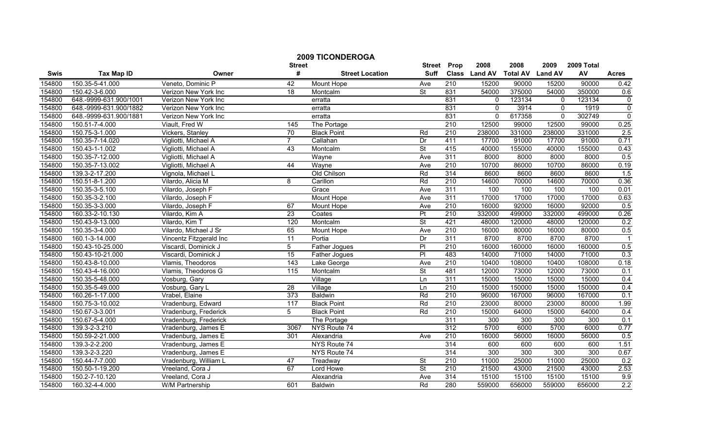|        |                        |                         | <b>Street</b>    | <b>2009 TICONDEROGA</b> | <b>Street</b>            | Prop             | 2008          | 2008            | 2009           | 2009 Total |                  |
|--------|------------------------|-------------------------|------------------|-------------------------|--------------------------|------------------|---------------|-----------------|----------------|------------|------------------|
| Swis   | <b>Tax Map ID</b>      | Owner                   | #                | <b>Street Location</b>  | <b>Suff</b>              |                  | Class Land AV | <b>Total AV</b> | <b>Land AV</b> | AV         | <b>Acres</b>     |
| 154800 | 150.35-5-41.000        | Veneto, Dominic P       | 42               | Mount Hope              | Ave                      | $\overline{210}$ | 15200         | 90000           | 15200          | 90000      | 0.42             |
| 154800 | 150.42-3-6.000         | Verizon New York Inc    | 18               | Montcalm                | St                       | 831              | 54000         | 375000          | 54000          | 350000     | 0.6              |
| 154800 | 648.-9999-631.900/1001 | Verizon New York Inc    |                  | erratta                 |                          | 831              | $\Omega$      | 123134          | $\mathbf{0}$   | 123134     | $\pmb{0}$        |
| 154800 | 648.-9999-631.900/1882 | Verizon New York Inc    |                  | erratta                 |                          | 831              | $\Omega$      | 3914            | $\Omega$       | 1919       | $\overline{0}$   |
| 154800 | 648.-9999-631.900/1881 | Verizon New York Inc    |                  | erratta                 |                          | 831              | $\mathbf 0$   | 617358          | $\mathbf{0}$   | 302749     | $\mathbf 0$      |
| 154800 | 150.51-7-4.000         | Viault, Fred W          | 145              | The Portage             |                          | 210              | 12500         | 99000           | 12500          | 99000      | 0.25             |
| 154800 | 150.75-3-1.000         | Vickers, Stanley        | $\overline{70}$  | <b>Black Point</b>      | Rd                       | 210              | 238000        | 331000          | 238000         | 331000     | 2.5              |
| 154800 | 150.35-7-14.020        | Vigliotti, Michael A    | $\overline{7}$   | Callahan                | Dr                       | 411              | 17700         | 91000           | 17700          | 91000      | 0.71             |
| 154800 | 150.43-1-1.002         | Vigliotti, Michael A    | 43               | Montcalm                | $\overline{\mathsf{St}}$ | 415              | 40000         | 155000          | 40000          | 155000     | 0.43             |
| 154800 | 150.35-7-12.000        | Vigliotti, Michael A    |                  | Wayne                   | Ave                      | 311              | 8000          | 8000            | 8000           | 8000       | 0.5              |
| 154800 | 150.35-7-13.002        | Vigliotti, Michael A    | 44               | Wayne                   | Ave                      | 210              | 10700         | 86000           | 10700          | 86000      | 0.19             |
| 154800 | 139.3-2-17.200         | Vignola, Michael L      |                  | Old Chilson             | Rd                       | 314              | 8600          | 8600            | 8600           | 8600       | 1.5              |
| 154800 | 150.51-8-1.200         | Vilardo, Alicia M       | 8                | Carillon                | Rd                       | $\overline{210}$ | 14600         | 70000           | 14600          | 70000      | 0.36             |
| 154800 | 150.35-3-5.100         | Vilardo, Joseph F       |                  | Grace                   | Ave                      | 311              | 100           | 100             | 100            | 100        | 0.01             |
| 154800 | 150.35-3-2.100         | Vilardo, Joseph F       |                  | Mount Hope              | Ave                      | 311              | 17000         | 17000           | 17000          | 17000      | 0.63             |
| 154800 | 150.35-3-3.000         | Vilardo, Joseph F       | 67               | Mount Hope              | Ave                      | 210              | 16000         | 92000           | 16000          | 92000      | 0.5              |
| 154800 | 160.33-2-10.130        | Vilardo, Kim A          | 23               | Coates                  | Pt                       | 210              | 332000        | 499000          | 332000         | 499000     | 0.26             |
| 154800 | 150.43-9-13.000        | Vilardo, Kim T          | 120              | Montcalm                | <b>St</b>                | 421              | 48000         | 120000          | 48000          | 120000     | 0.2              |
| 154800 | 150.35-3-4.000         | Vilardo, Michael J Sr   | 65               | <b>Mount Hope</b>       | Ave                      | 210              | 16000         | 80000           | 16000          | 80000      | 0.5              |
| 154800 | 160.1-3-14.000         | Vincentz Fitzgerald Inc | 11               | Portia                  | Dr                       | 311              | 8700          | 8700            | 8700           | 8700       |                  |
| 154800 | 150.43-10-25.000       | Viscardi, Dominick J    | 5                | Father Jogues           | $\overline{PI}$          | 210              | 16000         | 160000          | 16000          | 160000     | 0.5              |
| 154800 | 150.43-10-21.000       | Viscardi, Dominick J    | 15               | Father Jogues           | PI                       | 483              | 14000         | 71000           | 14000          | 71000      | 0.3              |
| 154800 | 150.43-8-10.000        | Vlamis, Theodoros       | 143              | Lake George             | Ave                      | 210              | 10400         | 108000          | 10400          | 108000     | 0.18             |
| 154800 | 150.43-4-16.000        | Vlamis, Theodoros G     | 115              | Montcalm                | $\overline{\mathsf{St}}$ | 481              | 12000         | 73000           | 12000          | 73000      | 0.1              |
| 154800 | 150.35-5-48.000        | Vosburg, Gary           |                  | Village                 | Ln                       | 311              | 15000         | 15000           | 15000          | 15000      | 0.4              |
| 154800 | 150.35-5-49.000        | Vosburg, Gary L         | 28               | Village                 | Ln                       | $\overline{210}$ | 15000         | 150000          | 15000          | 150000     | 0.4              |
| 154800 | 160.26-1-17.000        | Vrabel, Elaine          | 373              | Baldwin                 | Rd                       | 210              | 96000         | 167000          | 96000          | 167000     | 0.1              |
| 154800 | 150.75-3-10.002        | Vradenburg, Edward      | $\overline{117}$ | <b>Black Point</b>      | Rd                       | 210              | 23000         | 80000           | 23000          | 80000      | 1.99             |
| 154800 | 150.67-3-3.001         | Vradenburg, Frederick   | 5                | <b>Black Point</b>      | Rd                       | 210              | 15000         | 64000           | 15000          | 64000      | 0.4              |
| 154800 | 150.67-5-4.000         | Vradenburg, Frederick   |                  | The Portage             |                          | 311              | 300           | 300             | 300            | 300        | 0.1              |
| 154800 | 139.3-2-3.210          | Vradenburg, James E     | 3067             | NYS Route 74            |                          | 312              | 5700          | 6000            | 5700           | 6000       | 0.77             |
| 154800 | 150.59-2-21.000        | Vradenburg, James E     | 301              | Alexandria              | Ave                      | 210              | 16000         | 56000           | 16000          | 56000      | 0.5              |
| 154800 | 139.3-2-2.200          | Vradenburg, James E     |                  | NYS Route 74            |                          | 314              | 600           | 600             | 600            | 600        | 1.51             |
| 154800 | 139.3-2-3.220          | Vradenburg, James E     |                  | NYS Route 74            |                          | 314              | 300           | 300             | 300            | 300        | 0.67             |
| 154800 | 150.44-7-7.000         | Vradenburg, William L   | 47               | Treadway                | St                       | 210              | 11000         | 25000           | 11000          | 25000      | 0.2              |
| 154800 | 150.50-1-19.200        | Vreeland, Cora J        | 67               | Lord Howe               | St                       | 210              | 21500         | 43000           | 21500          | 43000      | 2.53             |
| 154800 | 150.2-7-10.120         | Vreeland, Cora J        |                  | Alexandria              | Ave                      | 314              | 15100         | 15100           | 15100          | 15100      | 9.9              |
| 154800 | 160.32-4-4.000         | W/M Partnership         | 601              | Baldwin                 | Rd                       | 280              | 559000        | 656000          | 559000         | 656000     | $\overline{2.2}$ |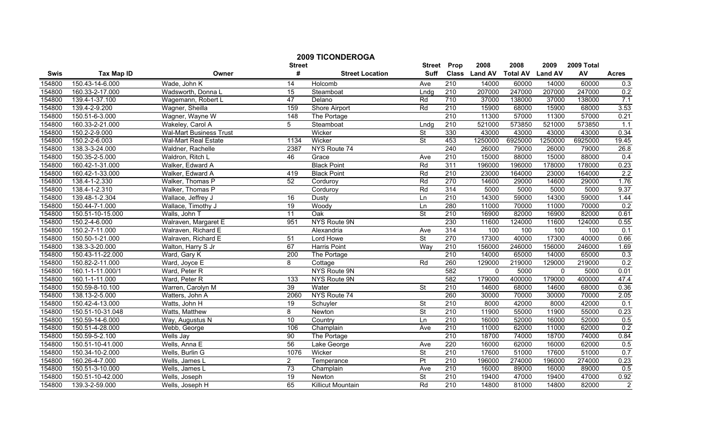|        |                   |                                |                  | <b>2009 TICONDEROGA</b> |                          |                  |               |                 |                |            |                |
|--------|-------------------|--------------------------------|------------------|-------------------------|--------------------------|------------------|---------------|-----------------|----------------|------------|----------------|
|        |                   |                                | <b>Street</b>    |                         | <b>Street</b>            | Prop             | 2008          | 2008            | 2009           | 2009 Total |                |
| Swis   | <b>Tax Map ID</b> | Owner                          | #                | <b>Street Location</b>  | <b>Suff</b>              |                  | Class Land AV | <b>Total AV</b> | <b>Land AV</b> | AV         | <b>Acres</b>   |
| 154800 | 150.43-14-6.000   | Wade, John K                   | 14               | Holcomb                 | Ave                      | $\overline{210}$ | 14000         | 60000           | 14000          | 60000      | 0.3            |
| 154800 | 160.33-2-17.000   | Wadsworth, Donna L             | 15               | Steamboat               | Lndq                     | 210              | 207000        | 247000          | 207000         | 247000     | 0.2            |
| 154800 | 139.4-1-37.100    | Wagemann, Robert L             | 47               | Delano                  | Rd                       | 710              | 37000         | 138000          | 37000          | 138000     | 7.1            |
| 154800 | 139.4-2-9.200     | Wagner, Sheilla                | 159              | <b>Shore Airport</b>    | Rd                       | 210              | 15900         | 68000           | 15900          | 68000      | 3.53           |
| 154800 | 150.51-6-3.000    | Wagner, Wayne W                | 148              | The Portage             |                          | 210              | 11300         | 57000           | 11300          | 57000      | 0.21           |
| 154800 | 160.33-2-21.000   | Wakeley, Carol A               | 5                | Steamboat               | Lndg                     | 210              | 521000        | 573850          | 521000         | 573850     | 1.1            |
| 154800 | 150.2-2-9.000     | <b>Wal-Mart Business Trust</b> |                  | Wicker                  | St                       | 330              | 43000         | 43000           | 43000          | 43000      | 0.34           |
| 154800 | 150.2-2-6.003     | <b>Wal-Mart Real Estate</b>    | 1134             | Wicker                  | <b>St</b>                | 453              | 1250000       | 6925000         | 1250000        | 6925000    | 19.45          |
| 154800 | 138.3-3-24.000    | Waldner, Rachelle              | 2387             | NYS Route 74            |                          | 240              | 26000         | 79000           | 26000          | 79000      | 26.8           |
| 154800 | 150.35-2-5.000    | Waldron, Ritch L               | 46               | Grace                   | Ave                      | $\overline{210}$ | 15000         | 88000           | 15000          | 88000      | 0.4            |
| 154800 | 160.42-1-31.000   | Walker, Edward A               |                  | <b>Black Point</b>      | Rd                       | 311              | 196000        | 196000          | 178000         | 178000     | 0.23           |
| 154800 | 160.42-1-33.000   | Walker, Edward A               | 419              | <b>Black Point</b>      | Rd                       | 210              | 23000         | 164000          | 23000          | 164000     | 2.2            |
| 154800 | 138.4-1-2.330     | Walker, Thomas P               | 52               | Corduroy                | Rd                       | 270              | 14600         | 29000           | 14600          | 29000      | 1.76           |
| 154800 | 138.4-1-2.310     | Walker, Thomas P               |                  | Corduroy                | Rd                       | 314              | 5000          | 5000            | 5000           | 5000       | 9.37           |
| 154800 | 139.48-1-2.304    | Wallace, Jeffrey J             | 16               | Dusty                   | Ln                       | $\overline{210}$ | 14300         | 59000           | 14300          | 59000      | 1.44           |
| 154800 | 150.44-7-1.000    | Wallace, Timothy J             | 19               | Woody                   | Ln                       | 280              | 11000         | 70000           | 11000          | 70000      | 0.2            |
| 154800 | 150.51-10-15.000  | Walls, John T                  | 11               | Oak                     | $\overline{\mathsf{St}}$ | 210              | 16900         | 82000           | 16900          | 82000      | 0.61           |
| 154800 | 150.2-4-6.000     | Walraven, Margaret E           | 951              | <b>NYS Route 9N</b>     |                          | 230              | 11600         | 124000          | 11600          | 124000     | 0.55           |
| 154800 | 150.2-7-11.000    | Walraven, Richard E            |                  | Alexandria              | Ave                      | 314              | 100           | 100             | 100            | 100        | 0.1            |
| 154800 | 150.50-1-21.000   | Walraven, Richard E            | 51               | Lord Howe               | $\overline{\mathsf{St}}$ | 270              | 17300         | 40000           | 17300          | 40000      | 0.66           |
| 154800 | 138.3-3-20.000    | Walton, Harry S Jr             | 67               | Harris Point            | Way                      | 210              | 156000        | 246000          | 156000         | 246000     | 1.69           |
| 154800 | 150.43-11-22.000  | Ward, Gary K                   | 200              | The Portage             |                          | 210              | 14000         | 65000           | 14000          | 65000      | 0.3            |
| 154800 | 150.82-2-11.000   | Ward, Joyce E                  | 8                | Cottage                 | Rd                       | 260              | 129000        | 219000          | 129000         | 219000     | 0.2            |
| 154800 | 160.1-1-11.000/1  | Ward, Peter R                  |                  | NYS Route 9N            |                          | 582              | $\Omega$      | 5000            | $\mathbf{0}$   | 5000       | 0.01           |
| 154800 | 160.1-1-11.000    | Ward, Peter R                  | $\overline{133}$ | NYS Route 9N            |                          | 582              | 179000        | 400000          | 179000         | 400000     | 47.4           |
| 154800 | 150.59-8-10.100   | Warren, Carolyn M              | 39               | Water                   | <b>St</b>                | $\overline{210}$ | 14600         | 68000           | 14600          | 68000      | 0.36           |
| 154800 | 138.13-2-5.000    | Watters, John A                | 2060             | NYS Route 74            |                          | 260              | 30000         | 70000           | 30000          | 70000      | 2.05           |
| 154800 | 150.42-4-13.000   | Watts, John H                  | $\overline{19}$  | Schuyler                | $\overline{\mathsf{St}}$ | 210              | 8000          | 42000           | 8000           | 42000      | 0.1            |
| 154800 | 150.51-10-31.048  | Watts, Matthew                 | 8                | Newton                  | <b>St</b>                | 210              | 11900         | 55000           | 11900          | 55000      | 0.23           |
| 154800 | 150.59-14-6.000   | Way, Augustus N                | 10               | Country                 | Ln                       | 210              | 16000         | 52000           | 16000          | 52000      | 0.5            |
| 154800 | 150.51-4-28.000   | Webb, George                   | 106              | Champlain               | Ave                      | 210              | 11000         | 62000           | 11000          | 62000      | 0.2            |
| 154800 | 150.59-5-2.100    | Wells Jay                      | 90               | The Portage             |                          | 210              | 18700         | 74000           | 18700          | 74000      | 0.84           |
| 154800 | 150.51-10-41.000  | Wells, Anna E                  | 56               | Lake George             | Ave                      | 220              | 16000         | 62000           | 16000          | 62000      | 0.5            |
| 154800 | 150.34-10-2.000   | Wells, Burlin G                | 1076             | Wicker                  | $\overline{\mathsf{St}}$ | 210              | 17600         | 51000           | 17600          | 51000      | 0.7            |
| 154800 | 160.26-4-7.000    | Wells, James L                 | $\overline{2}$   | Temperance              | Pt                       | $\overline{210}$ | 196000        | 274000          | 196000         | 274000     | 0.23           |
| 154800 | 150.51-3-10.000   | Wells, James L                 | 73               | Champlain               | Ave                      | 210              | 16000         | 89000           | 16000          | 89000      | 0.5            |
| 154800 | 150.51-10-42.000  | Wells, Joseph                  | 19               | Newton                  | $\overline{\mathsf{St}}$ | 210              | 19400         | 47000           | 19400          | 47000      | 0.92           |
| 154800 | 139.3-2-59.000    | Wells, Joseph H                | 65               | Killicut Mountain       | Rd                       | 210              | 14800         | 81000           | 14800          | 82000      | $\overline{2}$ |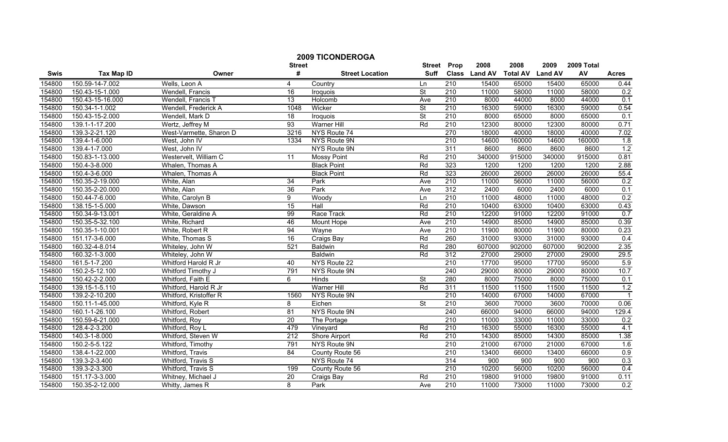|        |                   |                         |                 | <b>2009 TICONDEROGA</b> |                          |                  |               |                 |                |            |                  |
|--------|-------------------|-------------------------|-----------------|-------------------------|--------------------------|------------------|---------------|-----------------|----------------|------------|------------------|
|        |                   |                         | <b>Street</b>   |                         | <b>Street</b>            | Prop             | 2008          | 2008            | 2009           | 2009 Total |                  |
| Swis   | <b>Tax Map ID</b> | Owner                   | #               | <b>Street Location</b>  | <b>Suff</b>              |                  | Class Land AV | <b>Total AV</b> | <b>Land AV</b> | AV         | <b>Acres</b>     |
| 154800 | 150.59-14-7.002   | Wells, Leon A           | 4               | Country                 | Ln                       | 210              | 15400         | 65000           | 15400          | 65000      | 0.44             |
| 154800 | 150.43-15-1.000   | Wendell, Francis        | 16              | Iroquois                | $\overline{\mathsf{St}}$ | 210              | 11000         | 58000           | 11000          | 58000      | 0.2              |
| 154800 | 150.43-15-16.000  | Wendell, Francis T      | 13              | Holcomb                 | Ave                      | 210              | 8000          | 44000           | 8000           | 44000      | 0.1              |
| 154800 | 150.34-1-1.002    | Wendell, Frederick A    | 1048            | Wicker                  | <b>St</b>                | 210              | 16300         | 59000           | 16300          | 59000      | 0.54             |
| 154800 | 150.43-15-2.000   | Wendell, Mark D         | $\overline{18}$ | Iroquois                | <b>St</b>                | 210              | 8000          | 65000           | 8000           | 65000      | 0.1              |
| 154800 | 139.1-1-17.200    | Wertz, Jeffrey M        | 93              | <b>Warner Hill</b>      | Rd                       | 210              | 12300         | 80000           | 12300          | 80000      | 0.71             |
| 154800 | 139.3-2-21.120    | West-Varmette, Sharon D | 3216            | NYS Route 74            |                          | 270              | 18000         | 40000           | 18000          | 40000      | 7.02             |
| 154800 | 139.4-1-6.000     | West, John IV           | 1334            | NYS Route 9N            |                          | 210              | 14600         | 160000          | 14600          | 160000     | 1.8              |
| 154800 | 139.4-1-7.000     | West, John IV           |                 | NYS Route 9N            |                          | 311              | 8600          | 8600            | 8600           | 8600       | 1.2              |
| 154800 | 150.83-1-13.000   | Westervelt, William C   | 11              | <b>Mossy Point</b>      | Rd                       | 210              | 340000        | 915000          | 340000         | 915000     | 0.81             |
| 154800 | 150.4-3-8.000     | Whalen, Thomas A        |                 | <b>Black Point</b>      | Rd                       | 323              | 1200          | 1200            | 1200           | 1200       | 2.88             |
| 154800 | 150.4-3-6.000     | Whalen, Thomas A        |                 | <b>Black Point</b>      | Rd                       | 323              | 26000         | 26000           | 26000          | 26000      | 55.4             |
| 154800 | 150.35-2-19.000   | White, Alan             | 34              | Park                    | Ave                      | 210              | 11000         | 56000           | 11000          | 56000      | 0.2              |
| 154800 | 150.35-2-20.000   | White, Alan             | 36              | Park                    | Ave                      | 312              | 2400          | 6000            | 2400           | 6000       | 0.1              |
| 154800 | 150.44-7-6.000    | White, Carolyn B        | 9               | Woody                   | Ln                       | $\overline{210}$ | 11000         | 48000           | 11000          | 48000      | 0.2              |
| 154800 | 138.15-1-5.000    | White, Dawson           | 15              | Hall                    | Rd                       | 210              | 10400         | 63000           | 10400          | 63000      | 0.43             |
| 154800 | 150.34-9-13.001   | White, Geraldine A      | 99              | Race Track              | Rd                       | 210              | 12200         | 91000           | 12200          | 91000      | 0.7              |
| 154800 | 150.35-5-32.100   | White, Richard          | 46              | <b>Mount Hope</b>       | Ave                      | 210              | 14900         | 85000           | 14900          | 85000      | 0.39             |
| 154800 | 150.35-1-10.001   | White, Robert R         | 94              | Wayne                   | Ave                      | 210              | 11900         | 80000           | 11900          | 80000      | 0.23             |
| 154800 | 151.17-3-6.000    | White, Thomas S         | 16              | Craigs Bay              | Rd                       | 260              | 31000         | 93000           | 31000          | 93000      | 0.4              |
| 154800 | 160.32-4-8.014    | Whiteley, John W        | 521             | <b>Baldwin</b>          | Rd                       | 280              | 607000        | 902000          | 607000         | 902000     | 2.35             |
| 154800 | 160.32-1-3.000    | Whiteley, John W        |                 | Baldwin                 | Rd                       | 312              | 27000         | 29000           | 27000          | 29000      | 29.5             |
| 154800 | 161.5-1-7.200     | Whitford Harold R Jr    | 40              | NYS Route 22            |                          | 210              | 17700         | 95000           | 17700          | 95000      | 5.9              |
| 154800 | 150.2-5-12.100    | Whitford Timothy J      | 791             | NYS Route 9N            |                          | 240              | 29000         | 80000           | 29000          | 80000      | 10.7             |
| 154800 | 150.42-2-2.000    | Whitford, Faith E       | 6               | Hinds                   | $\overline{\mathsf{St}}$ | 280              | 8000          | 75000           | 8000           | 75000      | 0.1              |
| 154800 | 139.15-1-5.110    | Whitford, Harold R Jr   |                 | <b>Warner Hill</b>      | Rd                       | 311              | 11500         | 11500           | 11500          | 11500      | 1.2              |
| 154800 | 139.2-2-10.200    | Whitford, Kristoffer R  | 1560            | NYS Route 9N            |                          | $\overline{210}$ | 14000         | 67000           | 14000          | 67000      | $\overline{1}$   |
| 154800 | 150.11-1-45.000   | Whitford, Kyle R        | 8               | Eichen                  | <b>St</b>                | 210              | 3600          | 70000           | 3600           | 70000      | 0.06             |
| 154800 | 160.1-1-26.100    | Whitford, Robert        | 81              | NYS Route 9N            |                          | 240              | 66000         | 94000           | 66000          | 94000      | 129.4            |
| 154800 | 150.59-6-21.000   | Whitford, Roy           | $\overline{20}$ | The Portage             |                          | 210              | 11000         | 33000           | 11000          | 33000      | 0.2              |
| 154800 | 128.4-2-3.200     | Whitford, Roy L         | 479             | Vineyard                | Rd                       | 210              | 16300         | 55000           | 16300          | 55000      | 4.1              |
| 154800 | 140.3-1-8.000     | Whitford, Steven W      | 212             | <b>Shore Airport</b>    | Rd                       | 210              | 14300         | 85000           | 14300          | 85000      | 1.38             |
| 154800 | 150.2-5-5.122     | Whitford, Timothy       | 791             | NYS Route 9N            |                          | 210              | 21000         | 67000           | 21000          | 67000      | 1.6              |
| 154800 | 138.4-1-22.000    | Whitford, Travis        | 84              | County Route 56         |                          | 210              | 13400         | 66000           | 13400          | 66000      | 0.9              |
| 154800 | 139.3-2-3.400     | Whitford, Travis S      |                 | NYS Route 74            |                          | 314              | 900           | 900             | 900            | 900        | 0.3              |
| 154800 | 139.3-2-3.300     | Whitford, Travis S      | 199             | County Route 56         |                          | 210              | 10200         | 56000           | 10200          | 56000      | 0.4              |
| 154800 | 151.17-3-3.000    | Whitney, Michael J      | $\overline{20}$ | Craigs Bay              | Rd                       | 210              | 19800         | 91000           | 19800          | 91000      | 0.11             |
| 154800 | 150.35-2-12.000   | Whitty, James R         | 8               | Park                    | Ave                      | 210              | 11000         | 73000           | 11000          | 73000      | $\overline{0.2}$ |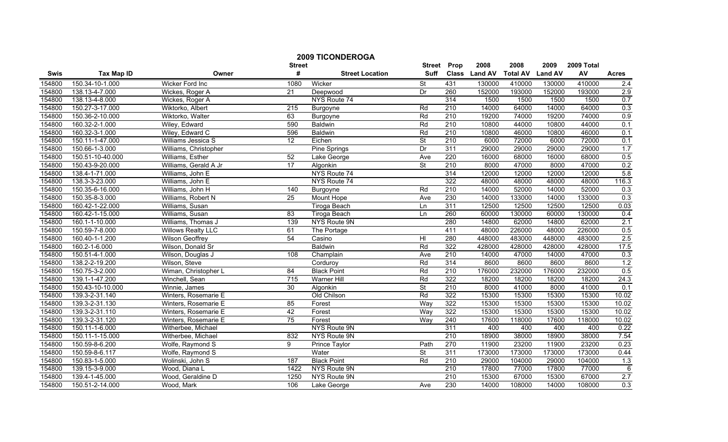|        |                   |                           | <b>Street</b>   | <b>2009 TICONDEROGA</b> | <b>Street</b>            | Prop             | 2008          | 2008            | 2009           | 2009 Total |              |
|--------|-------------------|---------------------------|-----------------|-------------------------|--------------------------|------------------|---------------|-----------------|----------------|------------|--------------|
| Swis   | <b>Tax Map ID</b> | Owner                     | #               | <b>Street Location</b>  | <b>Suff</b>              |                  | Class Land AV | <b>Total AV</b> | <b>Land AV</b> | AV         | <b>Acres</b> |
| 154800 | 150.34-10-1.000   | Wicker Ford Inc           | 1080            | Wicker                  | St                       | 431              | 130000        | 410000          | 130000         | 410000     | 2.4          |
| 154800 | 138.13-4-7.000    | Wickes, Roger A           | $\overline{21}$ | Deepwood                | Dr                       | 260              | 152000        | 193000          | 152000         | 193000     | 2.9          |
| 154800 | 138.13-4-8.000    | Wickes, Roger A           |                 | NYS Route 74            |                          | 314              | 1500          | 1500            | 1500           | 1500       | 0.7          |
| 154800 | 150.27-3-17.000   | Wiktorko, Albert          | 215             | Burgoyne                | Rd                       | 210              | 14000         | 64000           | 14000          | 64000      | 0.3          |
| 154800 | 150.36-2-10.000   | Wiktorko, Walter          | 63              | Burgoyne                | Rd                       | 210              | 19200         | 74000           | 19200          | 74000      | 0.9          |
| 154800 | 160.32-2-1.000    | Wiley, Edward             | 590             | <b>Baldwin</b>          | Rd                       | 210              | 10800         | 44000           | 10800          | 44000      | 0.1          |
| 154800 | 160.32-3-1.000    | Wiley, Edward C           | 596             | <b>Baldwin</b>          | Rd                       | 210              | 10800         | 46000           | 10800          | 46000      | 0.1          |
| 154800 | 150.11-1-47.000   | Williams Jessica S        | 12              | Eichen                  | $\overline{\mathsf{St}}$ | 210              | 6000          | 72000           | 6000           | 72000      | 0.1          |
| 154800 | 150.66-1-3.000    | Williams, Christopher     |                 | Pine Springs            | Dr                       | 311              | 29000         | 29000           | 29000          | 29000      | 1.7          |
| 154800 | 150.51-10-40.000  | Williams, Esther          | 52              | Lake George             | Ave                      | 220              | 16000         | 68000           | 16000          | 68000      | 0.5          |
| 154800 | 150.43-9-20.000   | Williams, Gerald A Jr     | 17              | Algonkin                | $\overline{\mathsf{St}}$ | 210              | 8000          | 47000           | 8000           | 47000      | 0.2          |
| 154800 | 138.4-1-71.000    | Williams, John E          |                 | NYS Route 74            |                          | 314              | 12000         | 12000           | 12000          | 12000      | 5.8          |
| 154800 | 138.3-3-23.000    | Williams, John E          |                 | NYS Route 74            |                          | 322              | 48000         | 48000           | 48000          | 48000      | 116.3        |
| 154800 | 150.35-6-16.000   | Williams, John H          | 140             | Burgoyne                | Rd                       | 210              | 14000         | 52000           | 14000          | 52000      | 0.3          |
| 154800 | 150.35-8-3.000    | Williams, Robert N        | $\overline{25}$ | Mount Hope              | Ave                      | 230              | 14000         | 133000          | 14000          | 133000     | 0.3          |
| 154800 | 160.42-1-22.000   | Williams, Susan           |                 | <b>Tiroga Beach</b>     | Ln                       | 311              | 12500         | 12500           | 12500          | 12500      | 0.03         |
| 154800 | 160.42-1-15.000   | Williams, Susan           | 83              | <b>Tiroga Beach</b>     | Ln                       | 260              | 60000         | 130000          | 60000          | 130000     | 0.4          |
| 154800 | 160.1-1-10.000    | Williams, Thomas J        | 139             | NYS Route 9N            |                          | 280              | 14800         | 62000           | 14800          | 62000      | 2.1          |
| 154800 | 150.59-7-8.000    | <b>Willows Realty LLC</b> | 61              | The Portage             |                          | 411              | 48000         | 226000          | 48000          | 226000     | 0.5          |
| 154800 | 160.40-1-1.200    | <b>Wilson Geoffrey</b>    | 54              | Casino                  | HI                       | 280              | 448000        | 483000          | 448000         | 483000     | 2.5          |
| 154800 | 160.2-1-6.000     | Wilson, Donald Sr         |                 | Baldwin                 | Rd                       | 322              | 428000        | 428000          | 428000         | 428000     | 17.5         |
| 154800 | 150.51-4-1.000    | Wilson, Douglas J         | 108             | Champlain               | Ave                      | 210              | 14000         | 47000           | 14000          | 47000      | 0.3          |
| 154800 | 138.2-2-19.200    | Wilson, Steve             |                 | Corduroy                | Rd                       | 314              | 8600          | 8600            | 8600           | 8600       | 1.2          |
| 154800 | 150.75-3-2.000    | Wiman, Christopher L      | 84              | <b>Black Point</b>      | Rd                       | 210              | 176000        | 232000          | 176000         | 232000     | 0.5          |
| 154800 | 139.1-1-47.200    | Winchell, Sean            | 715             | <b>Warner Hill</b>      | Rd                       | 322              | 18200         | 18200           | 18200          | 18200      | 24.3         |
| 154800 | 150.43-10-10.000  | Winnie, James             | 30              | Algonkin                | $\overline{\mathsf{St}}$ | 210              | 8000          | 41000           | 8000           | 41000      | 0.1          |
| 154800 | 139.3-2-31.140    | Winters, Rosemarie E      |                 | Old Chilson             | Rd                       | 322              | 15300         | 15300           | 15300          | 15300      | 10.02        |
| 154800 | 139.3-2-31.130    | Winters, Rosemarie E      | 85              | Forest                  | Way                      | 322              | 15300         | 15300           | 15300          | 15300      | 10.02        |
| 154800 | 139.3-2-31.110    | Winters, Rosemarie E      | 42              | Forest                  | Way                      | 322              | 15300         | 15300           | 15300          | 15300      | 10.02        |
| 154800 | 139.3-2-31.120    | Winters, Rosemarie E      | 75              | Forest                  | Way                      | 240              | 17600         | 118000          | 17600          | 118000     | 10.02        |
| 154800 | 150.11-1-6.000    | Witherbee, Michael        |                 | <b>NYS Route 9N</b>     |                          | 311              | 400           | 400             | 400            | 400        | 0.22         |
| 154800 | 150.11-1-15.000   | Witherbee, Michael        | 832             | NYS Route 9N            |                          | 210              | 18900         | 38000           | 18900          | 38000      | 7.54         |
| 154800 | 150.59-8-6.200    | Wolfe, Raymond S          | 9               | <b>Prince Taylor</b>    | Path                     | 270              | 11900         | 23200           | 11900          | 23200      | 0.23         |
| 154800 | 150.59-8-6.117    | Wolfe, Raymond S          |                 | Water                   | St                       | 311              | 173000        | 173000          | 173000         | 173000     | 0.44         |
| 154800 | 150.83-1-5.000    | Wolinski, John S          | 187             | <b>Black Point</b>      | Rd                       | $\overline{210}$ | 29000         | 104000          | 29000          | 104000     | 1.3          |
| 154800 | 139.15-3-9.000    | Wood, Diana L             | 1422            | NYS Route 9N            |                          | 210              | 17800         | 77000           | 17800          | 77000      | $\,6$        |
| 154800 | 139.4-1-45.000    | Wood, Geraldine D         | 1250            | NYS Route 9N            |                          | $\overline{210}$ | 15300         | 67000           | 15300          | 67000      | 2.7          |
| 154800 | 150.51-2-14.000   | Wood, Mark                | 106             | Lake George             | Ave                      | 230              | 14000         | 108000          | 14000          | 108000     | 0.3          |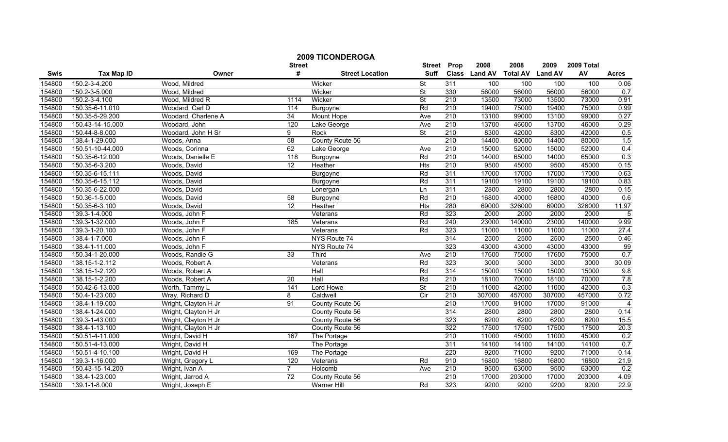|        |                   |                      |                    | <b>2009 TICONDEROGA</b> |                              |                  |                       |                         |                        |                  |                |
|--------|-------------------|----------------------|--------------------|-------------------------|------------------------------|------------------|-----------------------|-------------------------|------------------------|------------------|----------------|
| Swis   | <b>Tax Map ID</b> | Owner                | <b>Street</b><br># | <b>Street Location</b>  | <b>Street</b><br><b>Suff</b> | Prop             | 2008<br>Class Land AV | 2008<br><b>Total AV</b> | 2009<br><b>Land AV</b> | 2009 Total<br>AV | <b>Acres</b>   |
| 154800 | 150.2-3-4.200     | Wood, Mildred        |                    | Wicker                  | St                           | 311              | 100                   | 100                     | 100                    | 100              | 0.06           |
| 154800 | 150.2-3-5.000     | Wood, Mildred        |                    | Wicker                  | $\overline{\mathsf{St}}$     | 330              | 56000                 | 56000                   | 56000                  | 56000            | 0.7            |
| 154800 | 150.2-3-4.100     | Wood, Mildred R      | 1114               | Wicker                  | $\overline{\mathsf{St}}$     | 210              | 13500                 | 73000                   | 13500                  | 73000            | 0.91           |
| 154800 | 150.35-6-11.010   | Woodard, Carl D      | 114                | Burgoyne                | Rd                           | 210              | 19400                 | 75000                   | 19400                  | 75000            | 0.99           |
| 154800 | 150.35-5-29.200   | Woodard, Charlene A  | 34                 | Mount Hope              | Ave                          | 210              | 13100                 | 99000                   | 13100                  | 99000            | 0.27           |
| 154800 | 150.43-14-15.000  | Woodard, John        | 120                | Lake George             | Ave                          | 210              | 13700                 | 46000                   | 13700                  | 46000            | 0.29           |
| 154800 | 150.44-8-8.000    | Woodard, John H Sr   | 9                  | Rock                    | <b>St</b>                    | 210              | 8300                  | 42000                   | 8300                   | 42000            | 0.5            |
| 154800 | 138.4-1-29.000    | Woods, Anna          | 58                 | County Route 56         |                              | 210              | 14400                 | 80000                   | 14400                  | 80000            | 1.5            |
| 154800 | 150.51-10-44.000  | Woods, Corinna       | 62                 | Lake George             | Ave                          | $\overline{210}$ | 15000                 | 52000                   | 15000                  | 52000            | 0.4            |
| 154800 | 150.35-6-12.000   | Woods, Danielle E    | 118                | Burgoyne                | Rd                           | $\overline{210}$ | 14000                 | 65000                   | 14000                  | 65000            | 0.3            |
| 154800 | 150.35-6-3.200    | Woods, David         | $\overline{12}$    | Heather                 | Hts                          | 210              | 9500                  | 45000                   | 9500                   | 45000            | 0.15           |
| 154800 | 150.35-6-15.111   | Woods, David         |                    | Burgoyne                | Rd                           | 311              | 17000                 | 17000                   | 17000                  | 17000            | 0.63           |
| 154800 | 150.35-6-15.112   | Woods, David         |                    | Burgoyne                | Rd                           | 311              | 19100                 | 19100                   | 19100                  | 19100            | 0.83           |
| 154800 | 150.35-6-22.000   | Woods, David         |                    | Lonergan                | Ln                           | 311              | 2800                  | 2800                    | 2800                   | 2800             | 0.15           |
| 154800 | 150.36-1-5.000    | Woods, David         | 58                 | Burgoyne                | Rd                           | $\overline{210}$ | 16800                 | 40000                   | 16800                  | 40000            | 0.6            |
| 154800 | 150.35-6-3.100    | Woods, David         | $\overline{12}$    | Heather                 | Hts                          | 280              | 69000                 | 326000                  | 69000                  | 326000           | 11.97          |
| 154800 | 139.3-1-4.000     | Woods, John F        |                    | Veterans                | Rd                           | 323              | 2000                  | 2000                    | 2000                   | 2000             | 5              |
| 154800 | 139.3-1-32.000    | Woods, John F        | 185                | Veterans                | Rd                           | 240              | 23000                 | 140000                  | 23000                  | 140000           | 9.99           |
| 154800 | 139.3-1-20.100    | Woods, John F        |                    | Veterans                | Rd                           | 323              | 11000                 | 11000                   | 11000                  | 11000            | 27.4           |
| 154800 | 138.4-1-7.000     | Woods, John F        |                    | NYS Route 74            |                              | 314              | 2500                  | 2500                    | 2500                   | 2500             | 0.46           |
| 154800 | 138.4-1-11.000    | Woods, John F        |                    | NYS Route 74            |                              | 323              | 43000                 | 43000                   | 43000                  | 43000            | 99             |
| 154800 | 150.34-1-20.000   | Woods, Randie G      | 33                 | Third                   | Ave                          | 210              | 17600                 | 75000                   | 17600                  | 75000            | 0.7            |
| 154800 | 138.15-1-2.112    | Woods, Robert A      |                    | Veterans                | Rd                           | 323              | 3000                  | 3000                    | 3000                   | 3000             | 30.09          |
| 154800 | 138.15-1-2.120    | Woods, Robert A      |                    | Hall                    | Rd                           | 314              | 15000                 | 15000                   | 15000                  | 15000            | 9.8            |
| 154800 | 138.15-1-2.200    | Woods, Robert A      | $\overline{20}$    | Hall                    | Rd                           | $\overline{210}$ | 18100                 | 70000                   | 18100                  | 70000            | 7.8            |
| 154800 | 150.42-6-13.000   | Worth, Tammy L       | 141                | Lord Howe               | $\overline{\mathsf{St}}$     | $\overline{210}$ | 11000                 | 42000                   | 11000                  | 42000            | 0.3            |
| 154800 | 150.4-1-23.000    | Wray, Richard D      | 8                  | Caldwell                | $\overline{C}$               | $\overline{210}$ | 307000                | 457000                  | 307000                 | 457000           | 0.72           |
| 154800 | 138.4-1-19.000    | Wright, Clayton H Jr | 91                 | County Route 56         |                              | 210              | 17000                 | 91000                   | 17000                  | 91000            | $\overline{4}$ |
| 154800 | 138.4-1-24.000    | Wright, Clayton H Jr |                    | County Route 56         |                              | 314              | 2800                  | 2800                    | 2800                   | 2800             | 0.14           |
| 154800 | 139.3-1-43.000    | Wright, Clayton H Jr |                    | County Route 56         |                              | 323              | 6200                  | 6200                    | 6200                   | 6200             | 15.5           |
| 154800 | 138.4-1-13.100    | Wright, Clayton H Jr |                    | County Route 56         |                              | 322              | 17500                 | 17500                   | 17500                  | 17500            | 20.3           |
| 154800 | 150.51-4-11.000   | Wright, David H      | 167                | The Portage             |                              | 210              | 11000                 | 45000                   | 11000                  | 45000            | 0.2            |
| 154800 | 150.51-4-13.000   | Wright, David H      |                    | The Portage             |                              | 311              | 14100                 | 14100                   | 14100                  | 14100            | 0.7            |
| 154800 | 150.51-4-10.100   | Wright, David H      | 169                | The Portage             |                              | 220              | 9200                  | 71000                   | 9200                   | 71000            | 0.14           |
| 154800 | 139.3-1-16.000    | Wright, Gregory L    | 120                | Veterans                | Rd                           | 910              | 16800                 | 16800                   | 16800                  | 16800            | 21.9           |
| 154800 | 150.43-15-14.200  | Wright, Ivan A       | $\overline{7}$     | Holcomb                 | Ave                          | 210              | 9500                  | 63000                   | 9500                   | 63000            | 0.2            |
| 154800 | 138.4-1-23.000    | Wright, Jarrod A     | $\overline{72}$    | County Route 56         |                              | 210              | 17000                 | 203000                  | 17000                  | 203000           | 4.09           |
| 154800 | 139.1-1-8.000     | Wright, Joseph E     |                    | Warner Hill             | Rd                           | 323              | 9200                  | 9200                    | 9200                   | 9200             | 22.9           |